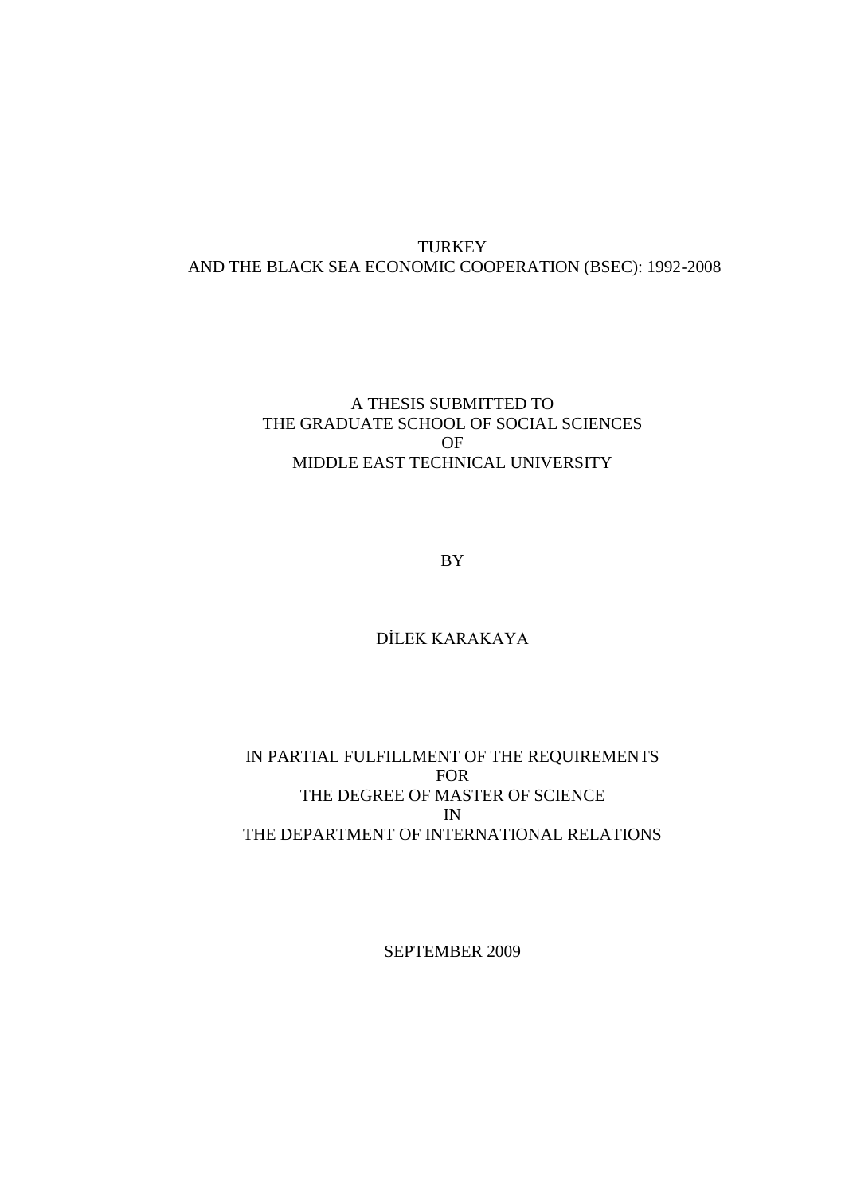## **TURKEY** AND THE BLACK SEA ECONOMIC COOPERATION (BSEC): 1992-2008

## A THESIS SUBMITTED TO THE GRADUATE SCHOOL OF SOCIAL SCIENCES OF MIDDLE EAST TECHNICAL UNIVERSITY

BY

## DİLEK KARAKAYA

## IN PARTIAL FULFILLMENT OF THE REQUIREMENTS FOR THE DEGREE OF MASTER OF SCIENCE IN THE DEPARTMENT OF INTERNATIONAL RELATIONS

SEPTEMBER 2009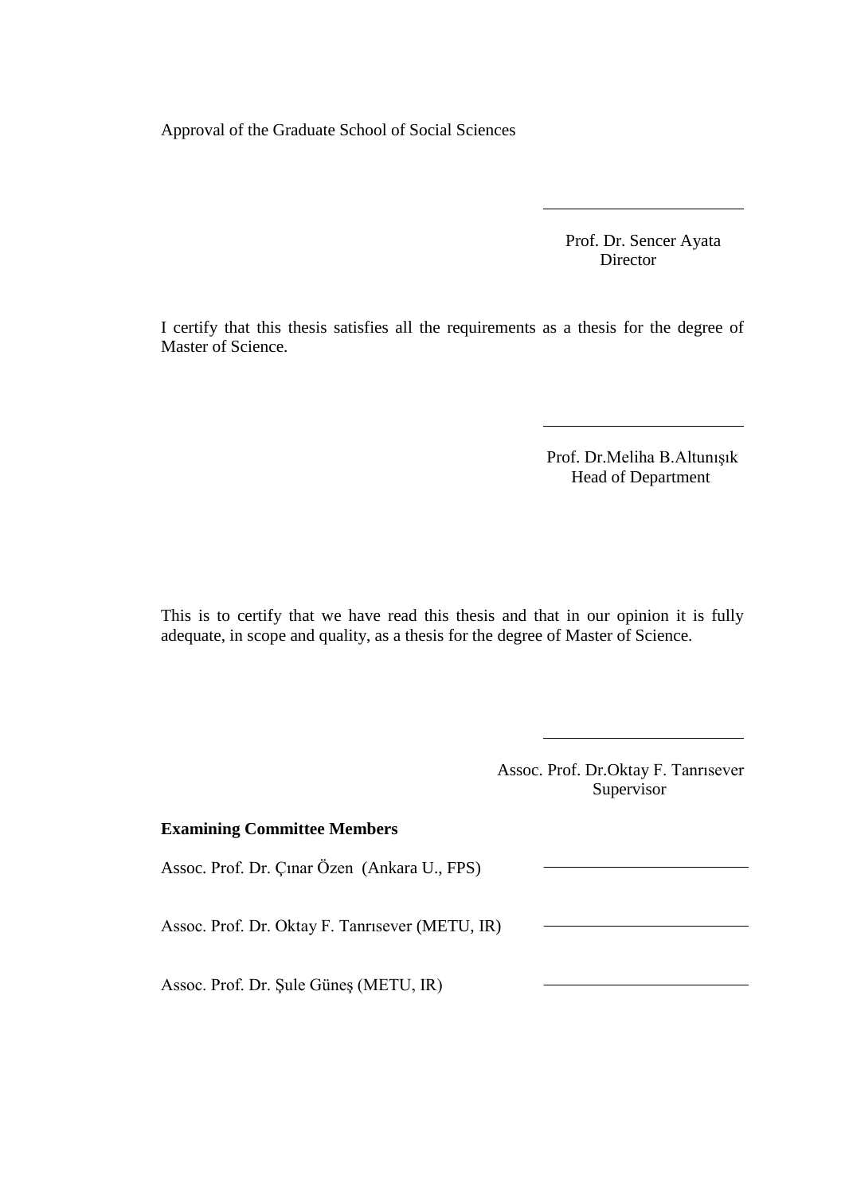Approval of the Graduate School of Social Sciences

 Prof. Dr. Sencer Ayata Director

I certify that this thesis satisfies all the requirements as a thesis for the degree of Master of Science.

> Prof. Dr.Meliha B.Altunışık Head of Department

This is to certify that we have read this thesis and that in our opinion it is fully adequate, in scope and quality, as a thesis for the degree of Master of Science.

> Assoc. Prof. Dr.Oktay F. Tanrısever Supervisor

# **Examining Committee Members**  Assoc. Prof. Dr. Çınar Özen (Ankara U., FPS) Assoc. Prof. Dr. Oktay F. Tanrısever (METU, IR) Assoc. Prof. Dr. Şule Güneş (METU, IR)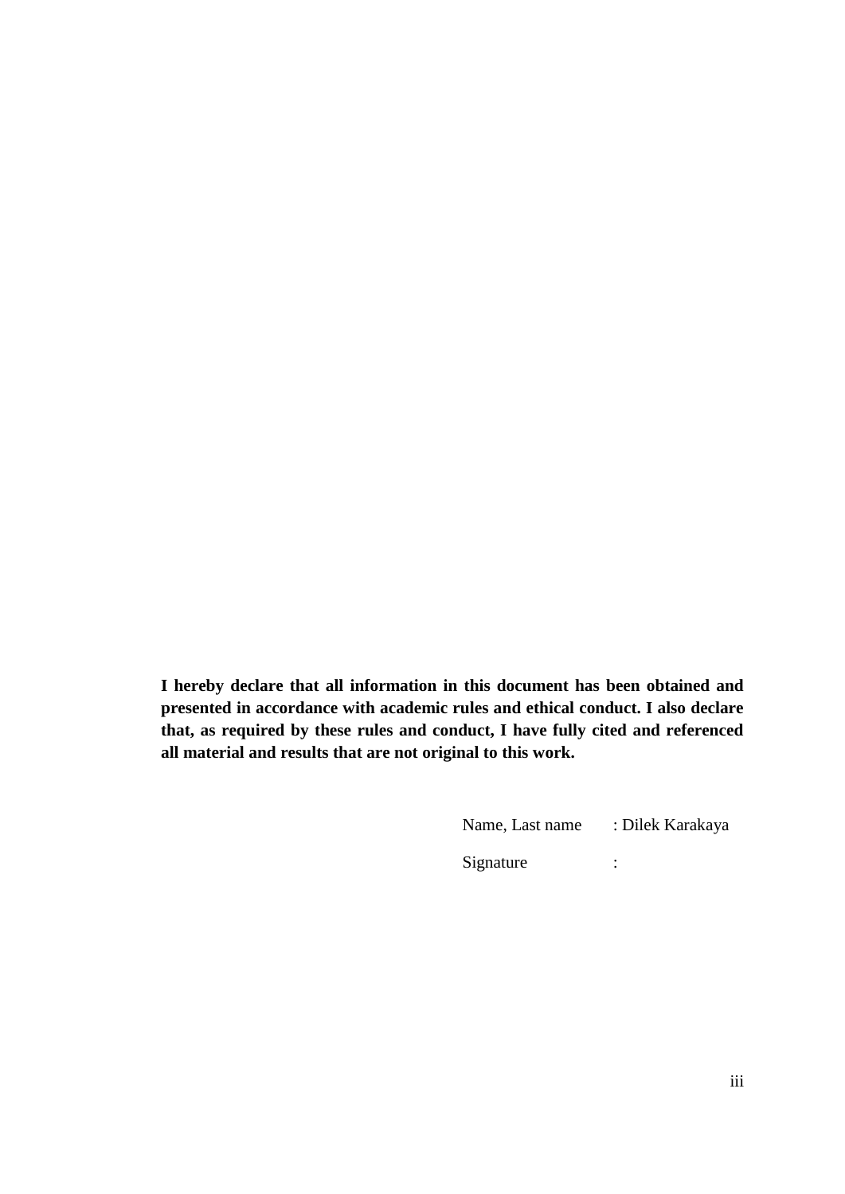<span id="page-2-0"></span>**I hereby declare that all information in this document has been obtained and presented in accordance with academic rules and ethical conduct. I also declare that, as required by these rules and conduct, I have fully cited and referenced all material and results that are not original to this work.**

| Name, Last name | : Dilek Karakaya |
|-----------------|------------------|
| Signature       | ٠                |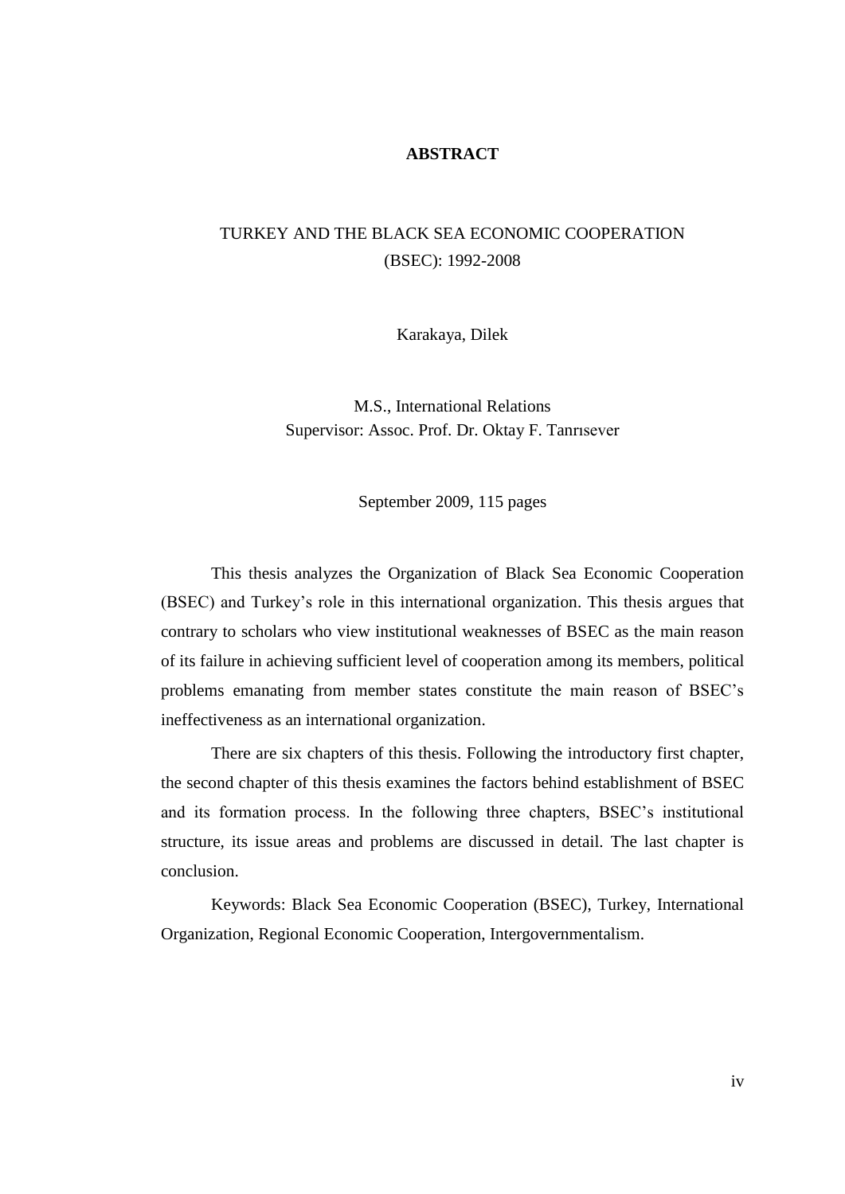## **ABSTRACT**

# <span id="page-3-0"></span>TURKEY AND THE BLACK SEA ECONOMIC COOPERATION (BSEC): 1992-2008

Karakaya, Dilek

M.S., International Relations Supervisor: Assoc. Prof. Dr. Oktay F. Tanrısever

September 2009, 115 pages

This thesis analyzes the Organization of Black Sea Economic Cooperation (BSEC) and Turkey"s role in this international organization. This thesis argues that contrary to scholars who view institutional weaknesses of BSEC as the main reason of its failure in achieving sufficient level of cooperation among its members, political problems emanating from member states constitute the main reason of BSEC"s ineffectiveness as an international organization.

There are six chapters of this thesis. Following the introductory first chapter, the second chapter of this thesis examines the factors behind establishment of BSEC and its formation process. In the following three chapters, BSEC"s institutional structure, its issue areas and problems are discussed in detail. The last chapter is conclusion.

Keywords: Black Sea Economic Cooperation (BSEC), Turkey, International Organization, Regional Economic Cooperation, Intergovernmentalism.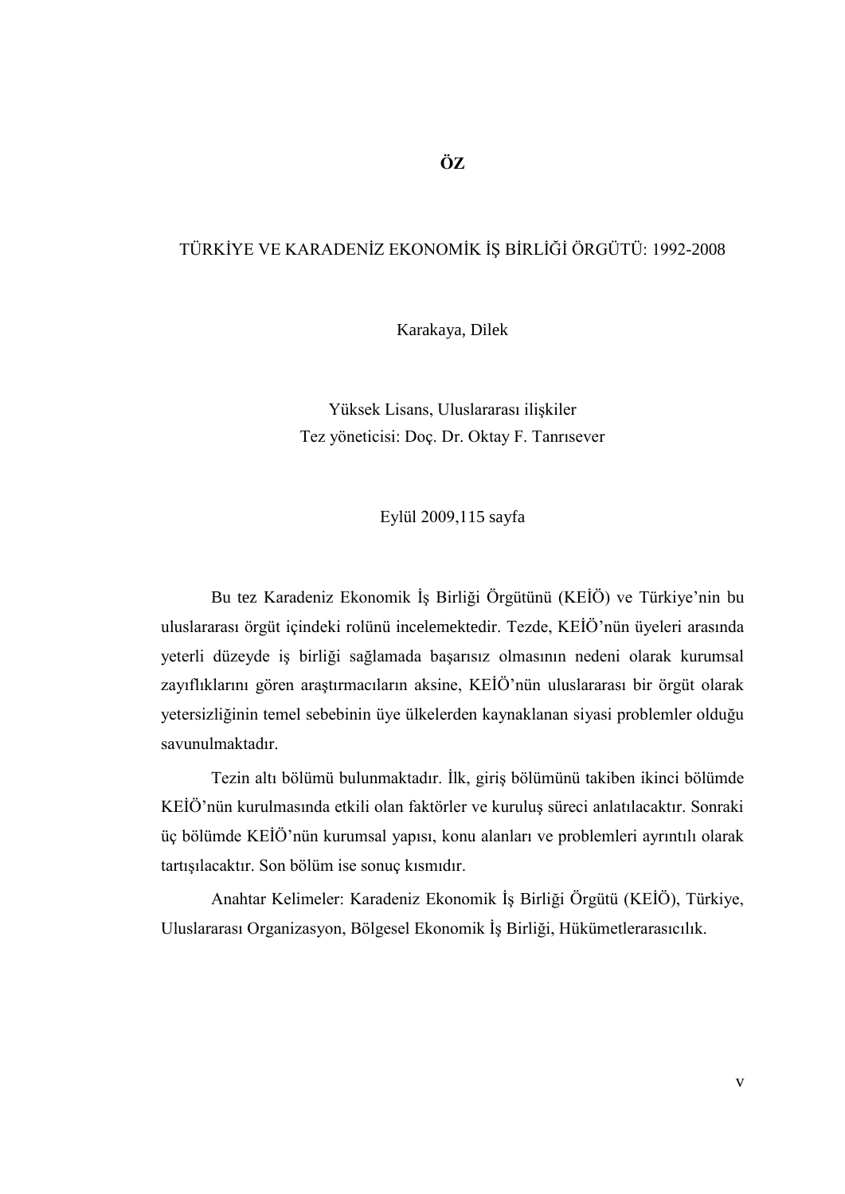## <span id="page-4-0"></span>TÜRKİYE VE KARADENİZ EKONOMİK İŞ BİRLİĞİ ÖRGÜTÜ: 1992-2008

Karakaya, Dilek

Yüksek Lisans, Uluslararası ilişkiler Tez yöneticisi: Doç. Dr. Oktay F. Tanrısever

Eylül 2009,115 sayfa

Bu tez Karadeniz Ekonomik İş Birliği Örgütünü (KEİÖ) ve Türkiye'nin bu uluslararası örgüt içindeki rolünü incelemektedir. Tezde, KEİÖ'nün üyeleri arasında yeterli düzeyde iş birliği sağlamada başarısız olmasının nedeni olarak kurumsal zayıflıklarını gören araştırmacıların aksine, KEİÖ'nün uluslararası bir örgüt olarak yetersizliğinin temel sebebinin üye ülkelerden kaynaklanan siyasi problemler olduğu savunulmaktadır.

Tezin altı bölümü bulunmaktadır. İlk, giriş bölümünü takiben ikinci bölümde KEİÖ'nün kurulmasında etkili olan faktörler ve kuruluş süreci anlatılacaktır. Sonraki üç bölümde KEĠÖ"nün kurumsal yapısı, konu alanları ve problemleri ayrıntılı olarak tartışılacaktır. Son bölüm ise sonuç kısmıdır.

Anahtar Kelimeler: Karadeniz Ekonomik İş Birliği Örgütü (KEİÖ), Türkiye, Uluslararası Organizasyon, Bölgesel Ekonomik İş Birliği, Hükümetlerarasıcılık.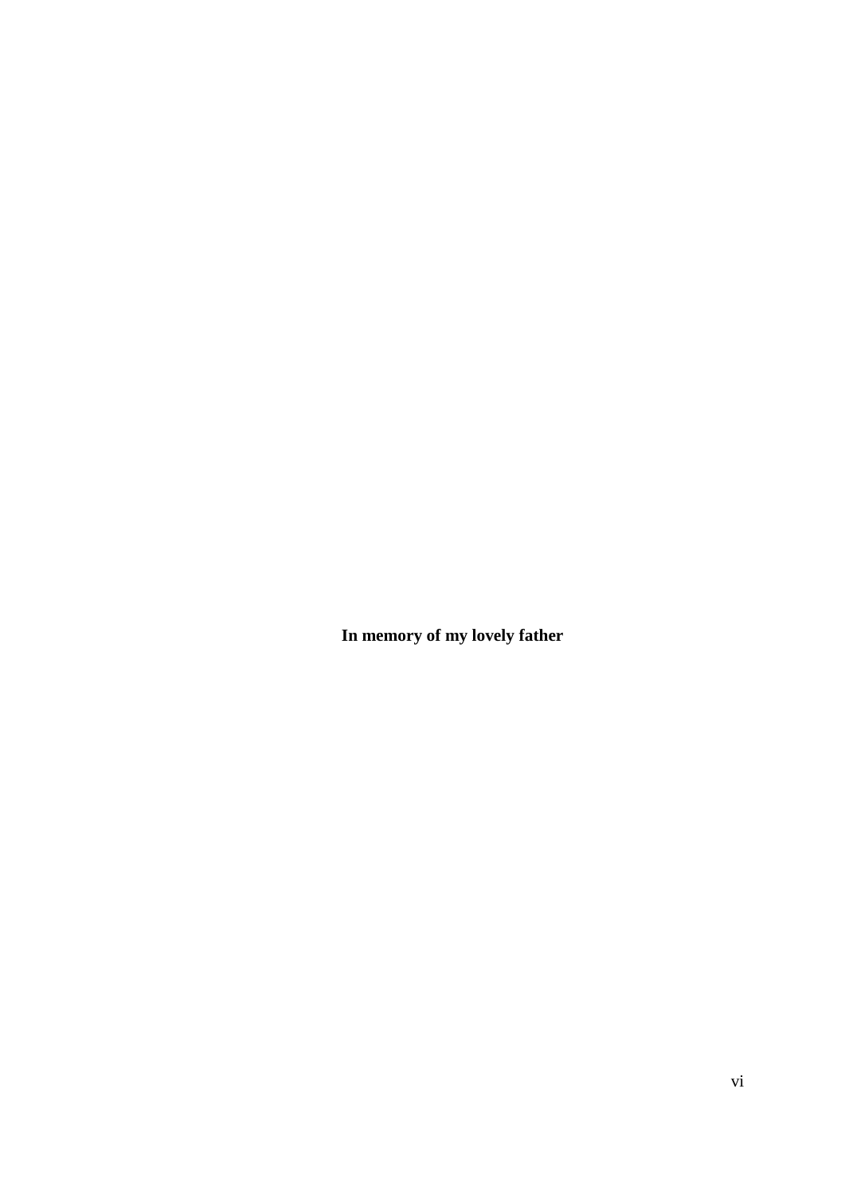<span id="page-5-0"></span>**In memory of my lovely father**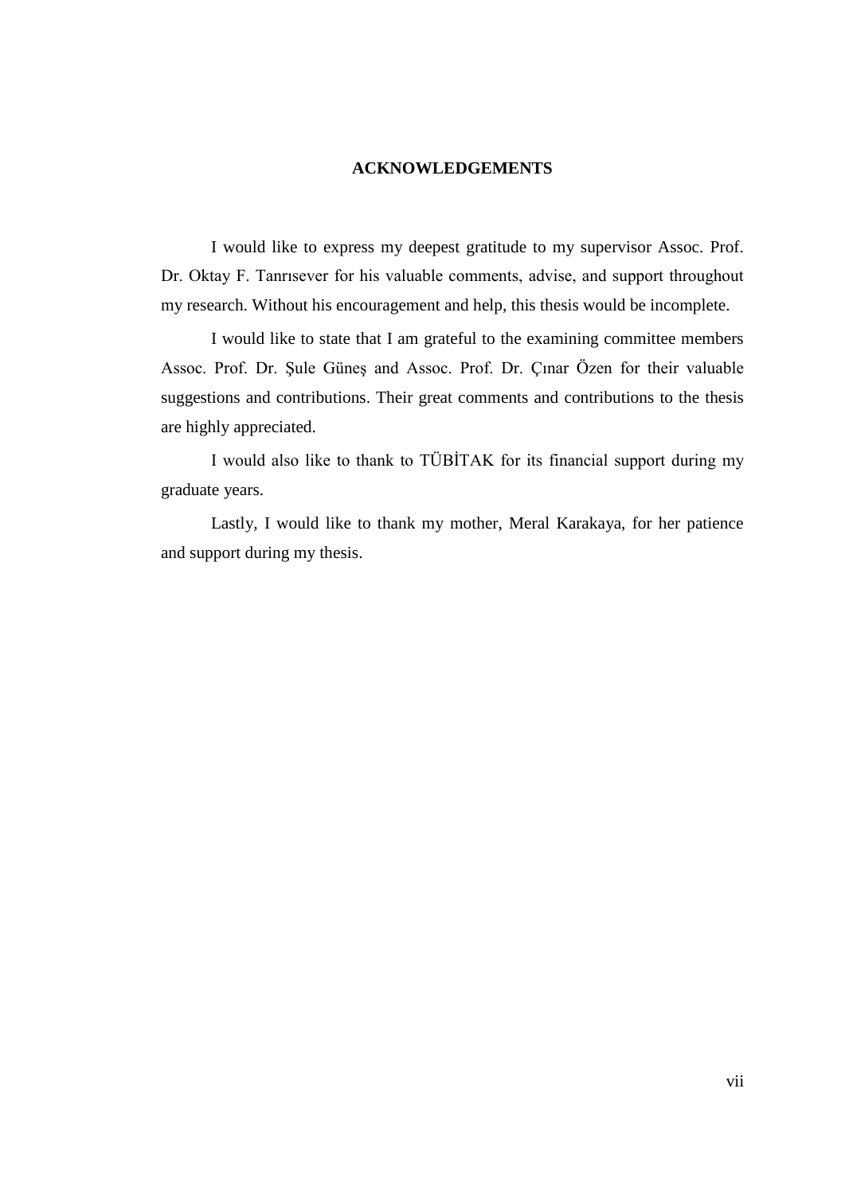## **ACKNOWLEDGEMENTS**

<span id="page-6-0"></span>I would like to express my deepest gratitude to my supervisor Assoc. Prof. Dr. Oktay F. Tanrısever for his valuable comments, advise, and support throughout my research. Without his encouragement and help, this thesis would be incomplete.

I would like to state that I am grateful to the examining committee members Assoc. Prof. Dr. Şule Güneş and Assoc. Prof. Dr. Çınar Özen for their valuable suggestions and contributions. Their great comments and contributions to the thesis are highly appreciated.

I would also like to thank to TÜBİTAK for its financial support during my graduate years.

Lastly, I would like to thank my mother, Meral Karakaya, for her patience and support during my thesis.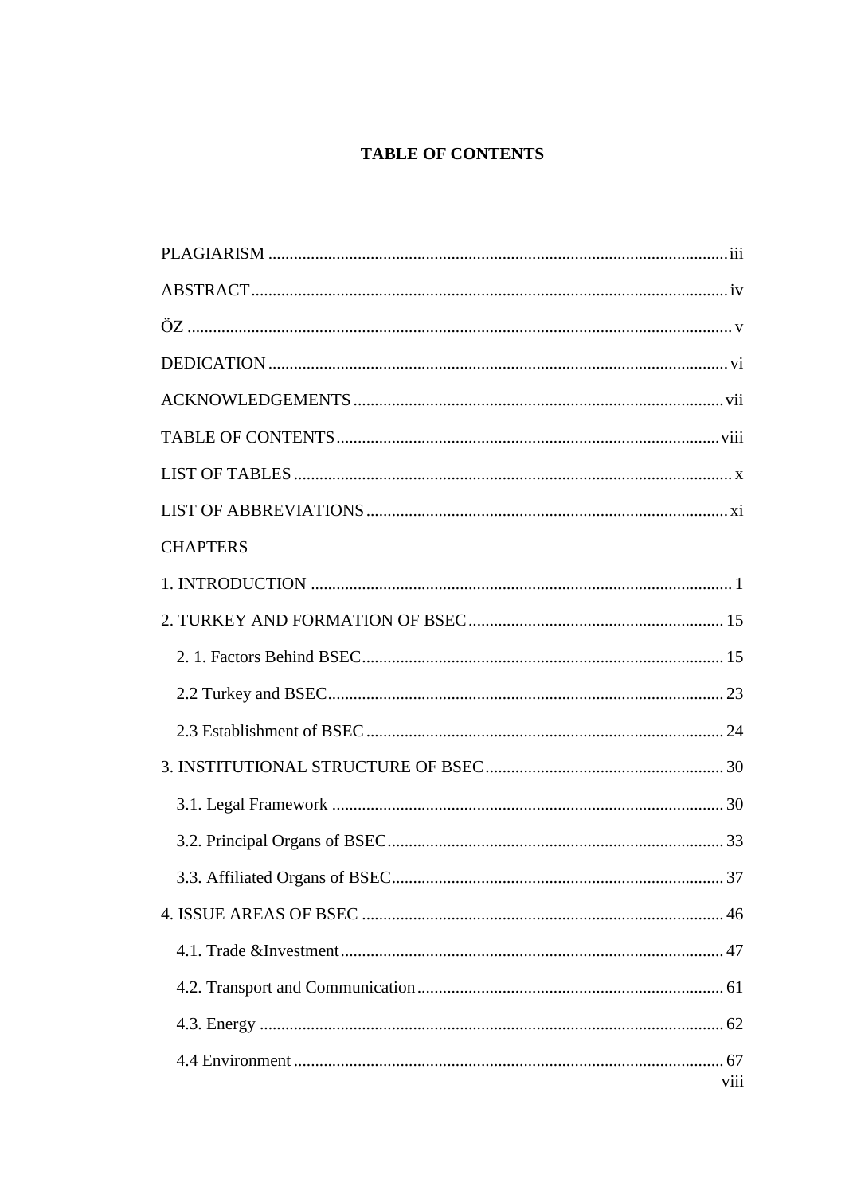# **TABLE OF CONTENTS**

<span id="page-7-0"></span>

| <b>CHAPTERS</b> |
|-----------------|
|                 |
|                 |
|                 |
|                 |
|                 |
|                 |
|                 |
|                 |
|                 |
|                 |
|                 |
|                 |
|                 |
| viii            |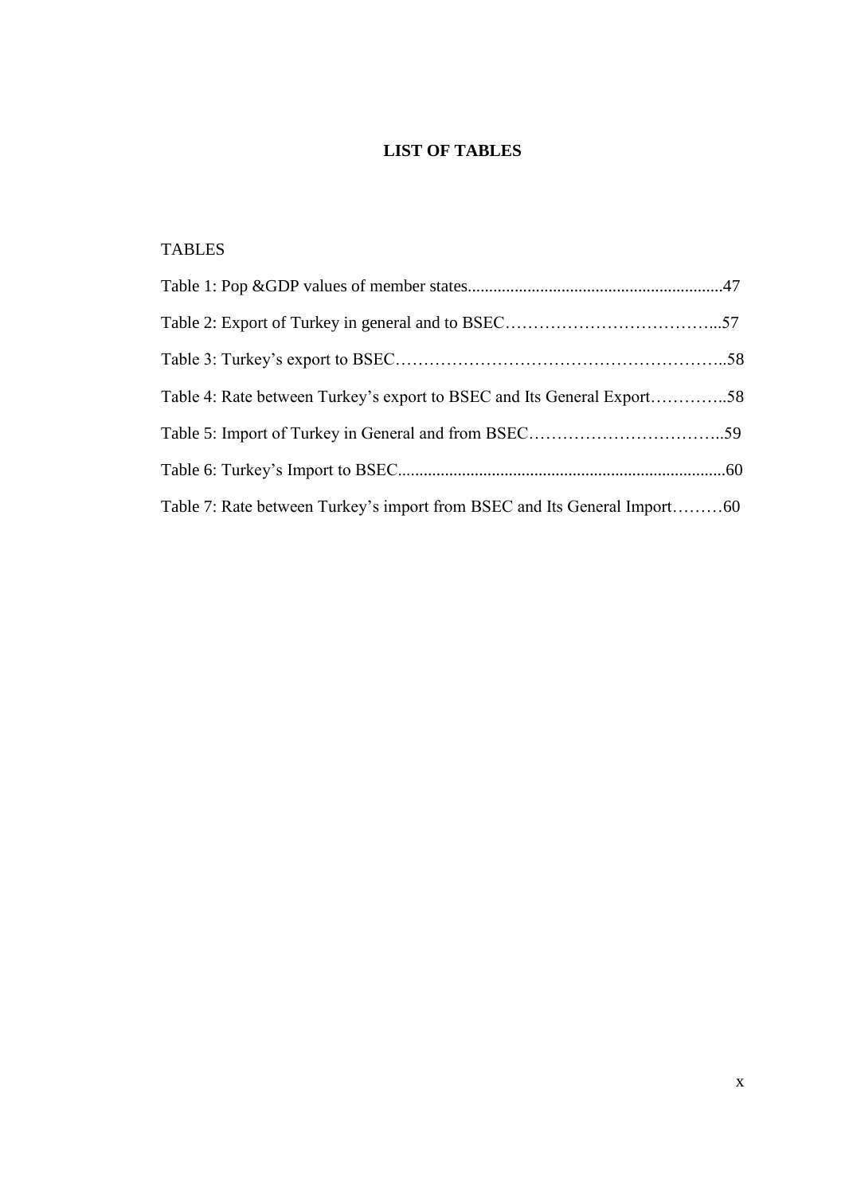# **LIST OF TABLES**

# <span id="page-9-0"></span>TABLES

| Table 4: Rate between Turkey's export to BSEC and Its General Export58   |  |
|--------------------------------------------------------------------------|--|
|                                                                          |  |
|                                                                          |  |
| Table 7: Rate between Turkey's import from BSEC and Its General Import60 |  |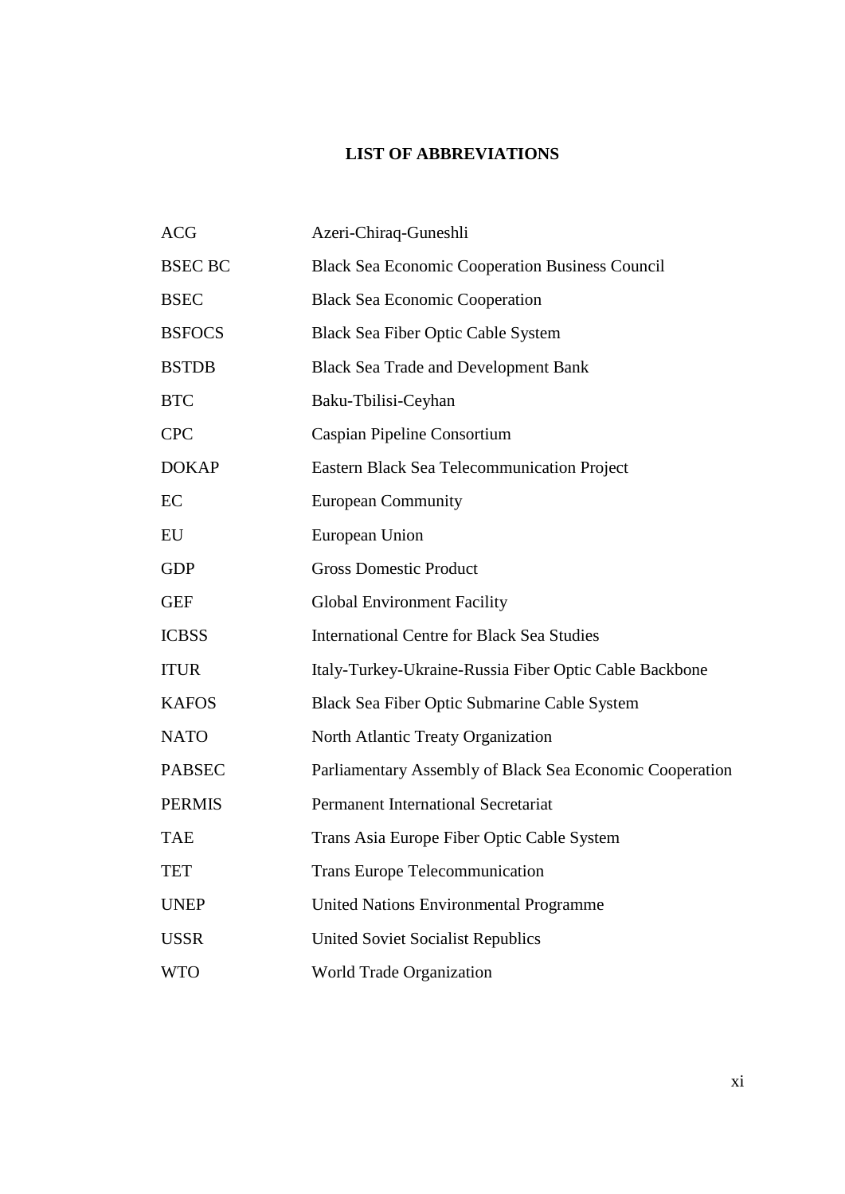# **LIST OF ABBREVIATIONS**

<span id="page-10-0"></span>

| <b>ACG</b>           | Azeri-Chiraq-Guneshli                                    |
|----------------------|----------------------------------------------------------|
| <b>BSEC BC</b>       | <b>Black Sea Economic Cooperation Business Council</b>   |
| <b>BSEC</b>          | <b>Black Sea Economic Cooperation</b>                    |
| <b>BSFOCS</b>        | <b>Black Sea Fiber Optic Cable System</b>                |
| <b>BSTDB</b>         | <b>Black Sea Trade and Development Bank</b>              |
| $\operatorname{BTC}$ | Baku-Tbilisi-Ceyhan                                      |
| <b>CPC</b>           | Caspian Pipeline Consortium                              |
| <b>DOKAP</b>         | <b>Eastern Black Sea Telecommunication Project</b>       |
| EC                   | <b>European Community</b>                                |
| EU                   | European Union                                           |
| <b>GDP</b>           | <b>Gross Domestic Product</b>                            |
| <b>GEF</b>           | <b>Global Environment Facility</b>                       |
| <b>ICBSS</b>         | <b>International Centre for Black Sea Studies</b>        |
| <b>ITUR</b>          | Italy-Turkey-Ukraine-Russia Fiber Optic Cable Backbone   |
| <b>KAFOS</b>         | Black Sea Fiber Optic Submarine Cable System             |
| <b>NATO</b>          | North Atlantic Treaty Organization                       |
| <b>PABSEC</b>        | Parliamentary Assembly of Black Sea Economic Cooperation |
| <b>PERMIS</b>        | <b>Permanent International Secretariat</b>               |
| <b>TAE</b>           | Trans Asia Europe Fiber Optic Cable System               |
| TET                  | <b>Trans Europe Telecommunication</b>                    |
| <b>UNEP</b>          | <b>United Nations Environmental Programme</b>            |
| <b>USSR</b>          | <b>United Soviet Socialist Republics</b>                 |
| <b>WTO</b>           | World Trade Organization                                 |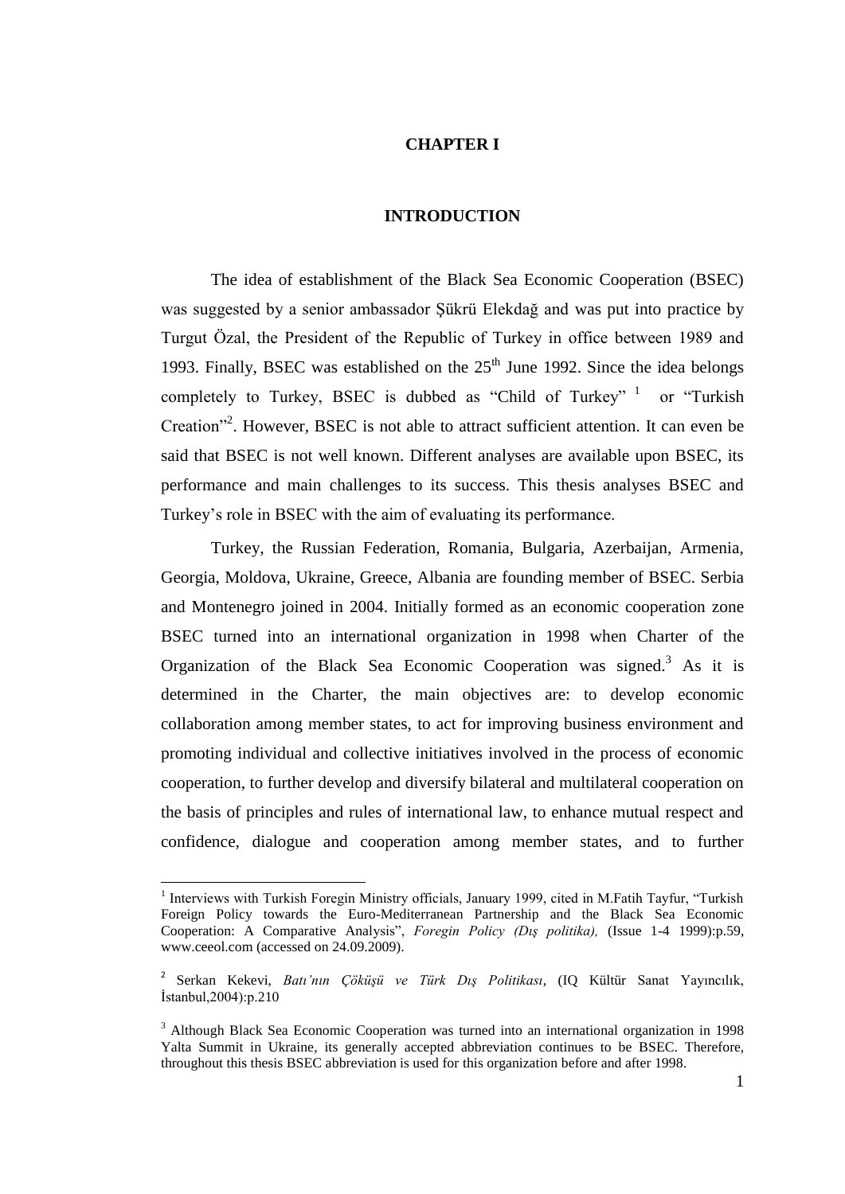### **CHAPTER I**

#### **INTRODUCTION**

<span id="page-11-0"></span>The idea of establishment of the Black Sea Economic Cooperation (BSEC) was suggested by a senior ambassador Şükrü Elekdağ and was put into practice by Turgut Özal, the President of the Republic of Turkey in office between 1989 and 1993. Finally, BSEC was established on the  $25<sup>th</sup>$  June 1992. Since the idea belongs completely to Turkey, BSEC is dubbed as "Child of Turkey"  $1$  or "Turkish" Creation"<sup>2</sup>. However, BSEC is not able to attract sufficient attention. It can even be said that BSEC is not well known. Different analyses are available upon BSEC, its performance and main challenges to its success. This thesis analyses BSEC and Turkey"s role in BSEC with the aim of evaluating its performance.

Turkey, the Russian Federation, Romania, Bulgaria, Azerbaijan, Armenia, Georgia, Moldova, Ukraine, Greece, Albania are founding member of BSEC. Serbia and Montenegro joined in 2004. Initially formed as an economic cooperation zone BSEC turned into an international organization in 1998 when Charter of the Organization of the Black Sea Economic Cooperation was signed.<sup>3</sup> As it is determined in the Charter, the main objectives are: to develop economic collaboration among member states, to act for improving business environment and promoting individual and collective initiatives involved in the process of economic cooperation, to further develop and diversify bilateral and multilateral cooperation on the basis of principles and rules of international law, to enhance mutual respect and confidence, dialogue and cooperation among member states, and to further

<sup>&</sup>lt;sup>1</sup> Interviews with Turkish Foregin Ministry officials, January 1999, cited in M.Fatih Tayfur, "Turkish Foreign Policy towards the Euro-Mediterranean Partnership and the Black Sea Economic Cooperation: A Comparative Analysis", *Foregin Policy (Dış politika),* (Issue 1-4 1999):p.59, www.ceeol.com (accessed on 24.09.2009).

<sup>2</sup> Serkan Kekevi, *Batı'nın Çöküşü ve Türk Dış Politikası*, (IQ Kültür Sanat Yayıncılık, İstanbul,2004):p.210

<sup>&</sup>lt;sup>3</sup> Although Black Sea Economic Cooperation was turned into an international organization in 1998 Yalta Summit in Ukraine, its generally accepted abbreviation continues to be BSEC. Therefore, throughout this thesis BSEC abbreviation is used for this organization before and after 1998.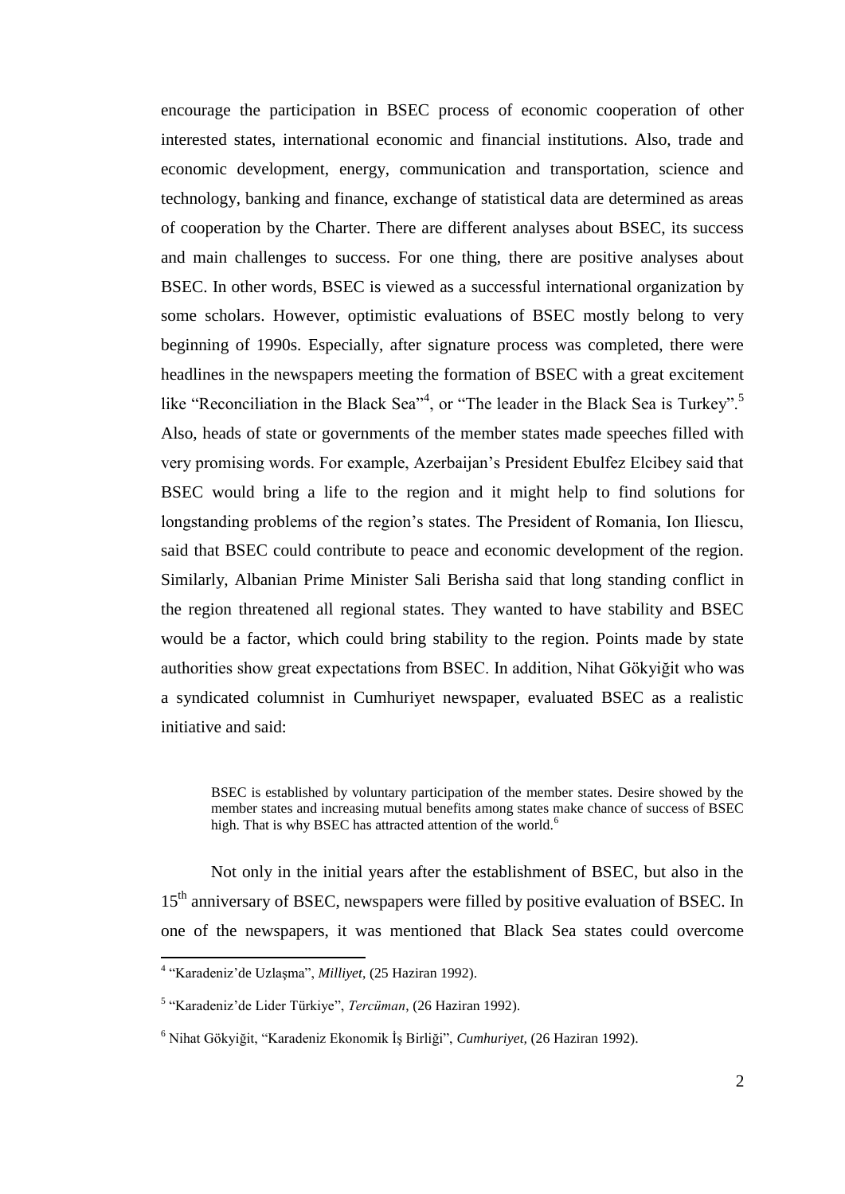encourage the participation in BSEC process of economic cooperation of other interested states, international economic and financial institutions. Also, trade and economic development, energy, communication and transportation, science and technology, banking and finance, exchange of statistical data are determined as areas of cooperation by the Charter. There are different analyses about BSEC, its success and main challenges to success. For one thing, there are positive analyses about BSEC. In other words, BSEC is viewed as a successful international organization by some scholars. However, optimistic evaluations of BSEC mostly belong to very beginning of 1990s. Especially, after signature process was completed, there were headlines in the newspapers meeting the formation of BSEC with a great excitement like "Reconciliation in the Black Sea"<sup>4</sup>, or "The leader in the Black Sea is Turkey".<sup>5</sup> Also, heads of state or governments of the member states made speeches filled with very promising words. For example, Azerbaijan"s President Ebulfez Elcibey said that BSEC would bring a life to the region and it might help to find solutions for longstanding problems of the region"s states. The President of Romania, Ion Iliescu, said that BSEC could contribute to peace and economic development of the region. Similarly, Albanian Prime Minister Sali Berisha said that long standing conflict in the region threatened all regional states. They wanted to have stability and BSEC would be a factor, which could bring stability to the region. Points made by state authorities show great expectations from BSEC. In addition, Nihat Gökyiğit who was a syndicated columnist in Cumhuriyet newspaper, evaluated BSEC as a realistic initiative and said:

Not only in the initial years after the establishment of BSEC, but also in the 15<sup>th</sup> anniversary of BSEC, newspapers were filled by positive evaluation of BSEC. In one of the newspapers, it was mentioned that Black Sea states could overcome

BSEC is established by voluntary participation of the member states. Desire showed by the member states and increasing mutual benefits among states make chance of success of BSEC high. That is why BSEC has attracted attention of the world.<sup>6</sup>

 4 "Karadeniz"de UzlaĢma", *Milliyet*, (25 Haziran 1992).

<sup>5</sup> "Karadeniz"de Lider Türkiye", *Tercüman*, (26 Haziran 1992).

<sup>&</sup>lt;sup>6</sup> Nihat Gökviğit, "Karadeniz Ekonomik İs Birliği", *Cumhuriyet*, (26 Haziran 1992).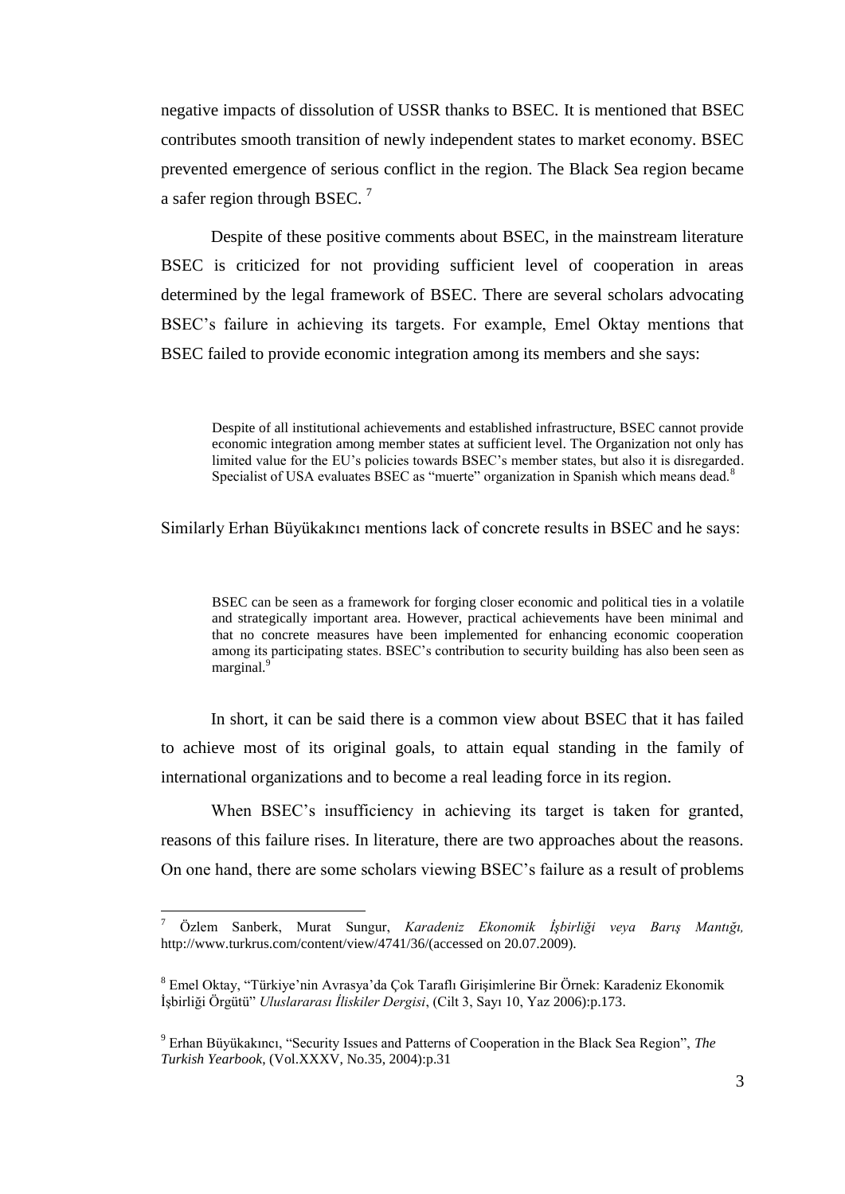negative impacts of dissolution of USSR thanks to BSEC. It is mentioned that BSEC contributes smooth transition of newly independent states to market economy. BSEC prevented emergence of serious conflict in the region. The Black Sea region became a safer region through BSEC.  $^7$ 

Despite of these positive comments about BSEC, in the mainstream literature BSEC is criticized for not providing sufficient level of cooperation in areas determined by the legal framework of BSEC. There are several scholars advocating BSEC"s failure in achieving its targets. For example, Emel Oktay mentions that BSEC failed to provide economic integration among its members and she says:

Despite of all institutional achievements and established infrastructure, BSEC cannot provide economic integration among member states at sufficient level. The Organization not only has limited value for the EU"s policies towards BSEC"s member states, but also it is disregarded. Specialist of USA evaluates BSEC as "muerte" organization in Spanish which means dead.<sup>8</sup>

Similarly Erhan Büyükakıncı mentions lack of concrete results in BSEC and he says:

BSEC can be seen as a framework for forging closer economic and political ties in a volatile and strategically important area. However, practical achievements have been minimal and that no concrete measures have been implemented for enhancing economic cooperation among its participating states. BSEC"s contribution to security building has also been seen as marginal.<sup>9</sup>

In short, it can be said there is a common view about BSEC that it has failed to achieve most of its original goals, to attain equal standing in the family of international organizations and to become a real leading force in its region.

When BSEC's insufficiency in achieving its target is taken for granted, reasons of this failure rises. In literature, there are two approaches about the reasons. On one hand, there are some scholars viewing BSEC"s failure as a result of problems

<sup>7</sup> Özlem Sanberk, Murat Sungur, *Karadeniz Ekonomik İşbirliği veya Barış Mantığı,* http://www.turkrus.com/content/view/4741/36/(accessed on 20.07.2009).

<sup>&</sup>lt;sup>8</sup> Emel Oktay, "Türkiye'nin Avrasya'da Çok Taraflı Girişimlerine Bir Örnek: Karadeniz Ekonomik ĠĢbirliği Örgütü" *Uluslararası İliskiler Dergisi*, (Cilt 3, Sayı 10, Yaz 2006):p.173.

<sup>9</sup> Erhan Büyükakıncı, "Security Issues and Patterns of Cooperation in the Black Sea Region", *The Turkish Yearbook*, (Vol.XXXV, No.35, 2004):p.31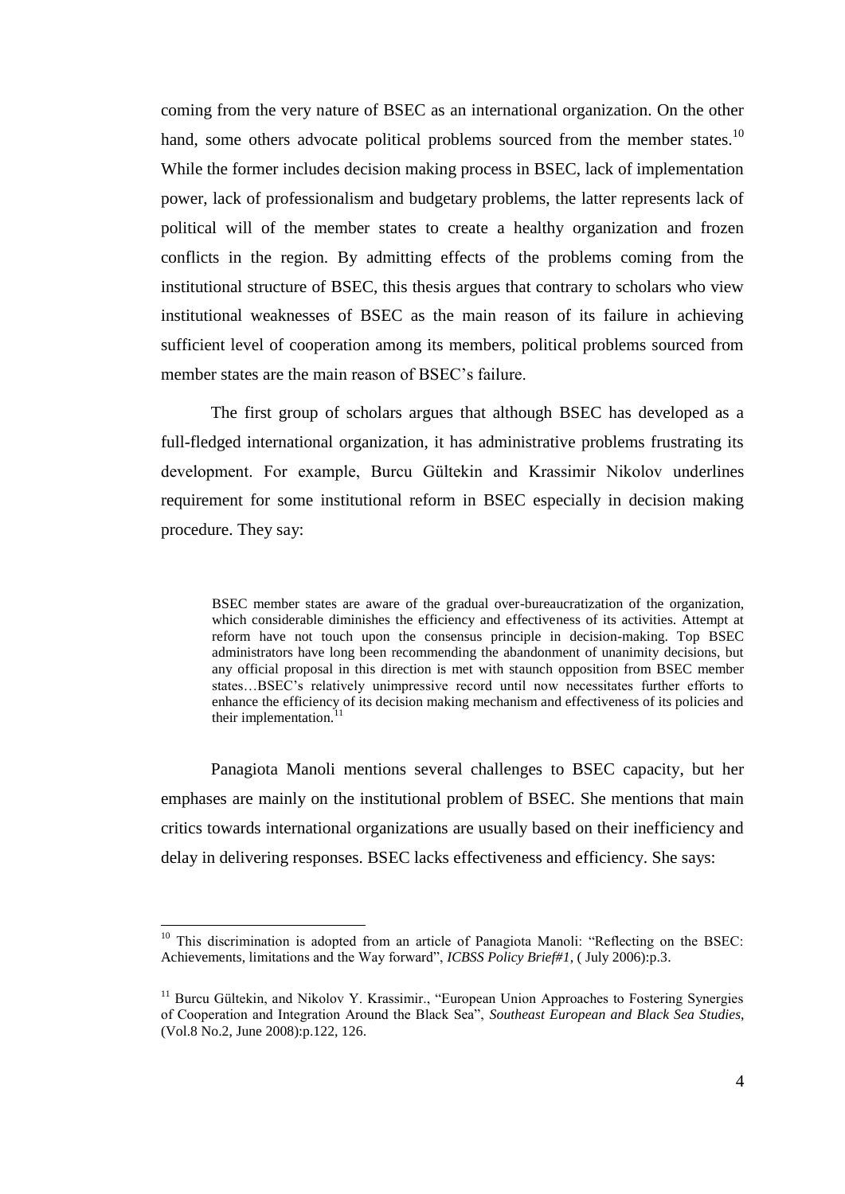coming from the very nature of BSEC as an international organization. On the other hand, some others advocate political problems sourced from the member states.<sup>10</sup> While the former includes decision making process in BSEC, lack of implementation power, lack of professionalism and budgetary problems, the latter represents lack of political will of the member states to create a healthy organization and frozen conflicts in the region. By admitting effects of the problems coming from the institutional structure of BSEC, this thesis argues that contrary to scholars who view institutional weaknesses of BSEC as the main reason of its failure in achieving sufficient level of cooperation among its members, political problems sourced from member states are the main reason of BSEC"s failure.

The first group of scholars argues that although BSEC has developed as a full-fledged international organization, it has administrative problems frustrating its development. For example, Burcu Gültekin and Krassimir Nikolov underlines requirement for some institutional reform in BSEC especially in decision making procedure. They say:

BSEC member states are aware of the gradual over-bureaucratization of the organization, which considerable diminishes the efficiency and effectiveness of its activities. Attempt at reform have not touch upon the consensus principle in decision-making. Top BSEC administrators have long been recommending the abandonment of unanimity decisions, but any official proposal in this direction is met with staunch opposition from BSEC member states…BSEC"s relatively unimpressive record until now necessitates further efforts to enhance the efficiency of its decision making mechanism and effectiveness of its policies and their implementation.

Panagiota Manoli mentions several challenges to BSEC capacity, but her emphases are mainly on the institutional problem of BSEC. She mentions that main critics towards international organizations are usually based on their inefficiency and delay in delivering responses. BSEC lacks effectiveness and efficiency. She says:

<sup>&</sup>lt;sup>10</sup> This discrimination is adopted from an article of Panagiota Manoli: "Reflecting on the BSEC: Achievements, limitations and the Way forward", *ICBSS Policy Brief#1*, ( July 2006):p.3.

<sup>&</sup>lt;sup>11</sup> Burcu Gültekin, and Nikolov Y. Krassimir., "European Union Approaches to Fostering Synergies of Cooperation and Integration Around the Black Sea", *Southeast European and Black Sea Studies*, (Vol.8 No.2, June 2008):p.122, 126.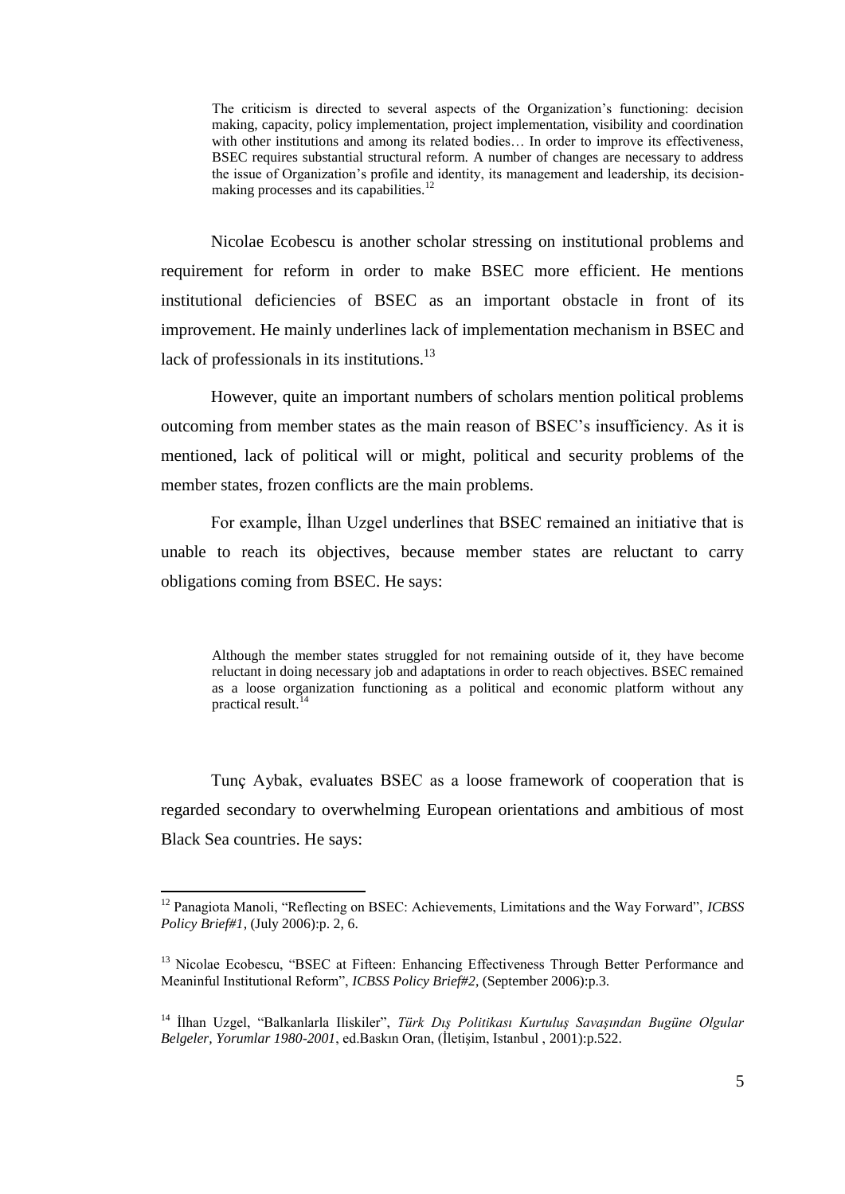The criticism is directed to several aspects of the Organization"s functioning: decision making, capacity, policy implementation, project implementation, visibility and coordination with other institutions and among its related bodies... In order to improve its effectiveness, BSEC requires substantial structural reform. A number of changes are necessary to address the issue of Organization"s profile and identity, its management and leadership, its decisionmaking processes and its capabilities.<sup>12</sup>

Nicolae Ecobescu is another scholar stressing on institutional problems and requirement for reform in order to make BSEC more efficient. He mentions institutional deficiencies of BSEC as an important obstacle in front of its improvement. He mainly underlines lack of implementation mechanism in BSEC and lack of professionals in its institutions. $^{13}$ 

However, quite an important numbers of scholars mention political problems outcoming from member states as the main reason of BSEC"s insufficiency. As it is mentioned, lack of political will or might, political and security problems of the member states, frozen conflicts are the main problems.

For example, İlhan Uzgel underlines that BSEC remained an initiative that is unable to reach its objectives, because member states are reluctant to carry obligations coming from BSEC. He says:

Although the member states struggled for not remaining outside of it, they have become reluctant in doing necessary job and adaptations in order to reach objectives. BSEC remained as a loose organization functioning as a political and economic platform without any practical result.<sup>14</sup>

Tunç Aybak, evaluates BSEC as a loose framework of cooperation that is regarded secondary to overwhelming European orientations and ambitious of most Black Sea countries. He says:

<sup>12</sup> Panagiota Manoli, "Reflecting on BSEC: Achievements, Limitations and the Way Forward", *ICBSS Policy Brief#1*, (July 2006):p. 2, 6.

<sup>&</sup>lt;sup>13</sup> Nicolae Ecobescu, "BSEC at Fifteen: Enhancing Effectiveness Through Better Performance and Meaninful Institutional Reform", *ICBSS Policy Brief#2*, (September 2006):p.3.

<sup>&</sup>lt;sup>14</sup> İlhan Uzgel, "Balkanlarla Iliskiler", *Türk Dıs Politikası Kurtulus Savasından Bugüne Olgular Belgeler, Yorumlar 1980-2001, ed.Baskin Oran, (İletisim, Istanbul , 2001):p.522.*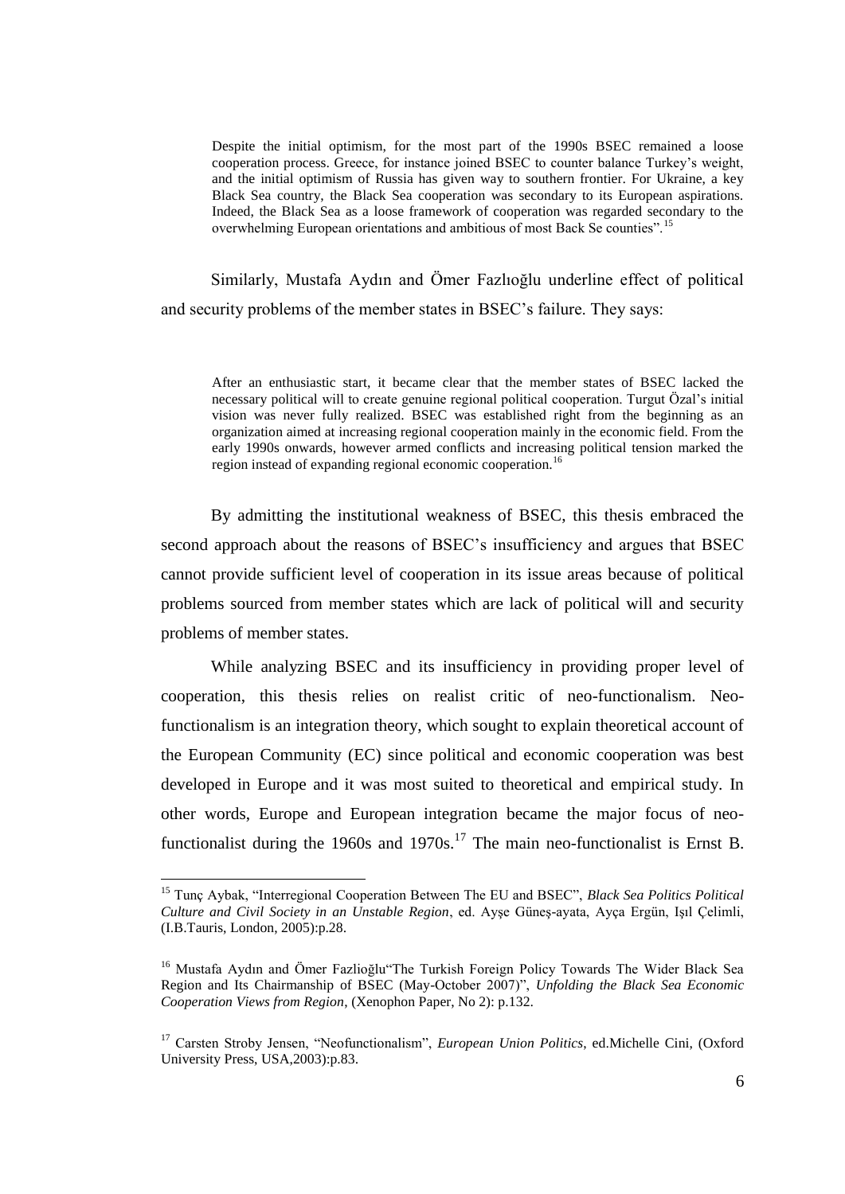Despite the initial optimism, for the most part of the 1990s BSEC remained a loose cooperation process. Greece, for instance joined BSEC to counter balance Turkey"s weight, and the initial optimism of Russia has given way to southern frontier. For Ukraine, a key Black Sea country, the Black Sea cooperation was secondary to its European aspirations. Indeed, the Black Sea as a loose framework of cooperation was regarded secondary to the overwhelming European orientations and ambitious of most Back Se counties".<sup>15</sup>

Similarly, Mustafa Aydın and Ömer Fazlıoğlu underline effect of political and security problems of the member states in BSEC"s failure. They says:

After an enthusiastic start, it became clear that the member states of BSEC lacked the necessary political will to create genuine regional political cooperation. Turgut Özal"s initial vision was never fully realized. BSEC was established right from the beginning as an organization aimed at increasing regional cooperation mainly in the economic field. From the early 1990s onwards, however armed conflicts and increasing political tension marked the region instead of expanding regional economic cooperation.<sup>16</sup>

By admitting the institutional weakness of BSEC, this thesis embraced the second approach about the reasons of BSEC"s insufficiency and argues that BSEC cannot provide sufficient level of cooperation in its issue areas because of political problems sourced from member states which are lack of political will and security problems of member states.

While analyzing BSEC and its insufficiency in providing proper level of cooperation, this thesis relies on realist critic of neo-functionalism. Neofunctionalism is an integration theory, which sought to explain theoretical account of the European Community (EC) since political and economic cooperation was best developed in Europe and it was most suited to theoretical and empirical study. In other words, Europe and European integration became the major focus of neofunctionalist during the 1960s and 1970s.<sup>17</sup> The main neo-functionalist is Ernst B.

<sup>15</sup> Tunç Aybak, "Interregional Cooperation Between The EU and BSEC", *Black Sea Politics Political Culture and Civil Society in an Unstable Region*, ed. AyĢe GüneĢ-ayata, Ayça Ergün, IĢıl Çelimli, (I.B.Tauris, London, 2005):p.28.

<sup>&</sup>lt;sup>16</sup> Mustafa Aydın and Ömer Fazlioğlu The Turkish Foreign Policy Towards The Wider Black Sea Region and Its Chairmanship of BSEC (May-October 2007)", *Unfolding the Black Sea Economic Cooperation Views from Region*, (Xenophon Paper, No 2): p.132.

<sup>17</sup> Carsten Stroby Jensen, "Neofunctionalism", *European Union Politics*, ed.Michelle Cini, (Oxford University Press, USA,2003):p.83.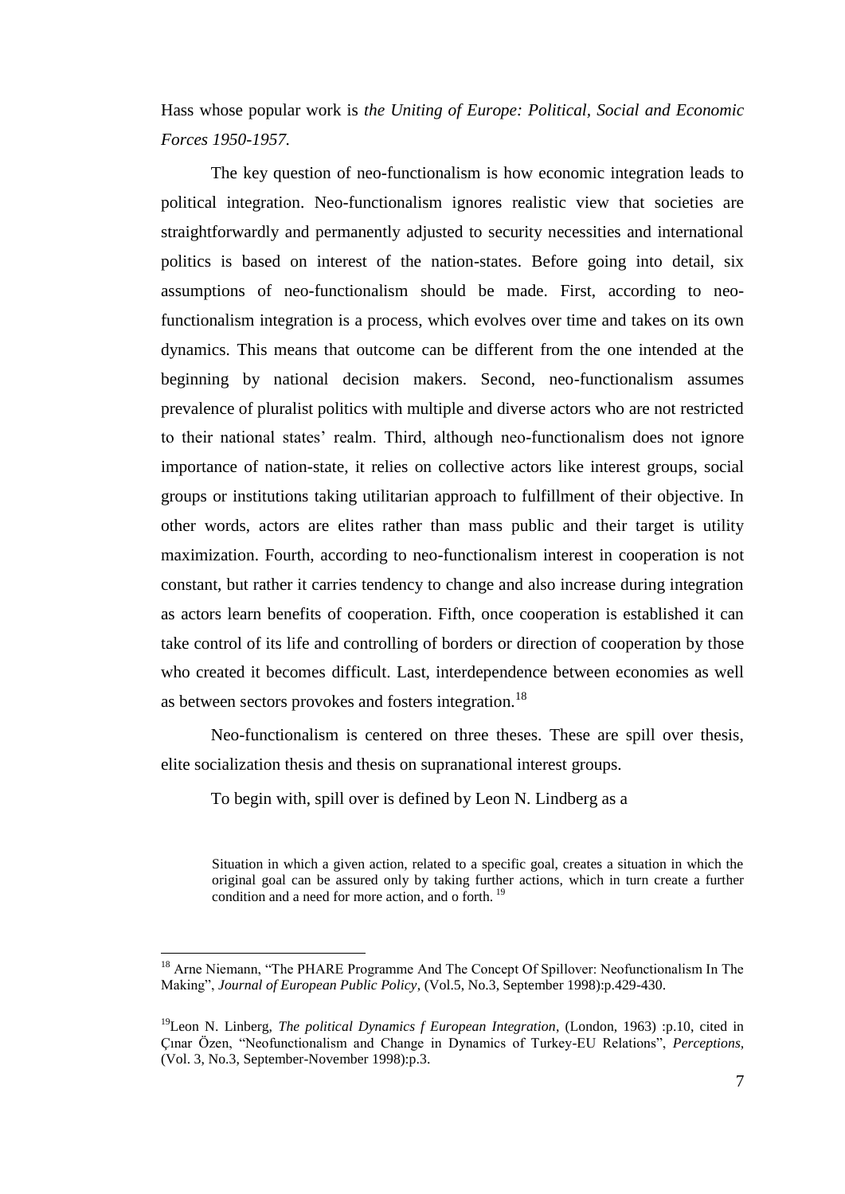Hass whose popular work is *the Uniting of Europe: Political, Social and Economic Forces 1950-1957.*

The key question of neo-functionalism is how economic integration leads to political integration. Neo-functionalism ignores realistic view that societies are straightforwardly and permanently adjusted to security necessities and international politics is based on interest of the nation-states. Before going into detail, six assumptions of neo-functionalism should be made. First, according to neofunctionalism integration is a process, which evolves over time and takes on its own dynamics. This means that outcome can be different from the one intended at the beginning by national decision makers. Second, neo-functionalism assumes prevalence of pluralist politics with multiple and diverse actors who are not restricted to their national states" realm. Third, although neo-functionalism does not ignore importance of nation-state, it relies on collective actors like interest groups, social groups or institutions taking utilitarian approach to fulfillment of their objective. In other words, actors are elites rather than mass public and their target is utility maximization. Fourth, according to neo-functionalism interest in cooperation is not constant, but rather it carries tendency to change and also increase during integration as actors learn benefits of cooperation. Fifth, once cooperation is established it can take control of its life and controlling of borders or direction of cooperation by those who created it becomes difficult. Last, interdependence between economies as well as between sectors provokes and fosters integration.<sup>18</sup>

Neo-functionalism is centered on three theses. These are spill over thesis, elite socialization thesis and thesis on supranational interest groups.

To begin with, spill over is defined by Leon N. Lindberg as a

 $\overline{a}$ 

Situation in which a given action, related to a specific goal, creates a situation in which the original goal can be assured only by taking further actions, which in turn create a further condition and a need for more action, and o forth. <sup>19</sup>

<sup>&</sup>lt;sup>18</sup> Arne Niemann, "The PHARE Programme And The Concept Of Spillover: Neofunctionalism In The Making", *Journal of European Public Policy*, (Vol.5, No.3, September 1998):p.429-430.

<sup>19</sup>Leon N. Linberg, *The political Dynamics f European Integration*, (London, 1963) :p.10, cited in Çınar Özen, "Neofunctionalism and Change in Dynamics of Turkey-EU Relations", *Perceptions,* (Vol. 3, No.3, September-November 1998):p.3.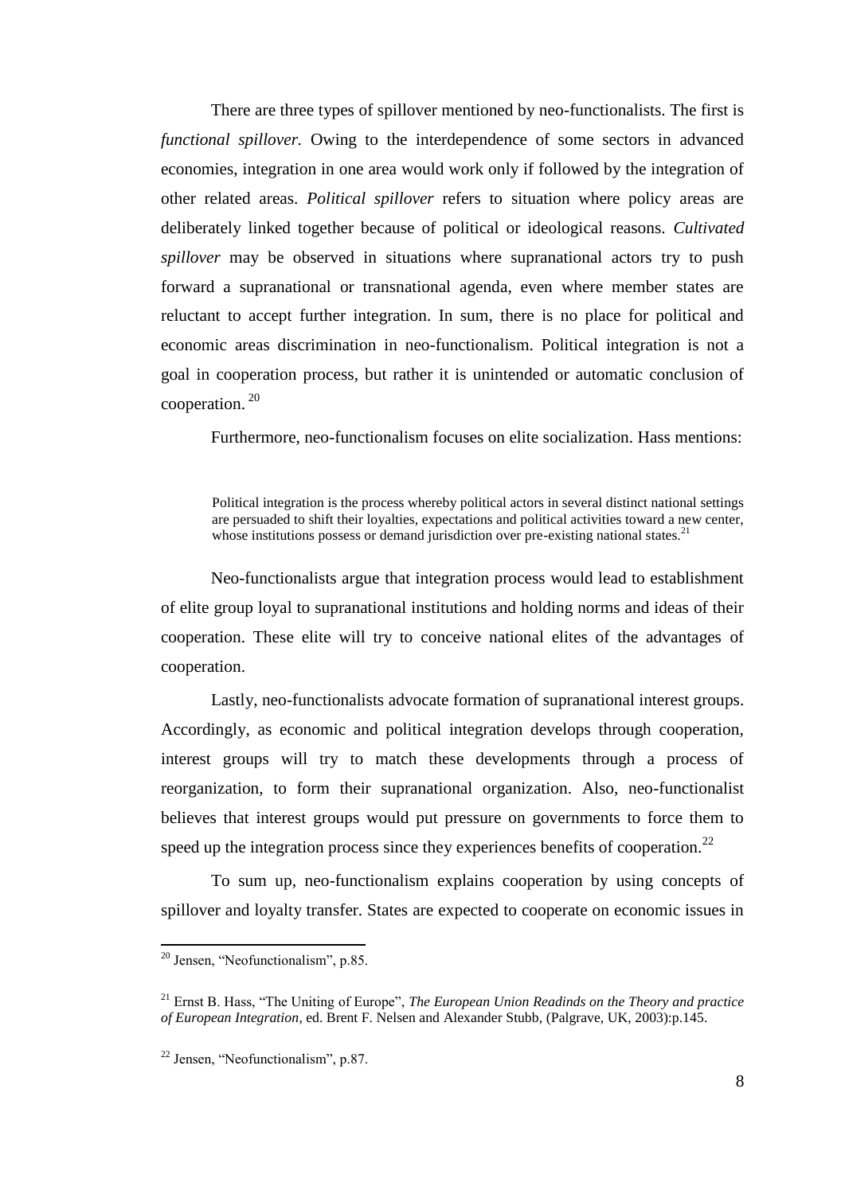There are three types of spillover mentioned by neo-functionalists. The first is *functional spillover.* Owing to the interdependence of some sectors in advanced economies, integration in one area would work only if followed by the integration of other related areas. *Political spillover* refers to situation where policy areas are deliberately linked together because of political or ideological reasons. *Cultivated spillover* may be observed in situations where supranational actors try to push forward a supranational or transnational agenda, even where member states are reluctant to accept further integration. In sum, there is no place for political and economic areas discrimination in neo-functionalism. Political integration is not a goal in cooperation process, but rather it is unintended or automatic conclusion of cooperation. <sup>20</sup>

Furthermore, neo-functionalism focuses on elite socialization. Hass mentions:

Political integration is the process whereby political actors in several distinct national settings are persuaded to shift their loyalties, expectations and political activities toward a new center, whose institutions possess or demand jurisdiction over pre-existing national states.<sup>21</sup>

Neo-functionalists argue that integration process would lead to establishment of elite group loyal to supranational institutions and holding norms and ideas of their cooperation. These elite will try to conceive national elites of the advantages of cooperation.

Lastly, neo-functionalists advocate formation of supranational interest groups. Accordingly, as economic and political integration develops through cooperation, interest groups will try to match these developments through a process of reorganization, to form their supranational organization. Also, neo-functionalist believes that interest groups would put pressure on governments to force them to speed up the integration process since they experiences benefits of cooperation.<sup>22</sup>

To sum up, neo-functionalism explains cooperation by using concepts of spillover and loyalty transfer. States are expected to cooperate on economic issues in

 $20$  Jensen, "Neofunctionalism", p.85.

<sup>21</sup> Ernst B. Hass, "The Uniting of Europe", *The European Union Readinds on the Theory and practice of European Integration*, ed. Brent F. Nelsen and Alexander Stubb, (Palgrave, UK, 2003):p.145.

<sup>22</sup> Jensen, "Neofunctionalism", p.87.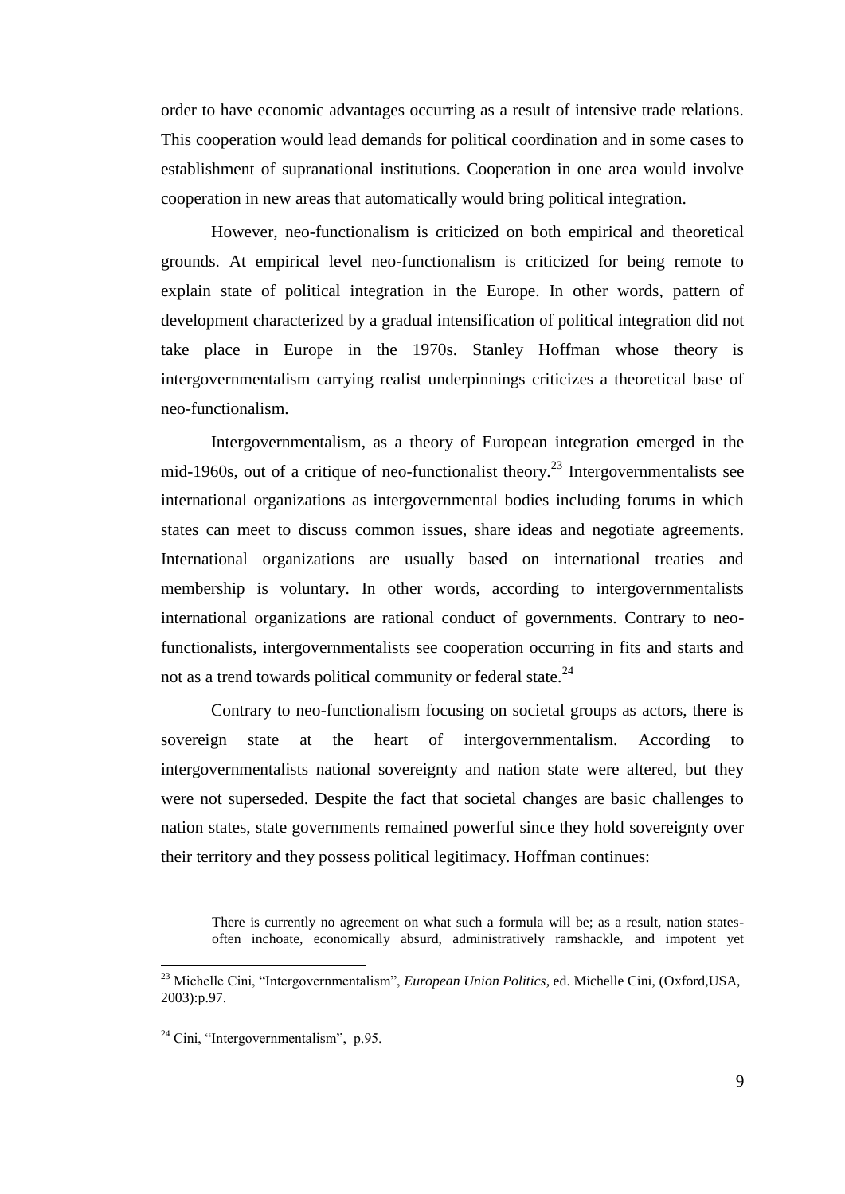order to have economic advantages occurring as a result of intensive trade relations. This cooperation would lead demands for political coordination and in some cases to establishment of supranational institutions. Cooperation in one area would involve cooperation in new areas that automatically would bring political integration.

However, neo-functionalism is criticized on both empirical and theoretical grounds. At empirical level neo-functionalism is criticized for being remote to explain state of political integration in the Europe. In other words, pattern of development characterized by a gradual intensification of political integration did not take place in Europe in the 1970s. Stanley Hoffman whose theory is intergovernmentalism carrying realist underpinnings criticizes a theoretical base of neo-functionalism.

Intergovernmentalism, as a theory of European integration emerged in the mid-1960s, out of a critique of neo-functionalist theory.<sup>23</sup> Intergovernmentalists see international organizations as intergovernmental bodies including forums in which states can meet to discuss common issues, share ideas and negotiate agreements. International organizations are usually based on international treaties and membership is voluntary. In other words, according to intergovernmentalists international organizations are rational conduct of governments. Contrary to neofunctionalists, intergovernmentalists see cooperation occurring in fits and starts and not as a trend towards political community or federal state.<sup>24</sup>

Contrary to neo-functionalism focusing on societal groups as actors, there is sovereign state at the heart of intergovernmentalism. According to intergovernmentalists national sovereignty and nation state were altered, but they were not superseded. Despite the fact that societal changes are basic challenges to nation states, state governments remained powerful since they hold sovereignty over their territory and they possess political legitimacy. Hoffman continues:

There is currently no agreement on what such a formula will be; as a result, nation statesoften inchoate, economically absurd, administratively ramshackle, and impotent yet

<sup>23</sup> Michelle Cini, "Intergovernmentalism", *European Union Politics*, ed. Michelle Cini, (Oxford,USA, 2003):p.97.

 $^{24}$  Cini, "Intergovernmentalism", p.95.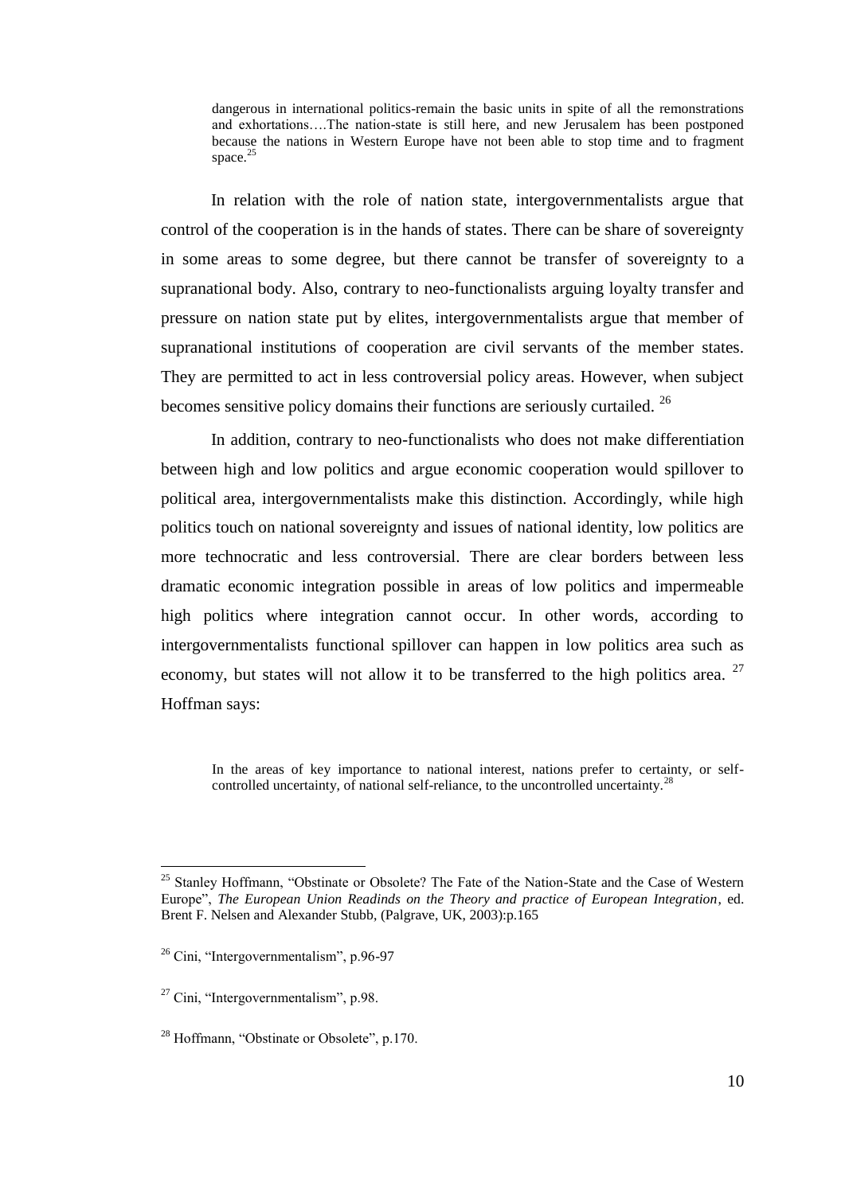dangerous in international politics-remain the basic units in spite of all the remonstrations and exhortations….The nation-state is still here, and new Jerusalem has been postponed because the nations in Western Europe have not been able to stop time and to fragment space.<sup>25</sup>

In relation with the role of nation state, intergovernmentalists argue that control of the cooperation is in the hands of states. There can be share of sovereignty in some areas to some degree, but there cannot be transfer of sovereignty to a supranational body. Also, contrary to neo-functionalists arguing loyalty transfer and pressure on nation state put by elites, intergovernmentalists argue that member of supranational institutions of cooperation are civil servants of the member states. They are permitted to act in less controversial policy areas. However, when subject becomes sensitive policy domains their functions are seriously curtailed.<sup>26</sup>

In addition, contrary to neo-functionalists who does not make differentiation between high and low politics and argue economic cooperation would spillover to political area, intergovernmentalists make this distinction. Accordingly, while high politics touch on national sovereignty and issues of national identity, low politics are more technocratic and less controversial. There are clear borders between less dramatic economic integration possible in areas of low politics and impermeable high politics where integration cannot occur. In other words, according to intergovernmentalists functional spillover can happen in low politics area such as economy, but states will not allow it to be transferred to the high politics area.  $27$ Hoffman says:

In the areas of key importance to national interest, nations prefer to certainty, or selfcontrolled uncertainty, of national self-reliance, to the uncontrolled uncertainty.<sup>28</sup>

<sup>&</sup>lt;sup>25</sup> Stanley Hoffmann, "Obstinate or Obsolete? The Fate of the Nation-State and the Case of Western Europe", *The European Union Readinds on the Theory and practice of European Integration*, ed. Brent F. Nelsen and Alexander Stubb, (Palgrave, UK, 2003):p.165

<sup>26</sup> Cini, "Intergovernmentalism", p.96-97

 $27$  Cini, "Intergovernmentalism", p.98.

<sup>&</sup>lt;sup>28</sup> Hoffmann, "Obstinate or Obsolete", p.170.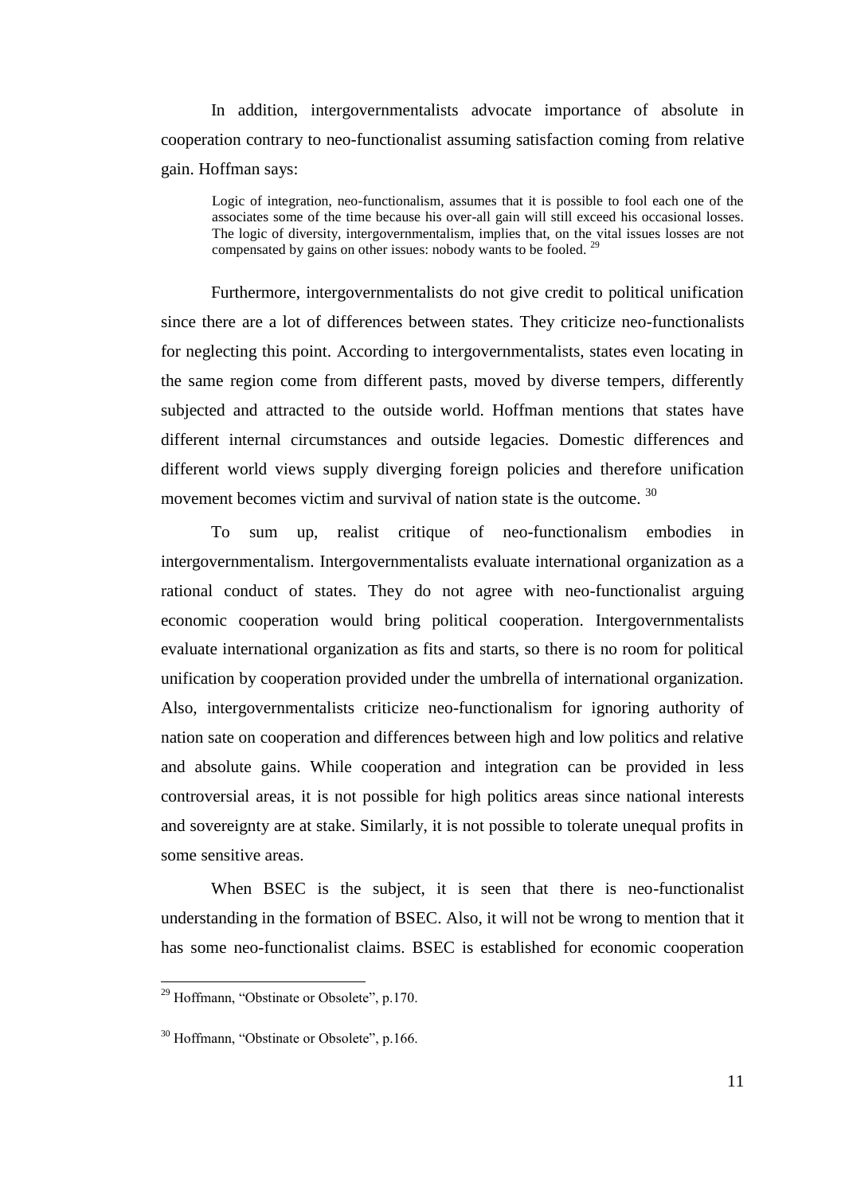In addition, intergovernmentalists advocate importance of absolute in cooperation contrary to neo-functionalist assuming satisfaction coming from relative gain. Hoffman says:

Logic of integration, neo-functionalism, assumes that it is possible to fool each one of the associates some of the time because his over-all gain will still exceed his occasional losses. The logic of diversity, intergovernmentalism, implies that, on the vital issues losses are not compensated by gains on other issues: nobody wants to be fooled.<sup>29</sup>

Furthermore, intergovernmentalists do not give credit to political unification since there are a lot of differences between states. They criticize neo-functionalists for neglecting this point. According to intergovernmentalists, states even locating in the same region come from different pasts, moved by diverse tempers, differently subjected and attracted to the outside world. Hoffman mentions that states have different internal circumstances and outside legacies. Domestic differences and different world views supply diverging foreign policies and therefore unification movement becomes victim and survival of nation state is the outcome. <sup>30</sup>

To sum up, realist critique of neo-functionalism embodies in intergovernmentalism. Intergovernmentalists evaluate international organization as a rational conduct of states. They do not agree with neo-functionalist arguing economic cooperation would bring political cooperation. Intergovernmentalists evaluate international organization as fits and starts, so there is no room for political unification by cooperation provided under the umbrella of international organization. Also, intergovernmentalists criticize neo-functionalism for ignoring authority of nation sate on cooperation and differences between high and low politics and relative and absolute gains. While cooperation and integration can be provided in less controversial areas, it is not possible for high politics areas since national interests and sovereignty are at stake. Similarly, it is not possible to tolerate unequal profits in some sensitive areas.

When BSEC is the subject, it is seen that there is neo-functionalist understanding in the formation of BSEC. Also, it will not be wrong to mention that it has some neo-functionalist claims. BSEC is established for economic cooperation

<sup>&</sup>lt;sup>29</sup> Hoffmann, "Obstinate or Obsolete", p.170.

<sup>&</sup>lt;sup>30</sup> Hoffmann, "Obstinate or Obsolete", p.166.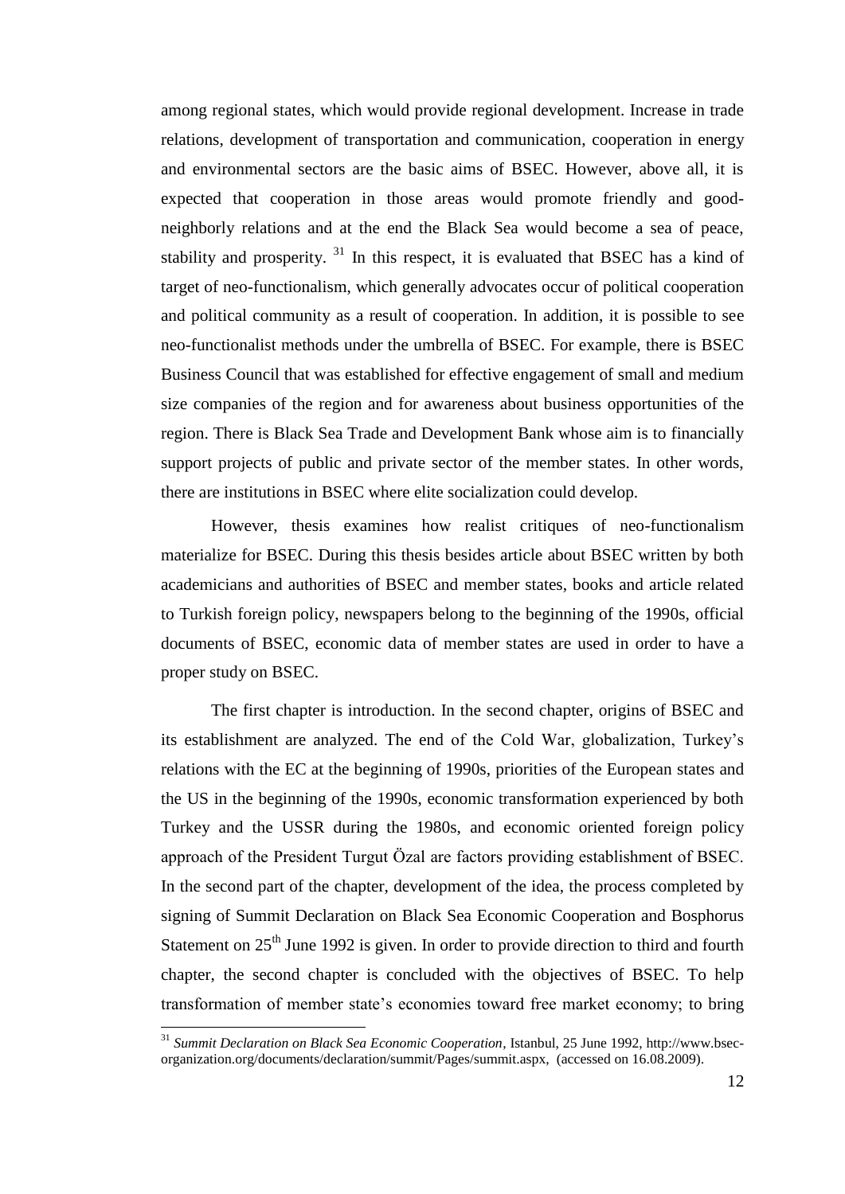among regional states, which would provide regional development. Increase in trade relations, development of transportation and communication, cooperation in energy and environmental sectors are the basic aims of BSEC. However, above all, it is expected that cooperation in those areas would promote friendly and goodneighborly relations and at the end the Black Sea would become a sea of peace, stability and prosperity.  $31$  In this respect, it is evaluated that BSEC has a kind of target of neo-functionalism, which generally advocates occur of political cooperation and political community as a result of cooperation. In addition, it is possible to see neo-functionalist methods under the umbrella of BSEC. For example, there is BSEC Business Council that was established for effective engagement of small and medium size companies of the region and for awareness about business opportunities of the region. There is Black Sea Trade and Development Bank whose aim is to financially support projects of public and private sector of the member states. In other words, there are institutions in BSEC where elite socialization could develop.

However, thesis examines how realist critiques of neo-functionalism materialize for BSEC. During this thesis besides article about BSEC written by both academicians and authorities of BSEC and member states, books and article related to Turkish foreign policy, newspapers belong to the beginning of the 1990s, official documents of BSEC, economic data of member states are used in order to have a proper study on BSEC.

The first chapter is introduction. In the second chapter, origins of BSEC and its establishment are analyzed. The end of the Cold War, globalization, Turkey"s relations with the EC at the beginning of 1990s, priorities of the European states and the US in the beginning of the 1990s, economic transformation experienced by both Turkey and the USSR during the 1980s, and economic oriented foreign policy approach of the President Turgut Özal are factors providing establishment of BSEC. In the second part of the chapter, development of the idea, the process completed by signing of Summit Declaration on Black Sea Economic Cooperation and Bosphorus Statement on  $25<sup>th</sup>$  June 1992 is given. In order to provide direction to third and fourth chapter, the second chapter is concluded with the objectives of BSEC. To help transformation of member state"s economies toward free market economy; to bring

<sup>31</sup> *Summit Declaration on Black Sea Economic Cooperation*, Istanbul, 25 June 1992, http://www.bsecorganization.org/documents/declaration/summit/Pages/summit.aspx, (accessed on 16.08.2009).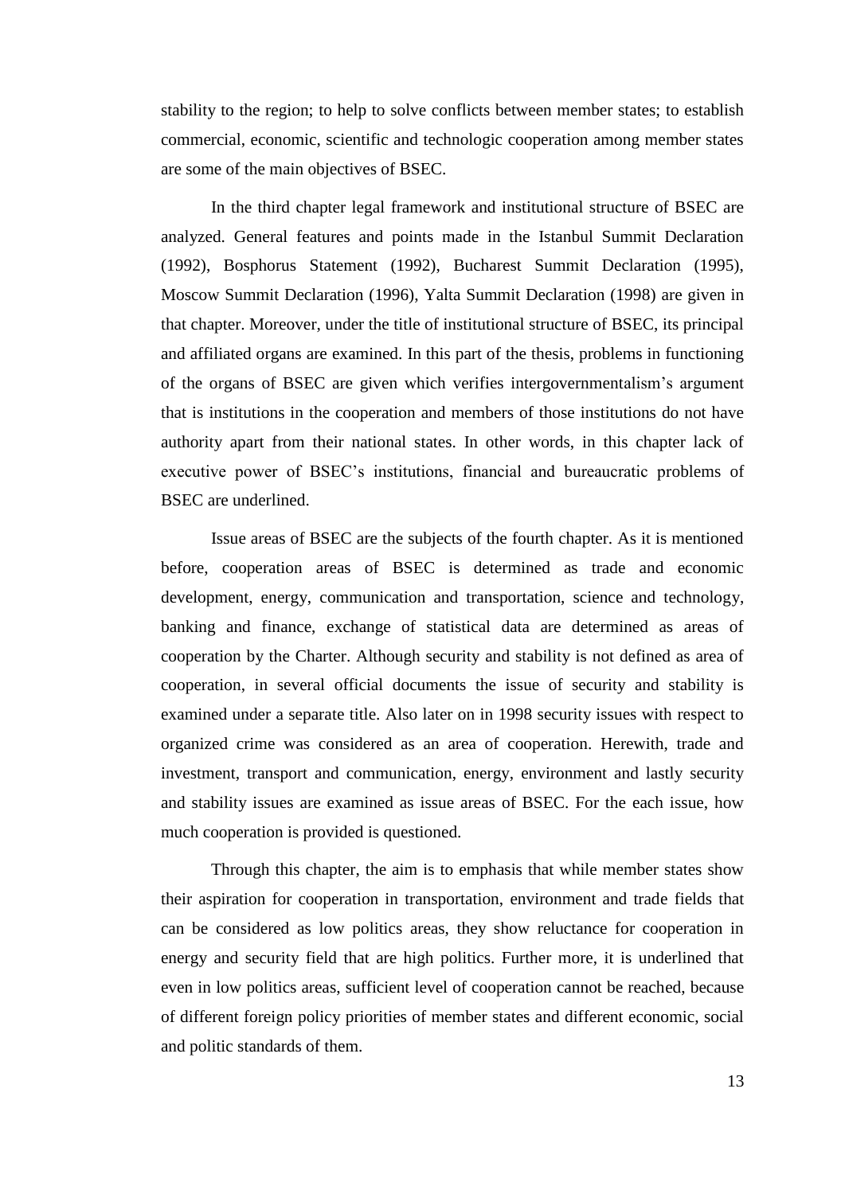stability to the region; to help to solve conflicts between member states; to establish commercial, economic, scientific and technologic cooperation among member states are some of the main objectives of BSEC.

In the third chapter legal framework and institutional structure of BSEC are analyzed. General features and points made in the Istanbul Summit Declaration (1992), Bosphorus Statement (1992), Bucharest Summit Declaration (1995), Moscow Summit Declaration (1996), Yalta Summit Declaration (1998) are given in that chapter. Moreover, under the title of institutional structure of BSEC, its principal and affiliated organs are examined. In this part of the thesis, problems in functioning of the organs of BSEC are given which verifies intergovernmentalism"s argument that is institutions in the cooperation and members of those institutions do not have authority apart from their national states. In other words, in this chapter lack of executive power of BSEC"s institutions, financial and bureaucratic problems of BSEC are underlined.

Issue areas of BSEC are the subjects of the fourth chapter. As it is mentioned before, cooperation areas of BSEC is determined as trade and economic development, energy, communication and transportation, science and technology, banking and finance, exchange of statistical data are determined as areas of cooperation by the Charter. Although security and stability is not defined as area of cooperation, in several official documents the issue of security and stability is examined under a separate title. Also later on in 1998 security issues with respect to organized crime was considered as an area of cooperation. Herewith, trade and investment, transport and communication, energy, environment and lastly security and stability issues are examined as issue areas of BSEC. For the each issue, how much cooperation is provided is questioned.

Through this chapter, the aim is to emphasis that while member states show their aspiration for cooperation in transportation, environment and trade fields that can be considered as low politics areas, they show reluctance for cooperation in energy and security field that are high politics. Further more, it is underlined that even in low politics areas, sufficient level of cooperation cannot be reached, because of different foreign policy priorities of member states and different economic, social and politic standards of them.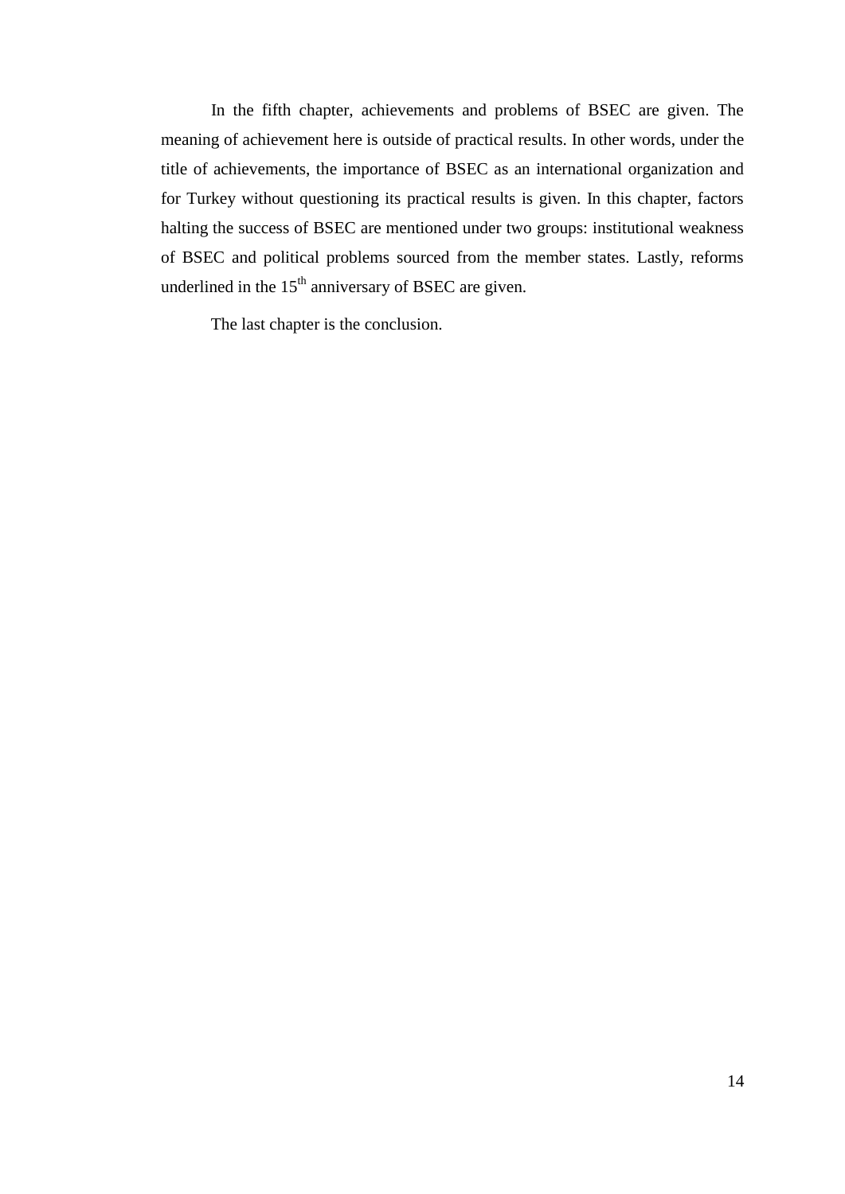In the fifth chapter, achievements and problems of BSEC are given. The meaning of achievement here is outside of practical results. In other words, under the title of achievements, the importance of BSEC as an international organization and for Turkey without questioning its practical results is given. In this chapter, factors halting the success of BSEC are mentioned under two groups: institutional weakness of BSEC and political problems sourced from the member states. Lastly, reforms underlined in the  $15<sup>th</sup>$  anniversary of BSEC are given.

The last chapter is the conclusion.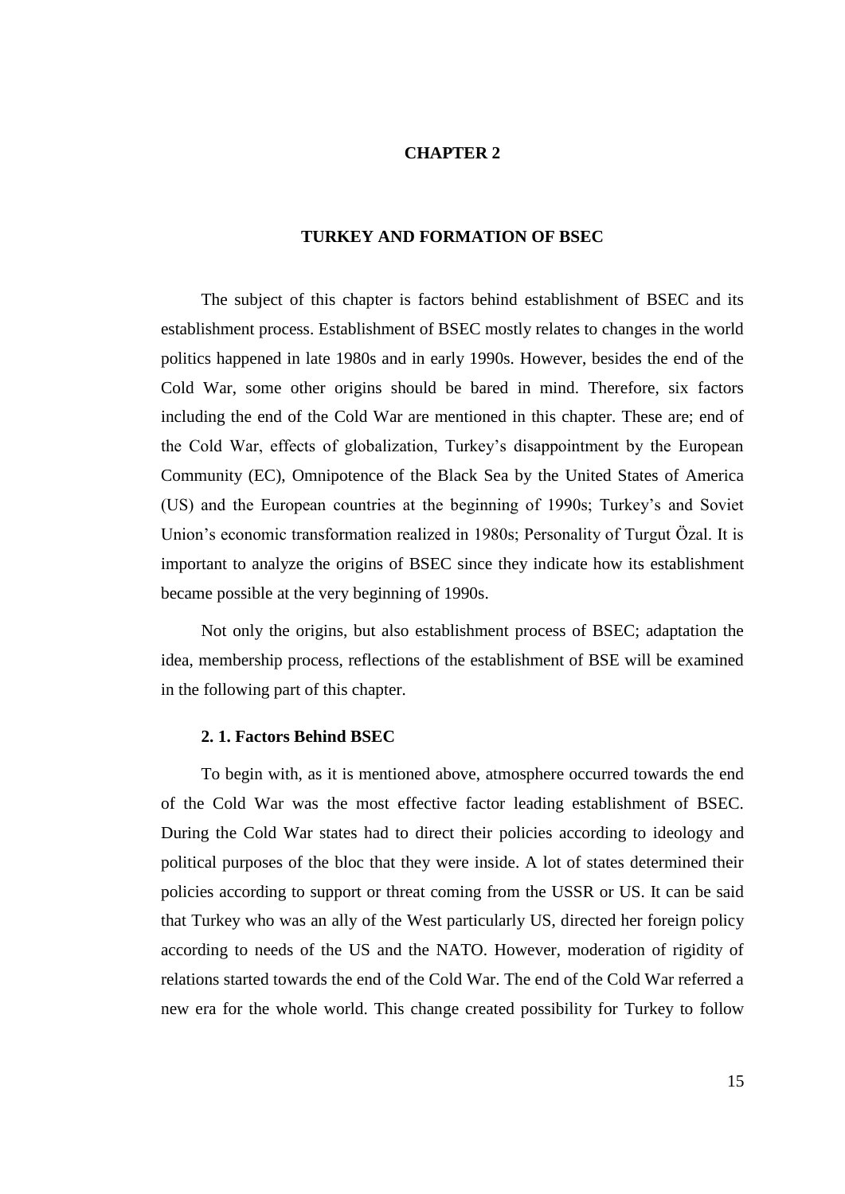## **CHAPTER 2**

#### **TURKEY AND FORMATION OF BSEC**

<span id="page-25-0"></span>The subject of this chapter is factors behind establishment of BSEC and its establishment process. Establishment of BSEC mostly relates to changes in the world politics happened in late 1980s and in early 1990s. However, besides the end of the Cold War, some other origins should be bared in mind. Therefore, six factors including the end of the Cold War are mentioned in this chapter. These are; end of the Cold War, effects of globalization, Turkey"s disappointment by the European Community (EC), Omnipotence of the Black Sea by the United States of America (US) and the European countries at the beginning of 1990s; Turkey"s and Soviet Union"s economic transformation realized in 1980s; Personality of Turgut Özal. It is important to analyze the origins of BSEC since they indicate how its establishment became possible at the very beginning of 1990s.

Not only the origins, but also establishment process of BSEC; adaptation the idea, membership process, reflections of the establishment of BSE will be examined in the following part of this chapter.

### <span id="page-25-1"></span>**2. 1. Factors Behind BSEC**

To begin with, as it is mentioned above, atmosphere occurred towards the end of the Cold War was the most effective factor leading establishment of BSEC. During the Cold War states had to direct their policies according to ideology and political purposes of the bloc that they were inside. A lot of states determined their policies according to support or threat coming from the USSR or US. It can be said that Turkey who was an ally of the West particularly US, directed her foreign policy according to needs of the US and the NATO. However, moderation of rigidity of relations started towards the end of the Cold War. The end of the Cold War referred a new era for the whole world. This change created possibility for Turkey to follow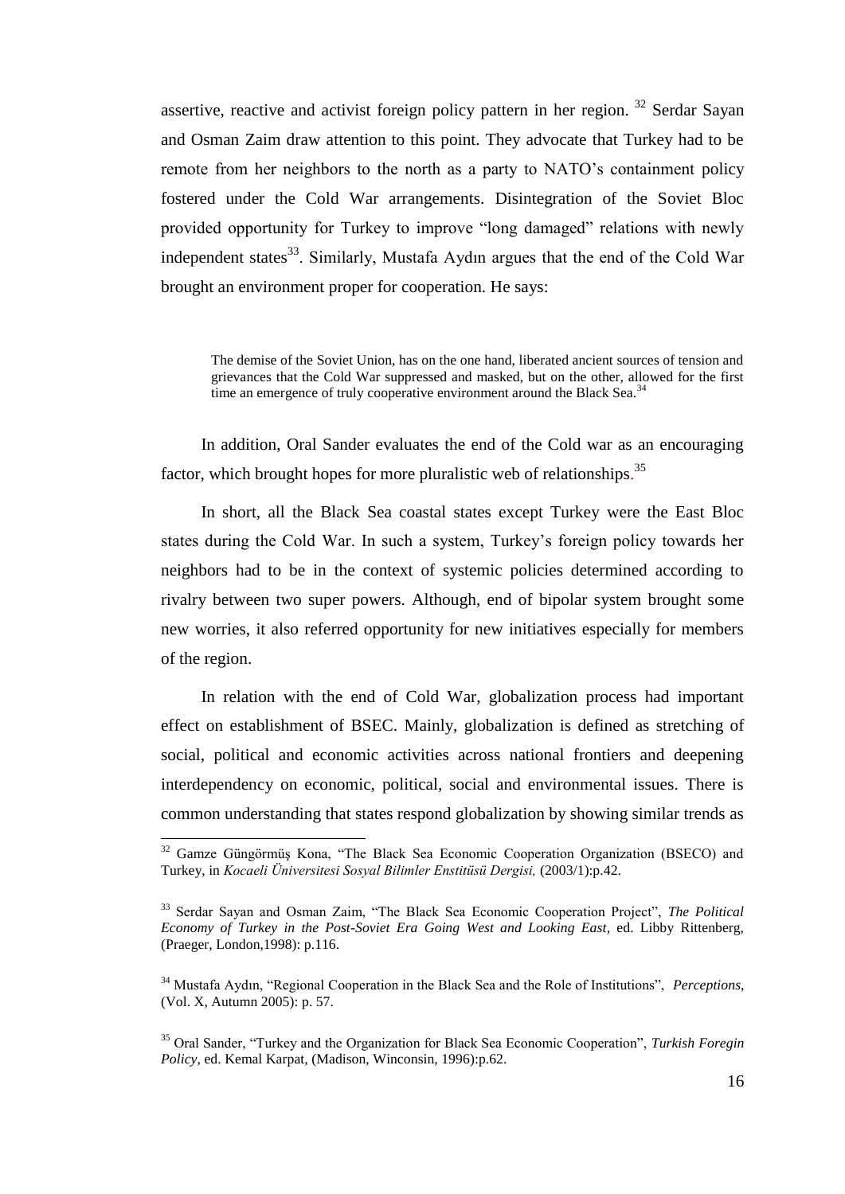assertive, reactive and activist foreign policy pattern in her region.  $32$  Serdar Sayan and Osman Zaim draw attention to this point. They advocate that Turkey had to be remote from her neighbors to the north as a party to NATO"s containment policy fostered under the Cold War arrangements. Disintegration of the Soviet Bloc provided opportunity for Turkey to improve "long damaged" relations with newly independent states $^{33}$ . Similarly, Mustafa Aydın argues that the end of the Cold War brought an environment proper for cooperation. He says:

The demise of the Soviet Union, has on the one hand, liberated ancient sources of tension and grievances that the Cold War suppressed and masked, but on the other, allowed for the first time an emergence of truly cooperative environment around the Black Sea.<sup>34</sup>

In addition, Oral Sander evaluates the end of the Cold war as an encouraging factor, which brought hopes for more pluralistic web of relationships.<sup>35</sup>

In short, all the Black Sea coastal states except Turkey were the East Bloc states during the Cold War. In such a system, Turkey"s foreign policy towards her neighbors had to be in the context of systemic policies determined according to rivalry between two super powers. Although, end of bipolar system brought some new worries, it also referred opportunity for new initiatives especially for members of the region.

In relation with the end of Cold War, globalization process had important effect on establishment of BSEC. Mainly, globalization is defined as stretching of social, political and economic activities across national frontiers and deepening interdependency on economic, political, social and environmental issues. There is common understanding that states respond globalization by showing similar trends as

 $32$  Gamze Güngörmüş Kona, "The Black Sea Economic Cooperation Organization (BSECO) and Turkey, in *Kocaeli Üniversitesi Sosyal Bilimler Enstitüsü Dergisi,* (2003/1):p.42.

<sup>33</sup> Serdar Sayan and Osman Zaim, "The Black Sea Economic Cooperation Project", *The Political Economy of Turkey in the Post-Soviet Era Going West and Looking East*, ed. Libby Rittenberg, (Praeger, London,1998): p.116.

<sup>34</sup> Mustafa Aydın, "Regional Cooperation in the Black Sea and the Role of Institutions", *Perceptions*, (Vol. X, Autumn 2005): p. 57.

<sup>35</sup> Oral Sander, "Turkey and the Organization for Black Sea Economic Cooperation", *Turkish Foregin Policy*, ed. Kemal Karpat, (Madison, Winconsin, 1996):p.62.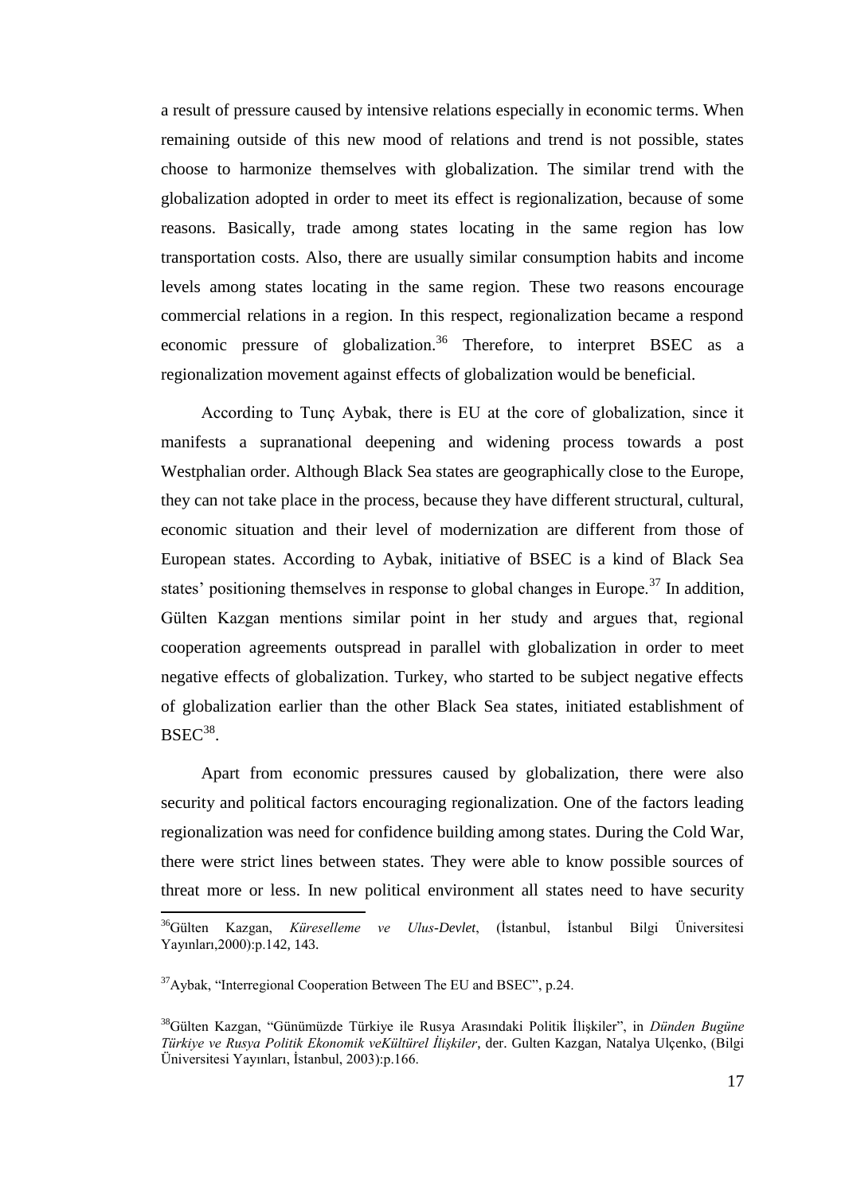a result of pressure caused by intensive relations especially in economic terms. When remaining outside of this new mood of relations and trend is not possible, states choose to harmonize themselves with globalization. The similar trend with the globalization adopted in order to meet its effect is regionalization, because of some reasons. Basically, trade among states locating in the same region has low transportation costs. Also, there are usually similar consumption habits and income levels among states locating in the same region. These two reasons encourage commercial relations in a region. In this respect, regionalization became a respond economic pressure of globalization.<sup>36</sup> Therefore, to interpret BSEC as a regionalization movement against effects of globalization would be beneficial.

According to Tunç Aybak, there is EU at the core of globalization, since it manifests a supranational deepening and widening process towards a post Westphalian order. Although Black Sea states are geographically close to the Europe, they can not take place in the process, because they have different structural, cultural, economic situation and their level of modernization are different from those of European states. According to Aybak, initiative of BSEC is a kind of Black Sea states' positioning themselves in response to global changes in Europe.<sup>37</sup> In addition, Gülten Kazgan mentions similar point in her study and argues that, regional cooperation agreements outspread in parallel with globalization in order to meet negative effects of globalization. Turkey, who started to be subject negative effects of globalization earlier than the other Black Sea states, initiated establishment of  $BSEC^{38}$ .

Apart from economic pressures caused by globalization, there were also security and political factors encouraging regionalization. One of the factors leading regionalization was need for confidence building among states. During the Cold War, there were strict lines between states. They were able to know possible sources of threat more or less. In new political environment all states need to have security

<sup>36</sup>Gülten Kazgan, *Küreselleme ve Ulus-Devlet*, (Ġstanbul, Ġstanbul Bilgi Üniversitesi Yayınları,2000):p.142, 143.

 $37$ Aybak, "Interregional Cooperation Between The EU and BSEC", p.24.

<sup>&</sup>lt;sup>38</sup>Gülten Kazgan, "Günümüzde Türkiye ile Rusya Arasındaki Politik İlişkiler", in *Dünden Bugüne Türkiye ve Rusya Politik Ekonomik veKültürel İlişkiler*, der. Gulten Kazgan, Natalya Ulçenko, (Bilgi Üniversitesi Yayınları, İstanbul, 2003):p.166.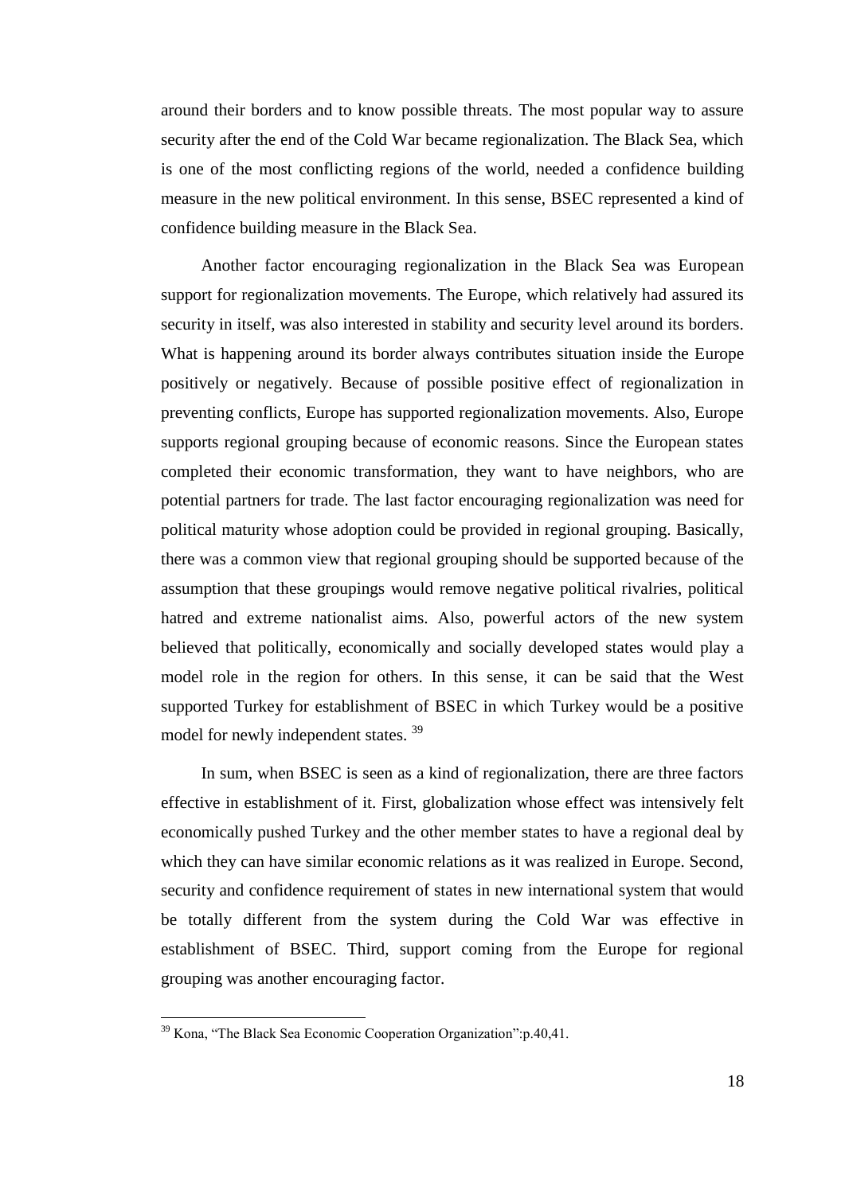around their borders and to know possible threats. The most popular way to assure security after the end of the Cold War became regionalization. The Black Sea, which is one of the most conflicting regions of the world, needed a confidence building measure in the new political environment. In this sense, BSEC represented a kind of confidence building measure in the Black Sea.

Another factor encouraging regionalization in the Black Sea was European support for regionalization movements. The Europe, which relatively had assured its security in itself, was also interested in stability and security level around its borders. What is happening around its border always contributes situation inside the Europe positively or negatively. Because of possible positive effect of regionalization in preventing conflicts, Europe has supported regionalization movements. Also, Europe supports regional grouping because of economic reasons. Since the European states completed their economic transformation, they want to have neighbors, who are potential partners for trade. The last factor encouraging regionalization was need for political maturity whose adoption could be provided in regional grouping. Basically, there was a common view that regional grouping should be supported because of the assumption that these groupings would remove negative political rivalries, political hatred and extreme nationalist aims. Also, powerful actors of the new system believed that politically, economically and socially developed states would play a model role in the region for others. In this sense, it can be said that the West supported Turkey for establishment of BSEC in which Turkey would be a positive model for newly independent states.<sup>39</sup>

In sum, when BSEC is seen as a kind of regionalization, there are three factors effective in establishment of it. First, globalization whose effect was intensively felt economically pushed Turkey and the other member states to have a regional deal by which they can have similar economic relations as it was realized in Europe. Second, security and confidence requirement of states in new international system that would be totally different from the system during the Cold War was effective in establishment of BSEC. Third, support coming from the Europe for regional grouping was another encouraging factor.

<sup>&</sup>lt;sup>39</sup> Kona, "The Black Sea Economic Cooperation Organization": p.40,41.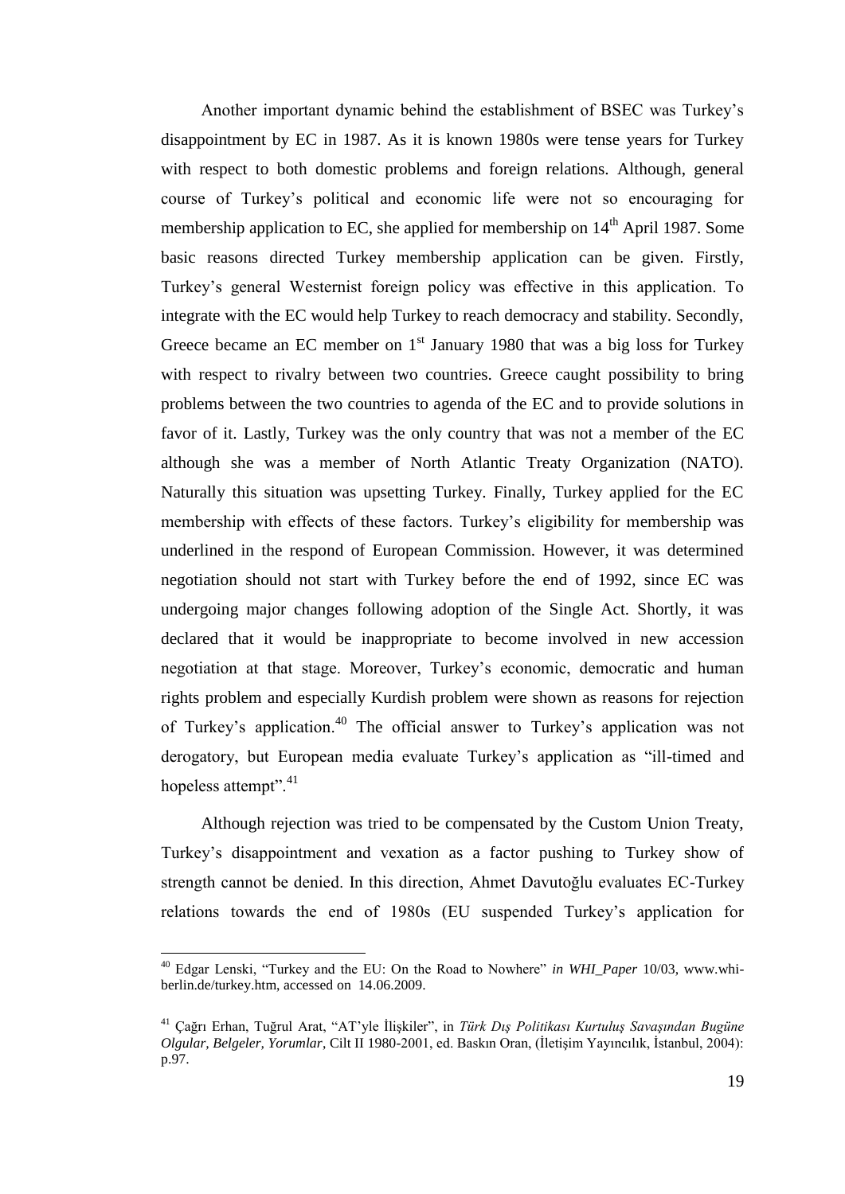Another important dynamic behind the establishment of BSEC was Turkey"s disappointment by EC in 1987. As it is known 1980s were tense years for Turkey with respect to both domestic problems and foreign relations. Although, general course of Turkey"s political and economic life were not so encouraging for membership application to EC, she applied for membership on  $14<sup>th</sup>$  April 1987. Some basic reasons directed Turkey membership application can be given. Firstly, Turkey"s general Westernist foreign policy was effective in this application. To integrate with the EC would help Turkey to reach democracy and stability. Secondly, Greece became an EC member on  $1<sup>st</sup>$  January 1980 that was a big loss for Turkey with respect to rivalry between two countries. Greece caught possibility to bring problems between the two countries to agenda of the EC and to provide solutions in favor of it. Lastly, Turkey was the only country that was not a member of the EC although she was a member of North Atlantic Treaty Organization (NATO). Naturally this situation was upsetting Turkey. Finally, Turkey applied for the EC membership with effects of these factors. Turkey"s eligibility for membership was underlined in the respond of European Commission. However, it was determined negotiation should not start with Turkey before the end of 1992, since EC was undergoing major changes following adoption of the Single Act. Shortly, it was declared that it would be inappropriate to become involved in new accession negotiation at that stage. Moreover, Turkey"s economic, democratic and human rights problem and especially Kurdish problem were shown as reasons for rejection of Turkey's application.<sup>40</sup> The official answer to Turkey's application was not derogatory, but European media evaluate Turkey"s application as "ill-timed and hopeless attempt".<sup>41</sup>

Although rejection was tried to be compensated by the Custom Union Treaty, Turkey"s disappointment and vexation as a factor pushing to Turkey show of strength cannot be denied. In this direction, Ahmet Davutoğlu evaluates EC-Turkey relations towards the end of 1980s (EU suspended Turkey"s application for

<sup>40</sup> Edgar Lenski, "Turkey and the EU: On the Road to Nowhere" *in WHI\_Paper* 10/03, www.whiberlin.de/turkey.htm, accessed on 14.06.2009.

<sup>&</sup>lt;sup>41</sup> Çağrı Erhan, Tuğrul Arat, "AT'yle İlişkiler", in *Türk Dış Politikası Kurtuluş Savaşından Bugüne Olgular, Belgeler, Yorumlar, Cilt II 1980-2001, ed. Baskın Oran, (İletişim Yayıncılık, İstanbul, 2004):* p.97.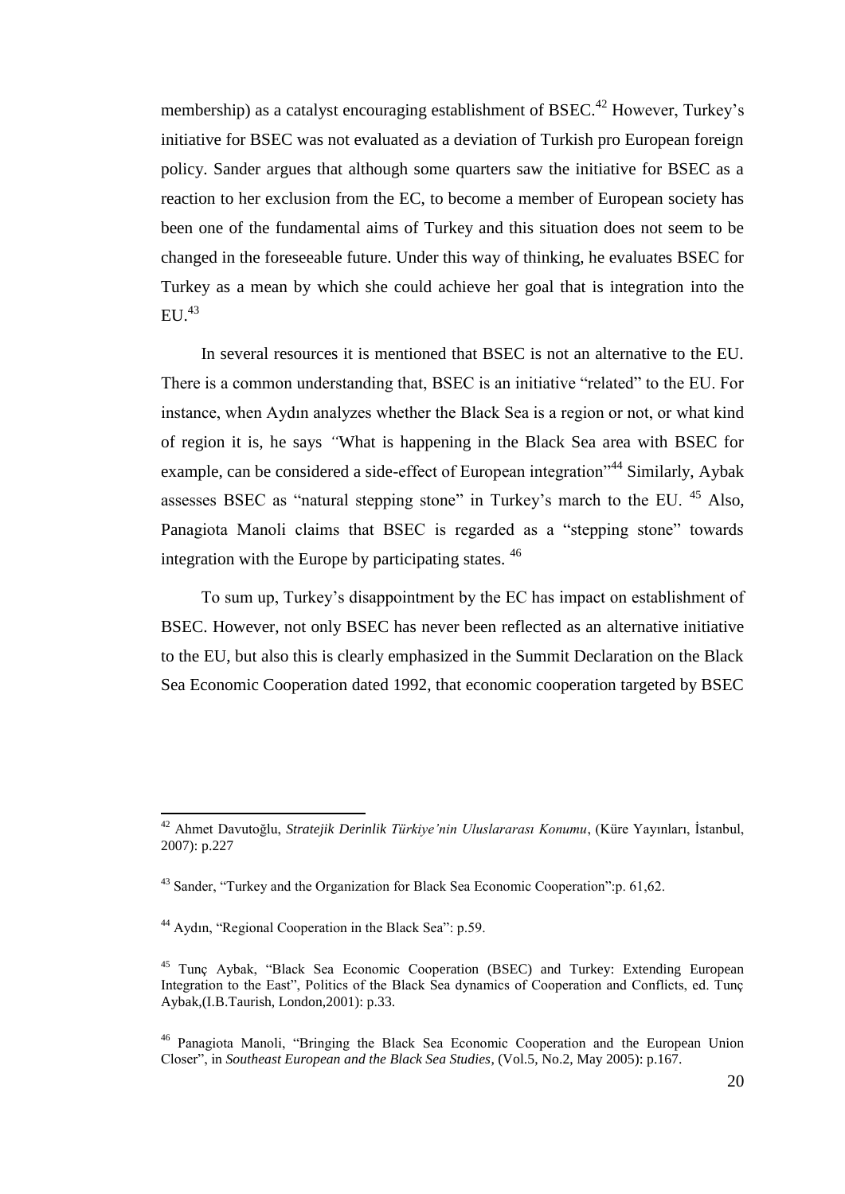membership) as a catalyst encouraging establishment of BSEC.<sup>42</sup> However, Turkey's initiative for BSEC was not evaluated as a deviation of Turkish pro European foreign policy. Sander argues that although some quarters saw the initiative for BSEC as a reaction to her exclusion from the EC, to become a member of European society has been one of the fundamental aims of Turkey and this situation does not seem to be changed in the foreseeable future. Under this way of thinking, he evaluates BSEC for Turkey as a mean by which she could achieve her goal that is integration into the EU  $^{43}$ 

In several resources it is mentioned that BSEC is not an alternative to the EU. There is a common understanding that, BSEC is an initiative "related" to the EU. For instance, when Aydın analyzes whether the Black Sea is a region or not, or what kind of region it is, he says *"*What is happening in the Black Sea area with BSEC for example, can be considered a side-effect of European integration<sup>344</sup> Similarly, Aybak assesses BSEC as "natural stepping stone" in Turkey's march to the EU.  $45$  Also, Panagiota Manoli claims that BSEC is regarded as a "stepping stone" towards integration with the Europe by participating states. <sup>46</sup>

To sum up, Turkey"s disappointment by the EC has impact on establishment of BSEC. However, not only BSEC has never been reflected as an alternative initiative to the EU, but also this is clearly emphasized in the Summit Declaration on the Black Sea Economic Cooperation dated 1992, that economic cooperation targeted by BSEC

<sup>42</sup> Ahmet Davutoğlu, *Stratejik Derinlik Türkiye'nin Uluslararası Konumu*, (Küre Yayınları, Ġstanbul, 2007): p.227

<sup>&</sup>lt;sup>43</sup> Sander, "Turkey and the Organization for Black Sea Economic Cooperation":p. 61,62.

<sup>44</sup> Aydın, "Regional Cooperation in the Black Sea": p.59.

<sup>&</sup>lt;sup>45</sup> Tunç Aybak, "Black Sea Economic Cooperation (BSEC) and Turkey: Extending European Integration to the East", Politics of the Black Sea dynamics of Cooperation and Conflicts, ed. Tunç Aybak,(I.B.Taurish, London,2001): p.33.

<sup>46</sup> Panagiota Manoli, "Bringing the Black Sea Economic Cooperation and the European Union Closer", in *Southeast European and the Black Sea Studies*, (Vol.5, No.2, May 2005): p.167.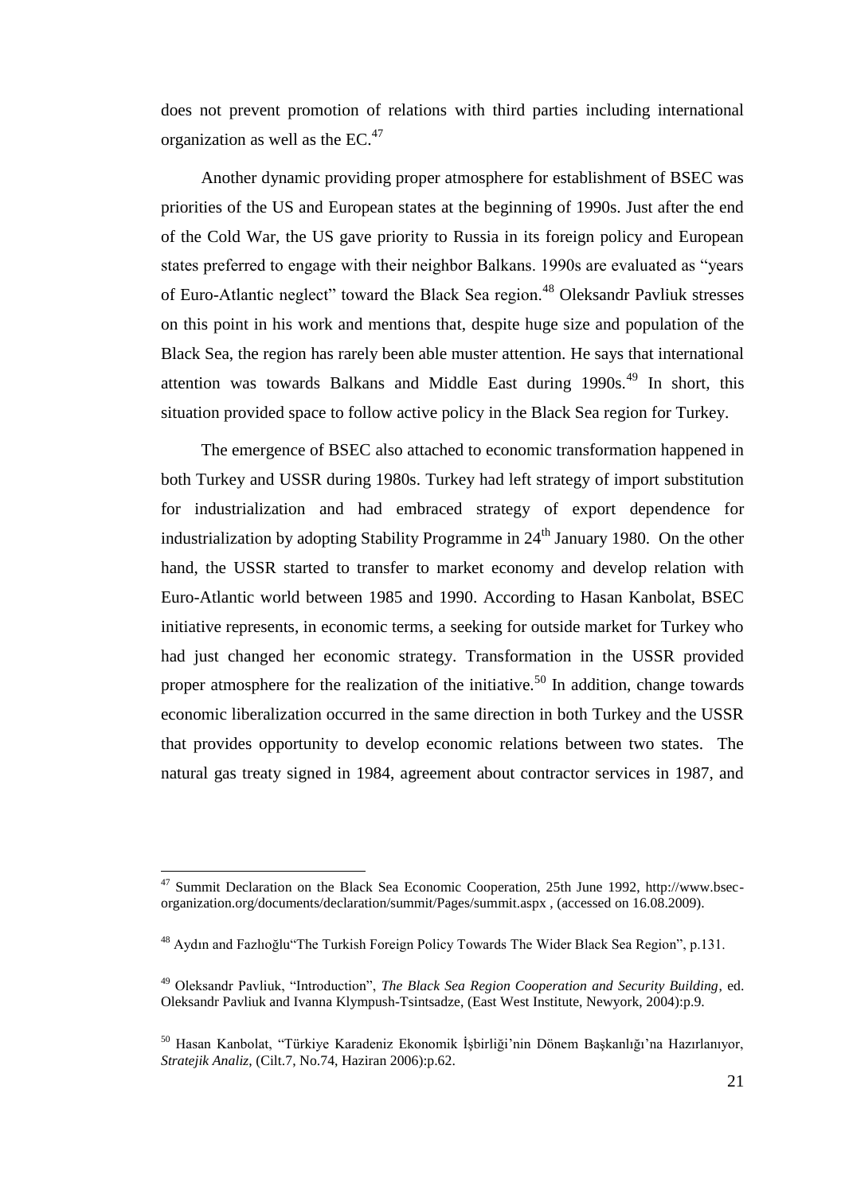does not prevent promotion of relations with third parties including international organization as well as the  $EC^{47}$ .

Another dynamic providing proper atmosphere for establishment of BSEC was priorities of the US and European states at the beginning of 1990s. Just after the end of the Cold War, the US gave priority to Russia in its foreign policy and European states preferred to engage with their neighbor Balkans. 1990s are evaluated as "years of Euro-Atlantic neglect" toward the Black Sea region.<sup>48</sup> Oleksandr Pavliuk stresses on this point in his work and mentions that, despite huge size and population of the Black Sea, the region has rarely been able muster attention. He says that international attention was towards Balkans and Middle East during  $1990s<sup>49</sup>$  In short, this situation provided space to follow active policy in the Black Sea region for Turkey.

The emergence of BSEC also attached to economic transformation happened in both Turkey and USSR during 1980s. Turkey had left strategy of import substitution for industrialization and had embraced strategy of export dependence for industrialization by adopting Stability Programme in  $24<sup>th</sup>$  January 1980. On the other hand, the USSR started to transfer to market economy and develop relation with Euro-Atlantic world between 1985 and 1990. According to Hasan Kanbolat, BSEC initiative represents, in economic terms, a seeking for outside market for Turkey who had just changed her economic strategy. Transformation in the USSR provided proper atmosphere for the realization of the initiative.<sup>50</sup> In addition, change towards economic liberalization occurred in the same direction in both Turkey and the USSR that provides opportunity to develop economic relations between two states. The natural gas treaty signed in 1984, agreement about contractor services in 1987, and

<sup>&</sup>lt;sup>47</sup> Summit Declaration on the Black Sea Economic Cooperation, 25th June 1992, http://www.bsecorganization.org/documents/declaration/summit/Pages/summit.aspx , (accessed on 16.08.2009).

<sup>48</sup> Aydın and Fazlıoğlu"The Turkish Foreign Policy Towards The Wider Black Sea Region", p.131.

<sup>49</sup> Oleksandr Pavliuk, "Introduction", *The Black Sea Region Cooperation and Security Building*, ed. Oleksandr Pavliuk and Ivanna Klympush-Tsintsadze, (East West Institute, Newyork, 2004):p.9.

<sup>&</sup>lt;sup>50</sup> Hasan Kanbolat, "Türkiye Karadeniz Ekonomik İsbirliği'nin Dönem Başkanlığı'na Hazırlanıyor, *Stratejik Analiz*, (Cilt.7, No.74, Haziran 2006):p.62.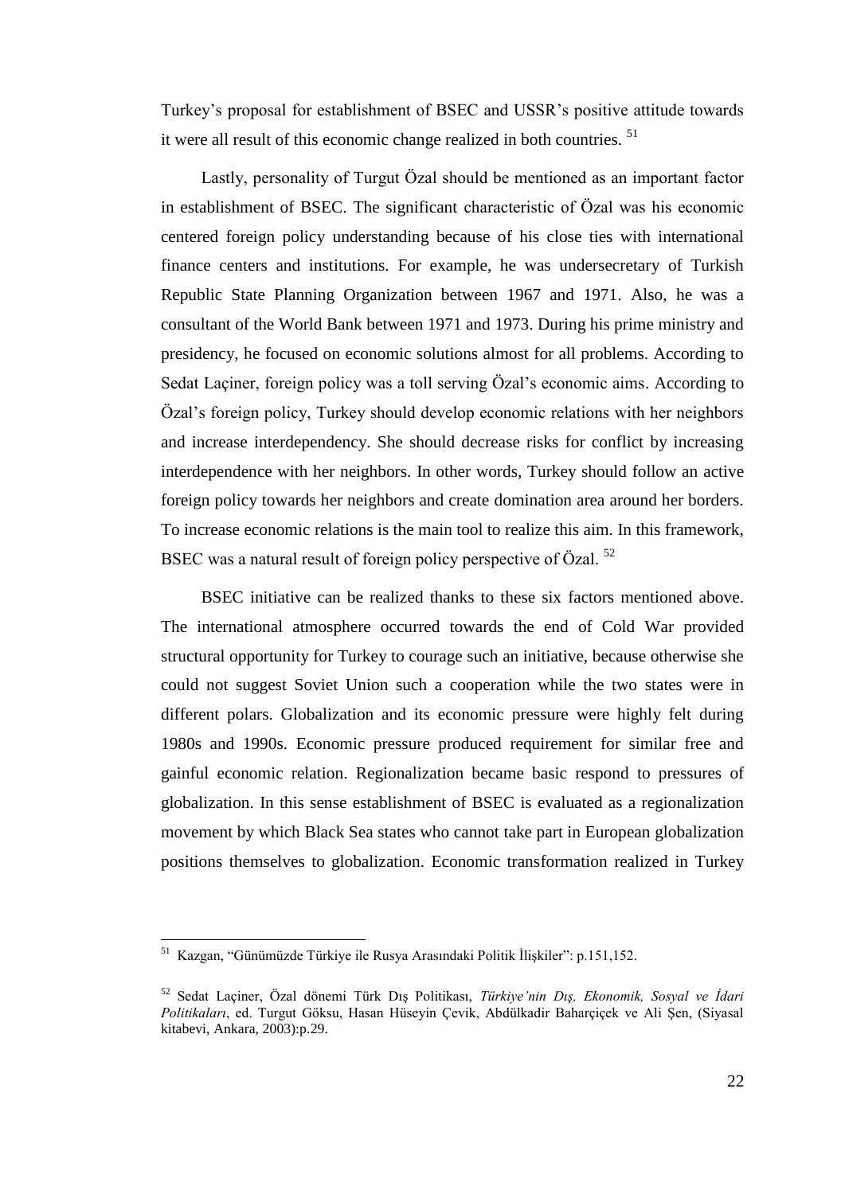Turkey"s proposal for establishment of BSEC and USSR"s positive attitude towards it were all result of this economic change realized in both countries. <sup>51</sup>

Lastly, personality of Turgut Özal should be mentioned as an important factor in establishment of BSEC. The significant characteristic of Özal was his economic centered foreign policy understanding because of his close ties with international finance centers and institutions. For example, he was undersecretary of Turkish Republic State Planning Organization between 1967 and 1971. Also, he was a consultant of the World Bank between 1971 and 1973. During his prime ministry and presidency, he focused on economic solutions almost for all problems. According to Sedat Laçiner, foreign policy was a toll serving Özal's economic aims. According to Özal"s foreign policy, Turkey should develop economic relations with her neighbors and increase interdependency. She should decrease risks for conflict by increasing interdependence with her neighbors. In other words, Turkey should follow an active foreign policy towards her neighbors and create domination area around her borders. To increase economic relations is the main tool to realize this aim. In this framework, BSEC was a natural result of foreign policy perspective of Özal.<sup>52</sup>

BSEC initiative can be realized thanks to these six factors mentioned above. The international atmosphere occurred towards the end of Cold War provided structural opportunity for Turkey to courage such an initiative, because otherwise she could not suggest Soviet Union such a cooperation while the two states were in different polars. Globalization and its economic pressure were highly felt during 1980s and 1990s. Economic pressure produced requirement for similar free and gainful economic relation. Regionalization became basic respond to pressures of globalization. In this sense establishment of BSEC is evaluated as a regionalization movement by which Black Sea states who cannot take part in European globalization positions themselves to globalization. Economic transformation realized in Turkey

<sup>1&</sup>lt;br><sup>51</sup> Kazgan, "Günümüzde Türkiye ile Rusya Arasındaki Politik İlişkiler": p.151,152.

<sup>52</sup> Sedat Laçiner, Özal dönemi Türk DıĢ Politikası, *Türkiye'nin Dış, Ekonomik, Sosyal ve İdari*  Politikaları, ed. Turgut Göksu, Hasan Hüseyin Çevik, Abdülkadir Baharçiçek ve Ali Şen, (Siyasal kitabevi, Ankara, 2003):p.29.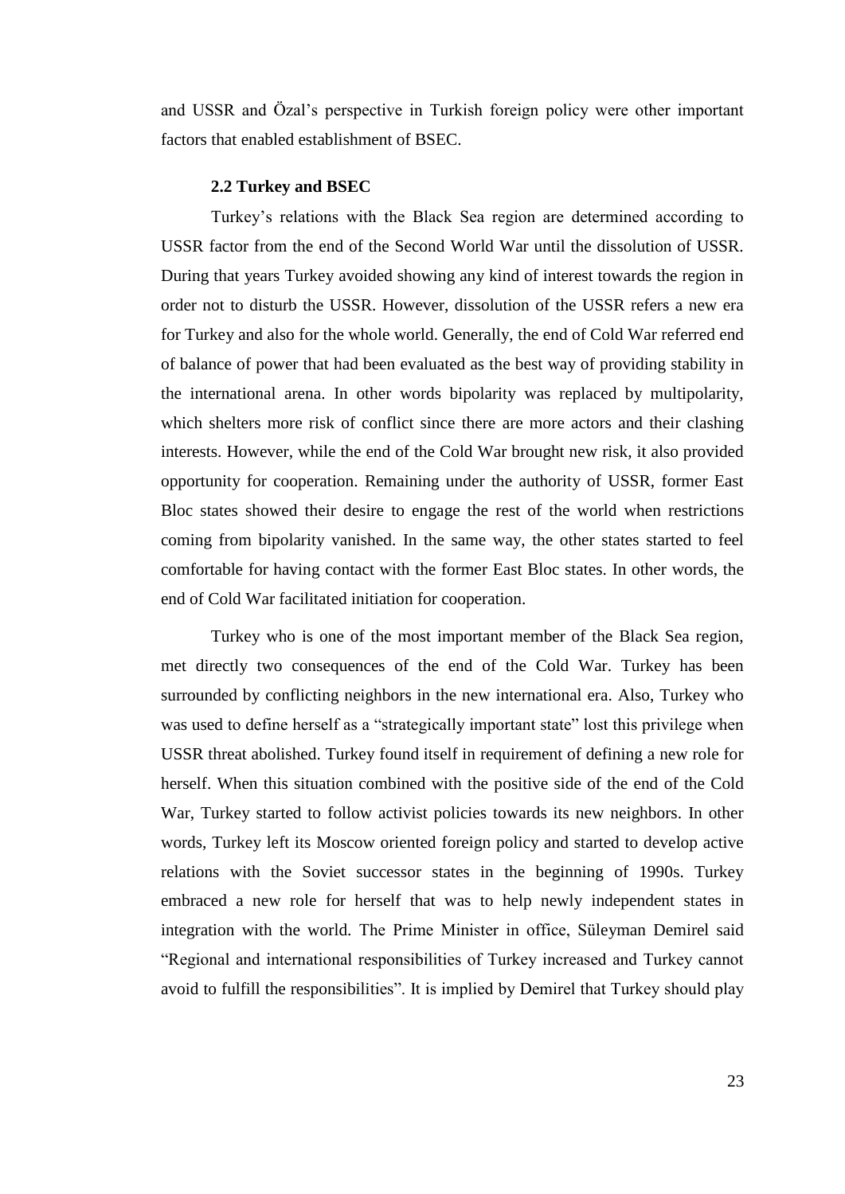and USSR and Özal"s perspective in Turkish foreign policy were other important factors that enabled establishment of BSEC.

#### **2.2 Turkey and BSEC**

<span id="page-33-0"></span>Turkey"s relations with the Black Sea region are determined according to USSR factor from the end of the Second World War until the dissolution of USSR. During that years Turkey avoided showing any kind of interest towards the region in order not to disturb the USSR. However, dissolution of the USSR refers a new era for Turkey and also for the whole world. Generally, the end of Cold War referred end of balance of power that had been evaluated as the best way of providing stability in the international arena. In other words bipolarity was replaced by multipolarity, which shelters more risk of conflict since there are more actors and their clashing interests. However, while the end of the Cold War brought new risk, it also provided opportunity for cooperation. Remaining under the authority of USSR, former East Bloc states showed their desire to engage the rest of the world when restrictions coming from bipolarity vanished. In the same way, the other states started to feel comfortable for having contact with the former East Bloc states. In other words, the end of Cold War facilitated initiation for cooperation.

Turkey who is one of the most important member of the Black Sea region, met directly two consequences of the end of the Cold War. Turkey has been surrounded by conflicting neighbors in the new international era. Also, Turkey who was used to define herself as a "strategically important state" lost this privilege when USSR threat abolished. Turkey found itself in requirement of defining a new role for herself. When this situation combined with the positive side of the end of the Cold War, Turkey started to follow activist policies towards its new neighbors. In other words, Turkey left its Moscow oriented foreign policy and started to develop active relations with the Soviet successor states in the beginning of 1990s. Turkey embraced a new role for herself that was to help newly independent states in integration with the world. The Prime Minister in office, Süleyman Demirel said "Regional and international responsibilities of Turkey increased and Turkey cannot avoid to fulfill the responsibilities". It is implied by Demirel that Turkey should play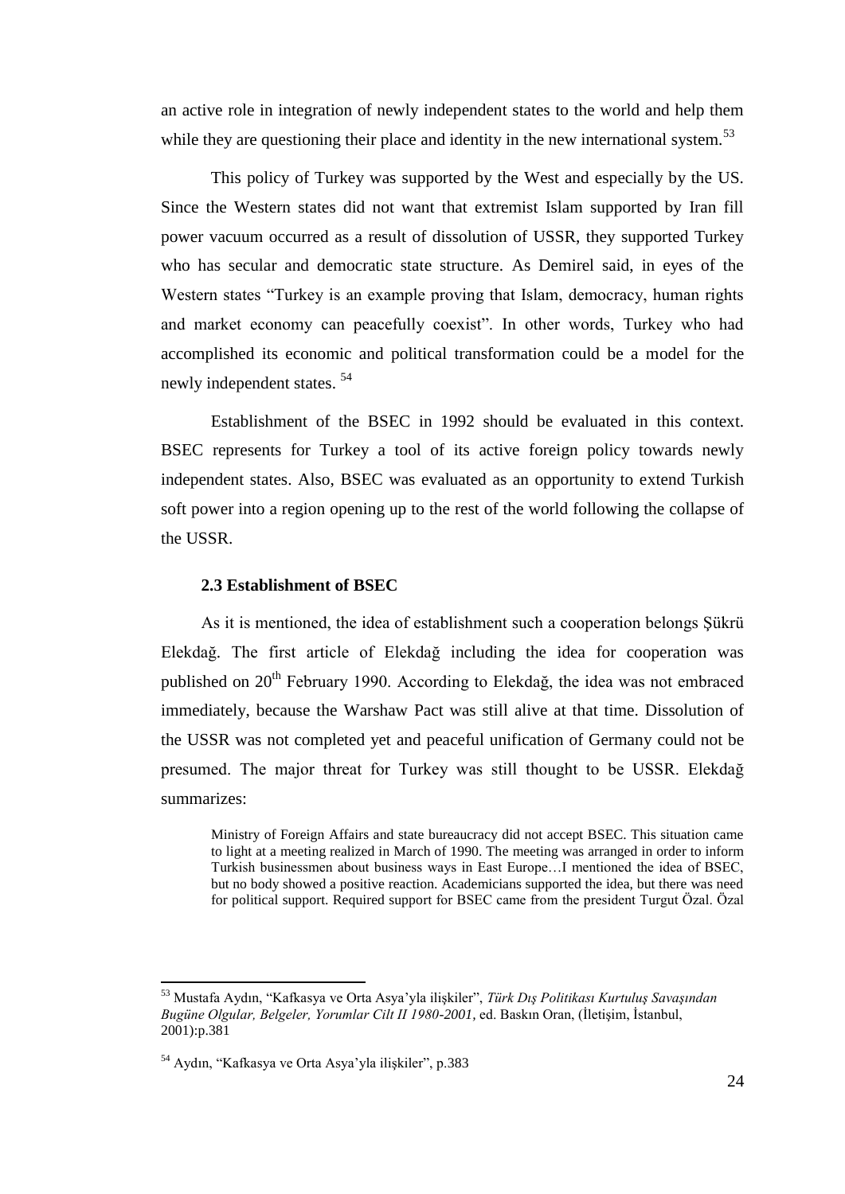an active role in integration of newly independent states to the world and help them while they are questioning their place and identity in the new international system.<sup>53</sup>

This policy of Turkey was supported by the West and especially by the US. Since the Western states did not want that extremist Islam supported by Iran fill power vacuum occurred as a result of dissolution of USSR, they supported Turkey who has secular and democratic state structure. As Demirel said, in eyes of the Western states "Turkey is an example proving that Islam, democracy, human rights and market economy can peacefully coexist". In other words, Turkey who had accomplished its economic and political transformation could be a model for the newly independent states. <sup>54</sup>

Establishment of the BSEC in 1992 should be evaluated in this context. BSEC represents for Turkey a tool of its active foreign policy towards newly independent states. Also, BSEC was evaluated as an opportunity to extend Turkish soft power into a region opening up to the rest of the world following the collapse of the USSR.

#### <span id="page-34-0"></span>**2.3 Establishment of BSEC**

As it is mentioned, the idea of establishment such a cooperation belongs Şükrü Elekdağ. The first article of Elekdağ including the idea for cooperation was published on 20<sup>th</sup> February 1990. According to Elekdağ, the idea was not embraced immediately, because the Warshaw Pact was still alive at that time. Dissolution of the USSR was not completed yet and peaceful unification of Germany could not be presumed. The major threat for Turkey was still thought to be USSR. Elekdağ summarizes:

Ministry of Foreign Affairs and state bureaucracy did not accept BSEC. This situation came to light at a meeting realized in March of 1990. The meeting was arranged in order to inform Turkish businessmen about business ways in East Europe…I mentioned the idea of BSEC, but no body showed a positive reaction. Academicians supported the idea, but there was need for political support. Required support for BSEC came from the president Turgut Özal. Özal

<sup>53</sup> Mustafa Aydın, "Kafkasya ve Orta Asya"yla iliĢkiler", *Türk Dış Politikası Kurtuluş Savaşından*  Bugüne Olgular, Belgeler, Yorumlar Cilt II 1980-2001, ed. Baskın Oran, (İletişim, İstanbul, 2001):p.381

<sup>&</sup>lt;sup>54</sup> Aydın, "Kafkasya ve Orta Asya'yla ilişkiler", p.383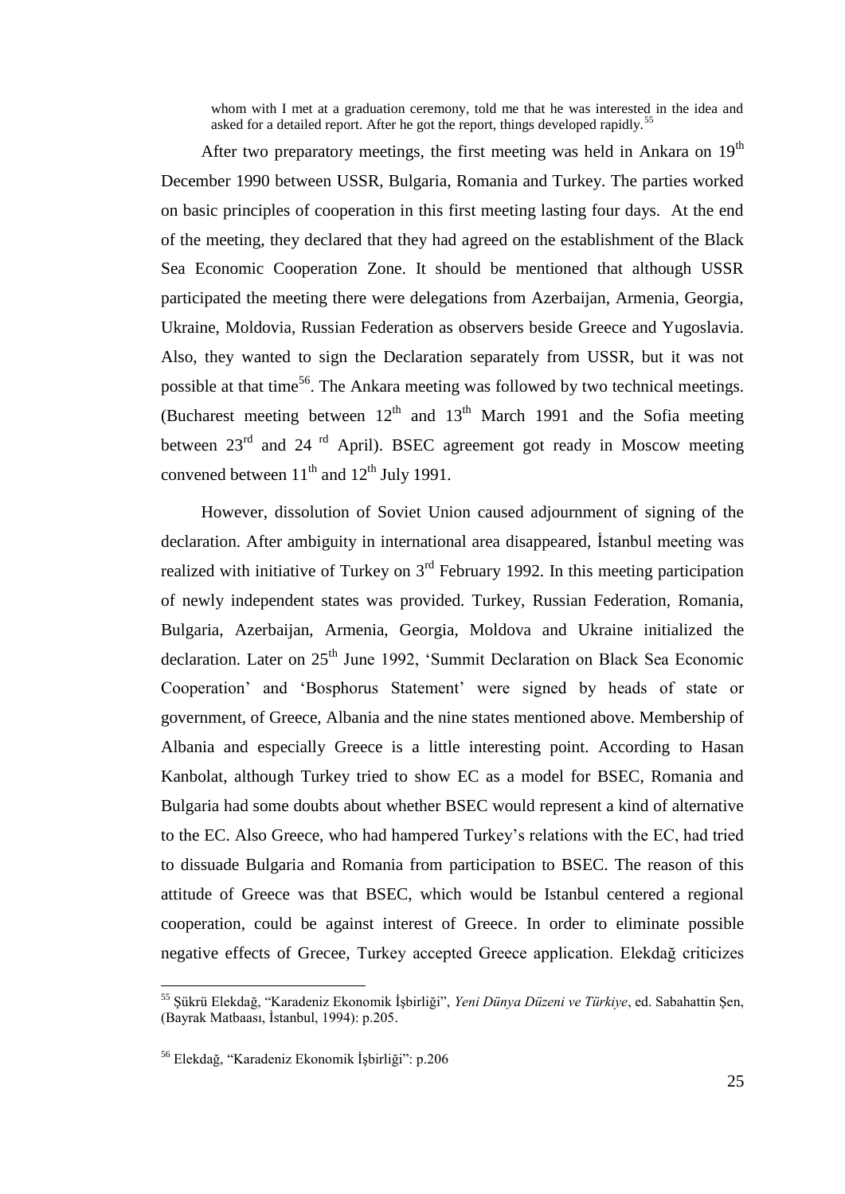whom with I met at a graduation ceremony, told me that he was interested in the idea and asked for a detailed report. After he got the report, things developed rapidly.<sup>5</sup>

After two preparatory meetings, the first meeting was held in Ankara on  $19<sup>th</sup>$ December 1990 between USSR, Bulgaria, Romania and Turkey. The parties worked on basic principles of cooperation in this first meeting lasting four days. At the end of the meeting, they declared that they had agreed on the establishment of the Black Sea Economic Cooperation Zone. It should be mentioned that although USSR participated the meeting there were delegations from Azerbaijan, Armenia, Georgia, Ukraine, Moldovia, Russian Federation as observers beside Greece and Yugoslavia. Also, they wanted to sign the Declaration separately from USSR, but it was not possible at that time<sup>56</sup>. The Ankara meeting was followed by two technical meetings. (Bucharest meeting between  $12<sup>th</sup>$  and  $13<sup>th</sup>$  March 1991 and the Sofia meeting between  $23<sup>rd</sup>$  and  $24<sup>rd</sup>$  April). BSEC agreement got ready in Moscow meeting convened between  $11<sup>th</sup>$  and  $12<sup>th</sup>$  July 1991.

However, dissolution of Soviet Union caused adjournment of signing of the declaration. After ambiguity in international area disappeared, Istanbul meeting was realized with initiative of Turkey on  $3<sup>rd</sup>$  February 1992. In this meeting participation of newly independent states was provided. Turkey, Russian Federation, Romania, Bulgaria, Azerbaijan, Armenia, Georgia, Moldova and Ukraine initialized the declaration. Later on 25<sup>th</sup> June 1992, 'Summit Declaration on Black Sea Economic Cooperation" and "Bosphorus Statement" were signed by heads of state or government, of Greece, Albania and the nine states mentioned above. Membership of Albania and especially Greece is a little interesting point. According to Hasan Kanbolat, although Turkey tried to show EC as a model for BSEC, Romania and Bulgaria had some doubts about whether BSEC would represent a kind of alternative to the EC. Also Greece, who had hampered Turkey"s relations with the EC, had tried to dissuade Bulgaria and Romania from participation to BSEC. The reason of this attitude of Greece was that BSEC, which would be Istanbul centered a regional cooperation, could be against interest of Greece. In order to eliminate possible negative effects of Grecee, Turkey accepted Greece application. Elekdağ criticizes

<sup>&</sup>lt;sup>55</sup> Şükrü Elekdağ, "Karadeniz Ekonomik İşbirliği", *Yeni Dünya Düzeni ve Türkiye*, ed. Sabahattin Şen,  $(Ba\nu)$ rak Matbaası, İstanbul, 1994): p.205.

<sup>&</sup>lt;sup>56</sup> Elekdağ, "Karadeniz Ekonomik İşbirliği": p.206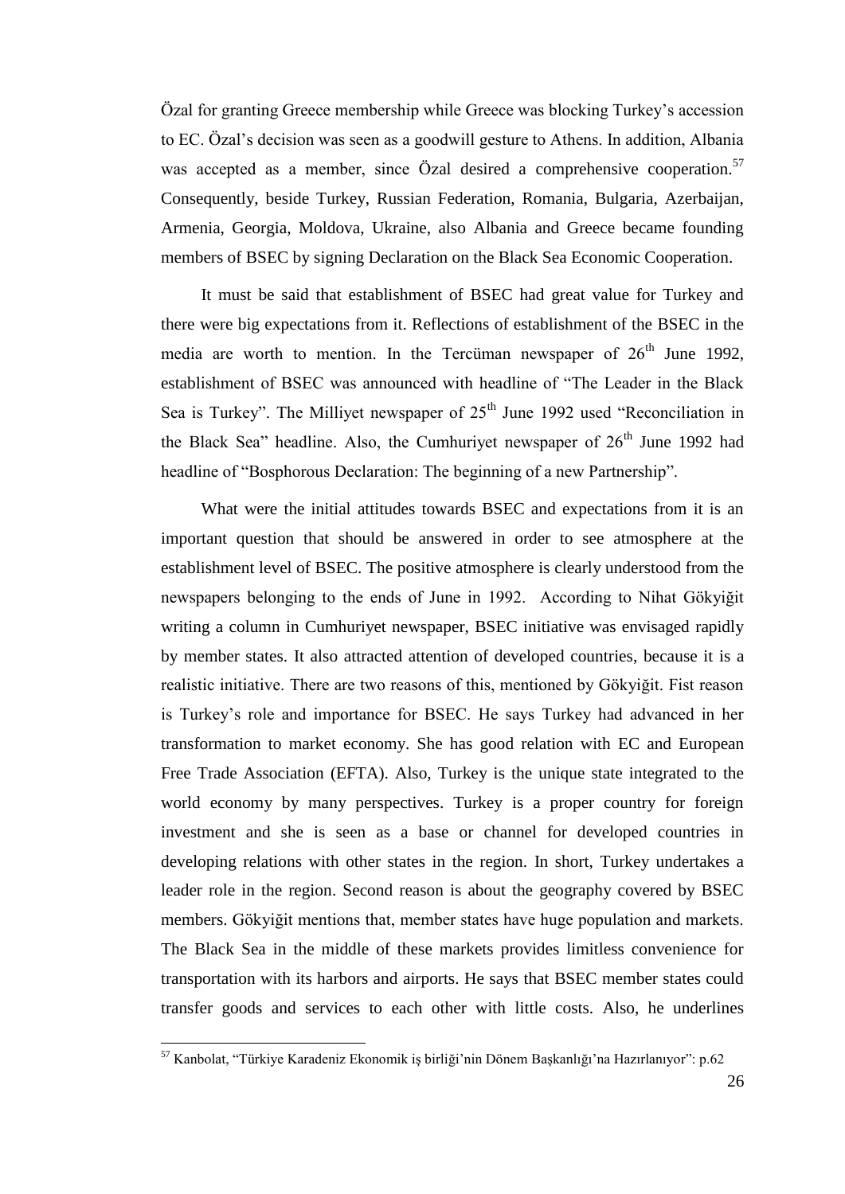Özal for granting Greece membership while Greece was blocking Turkey"s accession to EC. Özal"s decision was seen as a goodwill gesture to Athens. In addition, Albania was accepted as a member, since Özal desired a comprehensive cooperation.<sup>57</sup> Consequently, beside Turkey, Russian Federation, Romania, Bulgaria, Azerbaijan, Armenia, Georgia, Moldova, Ukraine, also Albania and Greece became founding members of BSEC by signing Declaration on the Black Sea Economic Cooperation.

It must be said that establishment of BSEC had great value for Turkey and there were big expectations from it. Reflections of establishment of the BSEC in the media are worth to mention. In the Tercüman newspaper of  $26<sup>th</sup>$  June 1992, establishment of BSEC was announced with headline of "The Leader in the Black Sea is Turkey". The Milliyet newspaper of  $25<sup>th</sup>$  June 1992 used "Reconciliation in the Black Sea" headline. Also, the Cumhurivet newspaper of  $26<sup>th</sup>$  June 1992 had headline of "Bosphorous Declaration: The beginning of a new Partnership".

What were the initial attitudes towards BSEC and expectations from it is an important question that should be answered in order to see atmosphere at the establishment level of BSEC. The positive atmosphere is clearly understood from the newspapers belonging to the ends of June in 1992. According to Nihat Gökyiğit writing a column in Cumhuriyet newspaper, BSEC initiative was envisaged rapidly by member states. It also attracted attention of developed countries, because it is a realistic initiative. There are two reasons of this, mentioned by Gökyiğit. Fist reason is Turkey"s role and importance for BSEC. He says Turkey had advanced in her transformation to market economy. She has good relation with EC and European Free Trade Association (EFTA). Also, Turkey is the unique state integrated to the world economy by many perspectives. Turkey is a proper country for foreign investment and she is seen as a base or channel for developed countries in developing relations with other states in the region. In short, Turkey undertakes a leader role in the region. Second reason is about the geography covered by BSEC members. Gökyiğit mentions that, member states have huge population and markets. The Black Sea in the middle of these markets provides limitless convenience for transportation with its harbors and airports. He says that BSEC member states could transfer goods and services to each other with little costs. Also, he underlines

<sup>&</sup>lt;sup>57</sup> Kanbolat, "Türkiye Karadeniz Ekonomik iş birliği'nin Dönem Başkanlığı'na Hazırlanıyor": p.62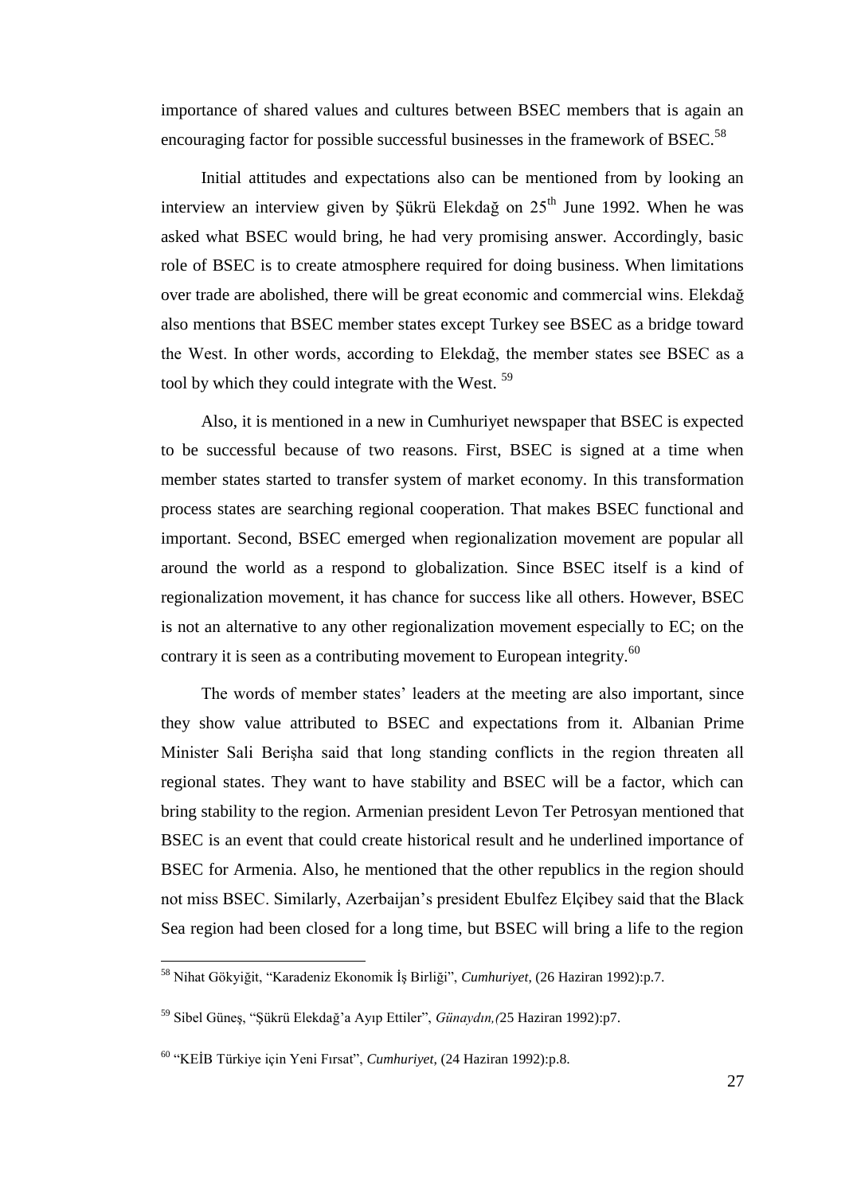importance of shared values and cultures between BSEC members that is again an encouraging factor for possible successful businesses in the framework of BSEC.<sup>58</sup>

Initial attitudes and expectations also can be mentioned from by looking an interview an interview given by Şükrü Elekdağ on 25<sup>th</sup> June 1992. When he was asked what BSEC would bring, he had very promising answer. Accordingly, basic role of BSEC is to create atmosphere required for doing business. When limitations over trade are abolished, there will be great economic and commercial wins. Elekdağ also mentions that BSEC member states except Turkey see BSEC as a bridge toward the West. In other words, according to Elekdağ, the member states see BSEC as a tool by which they could integrate with the West.<sup>59</sup>

Also, it is mentioned in a new in Cumhuriyet newspaper that BSEC is expected to be successful because of two reasons. First, BSEC is signed at a time when member states started to transfer system of market economy. In this transformation process states are searching regional cooperation. That makes BSEC functional and important. Second, BSEC emerged when regionalization movement are popular all around the world as a respond to globalization. Since BSEC itself is a kind of regionalization movement, it has chance for success like all others. However, BSEC is not an alternative to any other regionalization movement especially to EC; on the contrary it is seen as a contributing movement to European integrity.<sup>60</sup>

The words of member states' leaders at the meeting are also important, since they show value attributed to BSEC and expectations from it. Albanian Prime Minister Sali Berişha said that long standing conflicts in the region threaten all regional states. They want to have stability and BSEC will be a factor, which can bring stability to the region. Armenian president Levon Ter Petrosyan mentioned that BSEC is an event that could create historical result and he underlined importance of BSEC for Armenia. Also, he mentioned that the other republics in the region should not miss BSEC. Similarly, Azerbaijan"s president Ebulfez Elçibey said that the Black Sea region had been closed for a long time, but BSEC will bring a life to the region

<sup>&</sup>lt;sup>58</sup> Nihat Gökyiğit, "Karadeniz Ekonomik İş Birliği", *Cumhuriyet*, (26 Haziran 1992):p.7.

<sup>&</sup>lt;sup>59</sup> Sibel Günes, "Sükrü Elekdağ'a Ayıp Ettiler", *Günaydın,(25 Haziran 1992):p7.* 

<sup>60</sup> "KEĠB Türkiye için Yeni Fırsat", *Cumhuriyet*, (24 Haziran 1992):p.8.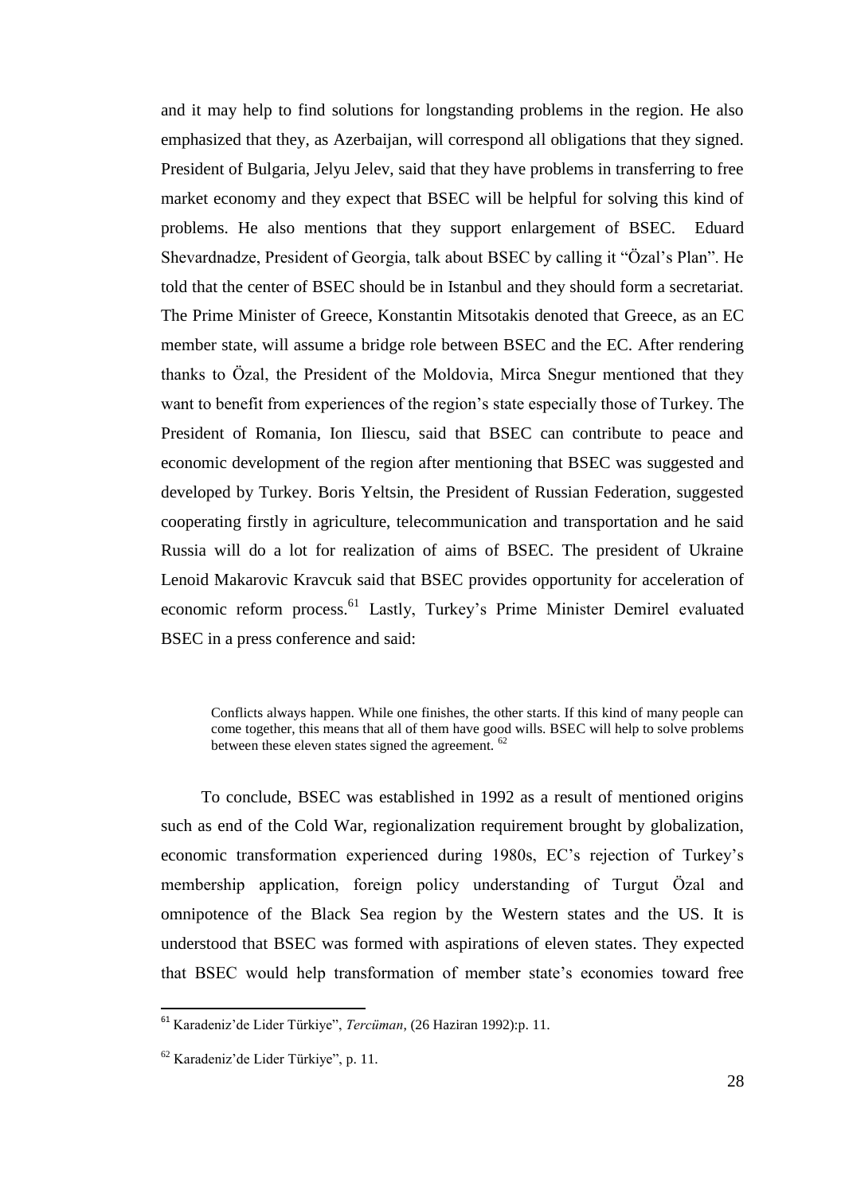and it may help to find solutions for longstanding problems in the region. He also emphasized that they, as Azerbaijan, will correspond all obligations that they signed. President of Bulgaria, Jelyu Jelev, said that they have problems in transferring to free market economy and they expect that BSEC will be helpful for solving this kind of problems. He also mentions that they support enlargement of BSEC. Eduard Shevardnadze, President of Georgia, talk about BSEC by calling it "Özal"s Plan". He told that the center of BSEC should be in Istanbul and they should form a secretariat. The Prime Minister of Greece, Konstantin Mitsotakis denoted that Greece, as an EC member state, will assume a bridge role between BSEC and the EC. After rendering thanks to Özal, the President of the Moldovia, Mirca Snegur mentioned that they want to benefit from experiences of the region's state especially those of Turkey. The President of Romania, Ion Iliescu, said that BSEC can contribute to peace and economic development of the region after mentioning that BSEC was suggested and developed by Turkey. Boris Yeltsin, the President of Russian Federation, suggested cooperating firstly in agriculture, telecommunication and transportation and he said Russia will do a lot for realization of aims of BSEC. The president of Ukraine Lenoid Makarovic Kravcuk said that BSEC provides opportunity for acceleration of economic reform process.<sup>61</sup> Lastly, Turkey's Prime Minister Demirel evaluated BSEC in a press conference and said:

Conflicts always happen. While one finishes, the other starts. If this kind of many people can come together, this means that all of them have good wills. BSEC will help to solve problems between these eleven states signed the agreement. <sup>62</sup>

To conclude, BSEC was established in 1992 as a result of mentioned origins such as end of the Cold War, regionalization requirement brought by globalization, economic transformation experienced during 1980s, EC"s rejection of Turkey"s membership application, foreign policy understanding of Turgut Özal and omnipotence of the Black Sea region by the Western states and the US. It is understood that BSEC was formed with aspirations of eleven states. They expected that BSEC would help transformation of member state's economies toward free

 $\overline{a}$ 

<sup>61</sup> Karadeniz"de Lider Türkiye", *Tercüman*, (26 Haziran 1992):p. 11.

<sup>62</sup> Karadeniz"de Lider Türkiye", p. 11.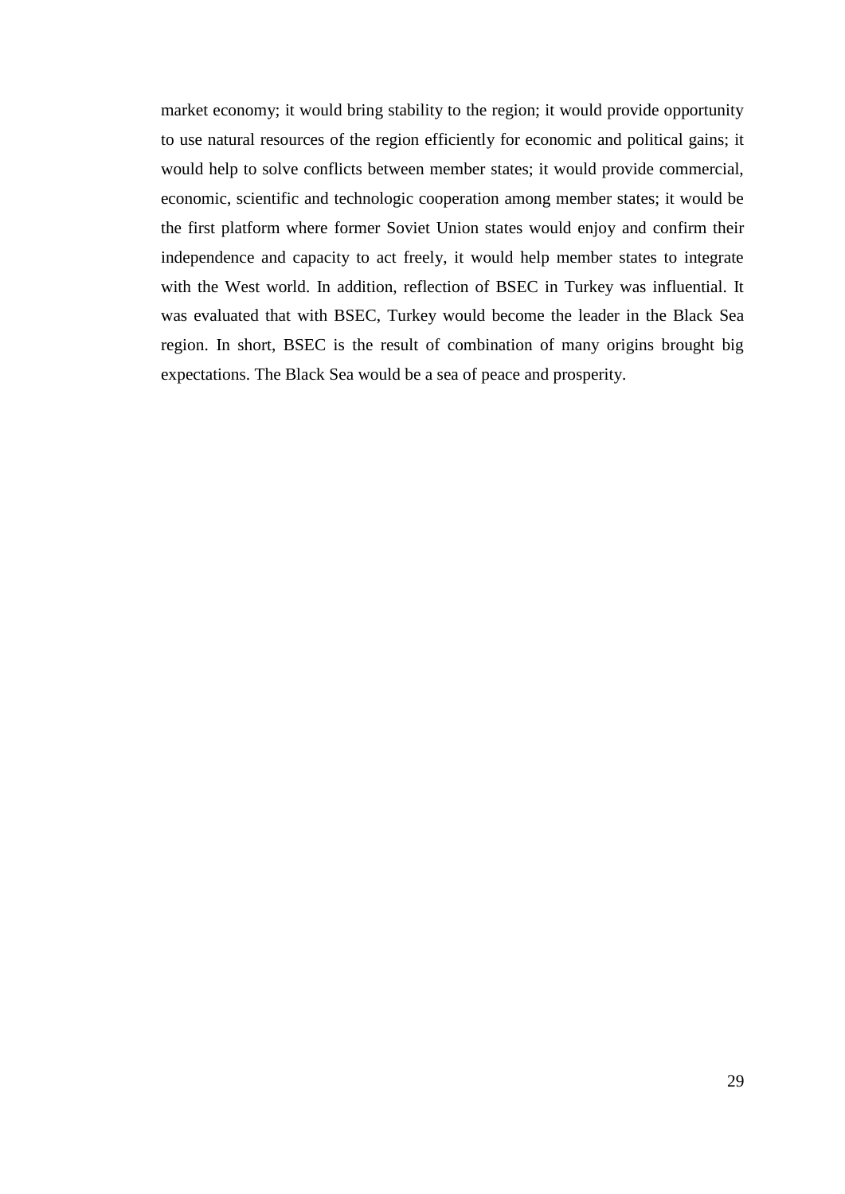market economy; it would bring stability to the region; it would provide opportunity to use natural resources of the region efficiently for economic and political gains; it would help to solve conflicts between member states; it would provide commercial, economic, scientific and technologic cooperation among member states; it would be the first platform where former Soviet Union states would enjoy and confirm their independence and capacity to act freely, it would help member states to integrate with the West world. In addition, reflection of BSEC in Turkey was influential. It was evaluated that with BSEC, Turkey would become the leader in the Black Sea region. In short, BSEC is the result of combination of many origins brought big expectations. The Black Sea would be a sea of peace and prosperity.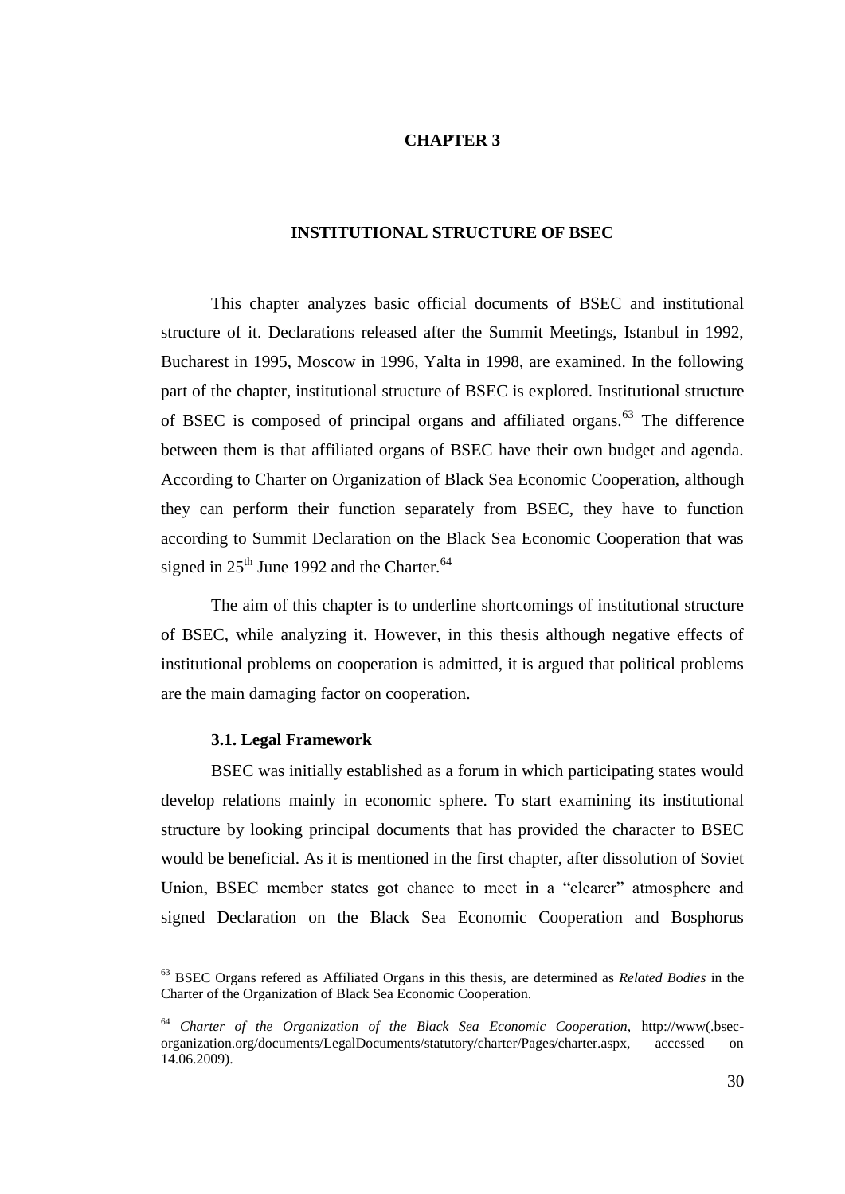# **CHAPTER 3**

# **INSTITUTIONAL STRUCTURE OF BSEC**

This chapter analyzes basic official documents of BSEC and institutional structure of it. Declarations released after the Summit Meetings, Istanbul in 1992, Bucharest in 1995, Moscow in 1996, Yalta in 1998, are examined. In the following part of the chapter, institutional structure of BSEC is explored. Institutional structure of BSEC is composed of principal organs and affiliated organs.<sup>63</sup> The difference between them is that affiliated organs of BSEC have their own budget and agenda. According to Charter on Organization of Black Sea Economic Cooperation, although they can perform their function separately from BSEC, they have to function according to Summit Declaration on the Black Sea Economic Cooperation that was signed in  $25<sup>th</sup>$  June 1992 and the Charter.<sup>64</sup>

The aim of this chapter is to underline shortcomings of institutional structure of BSEC, while analyzing it. However, in this thesis although negative effects of institutional problems on cooperation is admitted, it is argued that political problems are the main damaging factor on cooperation.

#### **3.1. Legal Framework**

 $\overline{a}$ 

BSEC was initially established as a forum in which participating states would develop relations mainly in economic sphere. To start examining its institutional structure by looking principal documents that has provided the character to BSEC would be beneficial. As it is mentioned in the first chapter, after dissolution of Soviet Union, BSEC member states got chance to meet in a "clearer" atmosphere and signed Declaration on the Black Sea Economic Cooperation and Bosphorus

<sup>63</sup> BSEC Organs refered as Affiliated Organs in this thesis, are determined as *Related Bodies* in the Charter of the Organization of Black Sea Economic Cooperation.

<sup>64</sup> *Charter of the Organization of the Black Sea Economic Cooperation,* http://www(.bsecorganization.org/documents/LegalDocuments/statutory/charter/Pages/charter.aspx, accessed on 14.06.2009).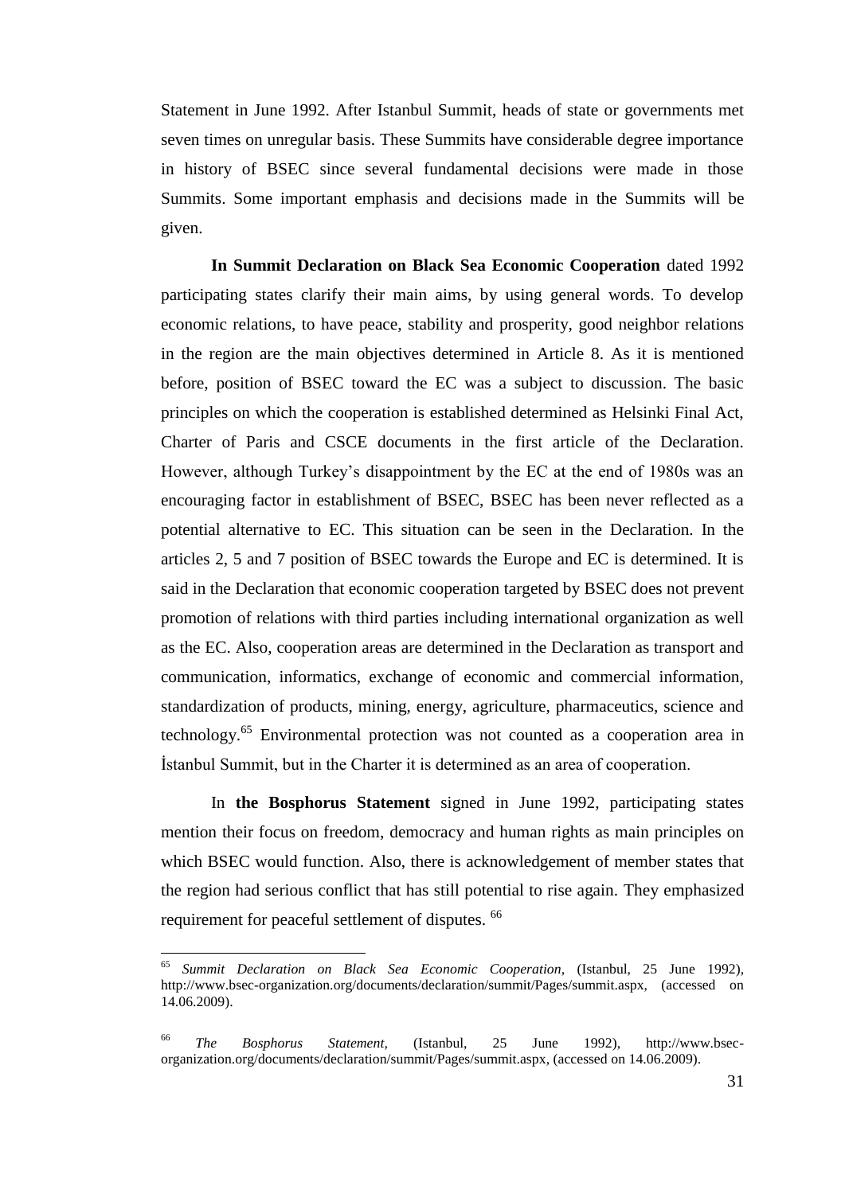Statement in June 1992. After Istanbul Summit, heads of state or governments met seven times on unregular basis. These Summits have considerable degree importance in history of BSEC since several fundamental decisions were made in those Summits. Some important emphasis and decisions made in the Summits will be given.

**In Summit Declaration on Black Sea Economic Cooperation** dated 1992 participating states clarify their main aims, by using general words. To develop economic relations, to have peace, stability and prosperity, good neighbor relations in the region are the main objectives determined in Article 8. As it is mentioned before, position of BSEC toward the EC was a subject to discussion. The basic principles on which the cooperation is established determined as Helsinki Final Act, Charter of Paris and CSCE documents in the first article of the Declaration. However, although Turkey's disappointment by the EC at the end of 1980s was an encouraging factor in establishment of BSEC, BSEC has been never reflected as a potential alternative to EC. This situation can be seen in the Declaration. In the articles 2, 5 and 7 position of BSEC towards the Europe and EC is determined. It is said in the Declaration that economic cooperation targeted by BSEC does not prevent promotion of relations with third parties including international organization as well as the EC. Also, cooperation areas are determined in the Declaration as transport and communication, informatics, exchange of economic and commercial information, standardization of products, mining, energy, agriculture, pharmaceutics, science and technology.<sup>65</sup> Environmental protection was not counted as a cooperation area in Istanbul Summit, but in the Charter it is determined as an area of cooperation.

In **the Bosphorus Statement** signed in June 1992, participating states mention their focus on freedom, democracy and human rights as main principles on which BSEC would function. Also, there is acknowledgement of member states that the region had serious conflict that has still potential to rise again. They emphasized requirement for peaceful settlement of disputes. <sup>66</sup>

<sup>65</sup> <sup>65</sup> *Summit Declaration on Black Sea Economic Cooperation,* (Istanbul, 25 June 1992), http://www.bsec-organization.org/documents/declaration/summit/Pages/summit.aspx, (accessed on 14.06.2009).

<sup>66</sup> *The Bosphorus Statement,* (Istanbul, 25 June 1992), http://www.bsecorganization.org/documents/declaration/summit/Pages/summit.aspx, (accessed on 14.06.2009).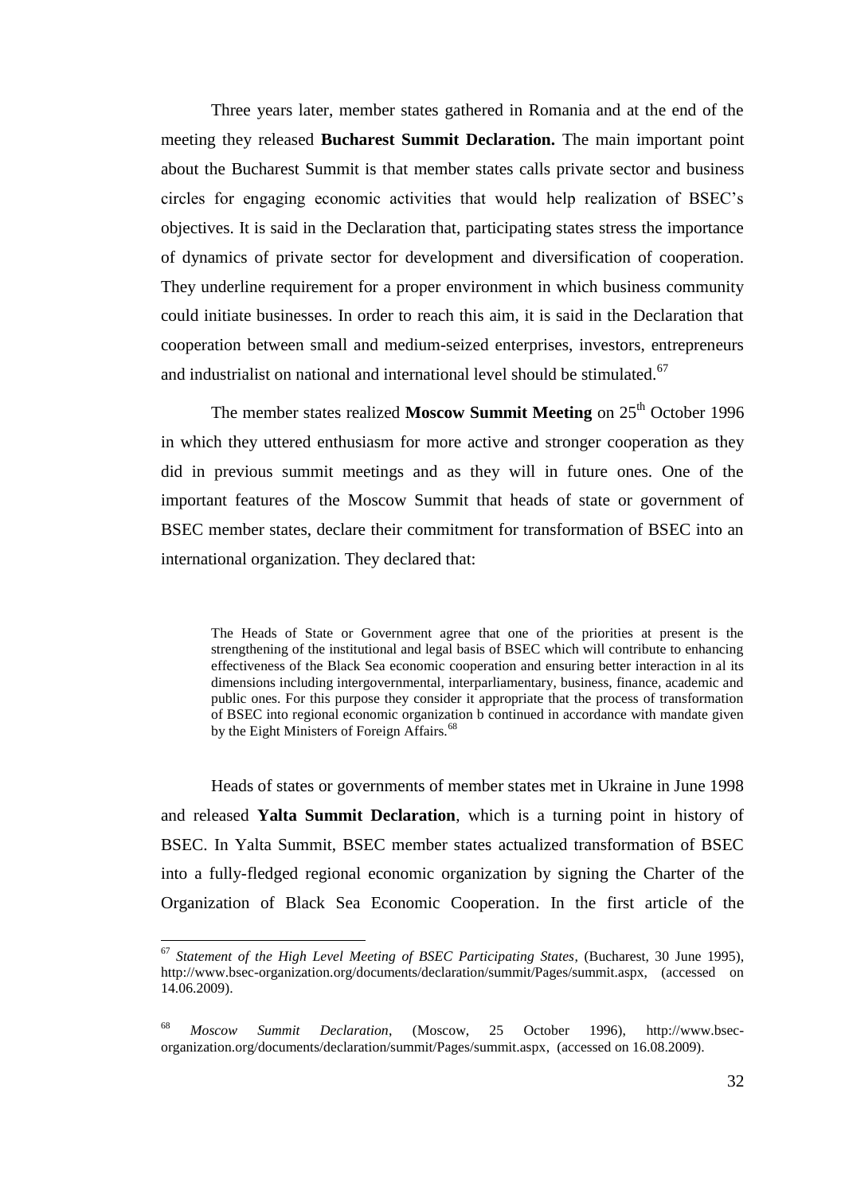Three years later, member states gathered in Romania and at the end of the meeting they released **Bucharest Summit Declaration.** The main important point about the Bucharest Summit is that member states calls private sector and business circles for engaging economic activities that would help realization of BSEC"s objectives. It is said in the Declaration that, participating states stress the importance of dynamics of private sector for development and diversification of cooperation. They underline requirement for a proper environment in which business community could initiate businesses. In order to reach this aim, it is said in the Declaration that cooperation between small and medium-seized enterprises, investors, entrepreneurs and industrialist on national and international level should be stimulated.<sup>67</sup>

The member states realized Moscow Summit Meeting on 25<sup>th</sup> October 1996 in which they uttered enthusiasm for more active and stronger cooperation as they did in previous summit meetings and as they will in future ones. One of the important features of the Moscow Summit that heads of state or government of BSEC member states, declare their commitment for transformation of BSEC into an international organization. They declared that:

The Heads of State or Government agree that one of the priorities at present is the strengthening of the institutional and legal basis of BSEC which will contribute to enhancing effectiveness of the Black Sea economic cooperation and ensuring better interaction in al its dimensions including intergovernmental, interparliamentary, business, finance, academic and public ones. For this purpose they consider it appropriate that the process of transformation of BSEC into regional economic organization b continued in accordance with mandate given by the Eight Ministers of Foreign Affairs.<sup>68</sup>

Heads of states or governments of member states met in Ukraine in June 1998 and released **Yalta Summit Declaration**, which is a turning point in history of BSEC. In Yalta Summit, BSEC member states actualized transformation of BSEC into a fully-fledged regional economic organization by signing the Charter of the Organization of Black Sea Economic Cooperation. In the first article of the

<sup>67</sup> *Statement of the High Level Meeting of BSEC Participating States*, (Bucharest, 30 June 1995), http://www.bsec-organization.org/documents/declaration/summit/Pages/summit.aspx, (accessed on 14.06.2009).

<sup>68</sup> *Moscow Summit Declaration*, (Moscow, 25 October 1996), http://www.bsecorganization.org/documents/declaration/summit/Pages/summit.aspx, (accessed on 16.08.2009).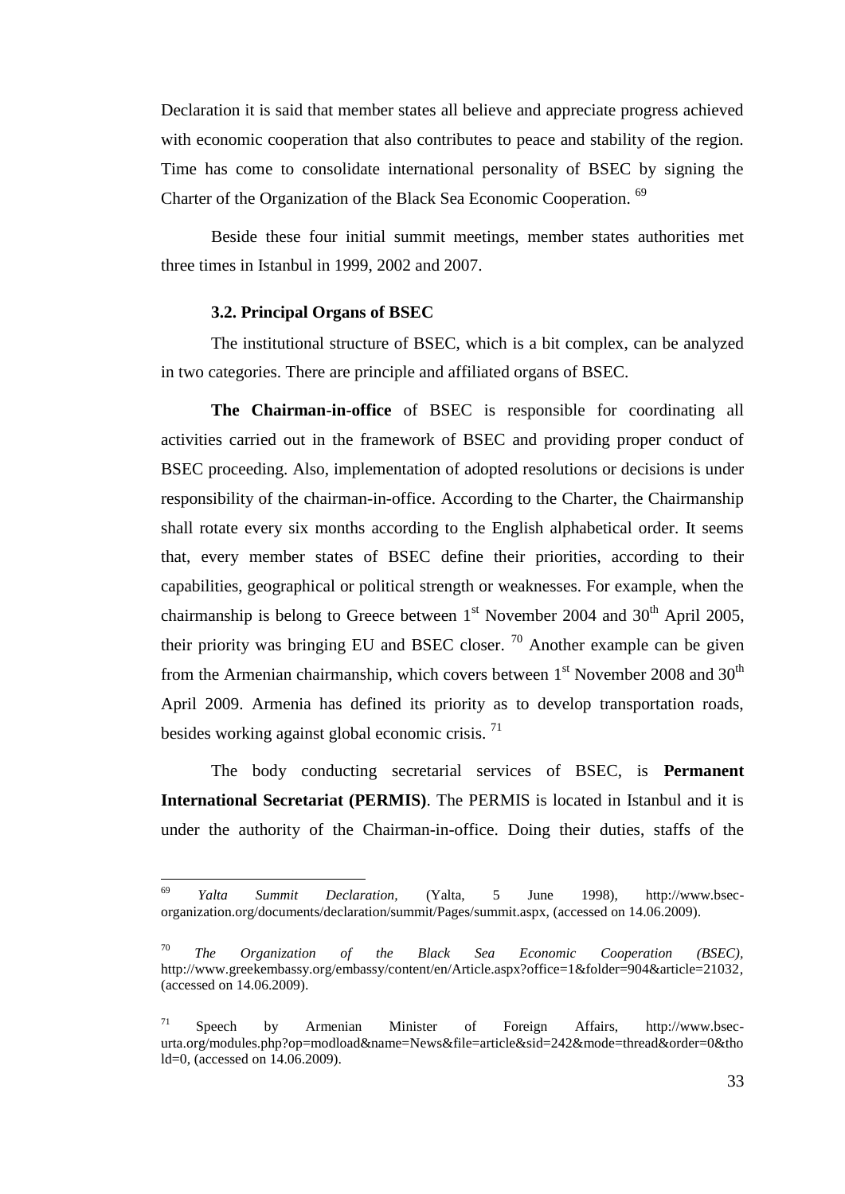Declaration it is said that member states all believe and appreciate progress achieved with economic cooperation that also contributes to peace and stability of the region. Time has come to consolidate international personality of BSEC by signing the Charter of the Organization of the Black Sea Economic Cooperation. <sup>69</sup>

Beside these four initial summit meetings, member states authorities met three times in Istanbul in 1999, 2002 and 2007.

### **3.2. Principal Organs of BSEC**

 $\overline{a}$ 

The institutional structure of BSEC, which is a bit complex, can be analyzed in two categories. There are principle and affiliated organs of BSEC.

**The Chairman-in-office** of BSEC is responsible for coordinating all activities carried out in the framework of BSEC and providing proper conduct of BSEC proceeding. Also, implementation of adopted resolutions or decisions is under responsibility of the chairman-in-office. According to the Charter, the Chairmanship shall rotate every six months according to the English alphabetical order. It seems that, every member states of BSEC define their priorities, according to their capabilities, geographical or political strength or weaknesses. For example, when the chairmanship is belong to Greece between  $1<sup>st</sup>$  November 2004 and 30<sup>th</sup> April 2005, their priority was bringing EU and BSEC closer.  $\frac{70}{2}$  Another example can be given from the Armenian chairmanship, which covers between  $1<sup>st</sup>$  November 2008 and 30<sup>th</sup> April 2009. Armenia has defined its priority as to develop transportation roads, besides working against global economic crisis.<sup>71</sup>

The body conducting secretarial services of BSEC, is **Permanent International Secretariat (PERMIS)**. The PERMIS is located in Istanbul and it is under the authority of the Chairman-in-office. Doing their duties, staffs of the

<sup>69</sup> *Yalta Summit Declaration,* (Yalta, 5 June 1998), http://www.bsecorganization.org/documents/declaration/summit/Pages/summit.aspx, (accessed on 14.06.2009).

<sup>70</sup> *The Organization of the Black Sea Economic Cooperation (BSEC),* [http://www.greekembassy.org/embassy/content/en/Article.aspx?office=1&folder=904&article=21032,](http://www.greekembassy.org/embassy/content/en/Article.aspx?office=1&folder=904&article=21032) (accessed on 14.06.2009).

<sup>71</sup> Speech by Armenian Minister of Foreign Affairs, [http://www.bsec](http://www.bsec-urta.org/modules.php?op=modload&name=News&file=article&sid=242&mode=thread&order=0&thold=0)[urta.org/modules.php?op=modload&name=News&file=article&sid=242&mode=thread&order=0&tho](http://www.bsec-urta.org/modules.php?op=modload&name=News&file=article&sid=242&mode=thread&order=0&thold=0) [ld=0,](http://www.bsec-urta.org/modules.php?op=modload&name=News&file=article&sid=242&mode=thread&order=0&thold=0) (accessed on 14.06.2009).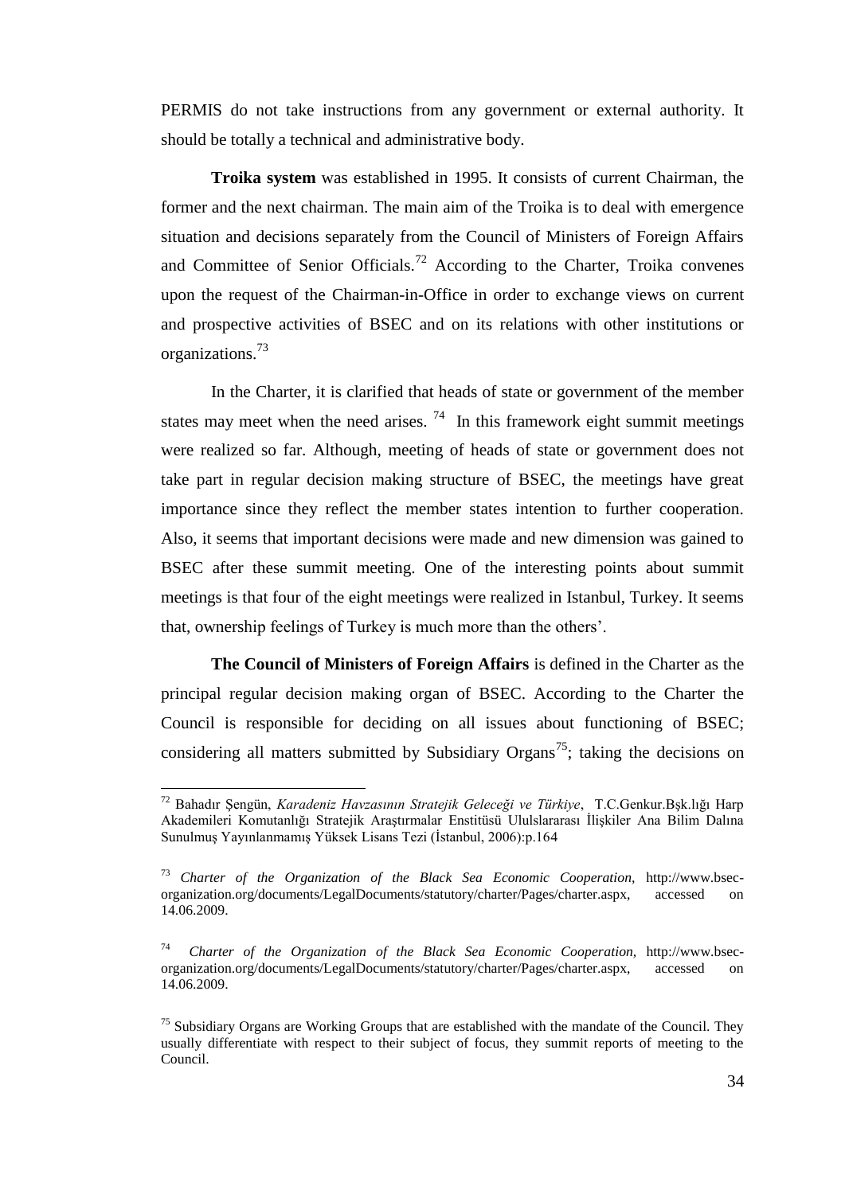PERMIS do not take instructions from any government or external authority. It should be totally a technical and administrative body.

**Troika system** was established in 1995. It consists of current Chairman, the former and the next chairman. The main aim of the Troika is to deal with emergence situation and decisions separately from the Council of Ministers of Foreign Affairs and Committee of Senior Officials.<sup>72</sup> According to the Charter, Troika convenes upon the request of the Chairman-in-Office in order to exchange views on current and prospective activities of BSEC and on its relations with other institutions or organizations.<sup>73</sup>

In the Charter, it is clarified that heads of state or government of the member states may meet when the need arises.  $74$  In this framework eight summit meetings were realized so far. Although, meeting of heads of state or government does not take part in regular decision making structure of BSEC, the meetings have great importance since they reflect the member states intention to further cooperation. Also, it seems that important decisions were made and new dimension was gained to BSEC after these summit meeting. One of the interesting points about summit meetings is that four of the eight meetings were realized in Istanbul, Turkey. It seems that, ownership feelings of Turkey is much more than the others".

**The Council of Ministers of Foreign Affairs** is defined in the Charter as the principal regular decision making organ of BSEC. According to the Charter the Council is responsible for deciding on all issues about functioning of BSEC; considering all matters submitted by Subsidiary Organs<sup>75</sup>; taking the decisions on

<sup>&</sup>lt;sup>72</sup> Bahadır Şengün, *Karadeniz Havzasının Stratejik Geleceği ve Türkiye*, T.C.Genkur.Bşk.lığı Harp Akademileri Komutanlığı Stratejik Arastırmalar Enstitüsü Ululslararası İlişkiler Ana Bilim Dalına Sunulmuş Yayınlanmamış Yüksek Lisans Tezi (İstanbul, 2006):p.164

<sup>73</sup> *Charter of the Organization of the Black Sea Economic Cooperation,* http://www.bsecorganization.org/documents/LegalDocuments/statutory/charter/Pages/charter.aspx, accessed on 14.06.2009.

<sup>74</sup> *Charter of the Organization of the Black Sea Economic Cooperation,* http://www.bsecorganization.org/documents/LegalDocuments/statutory/charter/Pages/charter.aspx, accessed on 14.06.2009.

 $<sup>75</sup>$  Subsidiary Organs are Working Groups that are established with the mandate of the Council. They</sup> usually differentiate with respect to their subject of focus, they summit reports of meeting to the Council.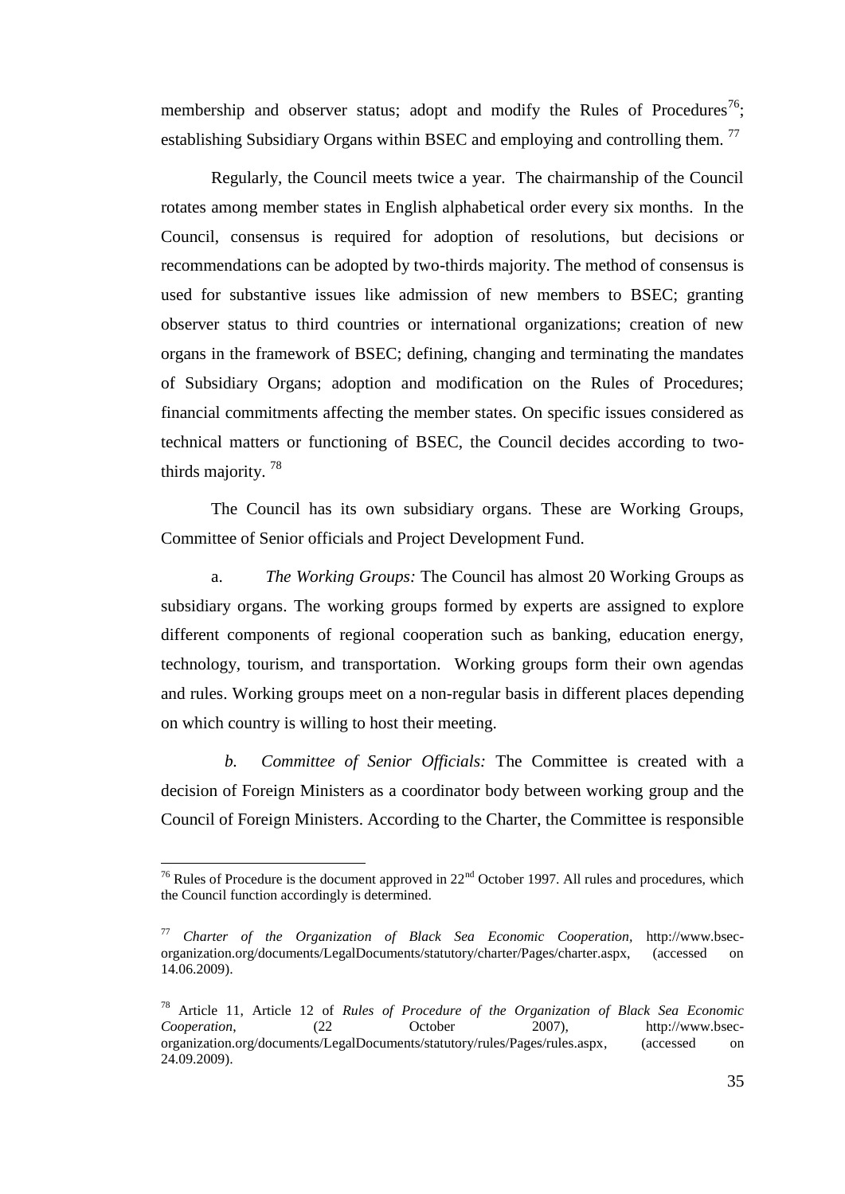membership and observer status; adopt and modify the Rules of Procedures<sup>76</sup>; establishing Subsidiary Organs within BSEC and employing and controlling them.<sup>77</sup>

Regularly, the Council meets twice a year. The chairmanship of the Council rotates among member states in English alphabetical order every six months. In the Council, consensus is required for adoption of resolutions, but decisions or recommendations can be adopted by two-thirds majority. The method of consensus is used for substantive issues like admission of new members to BSEC; granting observer status to third countries or international organizations; creation of new organs in the framework of BSEC; defining, changing and terminating the mandates of Subsidiary Organs; adoption and modification on the Rules of Procedures; financial commitments affecting the member states. On specific issues considered as technical matters or functioning of BSEC, the Council decides according to twothirds majority. <sup>78</sup>

The Council has its own subsidiary organs. These are Working Groups, Committee of Senior officials and Project Development Fund.

a. *The Working Groups:* The Council has almost 20 Working Groups as subsidiary organs. The working groups formed by experts are assigned to explore different components of regional cooperation such as banking, education energy, technology, tourism, and transportation. Working groups form their own agendas and rules. Working groups meet on a non-regular basis in different places depending on which country is willing to host their meeting.

*b. Committee of Senior Officials:* The Committee is created with a decision of Foreign Ministers as a coordinator body between working group and the Council of Foreign Ministers. According to the Charter, the Committee is responsible

<sup>&</sup>lt;sup>76</sup> Rules of Procedure is the document approved in  $22<sup>nd</sup>$  October 1997. All rules and procedures, which the Council function accordingly is determined.

<sup>77</sup> *Charter of the Organization of Black Sea Economic Cooperation,* http://www.bsecorganization.org/documents/LegalDocuments/statutory/charter/Pages/charter.aspx, (accessed on 14.06.2009).

<sup>78</sup> Article 11, Article 12 of *Rules of Procedure of the Organization of Black Sea Economic Cooperation*, (22 October 2007), http://www.bsecorganization.org/documents/LegalDocuments/statutory/rules/Pages/rules.aspx, (accessed on 24.09.2009).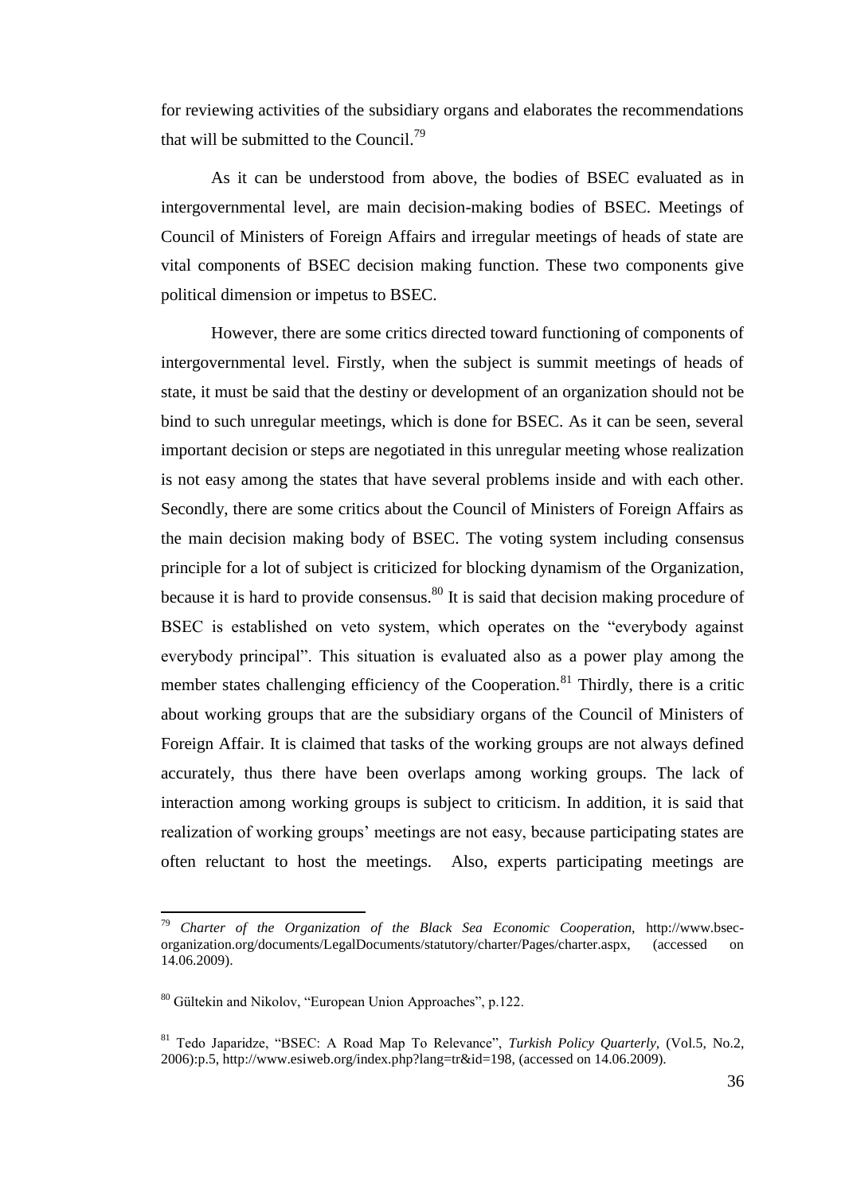for reviewing activities of the subsidiary organs and elaborates the recommendations that will be submitted to the Council.<sup>79</sup>

As it can be understood from above, the bodies of BSEC evaluated as in intergovernmental level, are main decision-making bodies of BSEC. Meetings of Council of Ministers of Foreign Affairs and irregular meetings of heads of state are vital components of BSEC decision making function. These two components give political dimension or impetus to BSEC.

However, there are some critics directed toward functioning of components of intergovernmental level. Firstly, when the subject is summit meetings of heads of state, it must be said that the destiny or development of an organization should not be bind to such unregular meetings, which is done for BSEC. As it can be seen, several important decision or steps are negotiated in this unregular meeting whose realization is not easy among the states that have several problems inside and with each other. Secondly, there are some critics about the Council of Ministers of Foreign Affairs as the main decision making body of BSEC. The voting system including consensus principle for a lot of subject is criticized for blocking dynamism of the Organization, because it is hard to provide consensus.<sup>80</sup> It is said that decision making procedure of BSEC is established on veto system, which operates on the "everybody against everybody principal". This situation is evaluated also as a power play among the member states challenging efficiency of the Cooperation.<sup>81</sup> Thirdly, there is a critic about working groups that are the subsidiary organs of the Council of Ministers of Foreign Affair. It is claimed that tasks of the working groups are not always defined accurately, thus there have been overlaps among working groups. The lack of interaction among working groups is subject to criticism. In addition, it is said that realization of working groups' meetings are not easy, because participating states are often reluctant to host the meetings. Also, experts participating meetings are

<sup>79</sup> *Charter of the Organization of the Black Sea Economic Cooperation,* http://www.bsecorganization.org/documents/LegalDocuments/statutory/charter/Pages/charter.aspx, (accessed on 14.06.2009).

<sup>80</sup> Gültekin and Nikolov, "European Union Approaches", p.122.

<sup>81</sup> Tedo Japaridze, "BSEC: A Road Map To Relevance", *Turkish Policy Quarterly,* (Vol.5, No.2, 2006):p.5, http://www.esiweb.org/index.php?lang=tr&id=198, (accessed on 14.06.2009).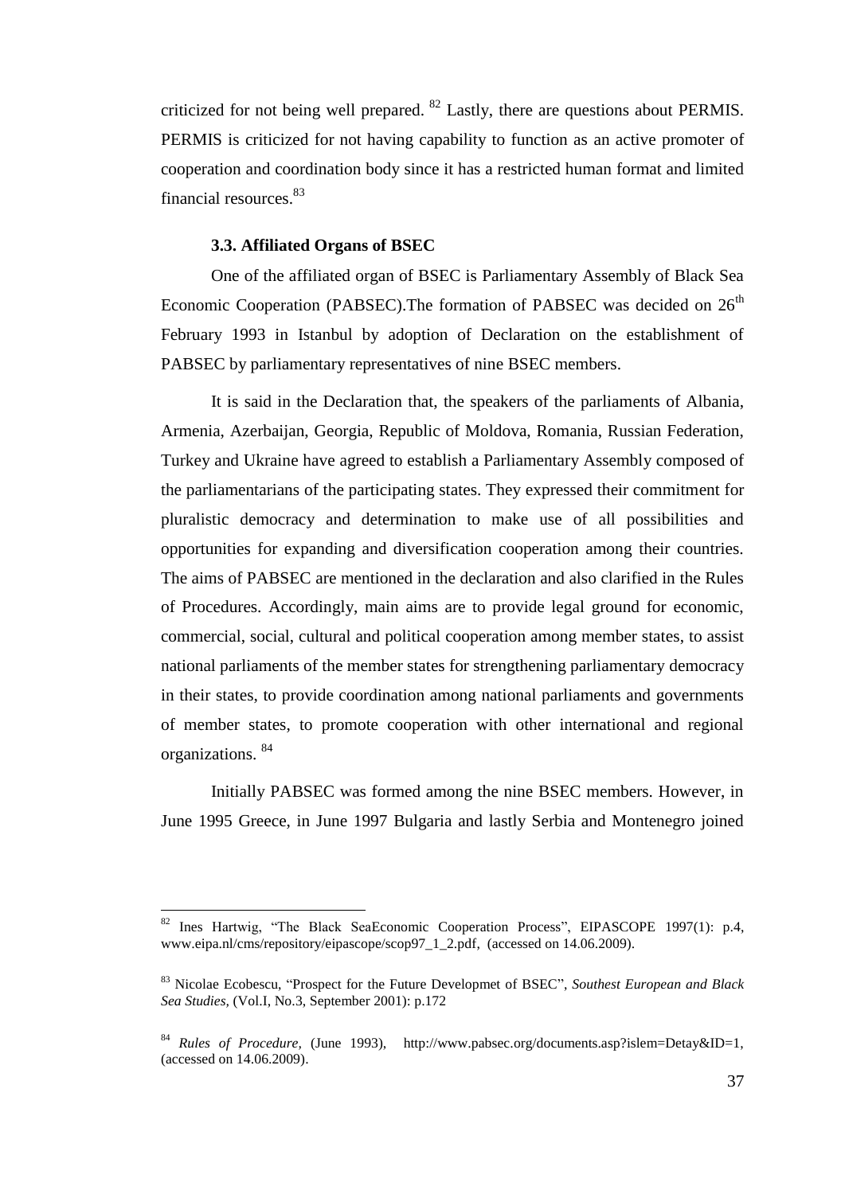criticized for not being well prepared. <sup>82</sup> Lastly, there are questions about PERMIS. PERMIS is criticized for not having capability to function as an active promoter of cooperation and coordination body since it has a restricted human format and limited financial resources.<sup>83</sup>

### **3.3. Affiliated Organs of BSEC**

 $\overline{\phantom{a}}$ 

One of the affiliated organ of BSEC is Parliamentary Assembly of Black Sea Economic Cooperation (PABSEC). The formation of PABSEC was decided on  $26<sup>th</sup>$ February 1993 in Istanbul by adoption of Declaration on the establishment of PABSEC by parliamentary representatives of nine BSEC members.

It is said in the Declaration that, the speakers of the parliaments of Albania, Armenia, Azerbaijan, Georgia, Republic of Moldova, Romania, Russian Federation, Turkey and Ukraine have agreed to establish a Parliamentary Assembly composed of the parliamentarians of the participating states. They expressed their commitment for pluralistic democracy and determination to make use of all possibilities and opportunities for expanding and diversification cooperation among their countries. The aims of PABSEC are mentioned in the declaration and also clarified in the Rules of Procedures. Accordingly, main aims are to provide legal ground for economic, commercial, social, cultural and political cooperation among member states, to assist national parliaments of the member states for strengthening parliamentary democracy in their states, to provide coordination among national parliaments and governments of member states, to promote cooperation with other international and regional organizations. <sup>84</sup>

Initially PABSEC was formed among the nine BSEC members. However, in June 1995 Greece, in June 1997 Bulgaria and lastly Serbia and Montenegro joined

<sup>82</sup> Ines Hartwig, "The Black SeaEconomic Cooperation Process", EIPASCOPE 1997(1): p.4, www.eipa.nl/cms/repository/eipascope/scop97\_1\_2.pdf, (accessed on 14.06.2009).

<sup>83</sup> Nicolae Ecobescu, "Prospect for the Future Developmet of BSEC", *Southest European and Black Sea Studies,* (Vol.I, No.3, September 2001): p.172

<sup>84</sup> *Rules of Procedure,* (June 1993), http://www.pabsec.org/documents.asp?islem=Detay&ID=1, (accessed on 14.06.2009).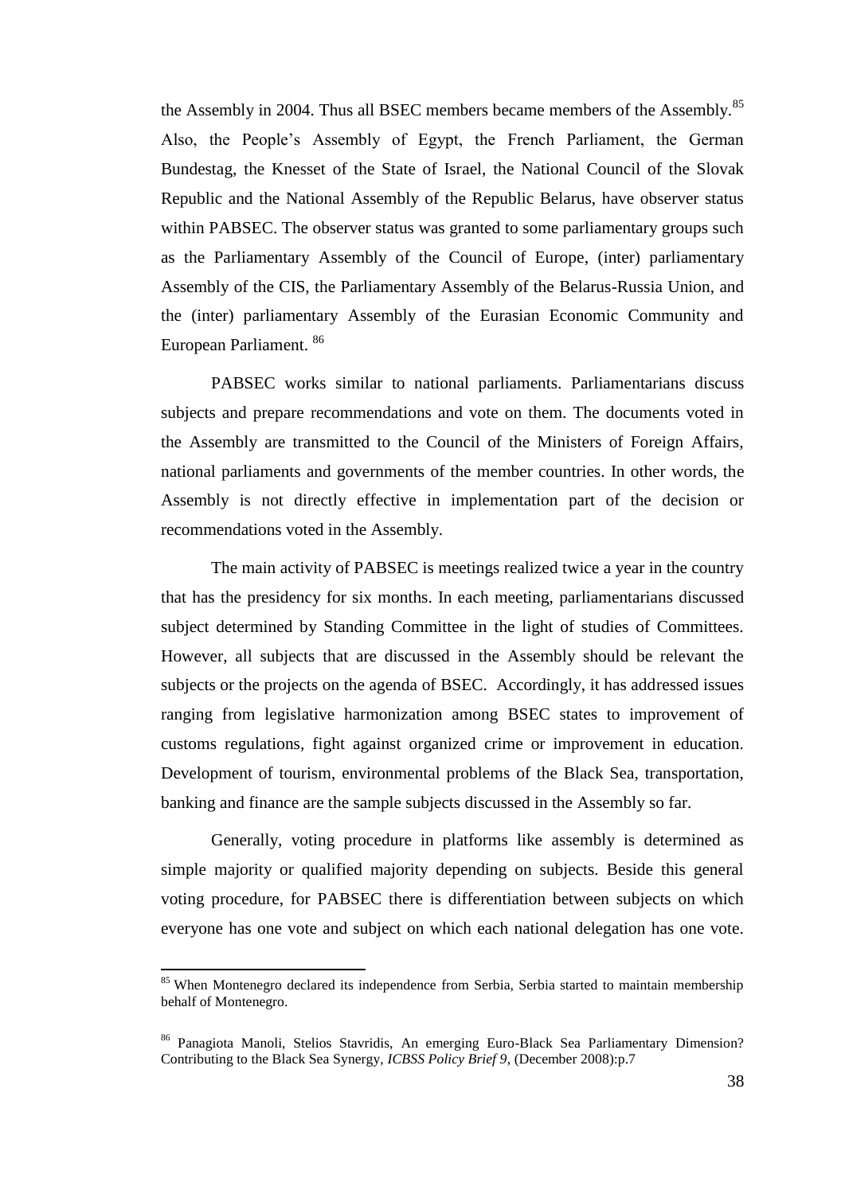the Assembly in 2004. Thus all BSEC members became members of the Assembly.<sup>85</sup> Also, the People"s Assembly of Egypt, the French Parliament, the German Bundestag, the Knesset of the State of Israel, the National Council of the Slovak Republic and the National Assembly of the Republic Belarus, have observer status within PABSEC. The observer status was granted to some parliamentary groups such as the Parliamentary Assembly of the Council of Europe, (inter) parliamentary Assembly of the CIS, the Parliamentary Assembly of the Belarus-Russia Union, and the (inter) parliamentary Assembly of the Eurasian Economic Community and European Parliament. <sup>86</sup>

PABSEC works similar to national parliaments. Parliamentarians discuss subjects and prepare recommendations and vote on them. The documents voted in the Assembly are transmitted to the Council of the Ministers of Foreign Affairs, national parliaments and governments of the member countries. In other words, the Assembly is not directly effective in implementation part of the decision or recommendations voted in the Assembly.

The main activity of PABSEC is meetings realized twice a year in the country that has the presidency for six months. In each meeting, parliamentarians discussed subject determined by Standing Committee in the light of studies of Committees. However, all subjects that are discussed in the Assembly should be relevant the subjects or the projects on the agenda of BSEC. Accordingly, it has addressed issues ranging from legislative harmonization among BSEC states to improvement of customs regulations, fight against organized crime or improvement in education. Development of tourism, environmental problems of the Black Sea, transportation, banking and finance are the sample subjects discussed in the Assembly so far.

Generally, voting procedure in platforms like assembly is determined as simple majority or qualified majority depending on subjects. Beside this general voting procedure, for PABSEC there is differentiation between subjects on which everyone has one vote and subject on which each national delegation has one vote.

<sup>&</sup>lt;sup>85</sup> When Montenegro declared its independence from Serbia, Serbia started to maintain membership behalf of Montenegro.

<sup>86</sup> Panagiota Manoli, Stelios Stavridis, An emerging Euro-Black Sea Parliamentary Dimension? Contributing to the Black Sea Synergy, *ICBSS Policy Brief 9*, (December 2008):p.7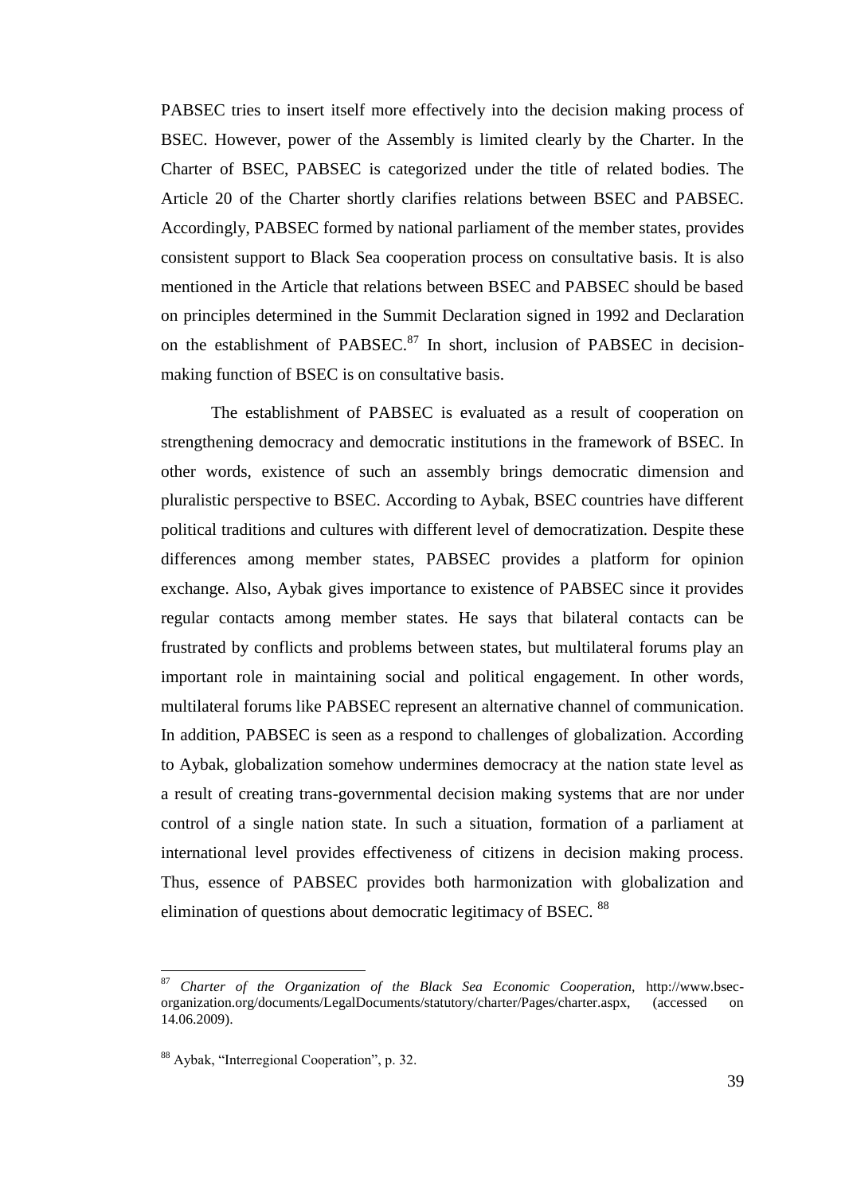PABSEC tries to insert itself more effectively into the decision making process of BSEC. However, power of the Assembly is limited clearly by the Charter. In the Charter of BSEC, PABSEC is categorized under the title of related bodies. The Article 20 of the Charter shortly clarifies relations between BSEC and PABSEC. Accordingly, PABSEC formed by national parliament of the member states, provides consistent support to Black Sea cooperation process on consultative basis*.* It is also mentioned in the Article that relations between BSEC and PABSEC should be based on principles determined in the Summit Declaration signed in 1992 and Declaration on the establishment of PABSEC. $87$  In short, inclusion of PABSEC in decisionmaking function of BSEC is on consultative basis.

The establishment of PABSEC is evaluated as a result of cooperation on strengthening democracy and democratic institutions in the framework of BSEC. In other words, existence of such an assembly brings democratic dimension and pluralistic perspective to BSEC. According to Aybak, BSEC countries have different political traditions and cultures with different level of democratization. Despite these differences among member states, PABSEC provides a platform for opinion exchange. Also, Aybak gives importance to existence of PABSEC since it provides regular contacts among member states. He says that bilateral contacts can be frustrated by conflicts and problems between states, but multilateral forums play an important role in maintaining social and political engagement. In other words, multilateral forums like PABSEC represent an alternative channel of communication. In addition, PABSEC is seen as a respond to challenges of globalization. According to Aybak, globalization somehow undermines democracy at the nation state level as a result of creating trans-governmental decision making systems that are nor under control of a single nation state. In such a situation, formation of a parliament at international level provides effectiveness of citizens in decision making process. Thus, essence of PABSEC provides both harmonization with globalization and elimination of questions about democratic legitimacy of BSEC. <sup>88</sup>

<sup>87</sup> *Charter of the Organization of the Black Sea Economic Cooperation,* http://www.bsecorganization.org/documents/LegalDocuments/statutory/charter/Pages/charter.aspx, (accessed on 14.06.2009).

<sup>88</sup> Aybak, "Interregional Cooperation", p. 32.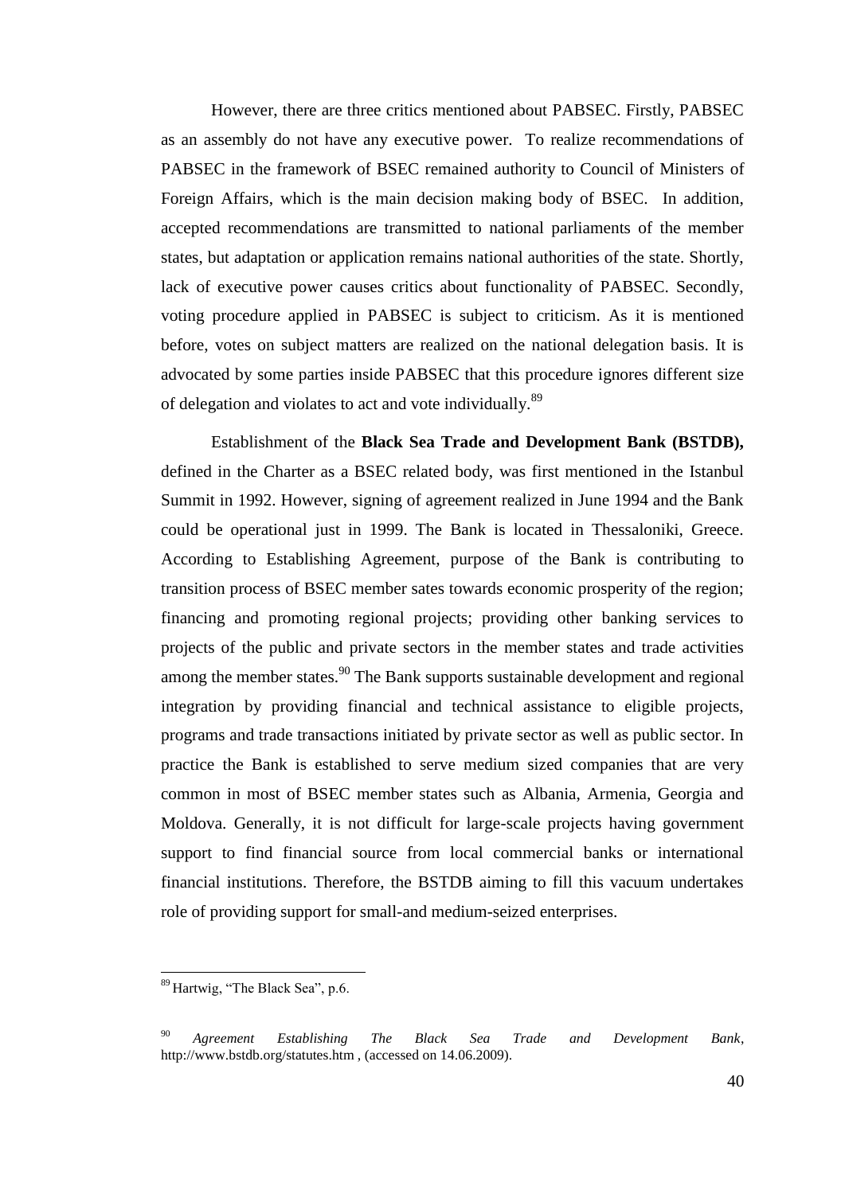However, there are three critics mentioned about PABSEC. Firstly, PABSEC as an assembly do not have any executive power. To realize recommendations of PABSEC in the framework of BSEC remained authority to Council of Ministers of Foreign Affairs, which is the main decision making body of BSEC. In addition, accepted recommendations are transmitted to national parliaments of the member states, but adaptation or application remains national authorities of the state. Shortly, lack of executive power causes critics about functionality of PABSEC. Secondly, voting procedure applied in PABSEC is subject to criticism. As it is mentioned before, votes on subject matters are realized on the national delegation basis. It is advocated by some parties inside PABSEC that this procedure ignores different size of delegation and violates to act and vote individually.<sup>89</sup>

Establishment of the **Black Sea Trade and Development Bank (BSTDB),**  defined in the Charter as a BSEC related body, was first mentioned in the Istanbul Summit in 1992. However, signing of agreement realized in June 1994 and the Bank could be operational just in 1999. The Bank is located in Thessaloniki, Greece. According to Establishing Agreement, purpose of the Bank is contributing to transition process of BSEC member sates towards economic prosperity of the region; financing and promoting regional projects; providing other banking services to projects of the public and private sectors in the member states and trade activities among the member states.<sup>90</sup> The Bank supports sustainable development and regional integration by providing financial and technical assistance to eligible projects, programs and trade transactions initiated by private sector as well as public sector. In practice the Bank is established to serve medium sized companies that are very common in most of BSEC member states such as Albania, Armenia, Georgia and Moldova. Generally, it is not difficult for large-scale projects having government support to find financial source from local commercial banks or international financial institutions. Therefore, the BSTDB aiming to fill this vacuum undertakes role of providing support for small-and medium-seized enterprises.

<sup>89</sup> Hartwig, "The Black Sea", p.6.

<sup>90</sup> *Agreement Establishing The Black Sea Trade and Development Bank*, http://www.bstdb.org/statutes.htm , (accessed on 14.06.2009).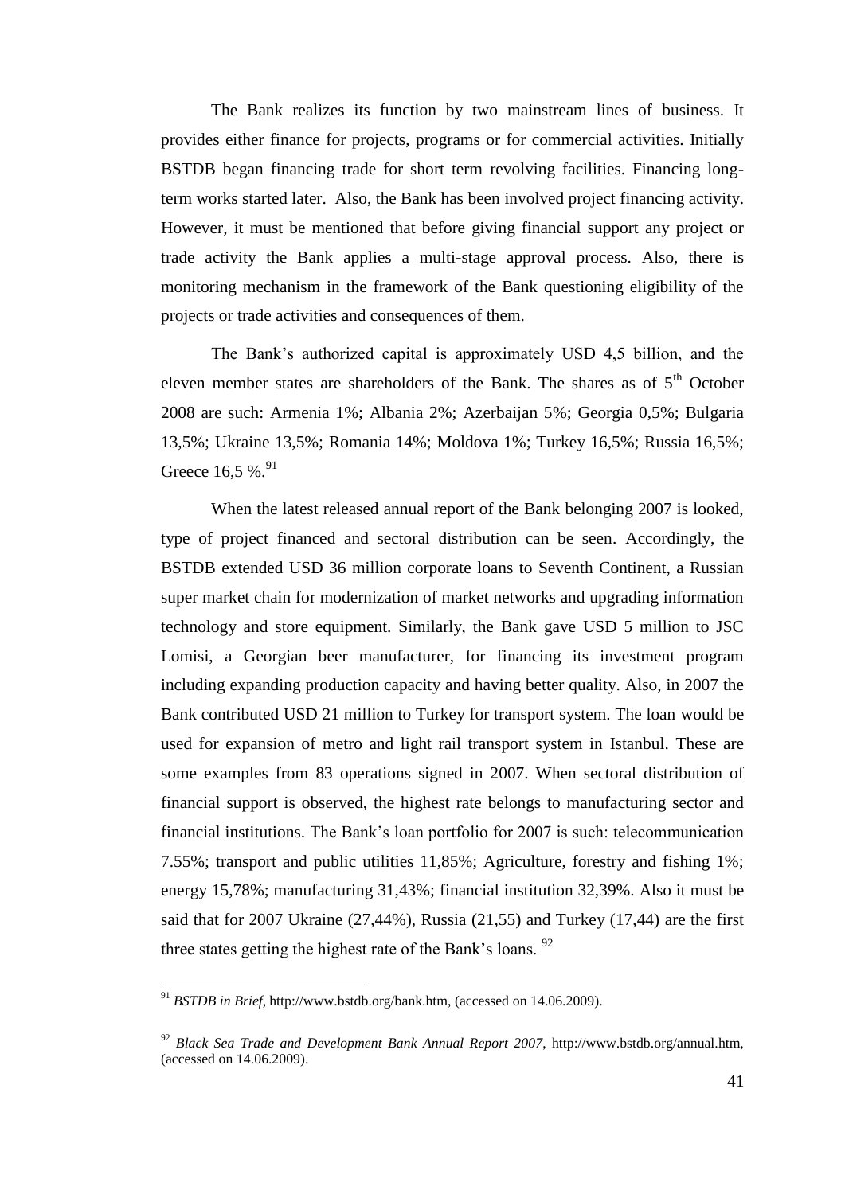The Bank realizes its function by two mainstream lines of business. It provides either finance for projects, programs or for commercial activities. Initially BSTDB began financing trade for short term revolving facilities. Financing longterm works started later. Also, the Bank has been involved project financing activity. However, it must be mentioned that before giving financial support any project or trade activity the Bank applies a multi-stage approval process. Also, there is monitoring mechanism in the framework of the Bank questioning eligibility of the projects or trade activities and consequences of them.

The Bank"s authorized capital is approximately USD 4,5 billion, and the eleven member states are shareholders of the Bank. The shares as of  $5<sup>th</sup>$  October 2008 are such: Armenia 1%; Albania 2%; Azerbaijan 5%; Georgia 0,5%; Bulgaria 13,5%; Ukraine 13,5%; Romania 14%; Moldova 1%; Turkey 16,5%; Russia 16,5%; Greece  $16,5%$ <sup>91</sup>

When the latest released annual report of the Bank belonging 2007 is looked, type of project financed and sectoral distribution can be seen. Accordingly, the BSTDB extended USD 36 million corporate loans to Seventh Continent, a Russian super market chain for modernization of market networks and upgrading information technology and store equipment. Similarly, the Bank gave USD 5 million to JSC Lomisi, a Georgian beer manufacturer, for financing its investment program including expanding production capacity and having better quality. Also, in 2007 the Bank contributed USD 21 million to Turkey for transport system. The loan would be used for expansion of metro and light rail transport system in Istanbul. These are some examples from 83 operations signed in 2007. When sectoral distribution of financial support is observed, the highest rate belongs to manufacturing sector and financial institutions. The Bank"s loan portfolio for 2007 is such: telecommunication 7.55%; transport and public utilities 11,85%; Agriculture, forestry and fishing 1%; energy 15,78%; manufacturing 31,43%; financial institution 32,39%. Also it must be said that for 2007 Ukraine (27,44%), Russia (21,55) and Turkey (17,44) are the first three states getting the highest rate of the Bank's loans. <sup>92</sup>

<sup>91</sup> *BSTDB in Brief*, http://www.bstdb.org/bank.htm, (accessed on 14.06.2009).

<sup>92</sup> *Black Sea Trade and Development Bank Annual Report 2007*, http://www.bstdb.org/annual.htm, (accessed on 14.06.2009).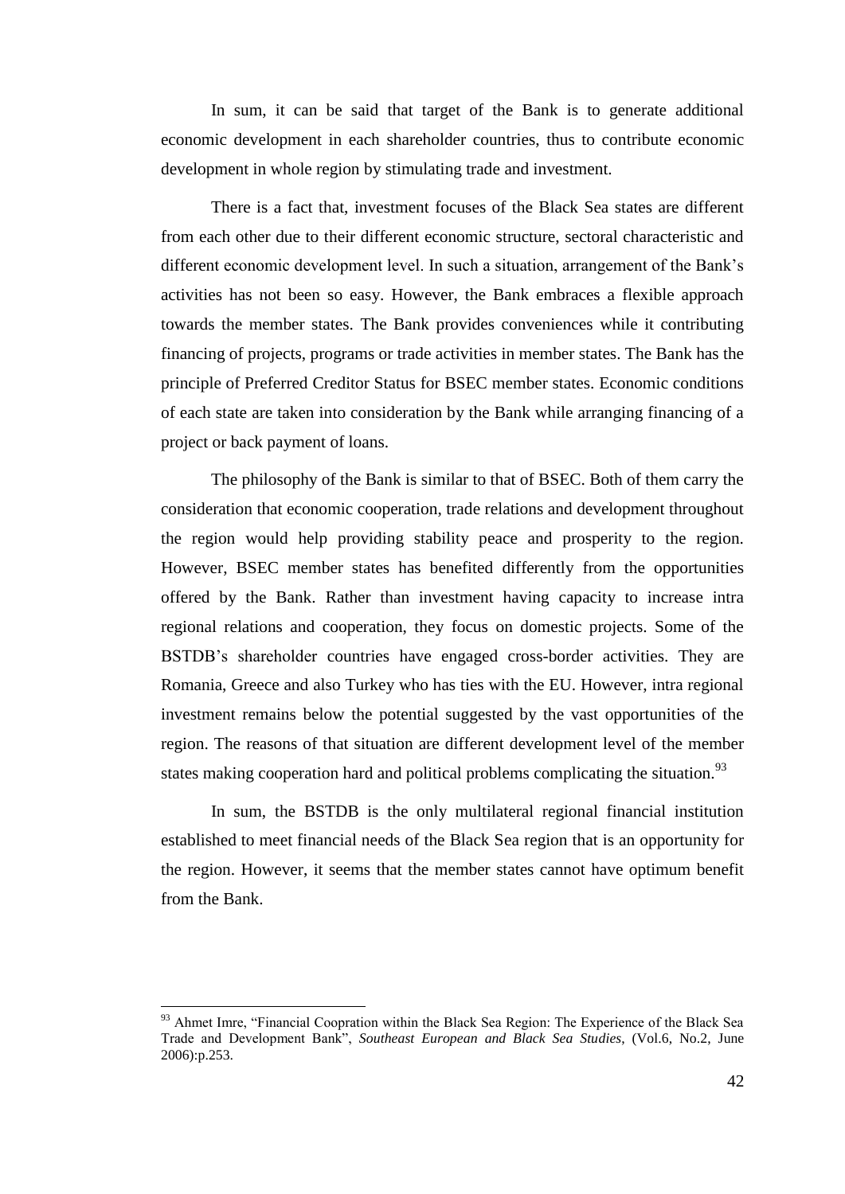In sum, it can be said that target of the Bank is to generate additional economic development in each shareholder countries, thus to contribute economic development in whole region by stimulating trade and investment.

There is a fact that, investment focuses of the Black Sea states are different from each other due to their different economic structure, sectoral characteristic and different economic development level. In such a situation, arrangement of the Bank"s activities has not been so easy. However, the Bank embraces a flexible approach towards the member states. The Bank provides conveniences while it contributing financing of projects, programs or trade activities in member states. The Bank has the principle of Preferred Creditor Status for BSEC member states. Economic conditions of each state are taken into consideration by the Bank while arranging financing of a project or back payment of loans.

The philosophy of the Bank is similar to that of BSEC. Both of them carry the consideration that economic cooperation, trade relations and development throughout the region would help providing stability peace and prosperity to the region. However, BSEC member states has benefited differently from the opportunities offered by the Bank. Rather than investment having capacity to increase intra regional relations and cooperation, they focus on domestic projects. Some of the BSTDB"s shareholder countries have engaged cross-border activities. They are Romania, Greece and also Turkey who has ties with the EU. However, intra regional investment remains below the potential suggested by the vast opportunities of the region. The reasons of that situation are different development level of the member states making cooperation hard and political problems complicating the situation.<sup>93</sup>

In sum, the BSTDB is the only multilateral regional financial institution established to meet financial needs of the Black Sea region that is an opportunity for the region. However, it seems that the member states cannot have optimum benefit from the Bank.

<sup>&</sup>lt;sup>93</sup> Ahmet Imre, "Financial Coopration within the Black Sea Region: The Experience of the Black Sea Trade and Development Bank", *Southeast European and Black Sea Studies*, (Vol.6, No.2, June 2006):p.253.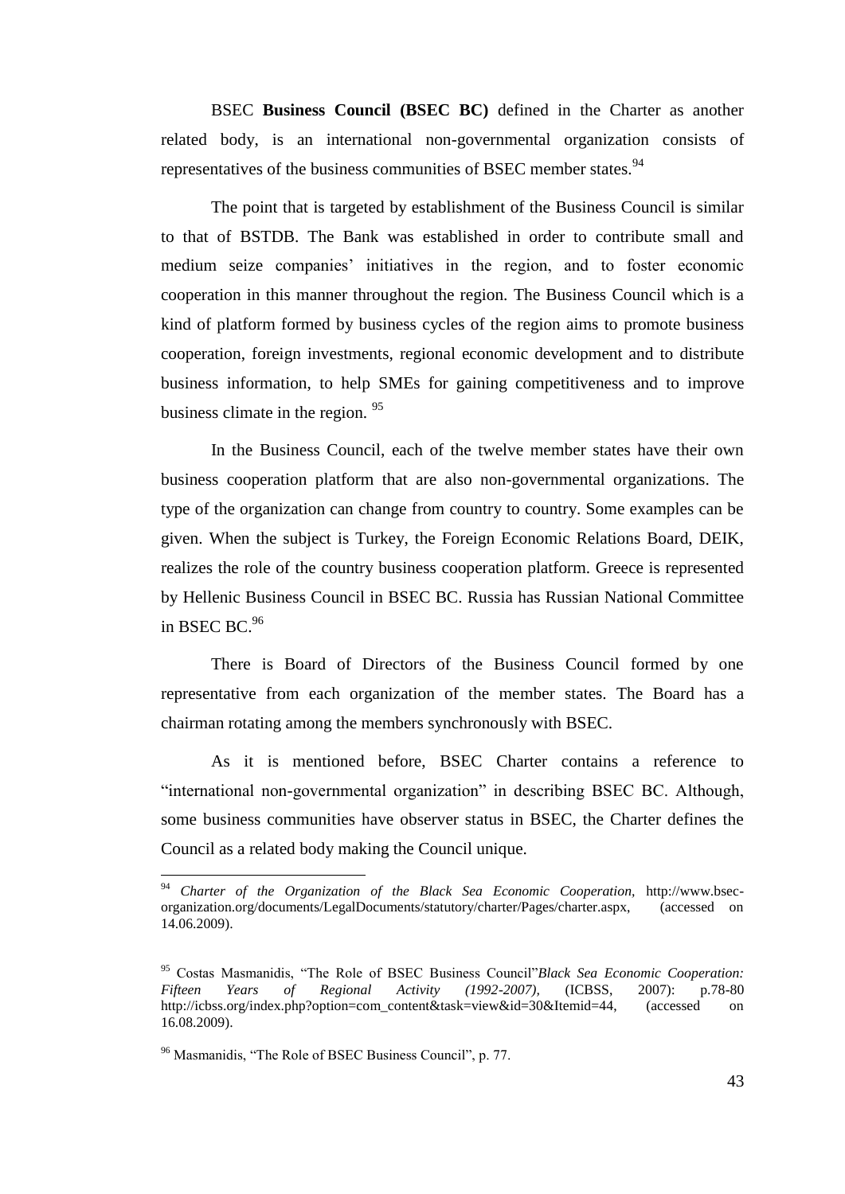BSEC **Business Council (BSEC BC)** defined in the Charter as another related body, is an international non-governmental organization consists of representatives of the business communities of BSEC member states.<sup>94</sup>

The point that is targeted by establishment of the Business Council is similar to that of BSTDB. The Bank was established in order to contribute small and medium seize companies' initiatives in the region, and to foster economic cooperation in this manner throughout the region. The Business Council which is a kind of platform formed by business cycles of the region aims to promote business cooperation, foreign investments, regional economic development and to distribute business information, to help SMEs for gaining competitiveness and to improve business climate in the region. <sup>95</sup>

In the Business Council, each of the twelve member states have their own business cooperation platform that are also non-governmental organizations. The type of the organization can change from country to country. Some examples can be given. When the subject is Turkey, the Foreign Economic Relations Board, DEIK, realizes the role of the country business cooperation platform. Greece is represented by Hellenic Business Council in BSEC BC. Russia has Russian National Committee in BSEC BC. $96$ 

There is Board of Directors of the Business Council formed by one representative from each organization of the member states. The Board has a chairman rotating among the members synchronously with BSEC.

As it is mentioned before, BSEC Charter contains a reference to "international non-governmental organization" in describing BSEC BC. Although, some business communities have observer status in BSEC, the Charter defines the Council as a related body making the Council unique.

 $\overline{a}$ 

<sup>94</sup> *Charter of the Organization of the Black Sea Economic Cooperation,* http://www.bsecorganization.org/documents/LegalDocuments/statutory/charter/Pages/charter.aspx, (accessed on 14.06.2009).

<sup>95</sup> Costas Masmanidis, "The Role of BSEC Business Council"*Black Sea Economic Cooperation: Fifteen Years of Regional Activity (1992-2007),* (ICBSS, 2007): p.78-80 http://icbss.org/index.php?option=com\_content&task=view&id=30&Itemid=44, (accessed on 16.08.2009).

<sup>96</sup> Masmanidis, "The Role of BSEC Business Council", p. 77.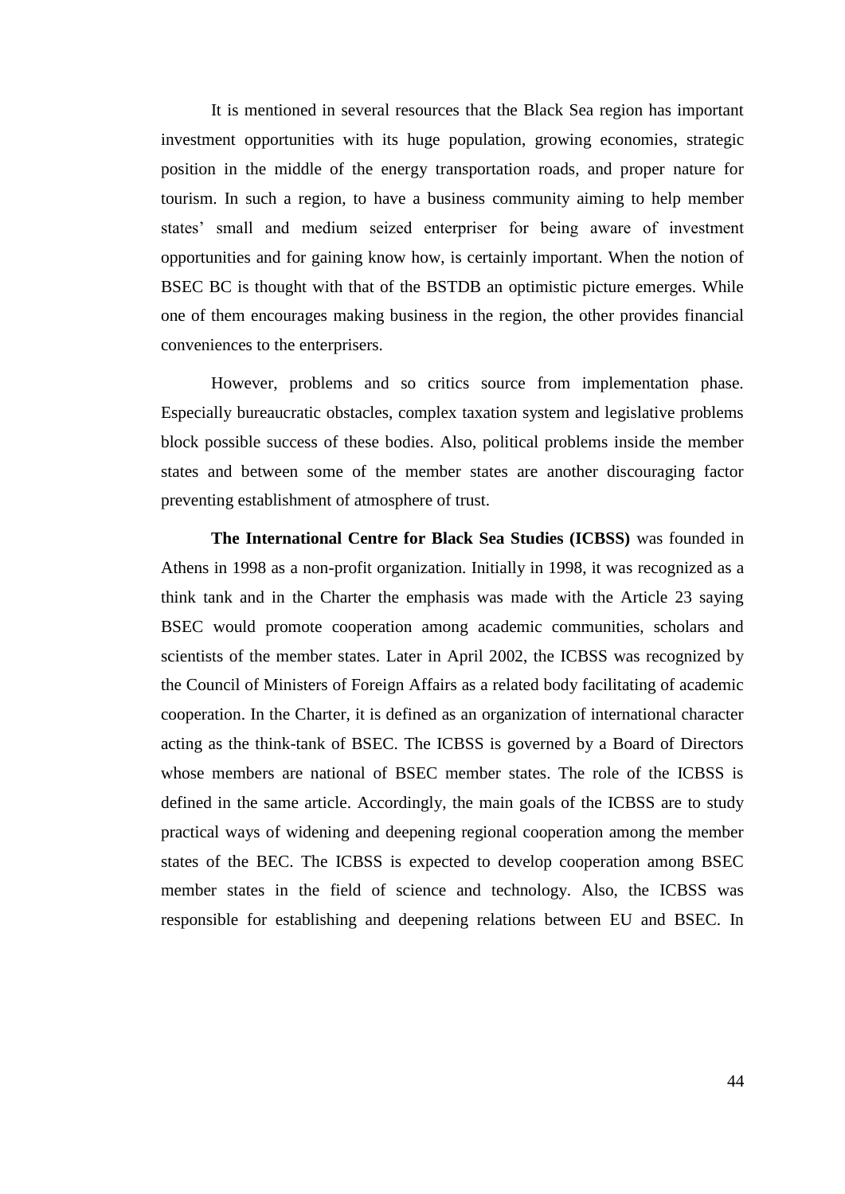It is mentioned in several resources that the Black Sea region has important investment opportunities with its huge population, growing economies, strategic position in the middle of the energy transportation roads, and proper nature for tourism. In such a region, to have a business community aiming to help member states' small and medium seized enterpriser for being aware of investment opportunities and for gaining know how, is certainly important. When the notion of BSEC BC is thought with that of the BSTDB an optimistic picture emerges. While one of them encourages making business in the region, the other provides financial conveniences to the enterprisers.

However, problems and so critics source from implementation phase. Especially bureaucratic obstacles, complex taxation system and legislative problems block possible success of these bodies. Also, political problems inside the member states and between some of the member states are another discouraging factor preventing establishment of atmosphere of trust.

**The International Centre for Black Sea Studies (ICBSS)** was founded in Athens in 1998 as a non-profit organization. Initially in 1998, it was recognized as a think tank and in the Charter the emphasis was made with the Article 23 saying BSEC would promote cooperation among academic communities, scholars and scientists of the member states. Later in April 2002, the ICBSS was recognized by the Council of Ministers of Foreign Affairs as a related body facilitating of academic cooperation. In the Charter, it is defined as an organization of international character acting as the think-tank of BSEC. The ICBSS is governed by a Board of Directors whose members are national of BSEC member states. The role of the ICBSS is defined in the same article. Accordingly, the main goals of the ICBSS are to study practical ways of widening and deepening regional cooperation among the member states of the BEC. The ICBSS is expected to develop cooperation among BSEC member states in the field of science and technology. Also, the ICBSS was responsible for establishing and deepening relations between EU and BSEC. In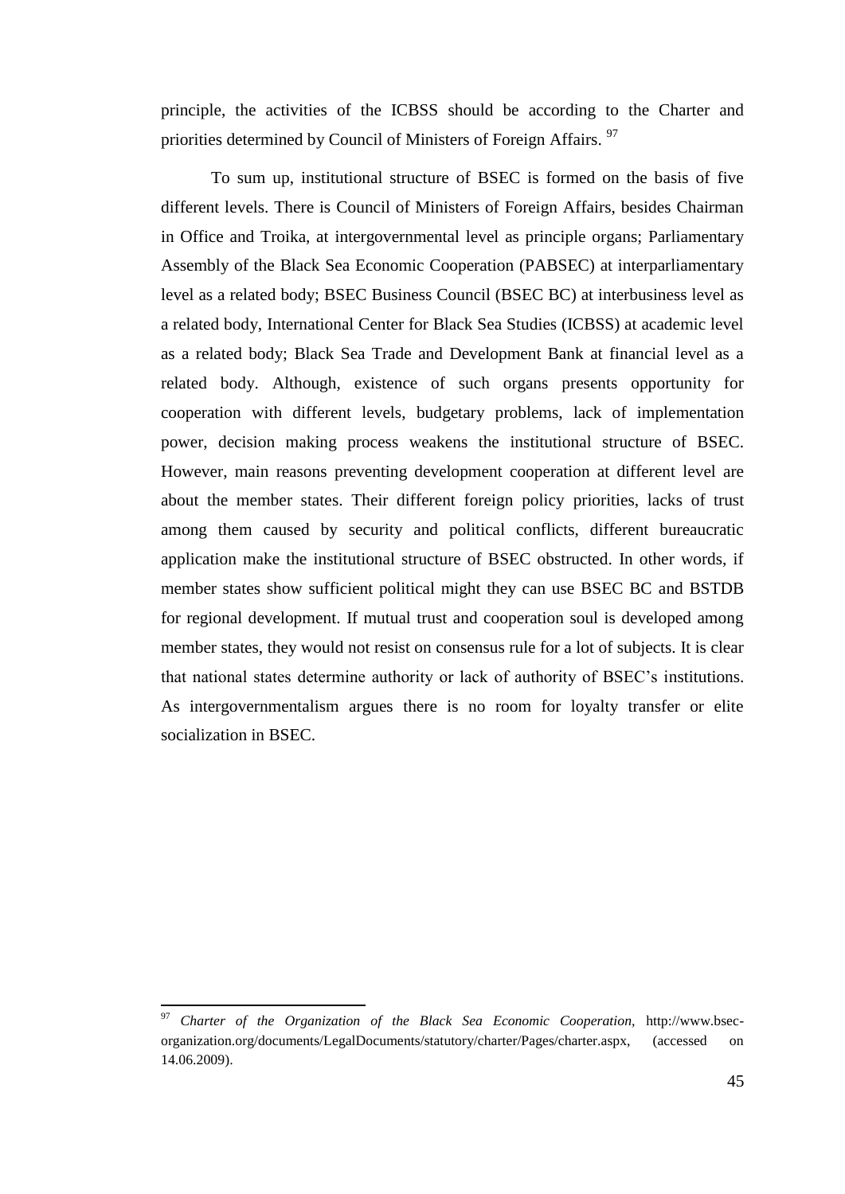principle, the activities of the ICBSS should be according to the Charter and priorities determined by Council of Ministers of Foreign Affairs.<sup>97</sup>

To sum up, institutional structure of BSEC is formed on the basis of five different levels. There is Council of Ministers of Foreign Affairs, besides Chairman in Office and Troika, at intergovernmental level as principle organs; Parliamentary Assembly of the Black Sea Economic Cooperation (PABSEC) at interparliamentary level as a related body; BSEC Business Council (BSEC BC) at interbusiness level as a related body, International Center for Black Sea Studies (ICBSS) at academic level as a related body; Black Sea Trade and Development Bank at financial level as a related body. Although, existence of such organs presents opportunity for cooperation with different levels, budgetary problems, lack of implementation power, decision making process weakens the institutional structure of BSEC. However, main reasons preventing development cooperation at different level are about the member states. Their different foreign policy priorities, lacks of trust among them caused by security and political conflicts, different bureaucratic application make the institutional structure of BSEC obstructed. In other words, if member states show sufficient political might they can use BSEC BC and BSTDB for regional development. If mutual trust and cooperation soul is developed among member states, they would not resist on consensus rule for a lot of subjects. It is clear that national states determine authority or lack of authority of BSEC"s institutions. As intergovernmentalism argues there is no room for loyalty transfer or elite socialization in BSEC.

<sup>97</sup> *Charter of the Organization of the Black Sea Economic Cooperation,* http://www.bsecorganization.org/documents/LegalDocuments/statutory/charter/Pages/charter.aspx, (accessed on 14.06.2009).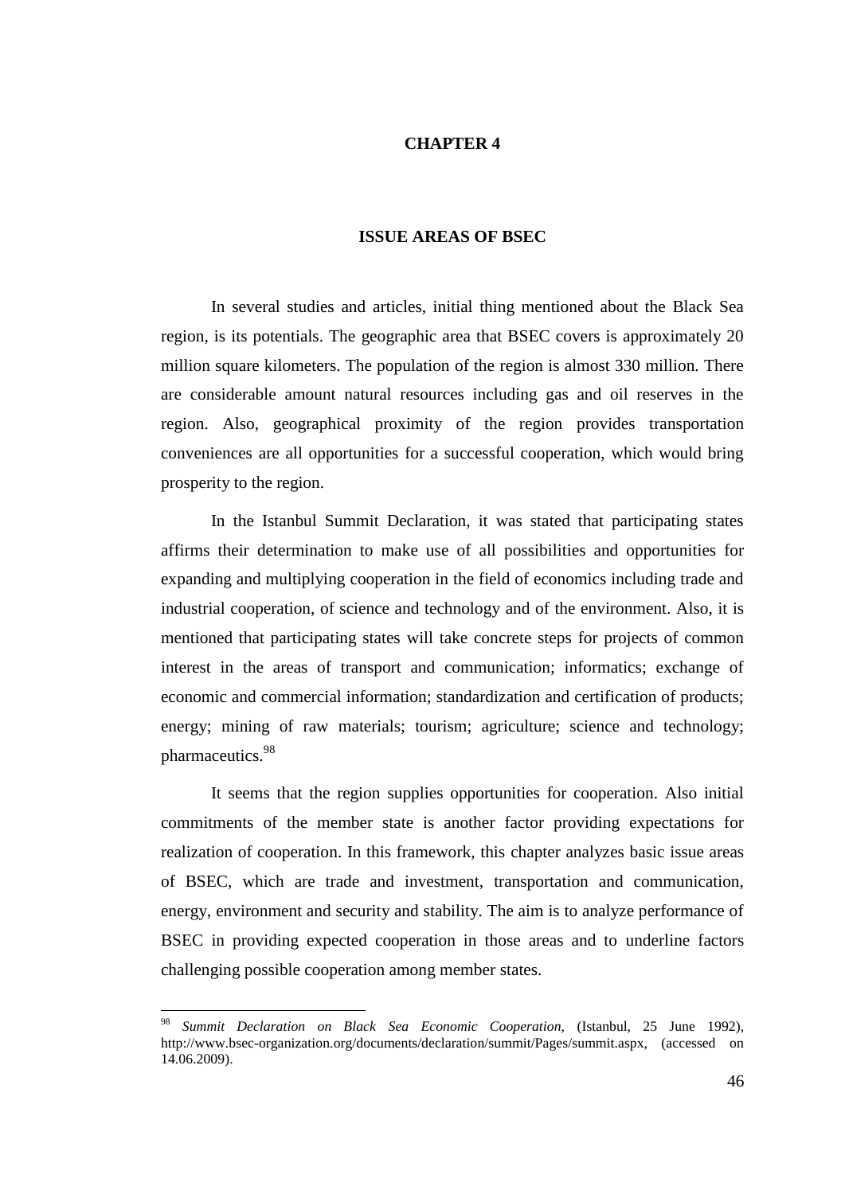## **CHAPTER 4**

### **ISSUE AREAS OF BSEC**

In several studies and articles, initial thing mentioned about the Black Sea region, is its potentials. The geographic area that BSEC covers is approximately 20 million square kilometers. The population of the region is almost 330 million. There are considerable amount natural resources including gas and oil reserves in the region. Also, geographical proximity of the region provides transportation conveniences are all opportunities for a successful cooperation, which would bring prosperity to the region.

In the Istanbul Summit Declaration, it was stated that participating states affirms their determination to make use of all possibilities and opportunities for expanding and multiplying cooperation in the field of economics including trade and industrial cooperation, of science and technology and of the environment. Also, it is mentioned that participating states will take concrete steps for projects of common interest in the areas of transport and communication; informatics; exchange of economic and commercial information; standardization and certification of products; energy; mining of raw materials; tourism; agriculture; science and technology; pharmaceutics.<sup>98</sup>

It seems that the region supplies opportunities for cooperation. Also initial commitments of the member state is another factor providing expectations for realization of cooperation. In this framework, this chapter analyzes basic issue areas of BSEC, which are trade and investment, transportation and communication, energy, environment and security and stability. The aim is to analyze performance of BSEC in providing expected cooperation in those areas and to underline factors challenging possible cooperation among member states.

<sup>98</sup> *Summit Declaration on Black Sea Economic Cooperation,* (Istanbul, 25 June 1992), http://www.bsec-organization.org/documents/declaration/summit/Pages/summit.aspx, (accessed on 14.06.2009).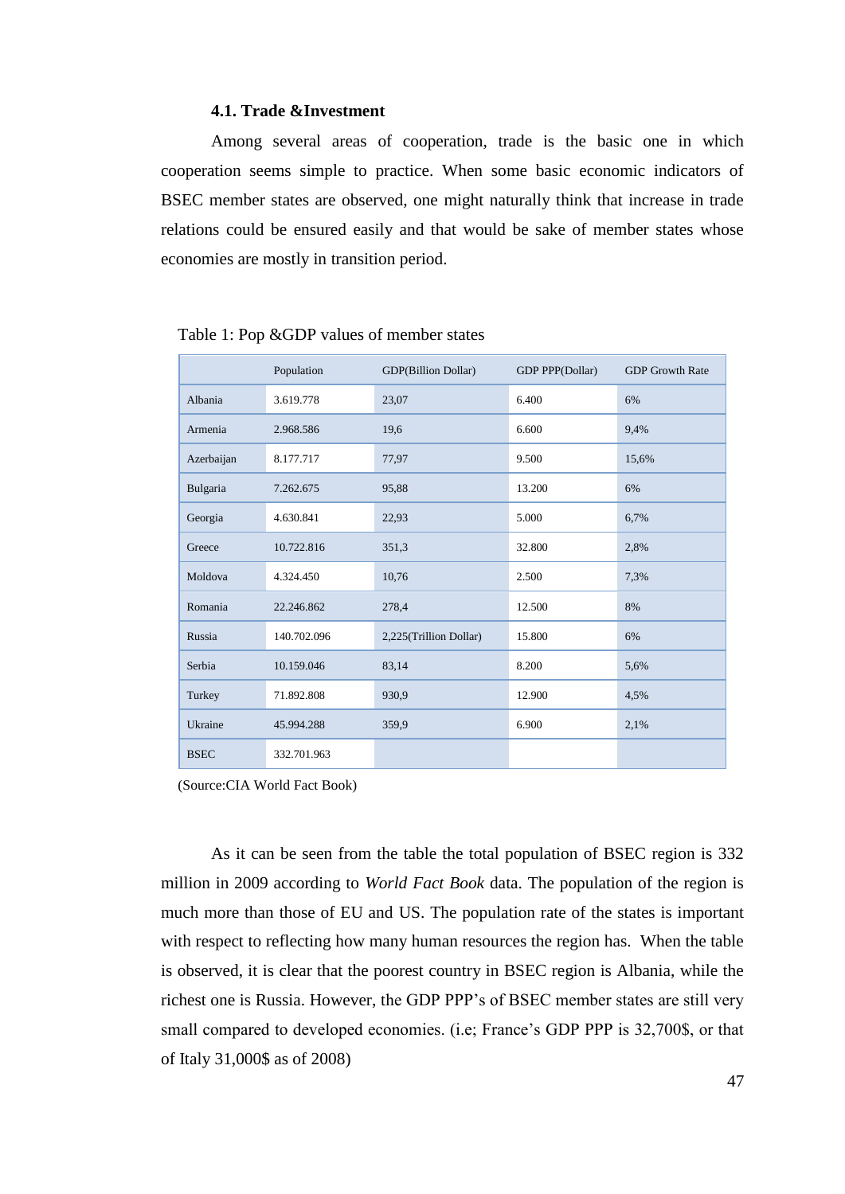# **4.1. Trade &Investment**

Among several areas of cooperation, trade is the basic one in which cooperation seems simple to practice. When some basic economic indicators of BSEC member states are observed, one might naturally think that increase in trade relations could be ensured easily and that would be sake of member states whose economies are mostly in transition period.

|             | Population  | GDP(Billion Dollar)    | GDP PPP(Dollar) | <b>GDP</b> Growth Rate |
|-------------|-------------|------------------------|-----------------|------------------------|
| Albania     | 3.619.778   | 23,07                  | 6.400           | 6%                     |
| Armenia     | 2.968.586   | 19,6                   | 6.600           | 9,4%                   |
| Azerbaijan  | 8.177.717   | 77,97                  | 9.500           | 15,6%                  |
| Bulgaria    | 7.262.675   | 95,88                  | 13.200          | 6%                     |
| Georgia     | 4.630.841   | 22,93                  | 5.000           | 6,7%                   |
| Greece      | 10.722.816  | 351,3                  | 32.800          | 2,8%                   |
| Moldova     | 4.324.450   | 10,76                  | 2.500           | 7,3%                   |
| Romania     | 22.246.862  | 278,4                  | 12.500          | 8%                     |
| Russia      | 140.702.096 | 2,225(Trillion Dollar) | 15.800          | 6%                     |
| Serbia      | 10.159.046  | 83,14                  | 8.200           | 5,6%                   |
| Turkey      | 71.892.808  | 930,9                  | 12.900          | 4,5%                   |
| Ukraine     | 45.994.288  | 359,9                  | 6.900           | 2,1%                   |
| <b>BSEC</b> | 332.701.963 |                        |                 |                        |

### Table 1: Pop &GDP values of member states

(Source:CIA World Fact Book)

As it can be seen from the table the total population of BSEC region is 332 million in 2009 according to *World Fact Book* data. The population of the region is much more than those of EU and US. The population rate of the states is important with respect to reflecting how many human resources the region has. When the table is observed, it is clear that the poorest country in BSEC region is Albania, while the richest one is Russia. However, the GDP PPP"s of BSEC member states are still very small compared to developed economies. (i.e; France's GDP PPP is 32,700\$, or that of Italy 31,000\$ as of 2008)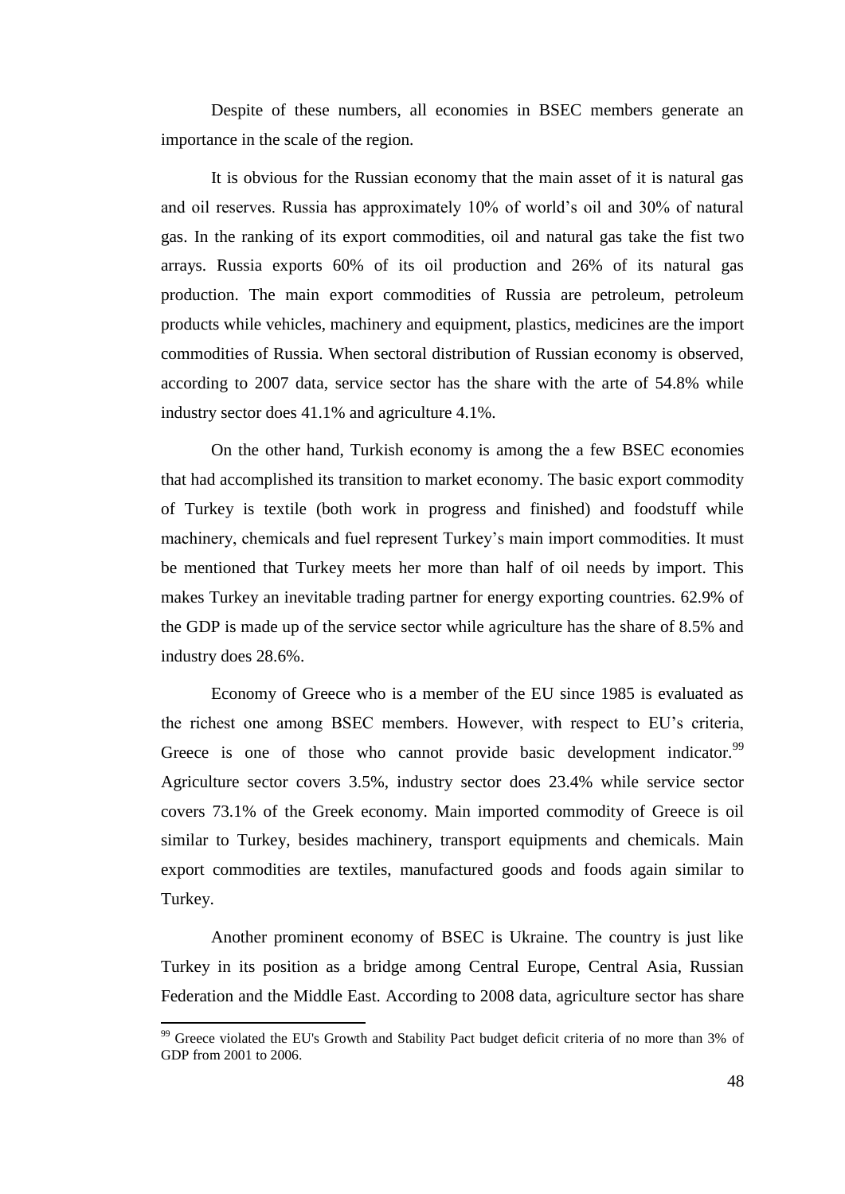Despite of these numbers, all economies in BSEC members generate an importance in the scale of the region.

It is obvious for the Russian economy that the main asset of it is natural gas and oil reserves. Russia has approximately 10% of world"s oil and 30% of natural gas. In the ranking of its export commodities, oil and natural gas take the fist two arrays. Russia exports 60% of its oil production and 26% of its natural gas production. The main export commodities of Russia are petroleum, petroleum products while vehicles, machinery and equipment, plastics, medicines are the import commodities of Russia. When sectoral distribution of Russian economy is observed, according to 2007 data, service sector has the share with the arte of 54.8% while industry sector does 41.1% and agriculture 4.1%.

On the other hand, Turkish economy is among the a few BSEC economies that had accomplished its transition to market economy. The basic export commodity of Turkey is textile (both work in progress and finished) and foodstuff while machinery, chemicals and fuel represent Turkey"s main import commodities. It must be mentioned that Turkey meets her more than half of oil needs by import. This makes Turkey an inevitable trading partner for energy exporting countries. 62.9% of the GDP is made up of the service sector while agriculture has the share of 8.5% and industry does 28.6%.

Economy of Greece who is a member of the EU since 1985 is evaluated as the richest one among BSEC members. However, with respect to EU"s criteria, Greece is one of those who cannot provide basic development indicator.<sup>99</sup> Agriculture sector covers 3.5%, industry sector does 23.4% while service sector covers 73.1% of the Greek economy. Main imported commodity of Greece is oil similar to Turkey, besides machinery, transport equipments and chemicals. Main export commodities are textiles, manufactured goods and foods again similar to Turkey.

Another prominent economy of BSEC is Ukraine. The country is just like Turkey in its position as a bridge among Central Europe, Central Asia, Russian Federation and the Middle East. According to 2008 data, agriculture sector has share

<sup>&</sup>lt;sup>99</sup> Greece violated the EU's Growth and Stability Pact budget deficit criteria of no more than 3% of GDP from 2001 to 2006.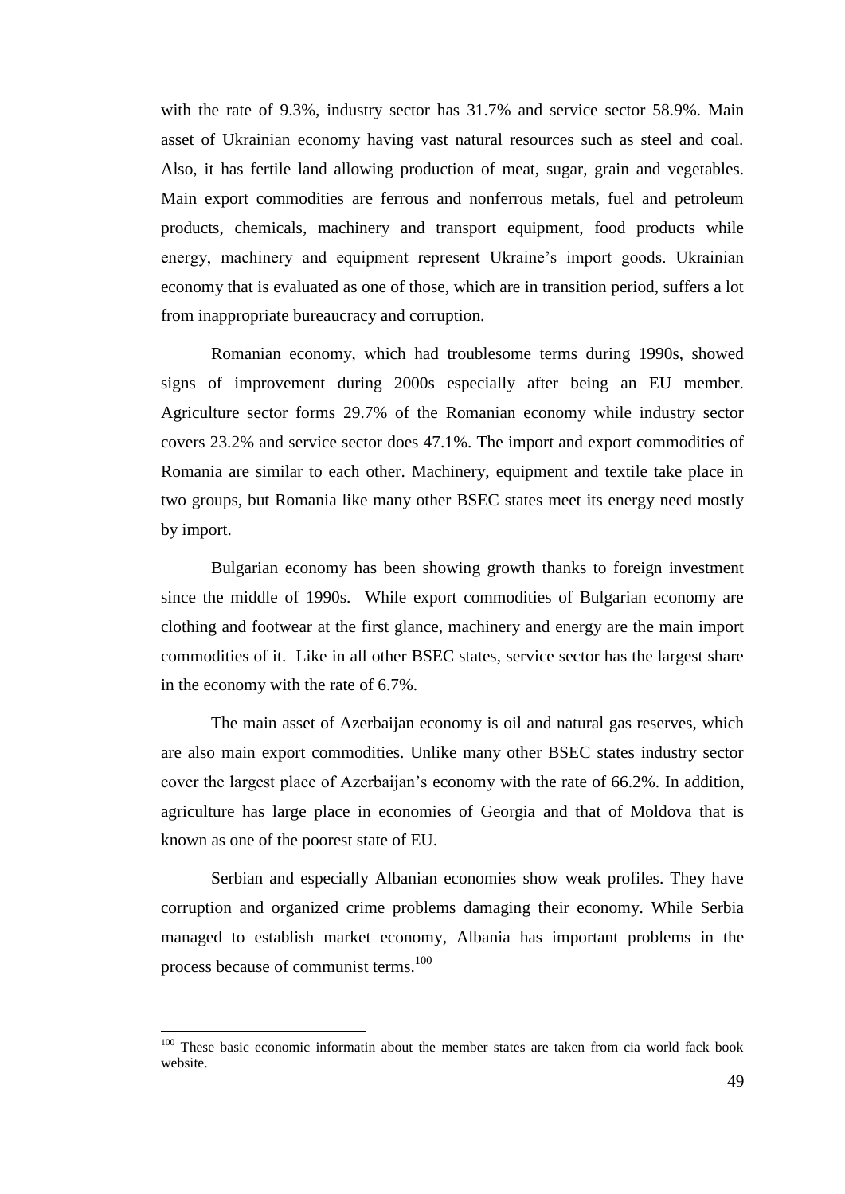with the rate of 9.3%, industry sector has 31.7% and service sector 58.9%. Main asset of Ukrainian economy having vast natural resources such as steel and coal. Also, it has fertile land allowing production of meat, sugar, grain and vegetables. Main export commodities are ferrous and nonferrous metals, fuel and petroleum products, chemicals, machinery and transport equipment, food products while energy, machinery and equipment represent Ukraine's import goods. Ukrainian economy that is evaluated as one of those, which are in transition period, suffers a lot from inappropriate bureaucracy and corruption.

Romanian economy, which had troublesome terms during 1990s, showed signs of improvement during 2000s especially after being an EU member. Agriculture sector forms 29.7% of the Romanian economy while industry sector covers 23.2% and service sector does 47.1%. The import and export commodities of Romania are similar to each other. Machinery, equipment and textile take place in two groups, but Romania like many other BSEC states meet its energy need mostly by import.

Bulgarian economy has been showing growth thanks to foreign investment since the middle of 1990s. While export commodities of Bulgarian economy are clothing and footwear at the first glance, machinery and energy are the main import commodities of it. Like in all other BSEC states, service sector has the largest share in the economy with the rate of 6.7%.

The main asset of Azerbaijan economy is oil and natural gas reserves, which are also main export commodities. Unlike many other BSEC states industry sector cover the largest place of Azerbaijan"s economy with the rate of 66.2%. In addition, agriculture has large place in economies of Georgia and that of Moldova that is known as one of the poorest state of EU.

Serbian and especially Albanian economies show weak profiles. They have corruption and organized crime problems damaging their economy. While Serbia managed to establish market economy, Albania has important problems in the process because of communist terms.<sup>100</sup>

 $100$  These basic economic informatin about the member states are taken from cia world fack book website.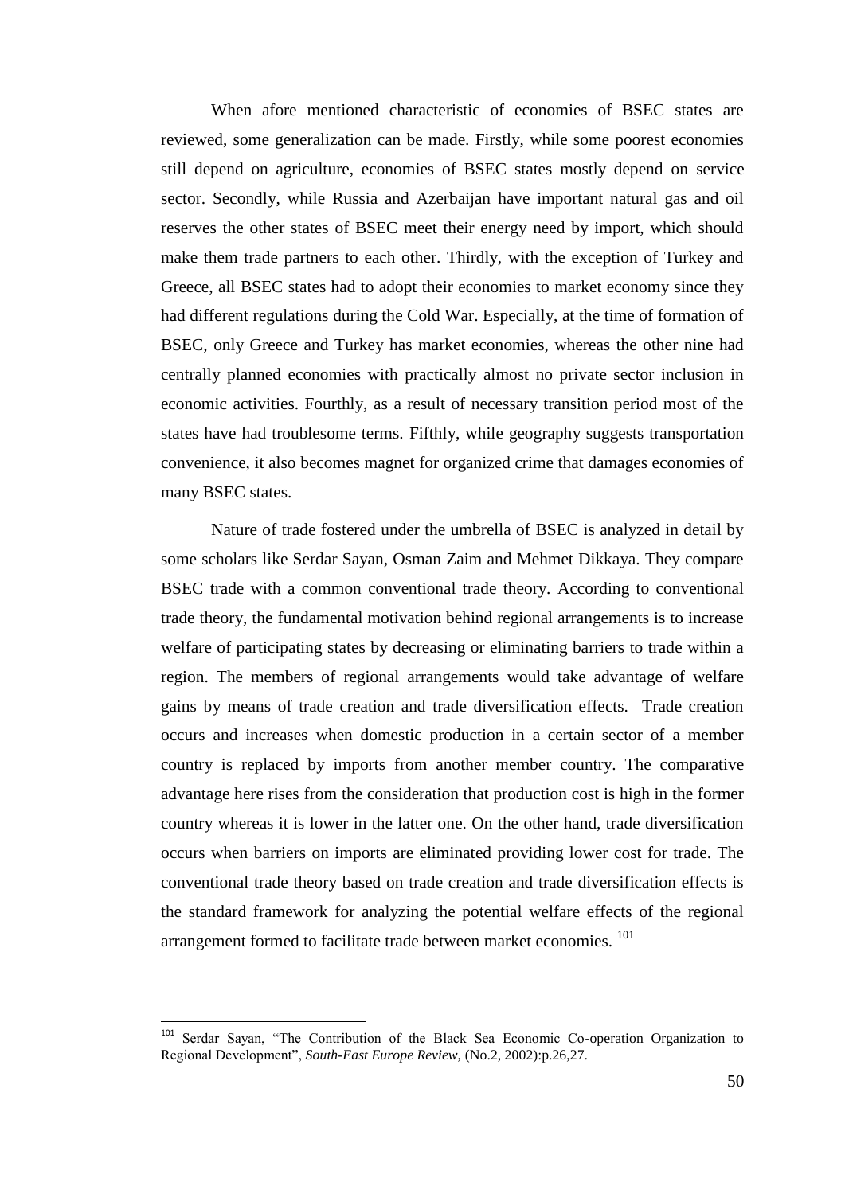When afore mentioned characteristic of economies of BSEC states are reviewed, some generalization can be made. Firstly, while some poorest economies still depend on agriculture, economies of BSEC states mostly depend on service sector. Secondly, while Russia and Azerbaijan have important natural gas and oil reserves the other states of BSEC meet their energy need by import, which should make them trade partners to each other. Thirdly, with the exception of Turkey and Greece, all BSEC states had to adopt their economies to market economy since they had different regulations during the Cold War. Especially, at the time of formation of BSEC, only Greece and Turkey has market economies, whereas the other nine had centrally planned economies with practically almost no private sector inclusion in economic activities. Fourthly, as a result of necessary transition period most of the states have had troublesome terms. Fifthly, while geography suggests transportation convenience, it also becomes magnet for organized crime that damages economies of many BSEC states.

Nature of trade fostered under the umbrella of BSEC is analyzed in detail by some scholars like Serdar Sayan, Osman Zaim and Mehmet Dikkaya. They compare BSEC trade with a common conventional trade theory. According to conventional trade theory, the fundamental motivation behind regional arrangements is to increase welfare of participating states by decreasing or eliminating barriers to trade within a region. The members of regional arrangements would take advantage of welfare gains by means of trade creation and trade diversification effects. Trade creation occurs and increases when domestic production in a certain sector of a member country is replaced by imports from another member country. The comparative advantage here rises from the consideration that production cost is high in the former country whereas it is lower in the latter one. On the other hand, trade diversification occurs when barriers on imports are eliminated providing lower cost for trade. The conventional trade theory based on trade creation and trade diversification effects is the standard framework for analyzing the potential welfare effects of the regional arrangement formed to facilitate trade between market economies. <sup>101</sup>

<sup>&</sup>lt;sup>101</sup> Serdar Sayan, "The Contribution of the Black Sea Economic Co-operation Organization to Regional Development", *South-East Europe Review,* (No.2, 2002):p.26,27.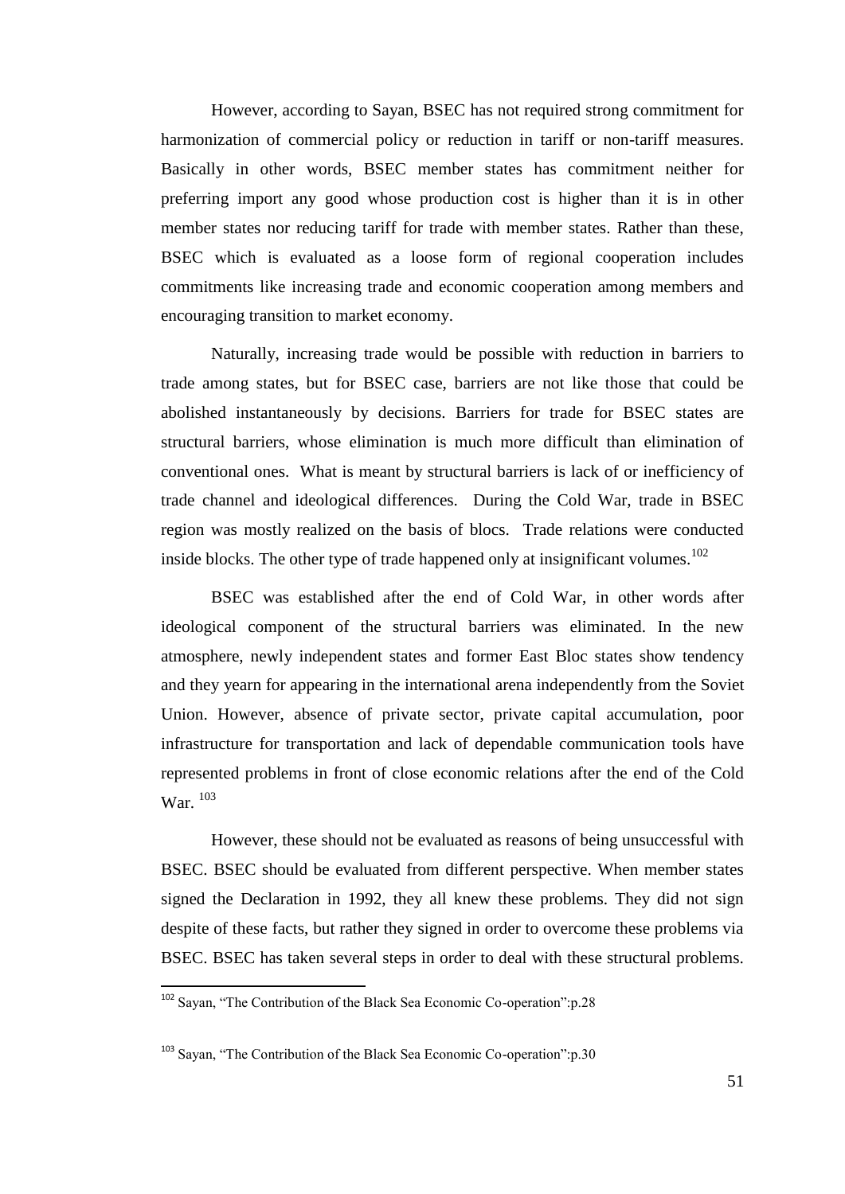However, according to Sayan, BSEC has not required strong commitment for harmonization of commercial policy or reduction in tariff or non-tariff measures. Basically in other words, BSEC member states has commitment neither for preferring import any good whose production cost is higher than it is in other member states nor reducing tariff for trade with member states. Rather than these, BSEC which is evaluated as a loose form of regional cooperation includes commitments like increasing trade and economic cooperation among members and encouraging transition to market economy.

Naturally, increasing trade would be possible with reduction in barriers to trade among states, but for BSEC case, barriers are not like those that could be abolished instantaneously by decisions. Barriers for trade for BSEC states are structural barriers, whose elimination is much more difficult than elimination of conventional ones. What is meant by structural barriers is lack of or inefficiency of trade channel and ideological differences. During the Cold War, trade in BSEC region was mostly realized on the basis of blocs. Trade relations were conducted inside blocks. The other type of trade happened only at insignificant volumes.<sup>102</sup>

BSEC was established after the end of Cold War, in other words after ideological component of the structural barriers was eliminated. In the new atmosphere, newly independent states and former East Bloc states show tendency and they yearn for appearing in the international arena independently from the Soviet Union. However, absence of private sector, private capital accumulation, poor infrastructure for transportation and lack of dependable communication tools have represented problems in front of close economic relations after the end of the Cold War.  $^{103}$ 

However, these should not be evaluated as reasons of being unsuccessful with BSEC. BSEC should be evaluated from different perspective. When member states signed the Declaration in 1992, they all knew these problems. They did not sign despite of these facts, but rather they signed in order to overcome these problems via BSEC. BSEC has taken several steps in order to deal with these structural problems.

 $\overline{a}$ 

<sup>&</sup>lt;sup>102</sup> Sayan, "The Contribution of the Black Sea Economic Co-operation":p.28

<sup>&</sup>lt;sup>103</sup> Sayan, "The Contribution of the Black Sea Economic Co-operation":p.30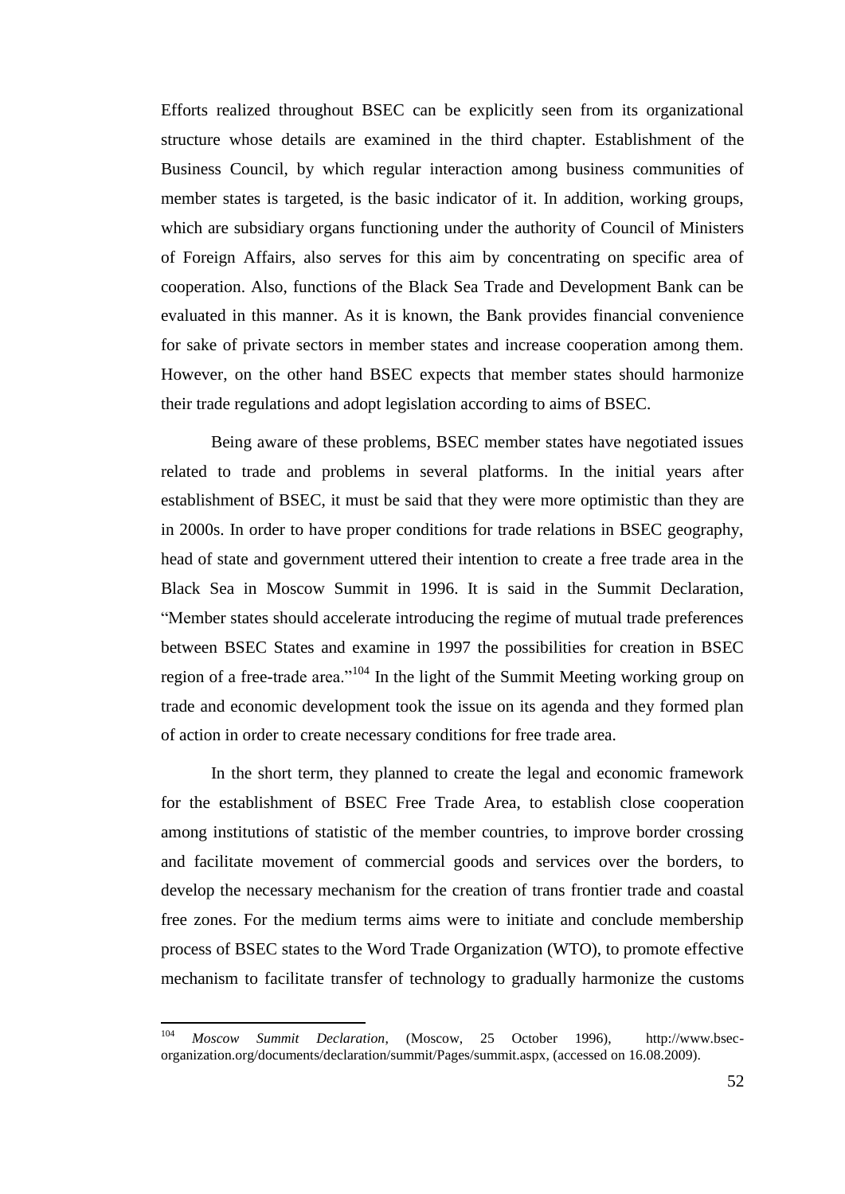Efforts realized throughout BSEC can be explicitly seen from its organizational structure whose details are examined in the third chapter. Establishment of the Business Council, by which regular interaction among business communities of member states is targeted, is the basic indicator of it. In addition, working groups, which are subsidiary organs functioning under the authority of Council of Ministers of Foreign Affairs, also serves for this aim by concentrating on specific area of cooperation. Also, functions of the Black Sea Trade and Development Bank can be evaluated in this manner. As it is known, the Bank provides financial convenience for sake of private sectors in member states and increase cooperation among them. However, on the other hand BSEC expects that member states should harmonize their trade regulations and adopt legislation according to aims of BSEC.

Being aware of these problems, BSEC member states have negotiated issues related to trade and problems in several platforms. In the initial years after establishment of BSEC, it must be said that they were more optimistic than they are in 2000s. In order to have proper conditions for trade relations in BSEC geography, head of state and government uttered their intention to create a free trade area in the Black Sea in Moscow Summit in 1996. It is said in the Summit Declaration, "Member states should accelerate introducing the regime of mutual trade preferences between BSEC States and examine in 1997 the possibilities for creation in BSEC region of a free-trade area."<sup>104</sup> In the light of the Summit Meeting working group on trade and economic development took the issue on its agenda and they formed plan of action in order to create necessary conditions for free trade area.

In the short term, they planned to create the legal and economic framework for the establishment of BSEC Free Trade Area, to establish close cooperation among institutions of statistic of the member countries, to improve border crossing and facilitate movement of commercial goods and services over the borders, to develop the necessary mechanism for the creation of trans frontier trade and coastal free zones. For the medium terms aims were to initiate and conclude membership process of BSEC states to the Word Trade Organization (WTO), to promote effective mechanism to facilitate transfer of technology to gradually harmonize the customs

<sup>104</sup> <sup>104</sup> *Moscow Summit Declaration*, (Moscow, 25 October 1996), http://www.bsecorganization.org/documents/declaration/summit/Pages/summit.aspx, (accessed on 16.08.2009).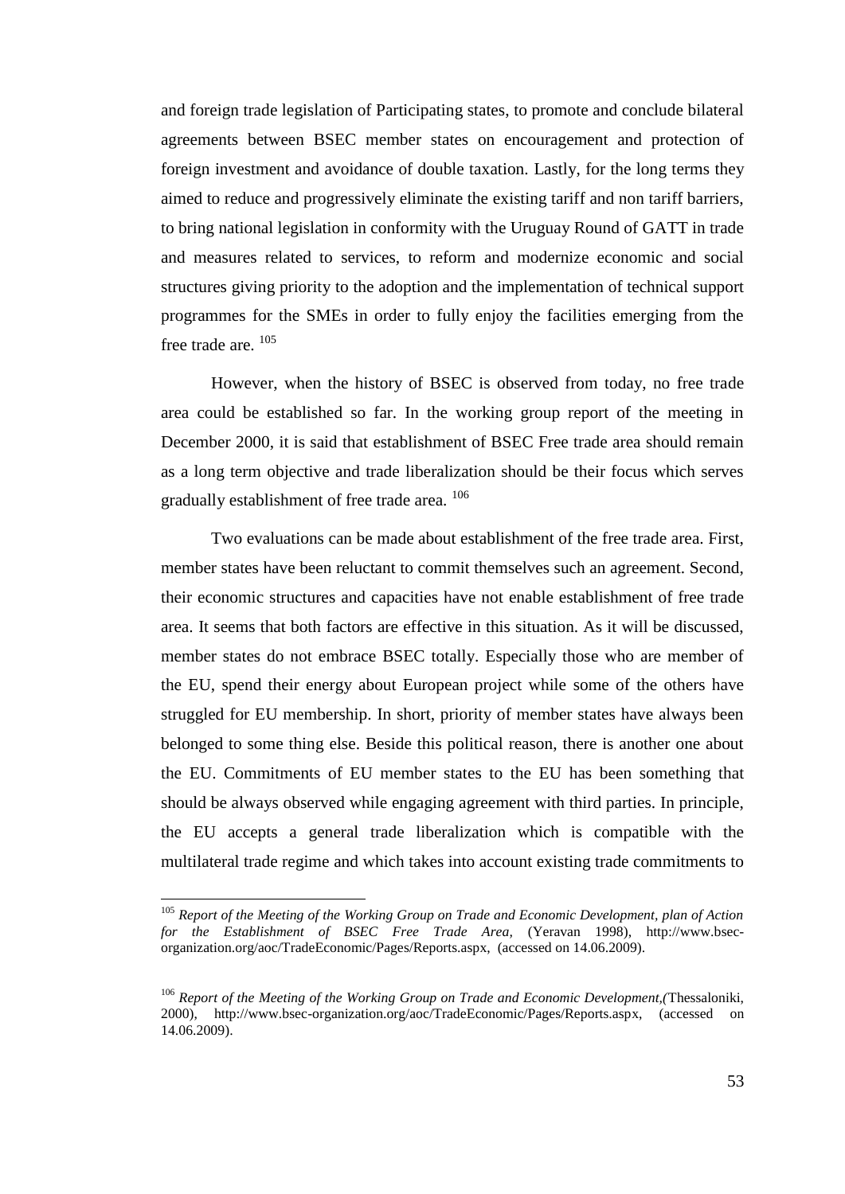and foreign trade legislation of Participating states, to promote and conclude bilateral agreements between BSEC member states on encouragement and protection of foreign investment and avoidance of double taxation. Lastly, for the long terms they aimed to reduce and progressively eliminate the existing tariff and non tariff barriers, to bring national legislation in conformity with the Uruguay Round of GATT in trade and measures related to services, to reform and modernize economic and social structures giving priority to the adoption and the implementation of technical support programmes for the SMEs in order to fully enjoy the facilities emerging from the free trade are. <sup>105</sup>

However, when the history of BSEC is observed from today, no free trade area could be established so far. In the working group report of the meeting in December 2000, it is said that establishment of BSEC Free trade area should remain as a long term objective and trade liberalization should be their focus which serves gradually establishment of free trade area.  $^{106}$ 

Two evaluations can be made about establishment of the free trade area. First, member states have been reluctant to commit themselves such an agreement. Second, their economic structures and capacities have not enable establishment of free trade area. It seems that both factors are effective in this situation. As it will be discussed, member states do not embrace BSEC totally. Especially those who are member of the EU, spend their energy about European project while some of the others have struggled for EU membership. In short, priority of member states have always been belonged to some thing else. Beside this political reason, there is another one about the EU. Commitments of EU member states to the EU has been something that should be always observed while engaging agreement with third parties. In principle, the EU accepts a general trade liberalization which is compatible with the multilateral trade regime and which takes into account existing trade commitments to

<sup>105</sup> *Report of the Meeting of the Working Group on Trade and Economic Development, plan of Action for the Establishment of BSEC Free Trade Area,* (Yeravan 1998), http://www.bsecorganization.org/aoc/TradeEconomic/Pages/Reports.aspx, (accessed on 14.06.2009).

<sup>106</sup> *Report of the Meeting of the Working Group on Trade and Economic Development,(*Thessaloniki, 2000), http://www.bsec-organization.org/aoc/TradeEconomic/Pages/Reports.aspx, (accessed on 14.06.2009).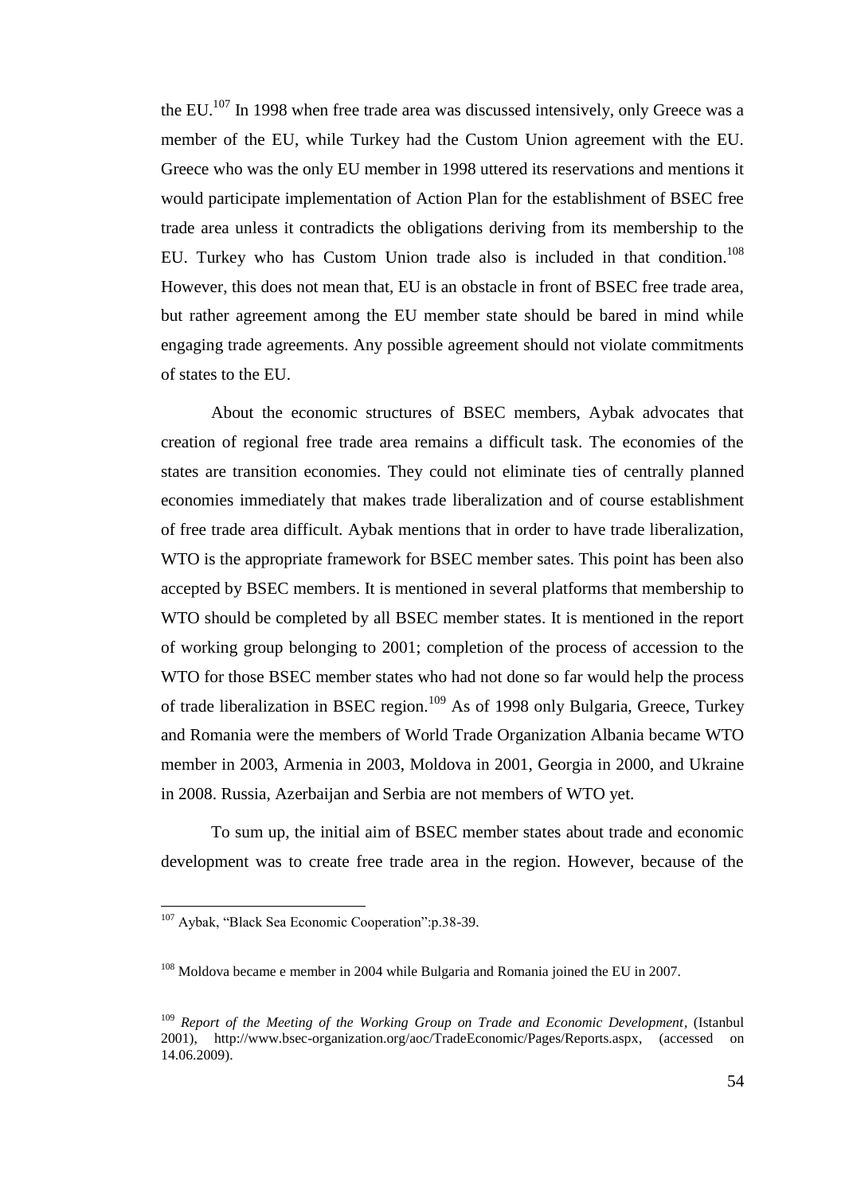the EU.<sup>107</sup> In 1998 when free trade area was discussed intensively, only Greece was a member of the EU, while Turkey had the Custom Union agreement with the EU. Greece who was the only EU member in 1998 uttered its reservations and mentions it would participate implementation of Action Plan for the establishment of BSEC free trade area unless it contradicts the obligations deriving from its membership to the EU. Turkey who has Custom Union trade also is included in that condition.<sup>108</sup> However, this does not mean that, EU is an obstacle in front of BSEC free trade area, but rather agreement among the EU member state should be bared in mind while engaging trade agreements. Any possible agreement should not violate commitments of states to the EU.

About the economic structures of BSEC members, Aybak advocates that creation of regional free trade area remains a difficult task. The economies of the states are transition economies. They could not eliminate ties of centrally planned economies immediately that makes trade liberalization and of course establishment of free trade area difficult. Aybak mentions that in order to have trade liberalization, WTO is the appropriate framework for BSEC member sates. This point has been also accepted by BSEC members. It is mentioned in several platforms that membership to WTO should be completed by all BSEC member states. It is mentioned in the report of working group belonging to 2001; completion of the process of accession to the WTO for those BSEC member states who had not done so far would help the process of trade liberalization in BSEC region.<sup>109</sup> As of 1998 only Bulgaria, Greece, Turkey and Romania were the members of World Trade Organization Albania became WTO member in 2003, Armenia in 2003, Moldova in 2001, Georgia in 2000, and Ukraine in 2008. Russia, Azerbaijan and Serbia are not members of WTO yet.

To sum up, the initial aim of BSEC member states about trade and economic development was to create free trade area in the region. However, because of the

<sup>107</sup> Aybak, "Black Sea Economic Cooperation":p.38-39.

<sup>&</sup>lt;sup>108</sup> Moldova became e member in 2004 while Bulgaria and Romania joined the EU in 2007.

<sup>109</sup> *Report of the Meeting of the Working Group on Trade and Economic Development*, (Istanbul 2001), http://www.bsec-organization.org/aoc/TradeEconomic/Pages/Reports.aspx, (accessed on 14.06.2009).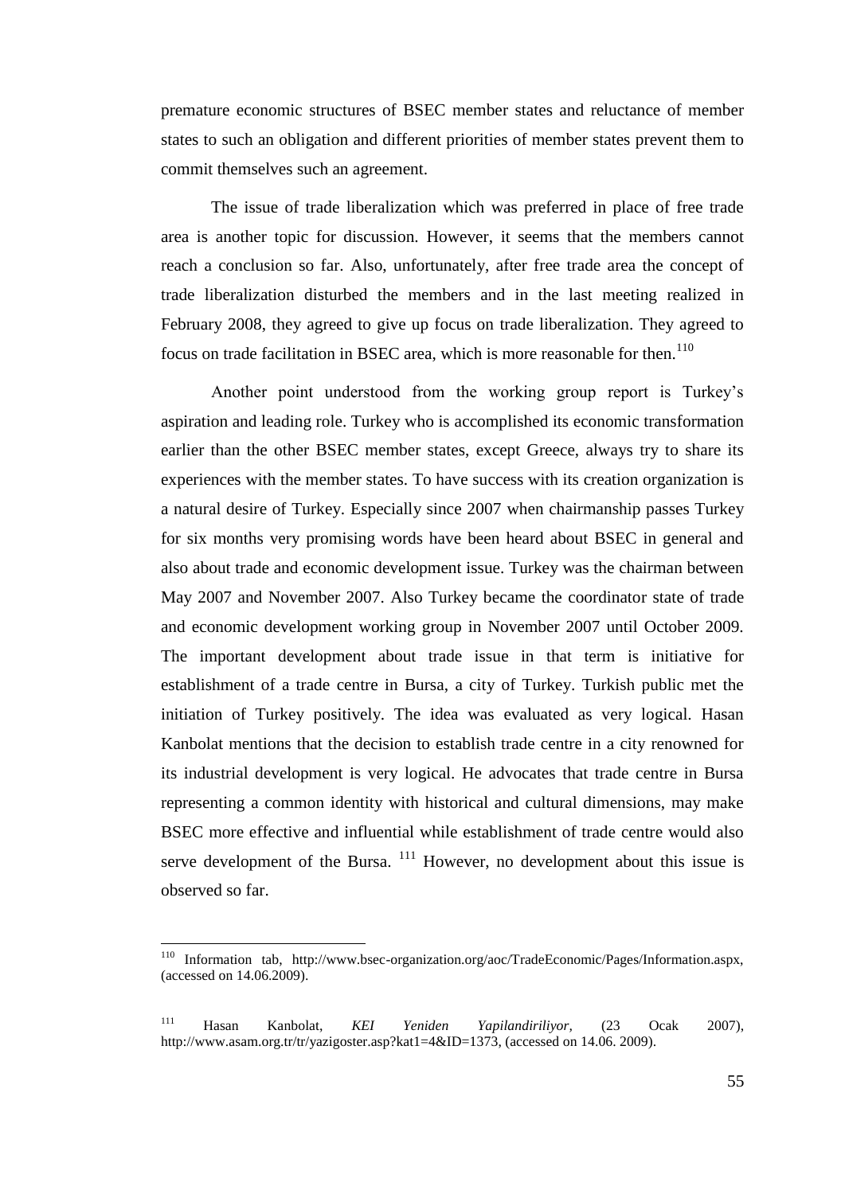premature economic structures of BSEC member states and reluctance of member states to such an obligation and different priorities of member states prevent them to commit themselves such an agreement.

The issue of trade liberalization which was preferred in place of free trade area is another topic for discussion. However, it seems that the members cannot reach a conclusion so far. Also, unfortunately, after free trade area the concept of trade liberalization disturbed the members and in the last meeting realized in February 2008, they agreed to give up focus on trade liberalization. They agreed to focus on trade facilitation in BSEC area, which is more reasonable for then.<sup>110</sup>

Another point understood from the working group report is Turkey"s aspiration and leading role. Turkey who is accomplished its economic transformation earlier than the other BSEC member states, except Greece, always try to share its experiences with the member states. To have success with its creation organization is a natural desire of Turkey. Especially since 2007 when chairmanship passes Turkey for six months very promising words have been heard about BSEC in general and also about trade and economic development issue. Turkey was the chairman between May 2007 and November 2007. Also Turkey became the coordinator state of trade and economic development working group in November 2007 until October 2009. The important development about trade issue in that term is initiative for establishment of a trade centre in Bursa, a city of Turkey. Turkish public met the initiation of Turkey positively. The idea was evaluated as very logical. Hasan Kanbolat mentions that the decision to establish trade centre in a city renowned for its industrial development is very logical. He advocates that trade centre in Bursa representing a common identity with historical and cultural dimensions, may make BSEC more effective and influential while establishment of trade centre would also serve development of the Bursa. <sup>111</sup> However, no development about this issue is observed so far.

 $\overline{a}$ 

<sup>&</sup>lt;sup>110</sup> Information tab, http://www.bsec-organization.org/aoc/TradeEconomic/Pages/Information.aspx, (accessed on 14.06.2009).

<sup>111</sup> Hasan Kanbolat, *KEI Yeniden Yapilandiriliyor,* (23 Ocak 2007), http://www.asam.org.tr/tr/yazigoster.asp?kat1=4&ID=1373, (accessed on 14.06. 2009).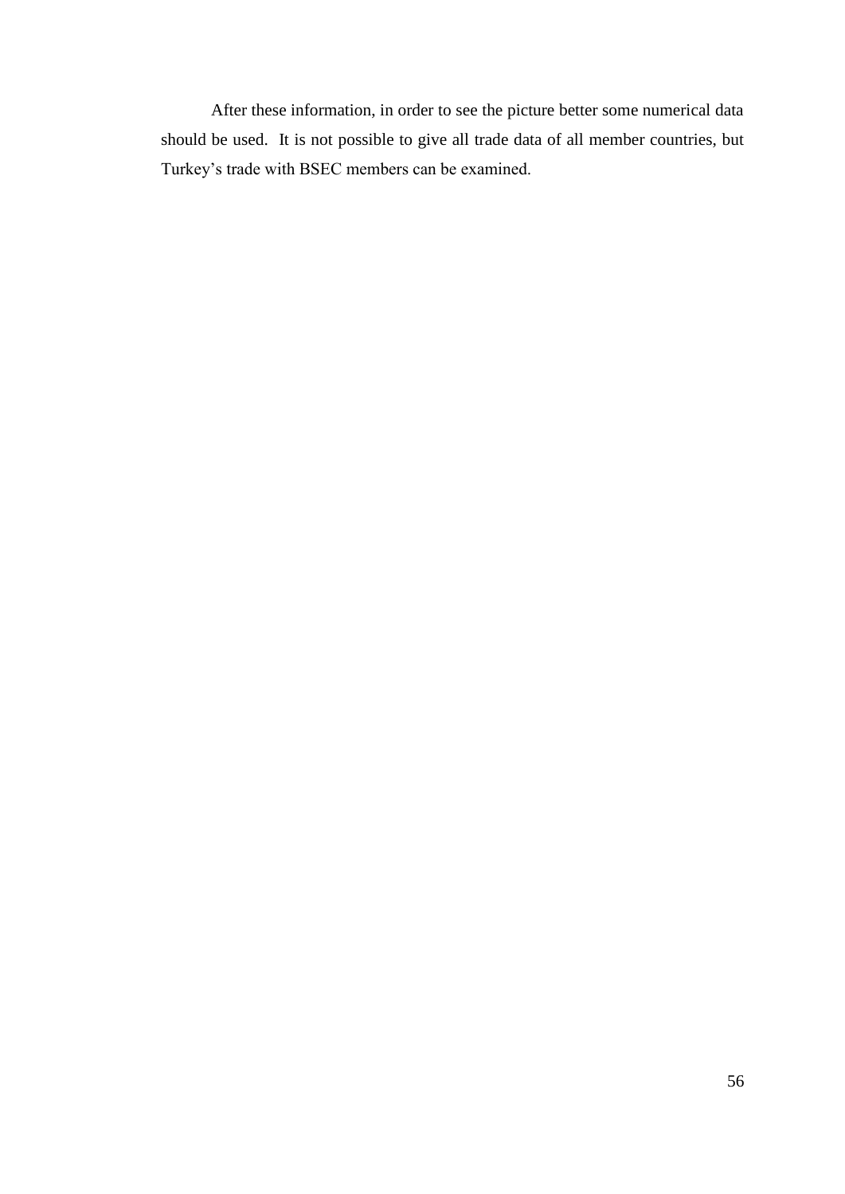After these information, in order to see the picture better some numerical data should be used. It is not possible to give all trade data of all member countries, but Turkey"s trade with BSEC members can be examined.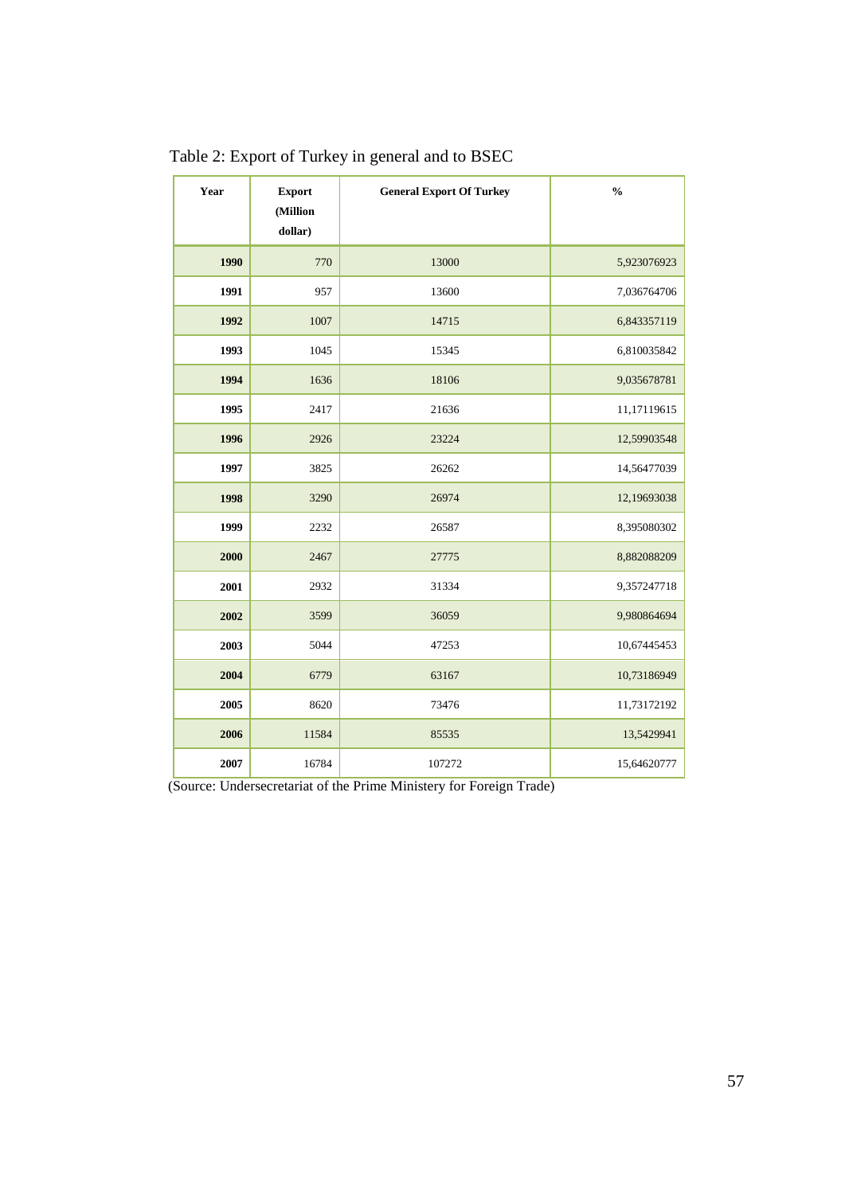| Year | <b>Export</b><br>(Million<br>dollar) | <b>General Export Of Turkey</b> | $\frac{0}{0}$ |
|------|--------------------------------------|---------------------------------|---------------|
| 1990 | 770                                  | 13000                           | 5,923076923   |
| 1991 | 957                                  | 13600                           | 7,036764706   |
| 1992 | 1007                                 | 14715                           | 6,843357119   |
| 1993 | 1045                                 | 15345                           | 6,810035842   |
| 1994 | 1636                                 | 18106                           | 9,035678781   |
| 1995 | 2417                                 | 21636                           | 11,17119615   |
| 1996 | 2926                                 | 23224                           | 12,59903548   |
| 1997 | 3825                                 | 26262                           | 14,56477039   |
| 1998 | 3290                                 | 26974                           | 12,19693038   |
| 1999 | 2232                                 | 26587                           | 8,395080302   |
| 2000 | 2467                                 | 27775                           | 8,882088209   |
| 2001 | 2932                                 | 31334                           | 9,357247718   |
| 2002 | 3599                                 | 36059                           | 9,980864694   |
| 2003 | 5044                                 | 47253                           | 10,67445453   |
| 2004 | 6779                                 | 63167                           | 10,73186949   |
| 2005 | 8620                                 | 73476                           | 11,73172192   |
| 2006 | 11584                                | 85535                           | 13,5429941    |
| 2007 | 16784                                | 107272                          | 15,64620777   |

Table 2: Export of Turkey in general and to BSEC

Î.

(Source: Undersecretariat of the Prime Ministery for Foreign Trade)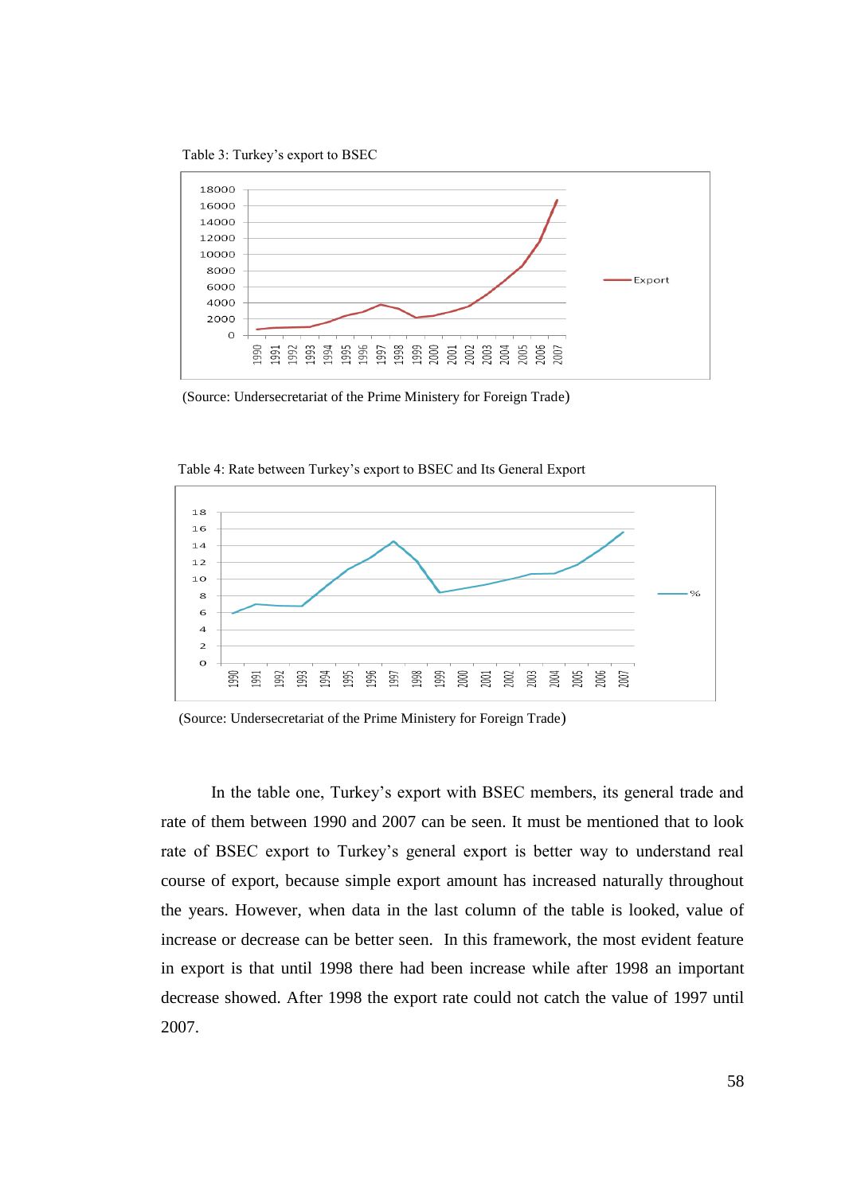Table 3: Turkey"s export to BSEC



(Source: Undersecretariat of the Prime Ministery for Foreign Trade)



Table 4: Rate between Turkey"s export to BSEC and Its General Export

(Source: Undersecretariat of the Prime Ministery for Foreign Trade)

In the table one, Turkey's export with BSEC members, its general trade and rate of them between 1990 and 2007 can be seen. It must be mentioned that to look rate of BSEC export to Turkey's general export is better way to understand real course of export, because simple export amount has increased naturally throughout the years. However, when data in the last column of the table is looked, value of increase or decrease can be better seen. In this framework, the most evident feature in export is that until 1998 there had been increase while after 1998 an important decrease showed. After 1998 the export rate could not catch the value of 1997 until 2007.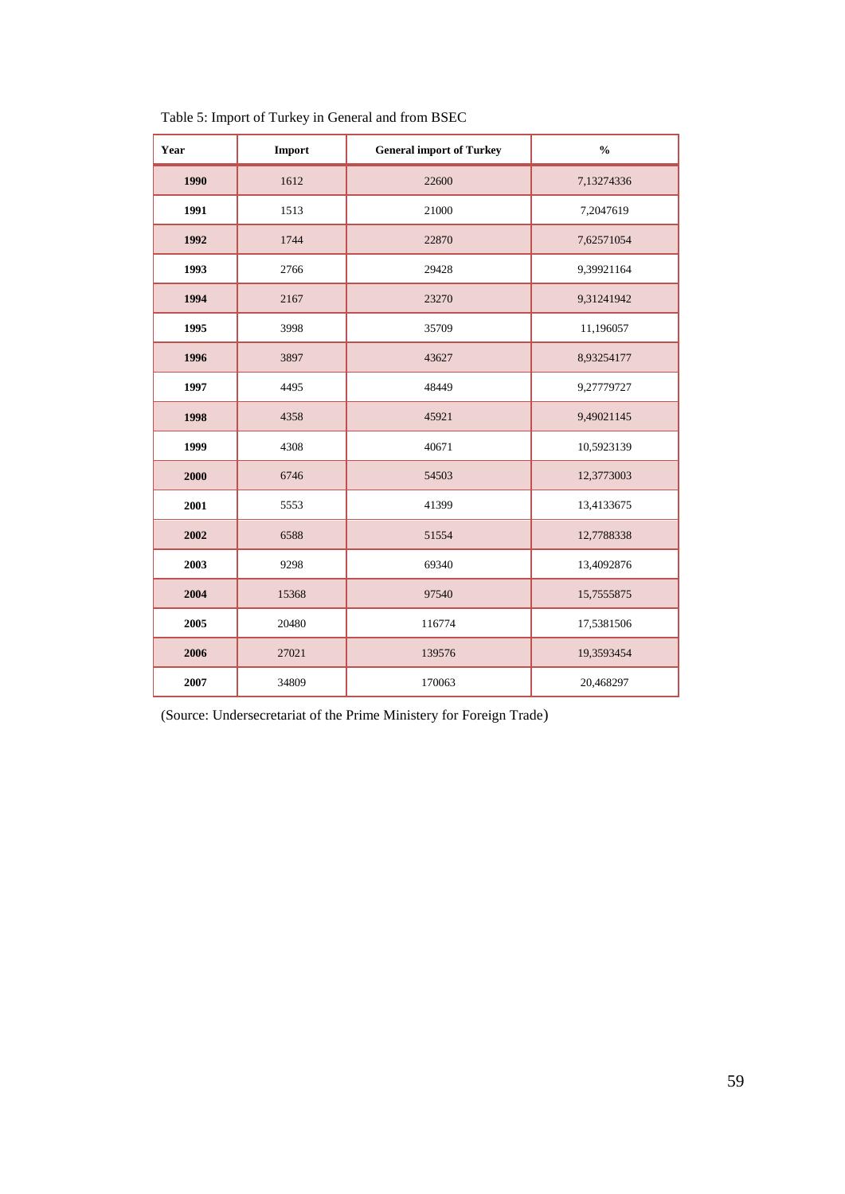| Year | <b>Import</b> | <b>General import of Turkey</b> | $\frac{0}{0}$ |
|------|---------------|---------------------------------|---------------|
| 1990 | 1612          | 22600                           | 7,13274336    |
| 1991 | 1513          | 21000                           | 7,2047619     |
| 1992 | 1744          | 22870                           | 7,62571054    |
| 1993 | 2766          | 29428                           | 9,39921164    |
| 1994 | 2167          | 23270                           | 9,31241942    |
| 1995 | 3998          | 35709                           | 11,196057     |
| 1996 | 3897          | 43627                           | 8,93254177    |
| 1997 | 4495          | 48449                           | 9,27779727    |
| 1998 | 4358          | 45921                           | 9,49021145    |
| 1999 | 4308          | 40671                           | 10,5923139    |
| 2000 | 6746          | 54503                           | 12,3773003    |
| 2001 | 5553          | 41399                           | 13,4133675    |
| 2002 | 6588          | 51554                           | 12,7788338    |
| 2003 | 9298          | 69340                           | 13,4092876    |
| 2004 | 15368         | 97540                           | 15,7555875    |
| 2005 | 20480         | 116774                          | 17,5381506    |
| 2006 | 27021         | 139576                          | 19,3593454    |
| 2007 | 34809         | 170063                          | 20,468297     |

Table 5: Import of Turkey in General and from BSEC

(Source: Undersecretariat of the Prime Ministery for Foreign Trade)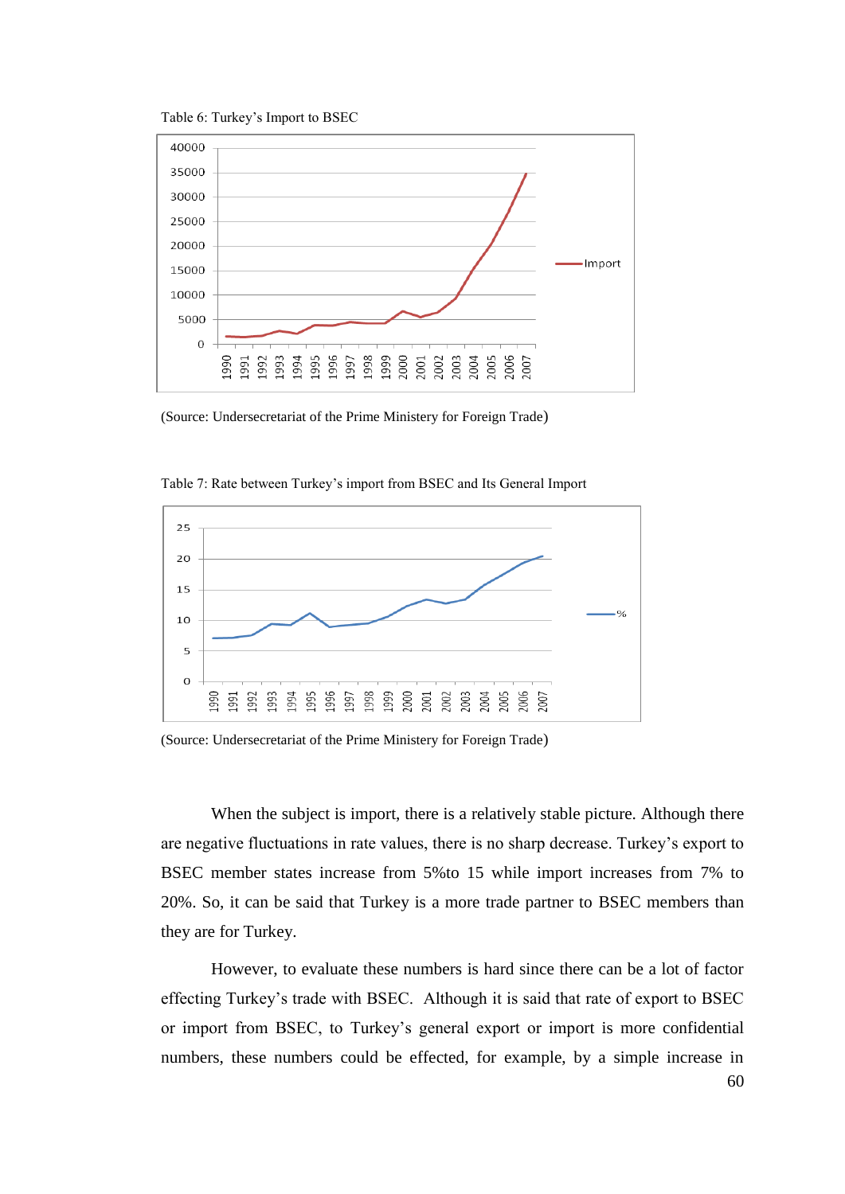Table 6: Turkey"s Import to BSEC



(Source: Undersecretariat of the Prime Ministery for Foreign Trade)





(Source: Undersecretariat of the Prime Ministery for Foreign Trade)

When the subject is import, there is a relatively stable picture. Although there are negative fluctuations in rate values, there is no sharp decrease. Turkey"s export to BSEC member states increase from 5%to 15 while import increases from 7% to 20%. So, it can be said that Turkey is a more trade partner to BSEC members than they are for Turkey.

However, to evaluate these numbers is hard since there can be a lot of factor effecting Turkey"s trade with BSEC. Although it is said that rate of export to BSEC or import from BSEC, to Turkey"s general export or import is more confidential numbers, these numbers could be effected, for example, by a simple increase in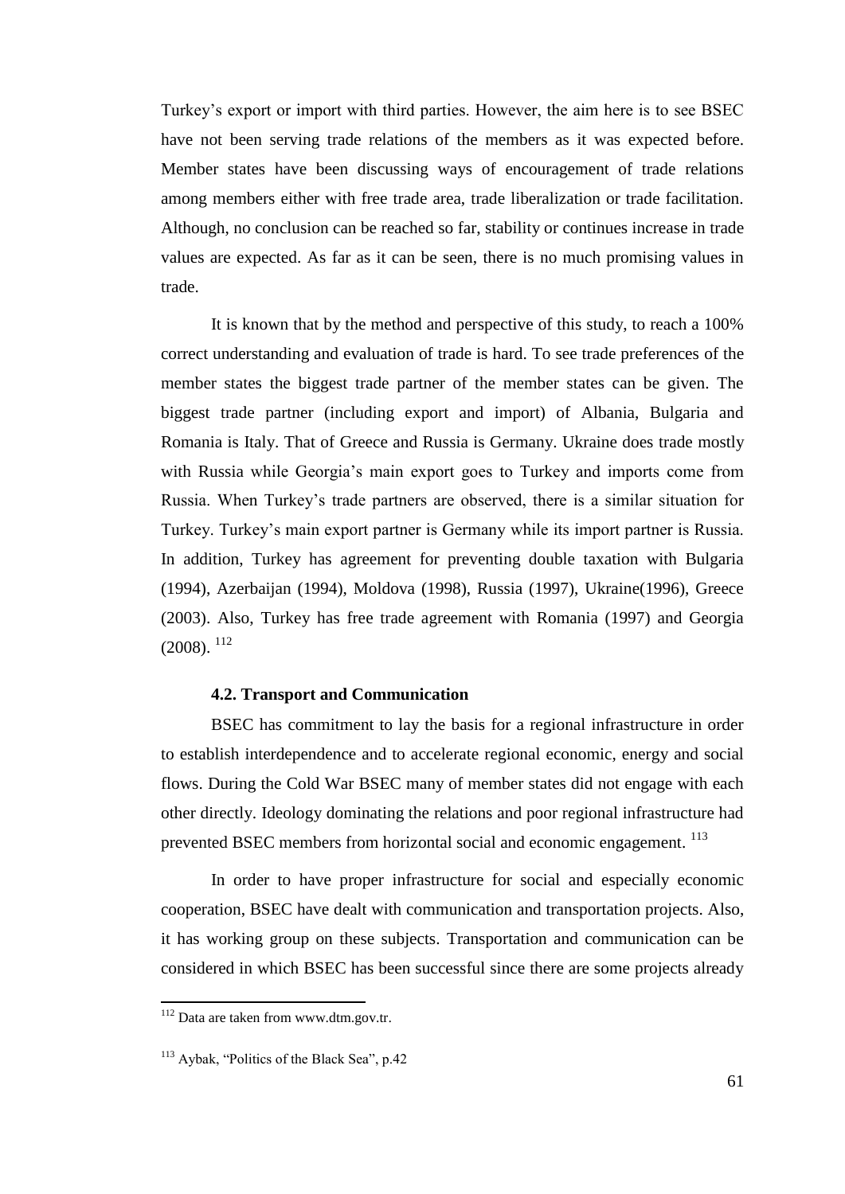Turkey"s export or import with third parties. However, the aim here is to see BSEC have not been serving trade relations of the members as it was expected before. Member states have been discussing ways of encouragement of trade relations among members either with free trade area, trade liberalization or trade facilitation. Although, no conclusion can be reached so far, stability or continues increase in trade values are expected. As far as it can be seen, there is no much promising values in trade.

It is known that by the method and perspective of this study, to reach a 100% correct understanding and evaluation of trade is hard. To see trade preferences of the member states the biggest trade partner of the member states can be given. The biggest trade partner (including export and import) of Albania, Bulgaria and Romania is Italy. That of Greece and Russia is Germany. Ukraine does trade mostly with Russia while Georgia's main export goes to Turkey and imports come from Russia. When Turkey"s trade partners are observed, there is a similar situation for Turkey. Turkey"s main export partner is Germany while its import partner is Russia. In addition, Turkey has agreement for preventing double taxation with Bulgaria (1994), Azerbaijan (1994), Moldova (1998), Russia (1997), Ukraine(1996), Greece (2003). Also, Turkey has free trade agreement with Romania (1997) and Georgia  $(2008)$ ,  $^{112}$ 

### **4.2. Transport and Communication**

BSEC has commitment to lay the basis for a regional infrastructure in order to establish interdependence and to accelerate regional economic, energy and social flows. During the Cold War BSEC many of member states did not engage with each other directly. Ideology dominating the relations and poor regional infrastructure had prevented BSEC members from horizontal social and economic engagement. <sup>113</sup>

In order to have proper infrastructure for social and especially economic cooperation, BSEC have dealt with communication and transportation projects. Also, it has working group on these subjects. Transportation and communication can be considered in which BSEC has been successful since there are some projects already

<sup>&</sup>lt;sup>112</sup> Data are taken from www.dtm.gov.tr.

<sup>113</sup> Aybak, "Politics of the Black Sea", p.42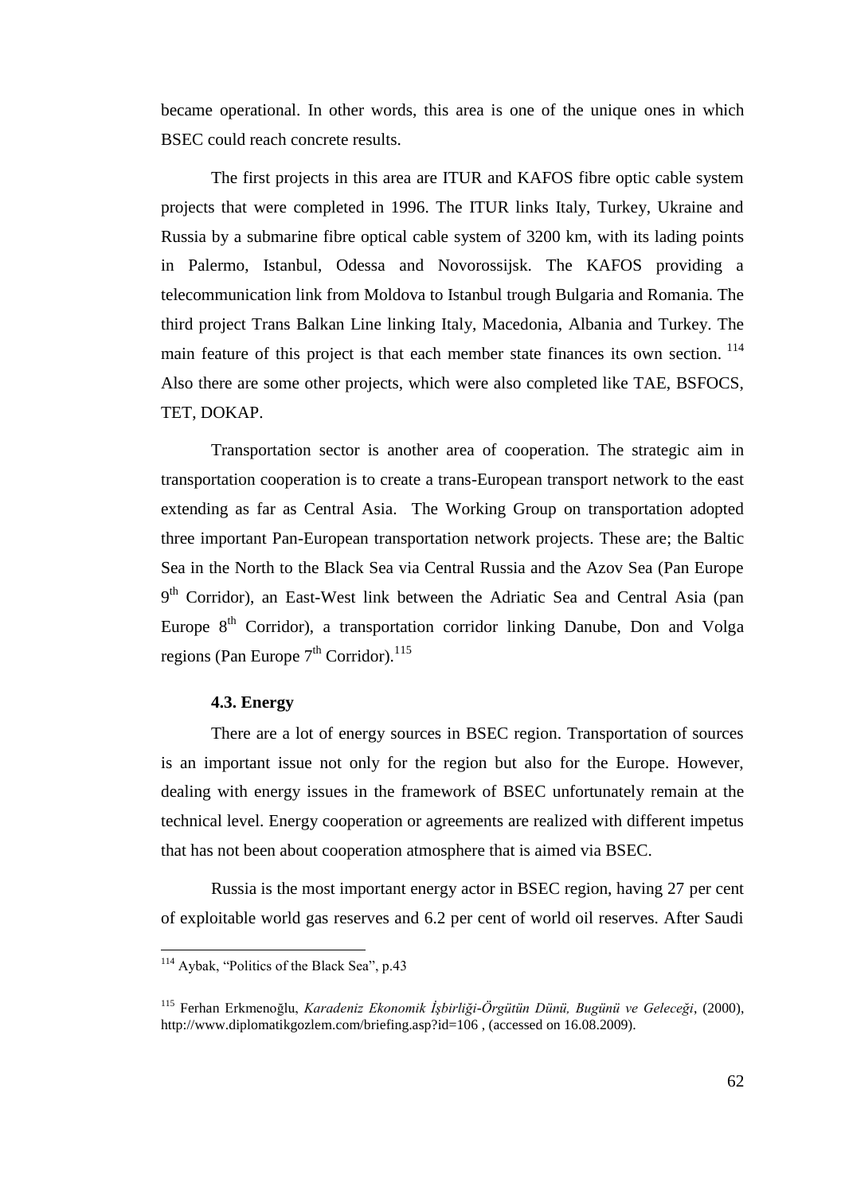became operational. In other words, this area is one of the unique ones in which BSEC could reach concrete results.

The first projects in this area are ITUR and KAFOS fibre optic cable system projects that were completed in 1996. The ITUR links Italy, Turkey, Ukraine and Russia by a submarine fibre optical cable system of 3200 km, with its lading points in Palermo, Istanbul, Odessa and Novorossijsk. The KAFOS providing a telecommunication link from Moldova to Istanbul trough Bulgaria and Romania. The third project Trans Balkan Line linking Italy, Macedonia, Albania and Turkey. The main feature of this project is that each member state finances its own section. <sup>114</sup> Also there are some other projects, which were also completed like TAE, BSFOCS, TET, DOKAP.

Transportation sector is another area of cooperation. The strategic aim in transportation cooperation is to create a trans-European transport network to the east extending as far as Central Asia. The Working Group on transportation adopted three important Pan-European transportation network projects. These are; the Baltic Sea in the North to the Black Sea via Central Russia and the Azov Sea (Pan Europe 9<sup>th</sup> Corridor), an East-West link between the Adriatic Sea and Central Asia (pan Europe  $8<sup>th</sup>$  Corridor), a transportation corridor linking Danube, Don and Volga regions (Pan Europe  $7<sup>th</sup>$  Corridor).<sup>115</sup>

## **4.3. Energy**

There are a lot of energy sources in BSEC region. Transportation of sources is an important issue not only for the region but also for the Europe. However, dealing with energy issues in the framework of BSEC unfortunately remain at the technical level. Energy cooperation or agreements are realized with different impetus that has not been about cooperation atmosphere that is aimed via BSEC.

Russia is the most important energy actor in BSEC region, having 27 per cent of exploitable world gas reserves and 6.2 per cent of world oil reserves. After Saudi

l

<sup>&</sup>lt;sup>114</sup> Aybak, "Politics of the Black Sea", p.43

<sup>115</sup> Ferhan Erkmenoğlu, *Karadeniz Ekonomik İşbirliği-Örgütün Dünü, Bugünü ve Geleceği*, (2000), http://www.diplomatikgozlem.com/briefing.asp?id=106, (accessed on 16.08.2009).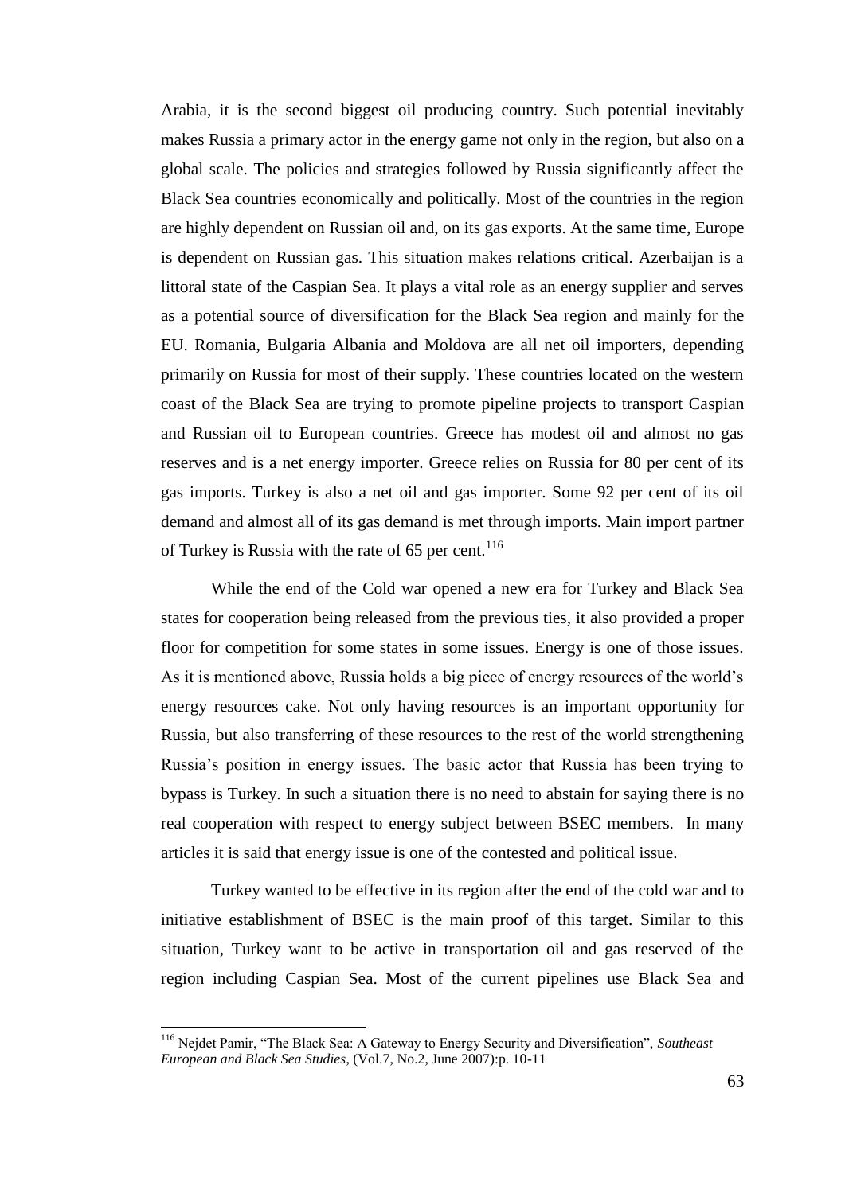Arabia, it is the second biggest oil producing country. Such potential inevitably makes Russia a primary actor in the energy game not only in the region, but also on a global scale. The policies and strategies followed by Russia significantly affect the Black Sea countries economically and politically. Most of the countries in the region are highly dependent on Russian oil and, on its gas exports. At the same time, Europe is dependent on Russian gas. This situation makes relations critical. Azerbaijan is a littoral state of the Caspian Sea. It plays a vital role as an energy supplier and serves as a potential source of diversification for the Black Sea region and mainly for the EU. Romania, Bulgaria Albania and Moldova are all net oil importers, depending primarily on Russia for most of their supply. These countries located on the western coast of the Black Sea are trying to promote pipeline projects to transport Caspian and Russian oil to European countries. Greece has modest oil and almost no gas reserves and is a net energy importer. Greece relies on Russia for 80 per cent of its gas imports. Turkey is also a net oil and gas importer. Some 92 per cent of its oil demand and almost all of its gas demand is met through imports. Main import partner of Turkey is Russia with the rate of 65 per cent.<sup>116</sup>

While the end of the Cold war opened a new era for Turkey and Black Sea states for cooperation being released from the previous ties, it also provided a proper floor for competition for some states in some issues. Energy is one of those issues. As it is mentioned above, Russia holds a big piece of energy resources of the world"s energy resources cake. Not only having resources is an important opportunity for Russia, but also transferring of these resources to the rest of the world strengthening Russia"s position in energy issues. The basic actor that Russia has been trying to bypass is Turkey. In such a situation there is no need to abstain for saying there is no real cooperation with respect to energy subject between BSEC members. In many articles it is said that energy issue is one of the contested and political issue.

Turkey wanted to be effective in its region after the end of the cold war and to initiative establishment of BSEC is the main proof of this target. Similar to this situation, Turkey want to be active in transportation oil and gas reserved of the region including Caspian Sea. Most of the current pipelines use Black Sea and

<sup>116</sup> Nejdet Pamir, "The Black Sea: A Gateway to Energy Security and Diversification", *Southeast European and Black Sea Studies*, (Vol.7, No.2, June 2007):p. 10-11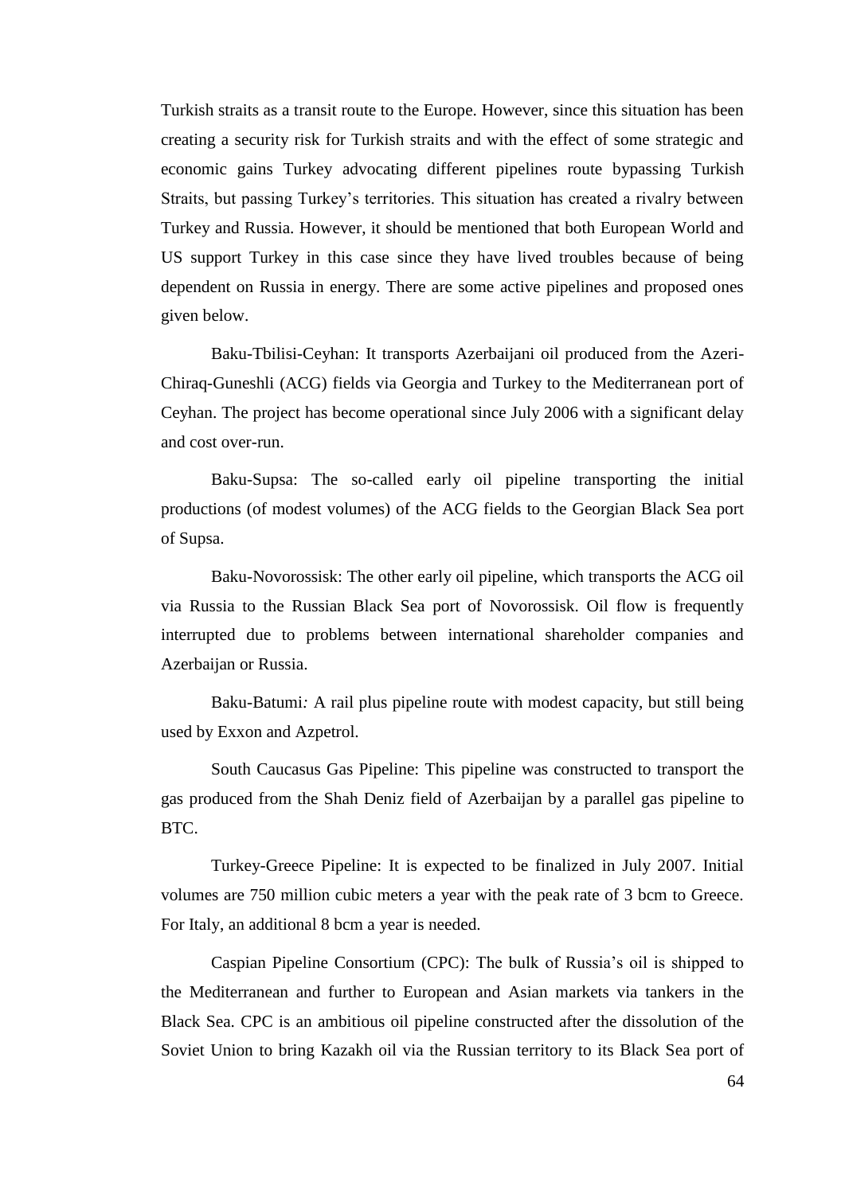Turkish straits as a transit route to the Europe. However, since this situation has been creating a security risk for Turkish straits and with the effect of some strategic and economic gains Turkey advocating different pipelines route bypassing Turkish Straits, but passing Turkey"s territories. This situation has created a rivalry between Turkey and Russia. However, it should be mentioned that both European World and US support Turkey in this case since they have lived troubles because of being dependent on Russia in energy. There are some active pipelines and proposed ones given below.

Baku-Tbilisi-Ceyhan: It transports Azerbaijani oil produced from the Azeri-Chiraq-Guneshli (ACG) fields via Georgia and Turkey to the Mediterranean port of Ceyhan. The project has become operational since July 2006 with a significant delay and cost over-run.

Baku-Supsa: The so-called early oil pipeline transporting the initial productions (of modest volumes) of the ACG fields to the Georgian Black Sea port of Supsa.

Baku-Novorossisk: The other early oil pipeline, which transports the ACG oil via Russia to the Russian Black Sea port of Novorossisk. Oil flow is frequently interrupted due to problems between international shareholder companies and Azerbaijan or Russia.

Baku-Batumi*:* A rail plus pipeline route with modest capacity, but still being used by Exxon and Azpetrol.

South Caucasus Gas Pipeline: This pipeline was constructed to transport the gas produced from the Shah Deniz field of Azerbaijan by a parallel gas pipeline to BTC.

Turkey-Greece Pipeline: It is expected to be finalized in July 2007. Initial volumes are 750 million cubic meters a year with the peak rate of 3 bcm to Greece. For Italy, an additional 8 bcm a year is needed.

Caspian Pipeline Consortium (CPC): The bulk of Russia"s oil is shipped to the Mediterranean and further to European and Asian markets via tankers in the Black Sea. CPC is an ambitious oil pipeline constructed after the dissolution of the Soviet Union to bring Kazakh oil via the Russian territory to its Black Sea port of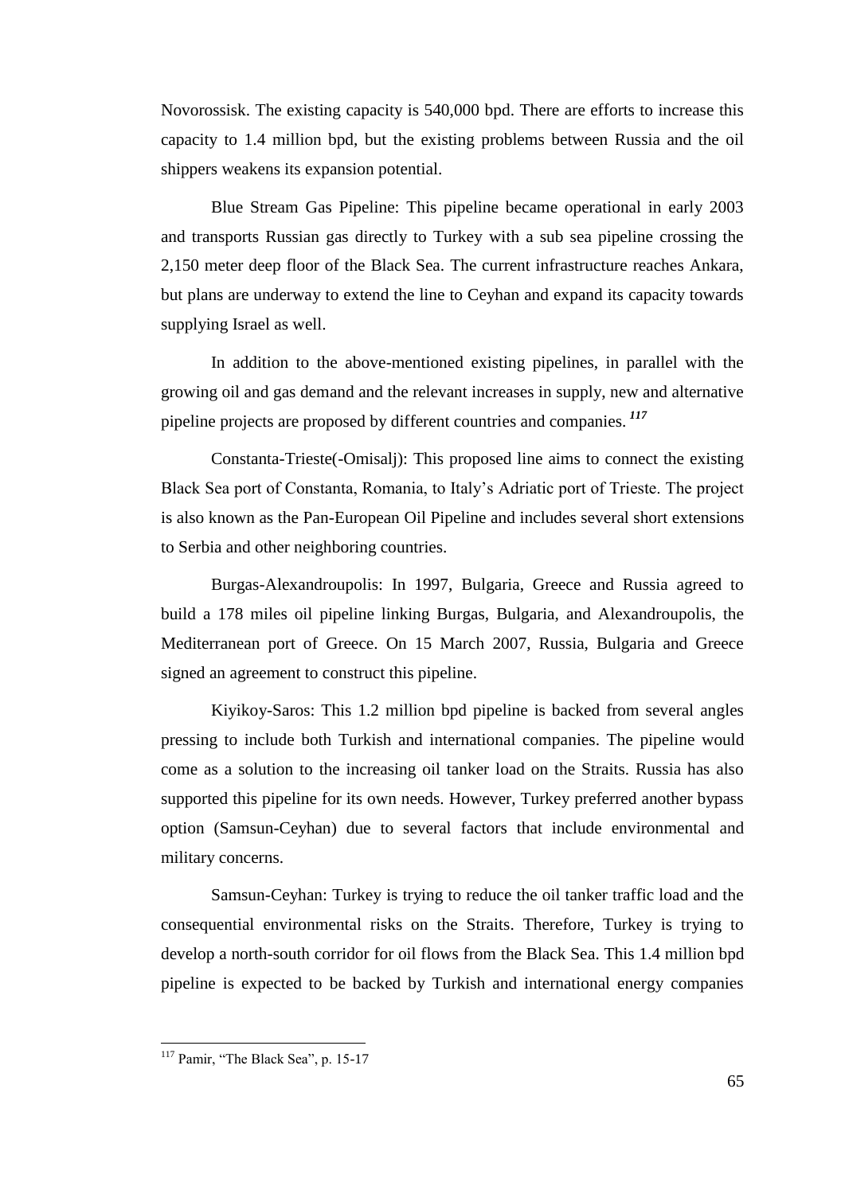Novorossisk. The existing capacity is 540,000 bpd. There are efforts to increase this capacity to 1.4 million bpd, but the existing problems between Russia and the oil shippers weakens its expansion potential.

Blue Stream Gas Pipeline: This pipeline became operational in early 2003 and transports Russian gas directly to Turkey with a sub sea pipeline crossing the 2,150 meter deep floor of the Black Sea. The current infrastructure reaches Ankara, but plans are underway to extend the line to Ceyhan and expand its capacity towards supplying Israel as well.

In addition to the above-mentioned existing pipelines, in parallel with the growing oil and gas demand and the relevant increases in supply, new and alternative pipeline projects are proposed by different countries and companies. *<sup>117</sup>*

Constanta-Trieste(-Omisalj): This proposed line aims to connect the existing Black Sea port of Constanta, Romania, to Italy"s Adriatic port of Trieste. The project is also known as the Pan-European Oil Pipeline and includes several short extensions to Serbia and other neighboring countries.

Burgas-Alexandroupolis: In 1997, Bulgaria, Greece and Russia agreed to build a 178 miles oil pipeline linking Burgas, Bulgaria, and Alexandroupolis, the Mediterranean port of Greece. On 15 March 2007, Russia, Bulgaria and Greece signed an agreement to construct this pipeline.

Kiyikoy-Saros: This 1.2 million bpd pipeline is backed from several angles pressing to include both Turkish and international companies. The pipeline would come as a solution to the increasing oil tanker load on the Straits. Russia has also supported this pipeline for its own needs. However, Turkey preferred another bypass option (Samsun-Ceyhan) due to several factors that include environmental and military concerns.

Samsun-Ceyhan: Turkey is trying to reduce the oil tanker traffic load and the consequential environmental risks on the Straits. Therefore, Turkey is trying to develop a north-south corridor for oil flows from the Black Sea. This 1.4 million bpd pipeline is expected to be backed by Turkish and international energy companies

l

<sup>&</sup>lt;sup>117</sup> Pamir, "The Black Sea", p. 15-17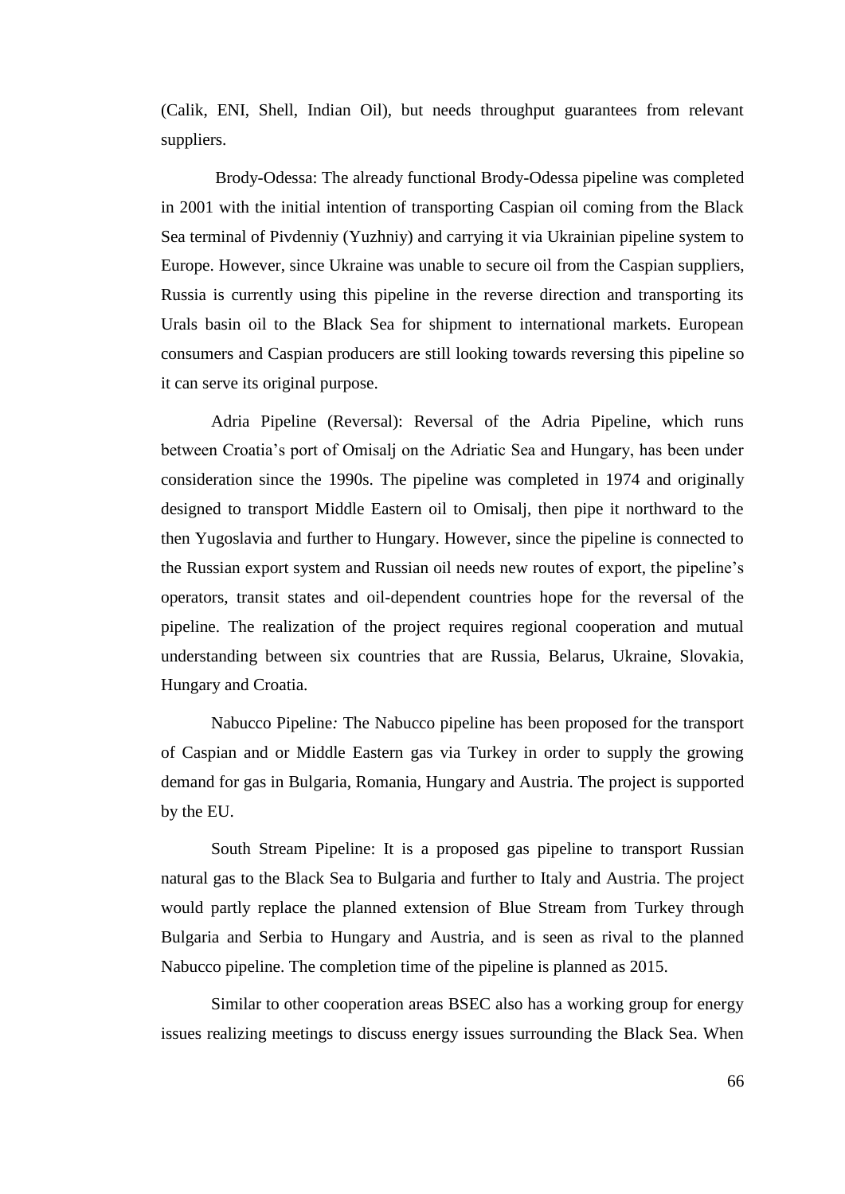(Calik, ENI, Shell, Indian Oil), but needs throughput guarantees from relevant suppliers.

Brody-Odessa: The already functional Brody-Odessa pipeline was completed in 2001 with the initial intention of transporting Caspian oil coming from the Black Sea terminal of Pivdenniy (Yuzhniy) and carrying it via Ukrainian pipeline system to Europe. However, since Ukraine was unable to secure oil from the Caspian suppliers, Russia is currently using this pipeline in the reverse direction and transporting its Urals basin oil to the Black Sea for shipment to international markets. European consumers and Caspian producers are still looking towards reversing this pipeline so it can serve its original purpose.

Adria Pipeline (Reversal): Reversal of the Adria Pipeline, which runs between Croatia"s port of Omisalj on the Adriatic Sea and Hungary, has been under consideration since the 1990s. The pipeline was completed in 1974 and originally designed to transport Middle Eastern oil to Omisalj, then pipe it northward to the then Yugoslavia and further to Hungary. However, since the pipeline is connected to the Russian export system and Russian oil needs new routes of export, the pipeline"s operators, transit states and oil-dependent countries hope for the reversal of the pipeline. The realization of the project requires regional cooperation and mutual understanding between six countries that are Russia, Belarus, Ukraine, Slovakia, Hungary and Croatia.

Nabucco Pipeline*:* The Nabucco pipeline has been proposed for the transport of Caspian and or Middle Eastern gas via Turkey in order to supply the growing demand for gas in Bulgaria, Romania, Hungary and Austria. The project is supported by the EU.

South Stream Pipeline: It is a proposed gas pipeline to transport [Russian](http://en.wikipedia.org/wiki/Russia) natural gas to the Black Sea to Bulgaria and further to [Italy](http://en.wikipedia.org/wiki/Italy) and [Austria.](http://en.wikipedia.org/wiki/Austria) The project would partly replace the planned extension of [Blue Stream](http://en.wikipedia.org/wiki/Blue_Stream) from [Turkey](http://en.wikipedia.org/wiki/Turkey) through [Bulgaria](http://en.wikipedia.org/wiki/Bulgaria) and [Serbia](http://en.wikipedia.org/wiki/Serbia) to [Hungary](http://en.wikipedia.org/wiki/Hungary) and [Austria,](http://en.wikipedia.org/wiki/Austria) and is seen as rival to the planned [Nabucco pipeline.](http://en.wikipedia.org/wiki/Nabucco_pipeline) The completion time of the pipeline is planned as 2015.

Similar to other cooperation areas BSEC also has a working group for energy issues realizing meetings to discuss energy issues surrounding the Black Sea. When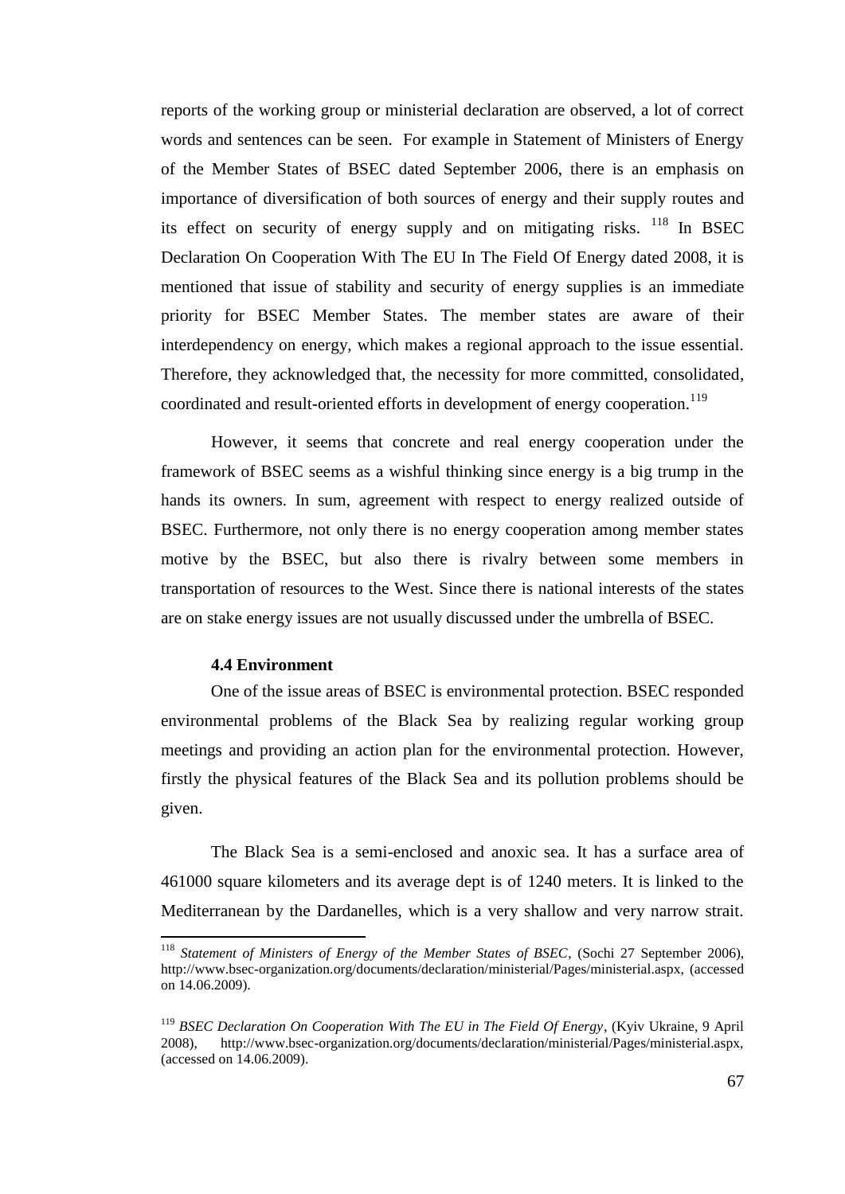reports of the working group or ministerial declaration are observed, a lot of correct words and sentences can be seen. For example in Statement of Ministers of Energy of the Member States of BSEC dated September 2006, there is an emphasis on importance of diversification of both sources of energy and their supply routes and its effect on security of energy supply and on mitigating risks. <sup>118</sup> In BSEC Declaration On Cooperation With The EU In The Field Of Energy dated 2008, it is mentioned that issue of stability and security of energy supplies is an immediate priority for BSEC Member States. The member states are aware of their interdependency on energy, which makes a regional approach to the issue essential. Therefore, they acknowledged that, the necessity for more committed, consolidated, coordinated and result-oriented efforts in development of energy cooperation.<sup>119</sup>

However, it seems that concrete and real energy cooperation under the framework of BSEC seems as a wishful thinking since energy is a big trump in the hands its owners. In sum, agreement with respect to energy realized outside of BSEC. Furthermore, not only there is no energy cooperation among member states motive by the BSEC, but also there is rivalry between some members in transportation of resources to the West. Since there is national interests of the states are on stake energy issues are not usually discussed under the umbrella of BSEC.

#### **4.4 Environment**

l

One of the issue areas of BSEC is environmental protection. BSEC responded environmental problems of the Black Sea by realizing regular working group meetings and providing an action plan for the environmental protection. However, firstly the physical features of the Black Sea and its pollution problems should be given.

The Black Sea is a semi-enclosed and anoxic sea. It has a surface area of 461000 square kilometers and its average dept is of 1240 meters. It is linked to the Mediterranean by the Dardanelles, which is a very shallow and very narrow strait.

<sup>118</sup> *Statement of Ministers of Energy of the Member States of BSEC*, (Sochi 27 September 2006), http://www.bsec-organization.org/documents/declaration/ministerial/Pages/ministerial.aspx, (accessed on 14.06.2009).

<sup>119</sup> *BSEC Declaration On Cooperation With The EU in The Field Of Energy*, (Kyiv Ukraine, 9 April 2008), http://www.bsec-organization.org/documents/declaration/ministerial/Pages/ministerial.aspx, (accessed on 14.06.2009).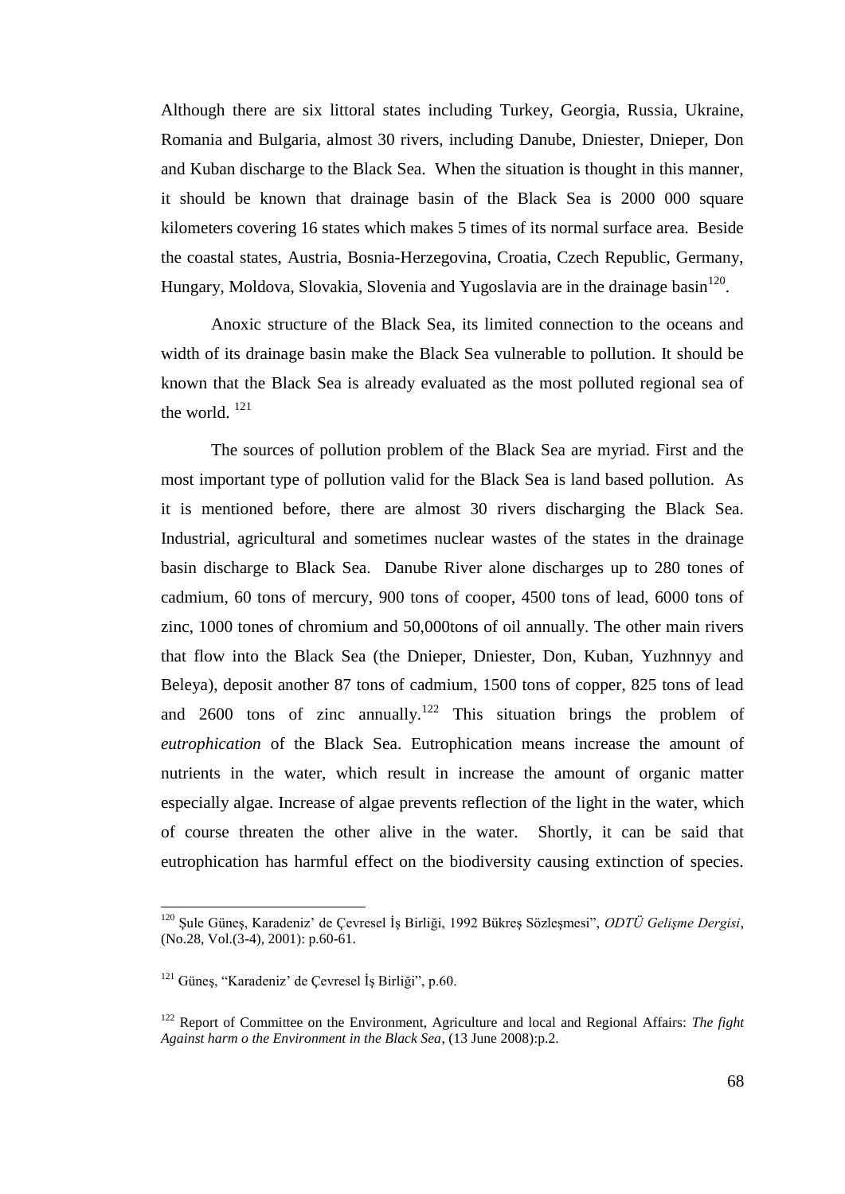Although there are six littoral states including Turkey, Georgia, Russia, Ukraine, Romania and Bulgaria, almost 30 rivers, including Danube, Dniester, Dnieper, Don and Kuban discharge to the Black Sea. When the situation is thought in this manner, it should be known that drainage basin of the Black Sea is 2000 000 square kilometers covering 16 states which makes 5 times of its normal surface area. Beside the coastal states, Austria, Bosnia-Herzegovina, Croatia, Czech Republic, Germany, Hungary, Moldova, Slovakia, Slovenia and Yugoslavia are in the drainage basin<sup>120</sup>.

Anoxic structure of the Black Sea, its limited connection to the oceans and width of its drainage basin make the Black Sea vulnerable to pollution. It should be known that the Black Sea is already evaluated as the most polluted regional sea of the world.<sup>121</sup>

The sources of pollution problem of the Black Sea are myriad. First and the most important type of pollution valid for the Black Sea is land based pollution. As it is mentioned before, there are almost 30 rivers discharging the Black Sea. Industrial, agricultural and sometimes nuclear wastes of the states in the drainage basin discharge to Black Sea. Danube River alone discharges up to 280 tones of cadmium, 60 tons of mercury, 900 tons of cooper, 4500 tons of lead, 6000 tons of zinc, 1000 tones of chromium and 50,000tons of oil annually. The other main rivers that flow into the Black Sea (the Dnieper, Dniester, Don, Kuban, Yuzhnnyy and Beleya), deposit another 87 tons of cadmium, 1500 tons of copper, 825 tons of lead and 2600 tons of zinc annually.<sup>122</sup> This situation brings the problem of *eutrophication* of the Black Sea. Eutrophication means increase the amount of nutrients in the water, which result in increase the amount of organic matter especially algae. Increase of algae prevents reflection of the light in the water, which of course threaten the other alive in the water. Shortly, it can be said that eutrophication has harmful effect on the biodiversity causing extinction of species.

<sup>&</sup>lt;sup>120</sup> Şule Güneş, Karadeniz' de Çevresel İş Birliği, 1992 Bükreş Sözleşmesi", *ODTÜ Gelişme Dergisi*, (No.28, Vol.(3-4), 2001): p.60-61.

 $121$  Günes, "Karadeniz" de Cevresel İs Birliği", p.60.

<sup>122</sup> Report of Committee on the Environment, Agriculture and local and Regional Affairs: *The fight Against harm o the Environment in the Black Sea*, (13 June 2008):p.2.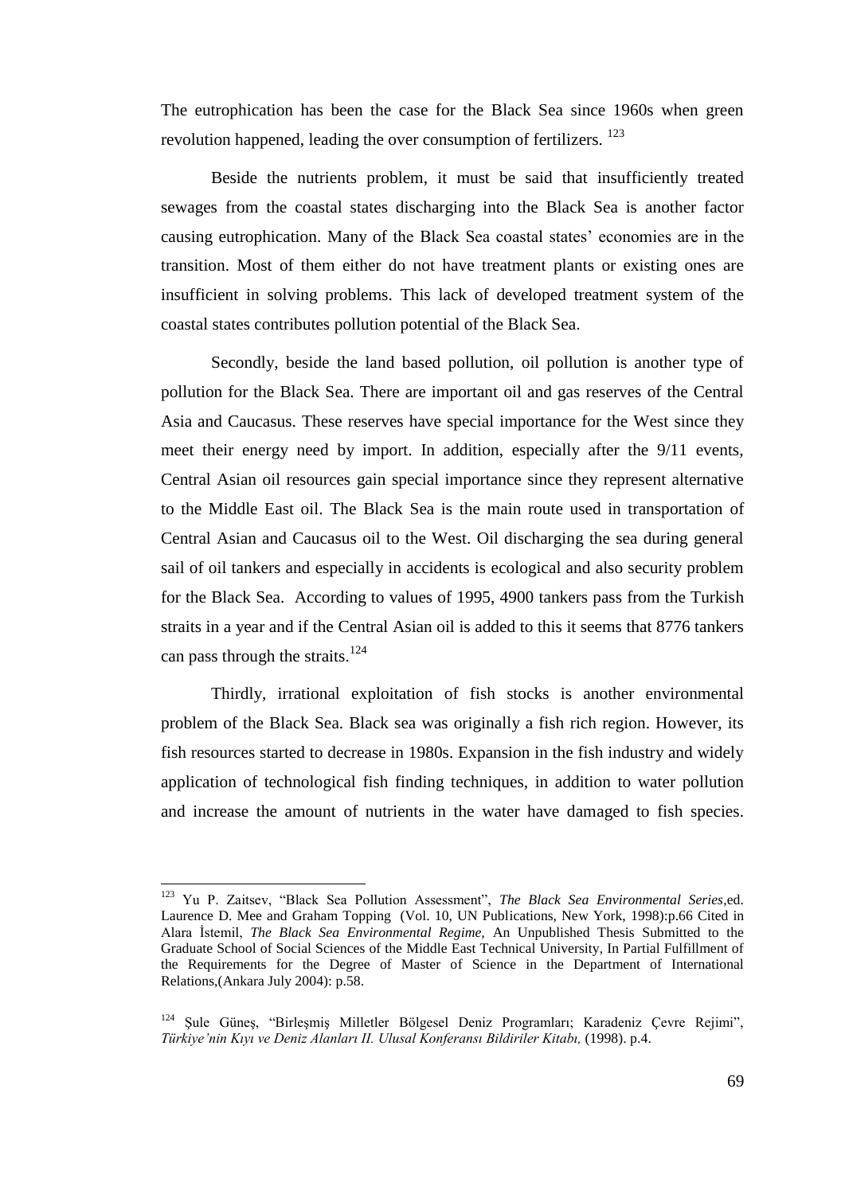The eutrophication has been the case for the Black Sea since 1960s when green revolution happened, leading the over consumption of fertilizers. <sup>123</sup>

Beside the nutrients problem, it must be said that insufficiently treated sewages from the coastal states discharging into the Black Sea is another factor causing eutrophication. Many of the Black Sea coastal states" economies are in the transition. Most of them either do not have treatment plants or existing ones are insufficient in solving problems. This lack of developed treatment system of the coastal states contributes pollution potential of the Black Sea.

Secondly, beside the land based pollution, oil pollution is another type of pollution for the Black Sea. There are important oil and gas reserves of the Central Asia and Caucasus. These reserves have special importance for the West since they meet their energy need by import. In addition, especially after the 9/11 events, Central Asian oil resources gain special importance since they represent alternative to the Middle East oil. The Black Sea is the main route used in transportation of Central Asian and Caucasus oil to the West. Oil discharging the sea during general sail of oil tankers and especially in accidents is ecological and also security problem for the Black Sea. According to values of 1995, 4900 tankers pass from the Turkish straits in a year and if the Central Asian oil is added to this it seems that 8776 tankers can pass through the straits. $124$ 

Thirdly, irrational exploitation of fish stocks is another environmental problem of the Black Sea. Black sea was originally a fish rich region. However, its fish resources started to decrease in 1980s. Expansion in the fish industry and widely application of technological fish finding techniques, in addition to water pollution and increase the amount of nutrients in the water have damaged to fish species.

 $\overline{a}$ 

<sup>123</sup> Yu P. Zaitsev, "Black Sea Pollution Assessment", *The Black Sea Environmental Series*,ed. Laurence D. Mee and Graham Topping (Vol. 10, UN Publications, New York, 1998):p.66 Cited in Alara Ġstemil, *The Black Sea Environmental Regime,* An Unpublished Thesis Submitted to the Graduate School of Social Sciences of the Middle East Technical University, In Partial Fulfillment of the Requirements for the Degree of Master of Science in the Department of International Relations,(Ankara July 2004): p.58.

<sup>&</sup>lt;sup>124</sup> Sule Güneş, "Birleşmiş Milletler Bölgesel Deniz Programları; Karadeniz Çevre Rejimi", *Türkiye'nin Kıyı ve Deniz Alanları II. Ulusal Konferansı Bildiriler Kitabı,* (1998). p.4.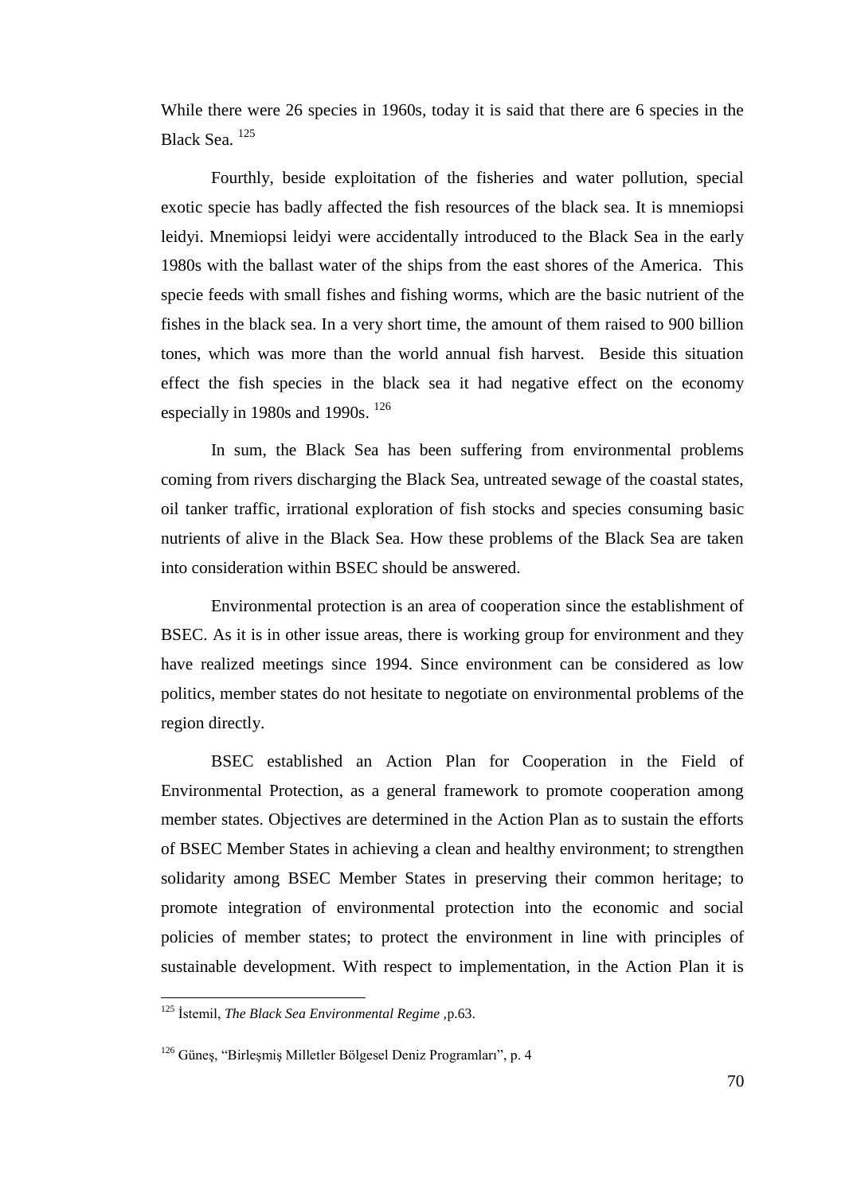While there were 26 species in 1960s, today it is said that there are 6 species in the Black Sea. <sup>125</sup>

Fourthly, beside exploitation of the fisheries and water pollution, special exotic specie has badly affected the fish resources of the black sea. It is mnemiopsi leidyi. Mnemiopsi leidyi were accidentally introduced to the Black Sea in the early 1980s with the ballast water of the ships from the east shores of the America. This specie feeds with small fishes and fishing worms, which are the basic nutrient of the fishes in the black sea. In a very short time, the amount of them raised to 900 billion tones, which was more than the world annual fish harvest. Beside this situation effect the fish species in the black sea it had negative effect on the economy especially in 1980s and 1990s. <sup>126</sup>

In sum, the Black Sea has been suffering from environmental problems coming from rivers discharging the Black Sea, untreated sewage of the coastal states, oil tanker traffic, irrational exploration of fish stocks and species consuming basic nutrients of alive in the Black Sea. How these problems of the Black Sea are taken into consideration within BSEC should be answered.

Environmental protection is an area of cooperation since the establishment of BSEC. As it is in other issue areas, there is working group for environment and they have realized meetings since 1994. Since environment can be considered as low politics, member states do not hesitate to negotiate on environmental problems of the region directly.

BSEC established an Action Plan for Cooperation in the Field of Environmental Protection, as a general framework to promote cooperation among member states. Objectives are determined in the Action Plan as to sustain the efforts of BSEC Member States in achieving a clean and healthy environment; to strengthen solidarity among BSEC Member States in preserving their common heritage; to promote integration of environmental protection into the economic and social policies of member states; to protect the environment in line with principles of sustainable development. With respect to implementation, in the Action Plan it is

<sup>125</sup> Ġstemil, *The Black Sea Environmental Regime ,*p.63.

<sup>&</sup>lt;sup>126</sup> Güneş, "Birleşmiş Milletler Bölgesel Deniz Programları", p. 4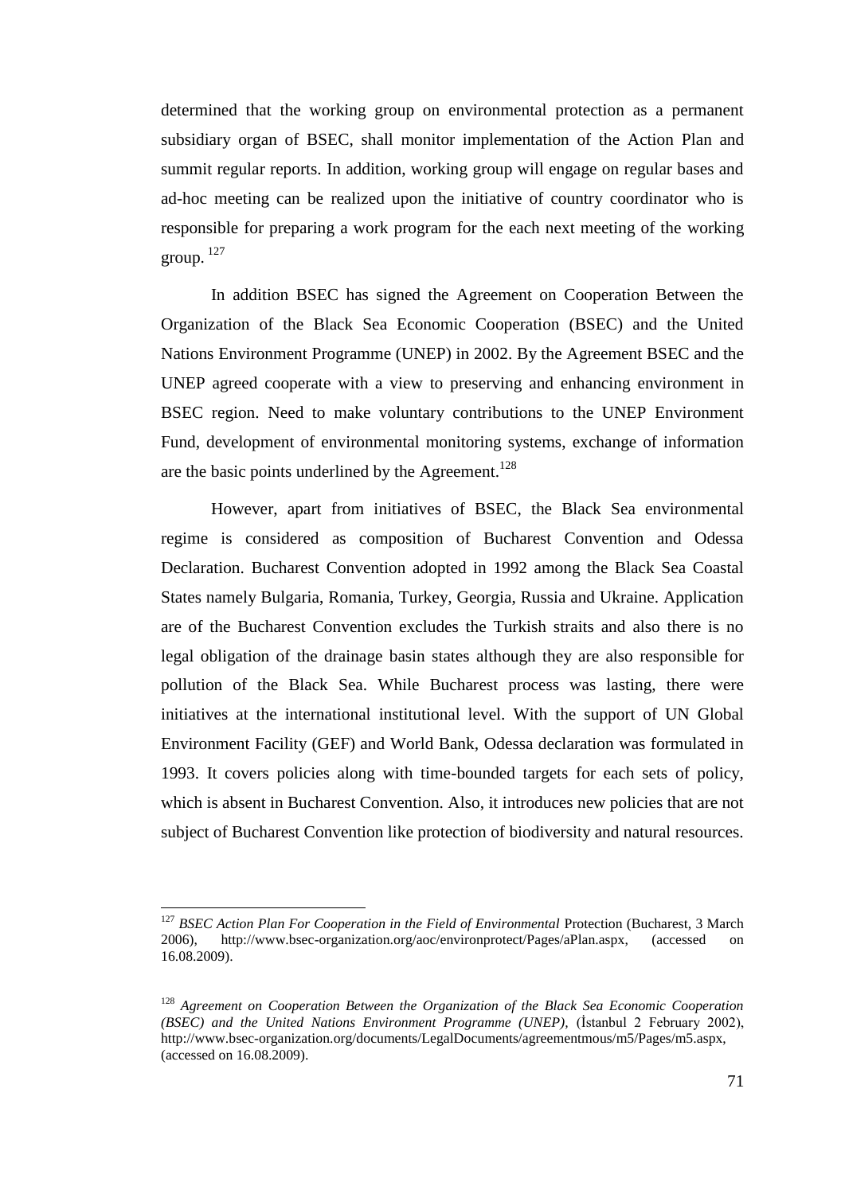determined that the working group on environmental protection as a permanent subsidiary organ of BSEC, shall monitor implementation of the Action Plan and summit regular reports. In addition, working group will engage on regular bases and ad-hoc meeting can be realized upon the initiative of country coordinator who is responsible for preparing a work program for the each next meeting of the working group.  $127$ 

In addition BSEC has signed the Agreement on Cooperation Between the Organization of the Black Sea Economic Cooperation (BSEC) and the United Nations Environment Programme (UNEP) in 2002. By the Agreement BSEC and the UNEP agreed cooperate with a view to preserving and enhancing environment in BSEC region. Need to make voluntary contributions to the UNEP Environment Fund, development of environmental monitoring systems, exchange of information are the basic points underlined by the Agreement.<sup>128</sup>

However, apart from initiatives of BSEC, the Black Sea environmental regime is considered as composition of Bucharest Convention and Odessa Declaration. Bucharest Convention adopted in 1992 among the Black Sea Coastal States namely Bulgaria, Romania, Turkey, Georgia, Russia and Ukraine. Application are of the Bucharest Convention excludes the Turkish straits and also there is no legal obligation of the drainage basin states although they are also responsible for pollution of the Black Sea. While Bucharest process was lasting, there were initiatives at the international institutional level. With the support of UN Global Environment Facility (GEF) and World Bank, Odessa declaration was formulated in 1993. It covers policies along with time-bounded targets for each sets of policy, which is absent in Bucharest Convention. Also, it introduces new policies that are not subject of Bucharest Convention like protection of biodiversity and natural resources.

<sup>&</sup>lt;sup>127</sup> *BSEC Action Plan For Cooperation in the Field of Environmental Protection (Bucharest, 3 March* 2006), http://www.bsec-organization.org/aoc/environprotect/Pages/aPlan.aspx, (accessed on 16.08.2009).

<sup>128</sup> *Agreement on Cooperation Between the Organization of the Black Sea Economic Cooperation (BSEC) and the United Nations Environment Programme (UNEP),* (Ġstanbul 2 February 2002), http://www.bsec-organization.org/documents/LegalDocuments/agreementmous/m5/Pages/m5.aspx, (accessed on 16.08.2009).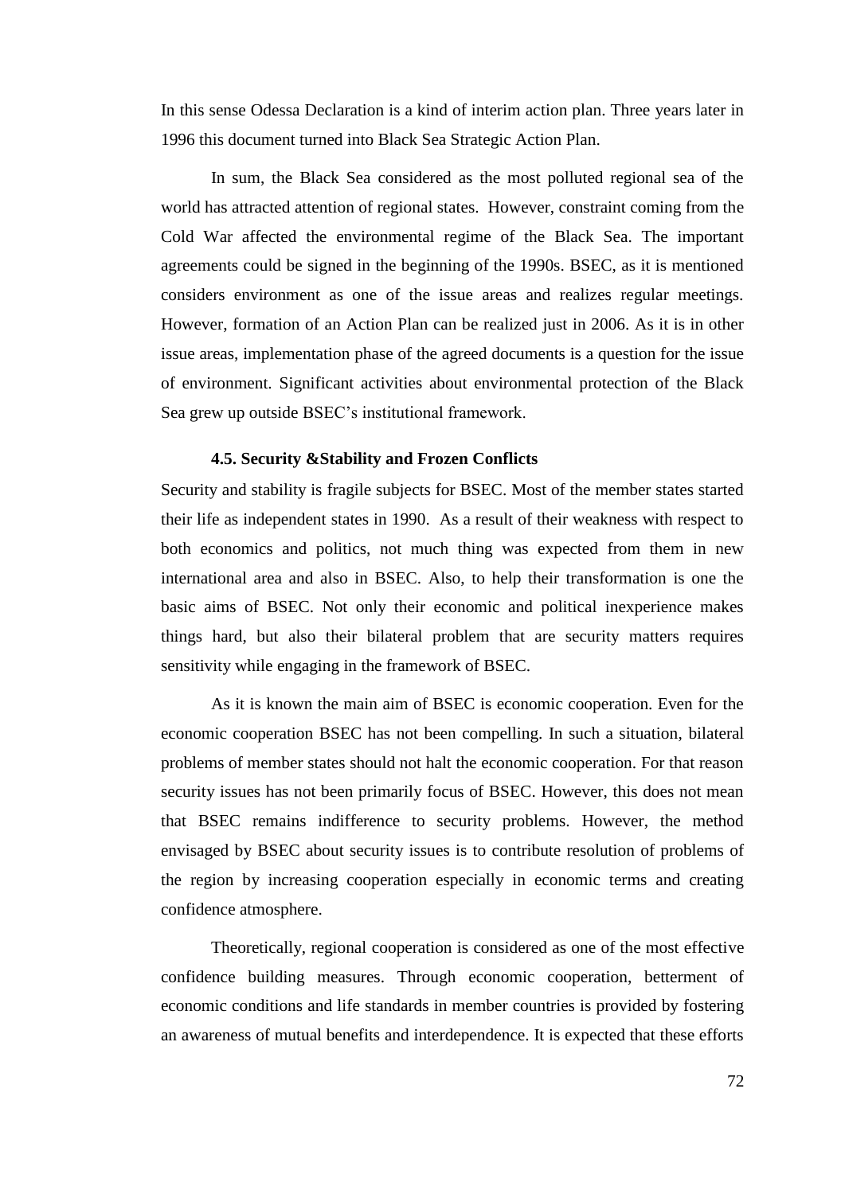In this sense Odessa Declaration is a kind of interim action plan. Three years later in 1996 this document turned into Black Sea Strategic Action Plan.

In sum, the Black Sea considered as the most polluted regional sea of the world has attracted attention of regional states. However, constraint coming from the Cold War affected the environmental regime of the Black Sea. The important agreements could be signed in the beginning of the 1990s. BSEC, as it is mentioned considers environment as one of the issue areas and realizes regular meetings. However, formation of an Action Plan can be realized just in 2006. As it is in other issue areas, implementation phase of the agreed documents is a question for the issue of environment. Significant activities about environmental protection of the Black Sea grew up outside BSEC"s institutional framework.

#### **4.5. Security &Stability and Frozen Conflicts**

Security and stability is fragile subjects for BSEC. Most of the member states started their life as independent states in 1990. As a result of their weakness with respect to both economics and politics, not much thing was expected from them in new international area and also in BSEC. Also, to help their transformation is one the basic aims of BSEC. Not only their economic and political inexperience makes things hard, but also their bilateral problem that are security matters requires sensitivity while engaging in the framework of BSEC.

As it is known the main aim of BSEC is economic cooperation. Even for the economic cooperation BSEC has not been compelling. In such a situation, bilateral problems of member states should not halt the economic cooperation. For that reason security issues has not been primarily focus of BSEC. However, this does not mean that BSEC remains indifference to security problems. However, the method envisaged by BSEC about security issues is to contribute resolution of problems of the region by increasing cooperation especially in economic terms and creating confidence atmosphere.

Theoretically, regional cooperation is considered as one of the most effective confidence building measures. Through economic cooperation, betterment of economic conditions and life standards in member countries is provided by fostering an awareness of mutual benefits and interdependence. It is expected that these efforts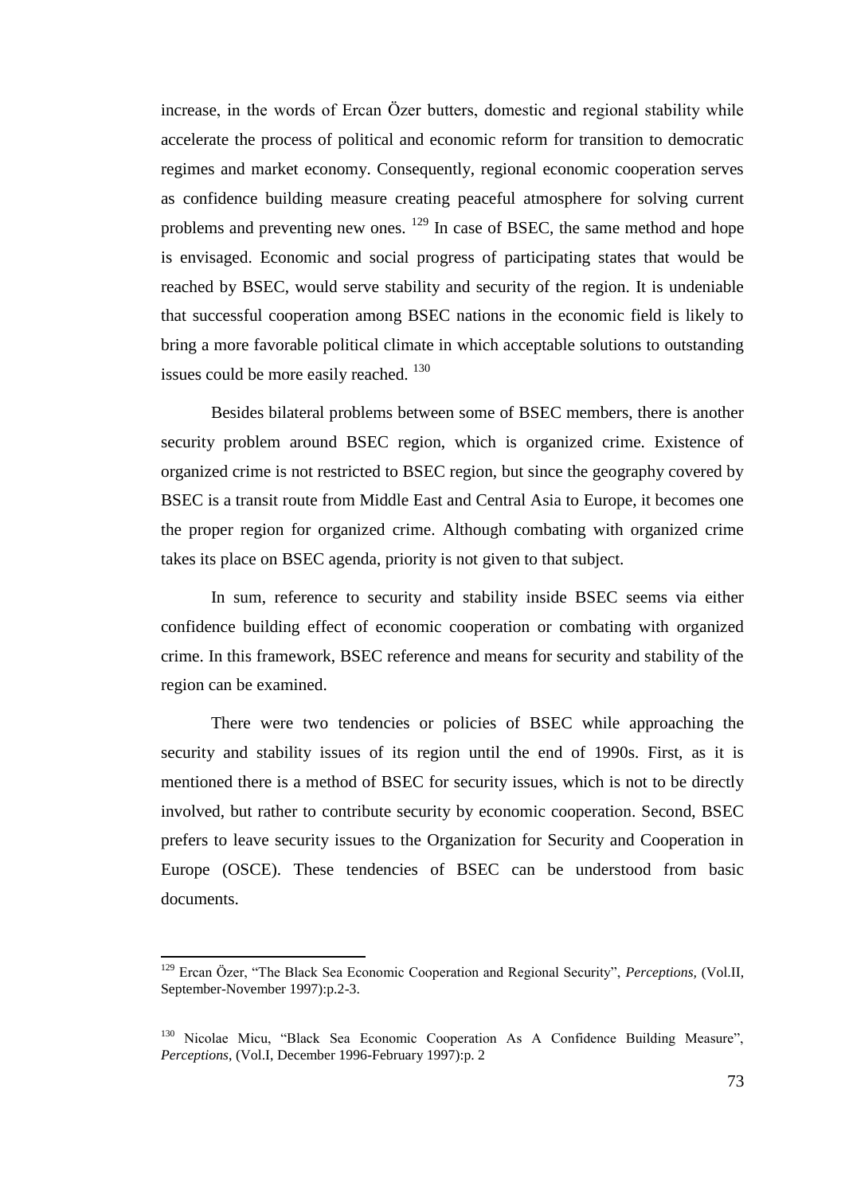increase, in the words of Ercan Özer butters, domestic and regional stability while accelerate the process of political and economic reform for transition to democratic regimes and market economy. Consequently, regional economic cooperation serves as confidence building measure creating peaceful atmosphere for solving current problems and preventing new ones.  $129$  In case of BSEC, the same method and hope is envisaged. Economic and social progress of participating states that would be reached by BSEC, would serve stability and security of the region. It is undeniable that successful cooperation among BSEC nations in the economic field is likely to bring a more favorable political climate in which acceptable solutions to outstanding issues could be more easily reached. <sup>130</sup>

Besides bilateral problems between some of BSEC members, there is another security problem around BSEC region, which is organized crime. Existence of organized crime is not restricted to BSEC region, but since the geography covered by BSEC is a transit route from Middle East and Central Asia to Europe, it becomes one the proper region for organized crime. Although combating with organized crime takes its place on BSEC agenda, priority is not given to that subject.

In sum, reference to security and stability inside BSEC seems via either confidence building effect of economic cooperation or combating with organized crime. In this framework, BSEC reference and means for security and stability of the region can be examined.

There were two tendencies or policies of BSEC while approaching the security and stability issues of its region until the end of 1990s. First, as it is mentioned there is a method of BSEC for security issues, which is not to be directly involved, but rather to contribute security by economic cooperation. Second, BSEC prefers to leave security issues to the Organization for Security and Cooperation in Europe (OSCE). These tendencies of BSEC can be understood from basic documents.

<sup>129</sup> Ercan Özer, "The Black Sea Economic Cooperation and Regional Security", *Perceptions,* (Vol.II, September-November 1997):p.2-3.

<sup>130</sup> Nicolae Micu, "Black Sea Economic Cooperation As A Confidence Building Measure", *Perceptions*, (Vol.I, December 1996-February 1997):p. 2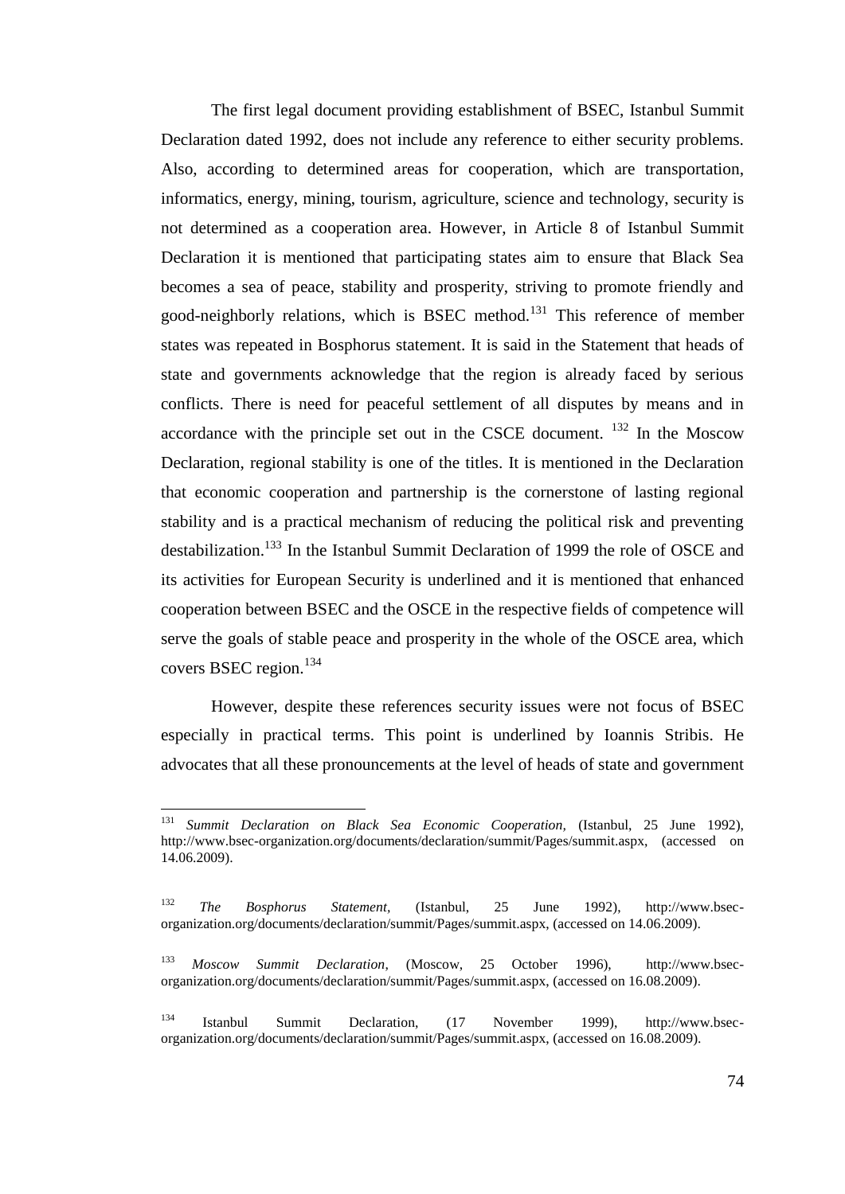The first legal document providing establishment of BSEC, Istanbul Summit Declaration dated 1992, does not include any reference to either security problems. Also, according to determined areas for cooperation, which are transportation, informatics, energy, mining, tourism, agriculture, science and technology, security is not determined as a cooperation area. However, in Article 8 of Istanbul Summit Declaration it is mentioned that participating states aim to ensure that Black Sea becomes a sea of peace, stability and prosperity, striving to promote friendly and good-neighborly relations, which is BSEC method.<sup>131</sup> This reference of member states was repeated in Bosphorus statement. It is said in the Statement that heads of state and governments acknowledge that the region is already faced by serious conflicts. There is need for peaceful settlement of all disputes by means and in accordance with the principle set out in the CSCE document.  $132$  In the Moscow Declaration, regional stability is one of the titles. It is mentioned in the Declaration that economic cooperation and partnership is the cornerstone of lasting regional stability and is a practical mechanism of reducing the political risk and preventing destabilization.<sup>133</sup> In the Istanbul Summit Declaration of 1999 the role of OSCE and its activities for European Security is underlined and it is mentioned that enhanced cooperation between BSEC and the OSCE in the respective fields of competence will serve the goals of stable peace and prosperity in the whole of the OSCE area, which covers BSEC region.<sup>134</sup>

However, despite these references security issues were not focus of BSEC especially in practical terms. This point is underlined by Ioannis Stribis. He advocates that all these pronouncements at the level of heads of state and government

<sup>131</sup> <sup>131</sup> *Summit Declaration on Black Sea Economic Cooperation,* (Istanbul, 25 June 1992), http://www.bsec-organization.org/documents/declaration/summit/Pages/summit.aspx, (accessed on 14.06.2009).

<sup>132</sup> *The Bosphorus Statement,* (Istanbul, 25 June 1992), http://www.bsecorganization.org/documents/declaration/summit/Pages/summit.aspx, (accessed on 14.06.2009).

<sup>133</sup> *Moscow Summit Declaration*, (Moscow, 25 October 1996), http://www.bsecorganization.org/documents/declaration/summit/Pages/summit.aspx, (accessed on 16.08.2009).

<sup>134</sup> Istanbul Summit Declaration, (17 November 1999), http://www.bsecorganization.org/documents/declaration/summit/Pages/summit.aspx, (accessed on 16.08.2009).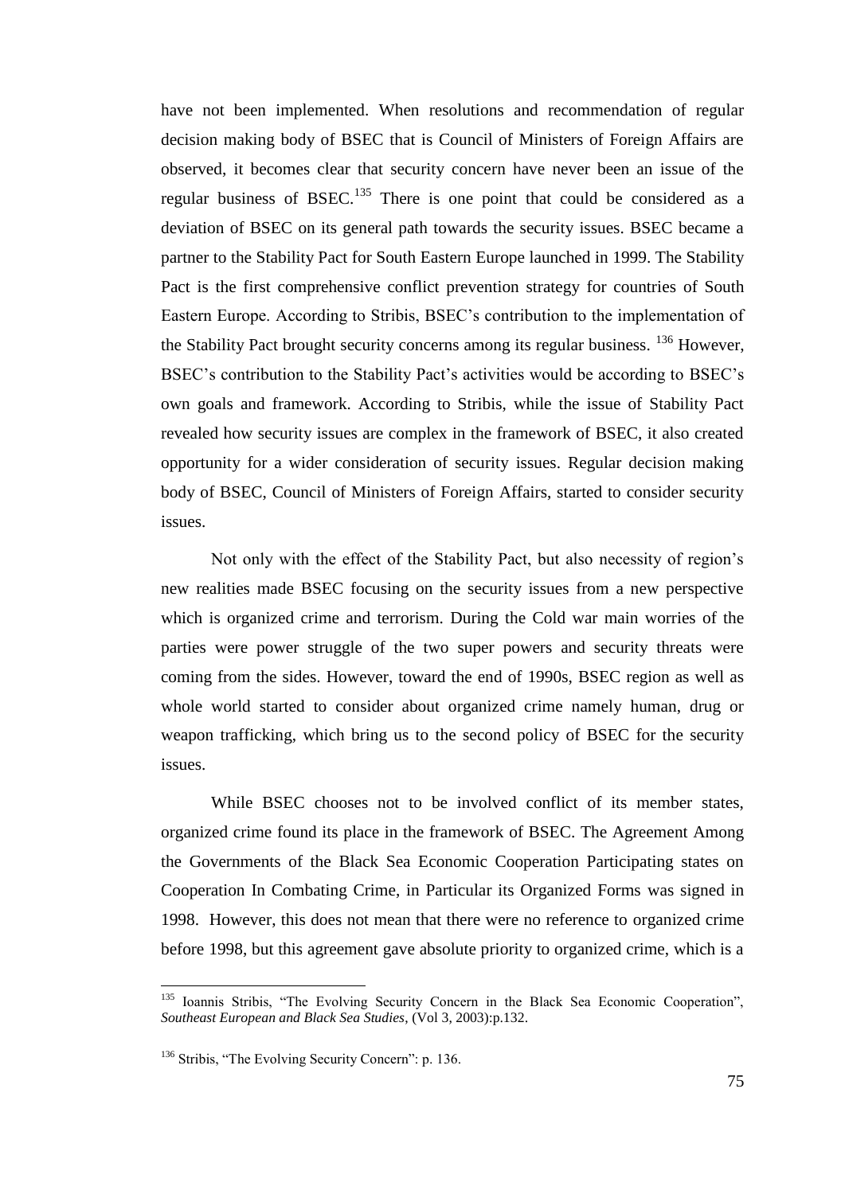have not been implemented. When resolutions and recommendation of regular decision making body of BSEC that is Council of Ministers of Foreign Affairs are observed, it becomes clear that security concern have never been an issue of the regular business of BSEC.<sup>135</sup> There is one point that could be considered as a deviation of BSEC on its general path towards the security issues. BSEC became a partner to the Stability Pact for South Eastern Europe launched in 1999. The Stability Pact is the first comprehensive conflict prevention strategy for countries of South Eastern Europe. According to Stribis, BSEC"s contribution to the implementation of the Stability Pact brought security concerns among its regular business. <sup>136</sup> However, BSEC's contribution to the Stability Pact's activities would be according to BSEC's own goals and framework. According to Stribis, while the issue of Stability Pact revealed how security issues are complex in the framework of BSEC, it also created opportunity for a wider consideration of security issues. Regular decision making body of BSEC, Council of Ministers of Foreign Affairs, started to consider security issues.

Not only with the effect of the Stability Pact, but also necessity of region"s new realities made BSEC focusing on the security issues from a new perspective which is organized crime and terrorism. During the Cold war main worries of the parties were power struggle of the two super powers and security threats were coming from the sides. However, toward the end of 1990s, BSEC region as well as whole world started to consider about organized crime namely human, drug or weapon trafficking, which bring us to the second policy of BSEC for the security issues.

While BSEC chooses not to be involved conflict of its member states, organized crime found its place in the framework of BSEC. The Agreement Among the Governments of the Black Sea Economic Cooperation Participating states on Cooperation In Combating Crime, in Particular its Organized Forms was signed in 1998. However, this does not mean that there were no reference to organized crime before 1998, but this agreement gave absolute priority to organized crime, which is a

 $\overline{a}$ 

<sup>&</sup>lt;sup>135</sup> Ioannis Stribis, "The Evolving Security Concern in the Black Sea Economic Cooperation", *Southeast European and Black Sea Studies*, (Vol 3, 2003):p.132.

<sup>&</sup>lt;sup>136</sup> Stribis, "The Evolving Security Concern": p. 136.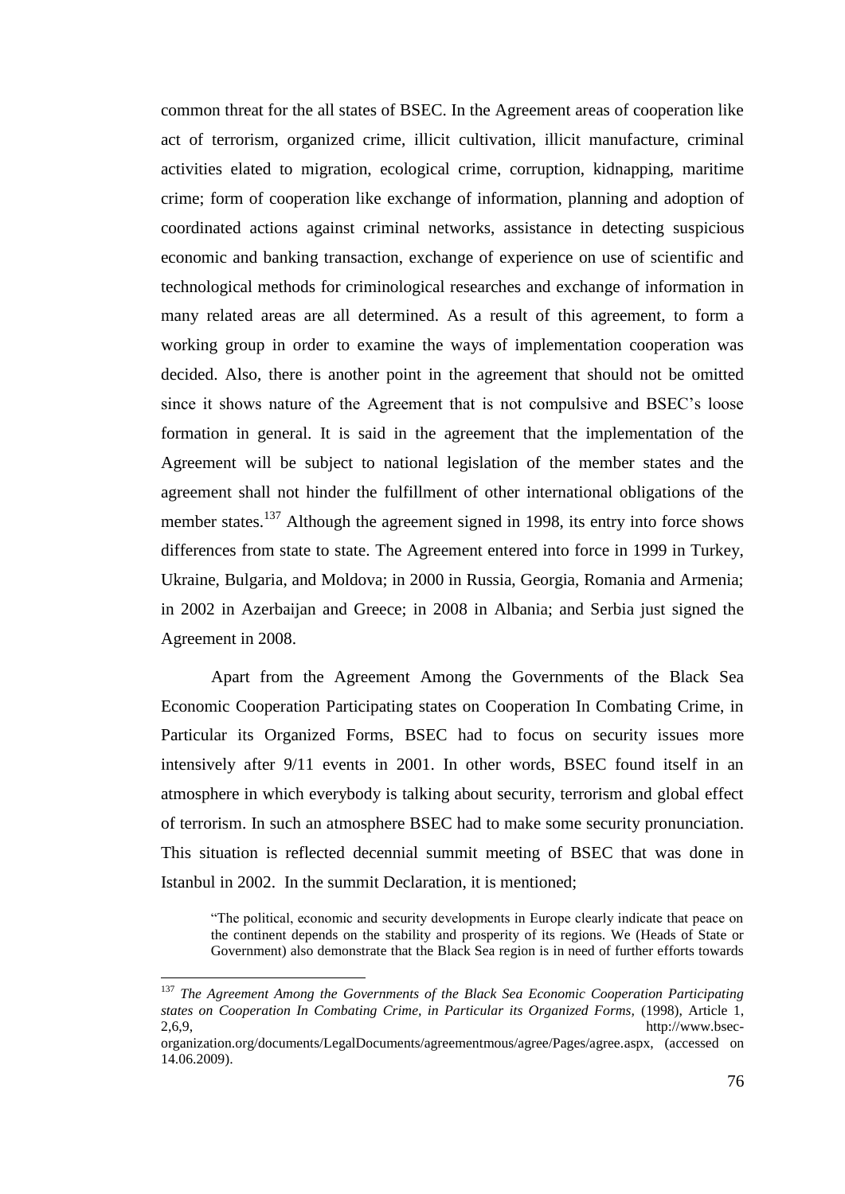common threat for the all states of BSEC. In the Agreement areas of cooperation like act of terrorism, organized crime, illicit cultivation, illicit manufacture, criminal activities elated to migration, ecological crime, corruption, kidnapping, maritime crime; form of cooperation like exchange of information, planning and adoption of coordinated actions against criminal networks, assistance in detecting suspicious economic and banking transaction, exchange of experience on use of scientific and technological methods for criminological researches and exchange of information in many related areas are all determined. As a result of this agreement, to form a working group in order to examine the ways of implementation cooperation was decided. Also, there is another point in the agreement that should not be omitted since it shows nature of the Agreement that is not compulsive and BSEC"s loose formation in general. It is said in the agreement that the implementation of the Agreement will be subject to national legislation of the member states and the agreement shall not hinder the fulfillment of other international obligations of the member states.<sup>137</sup> Although the agreement signed in 1998, its entry into force shows differences from state to state. The Agreement entered into force in 1999 in Turkey, Ukraine, Bulgaria, and Moldova; in 2000 in Russia, Georgia, Romania and Armenia; in 2002 in Azerbaijan and Greece; in 2008 in Albania; and Serbia just signed the Agreement in 2008.

Apart from the Agreement Among the Governments of the Black Sea Economic Cooperation Participating states on Cooperation In Combating Crime, in Particular its Organized Forms, BSEC had to focus on security issues more intensively after 9/11 events in 2001. In other words, BSEC found itself in an atmosphere in which everybody is talking about security, terrorism and global effect of terrorism. In such an atmosphere BSEC had to make some security pronunciation. This situation is reflected decennial summit meeting of BSEC that was done in Istanbul in 2002. In the summit Declaration, it is mentioned;

"The political, economic and security developments in Europe clearly indicate that peace on the continent depends on the stability and prosperity of its regions. We (Heads of State or Government) also demonstrate that the Black Sea region is in need of further efforts towards

<sup>137</sup> *The Agreement Among the Governments of the Black Sea Economic Cooperation Participating states on Cooperation In Combating Crime, in Particular its Organized Forms,* (1998), Article 1, 2,6,9, http://www.bsec-

organization.org/documents/LegalDocuments/agreementmous/agree/Pages/agree.aspx, (accessed on 14.06.2009).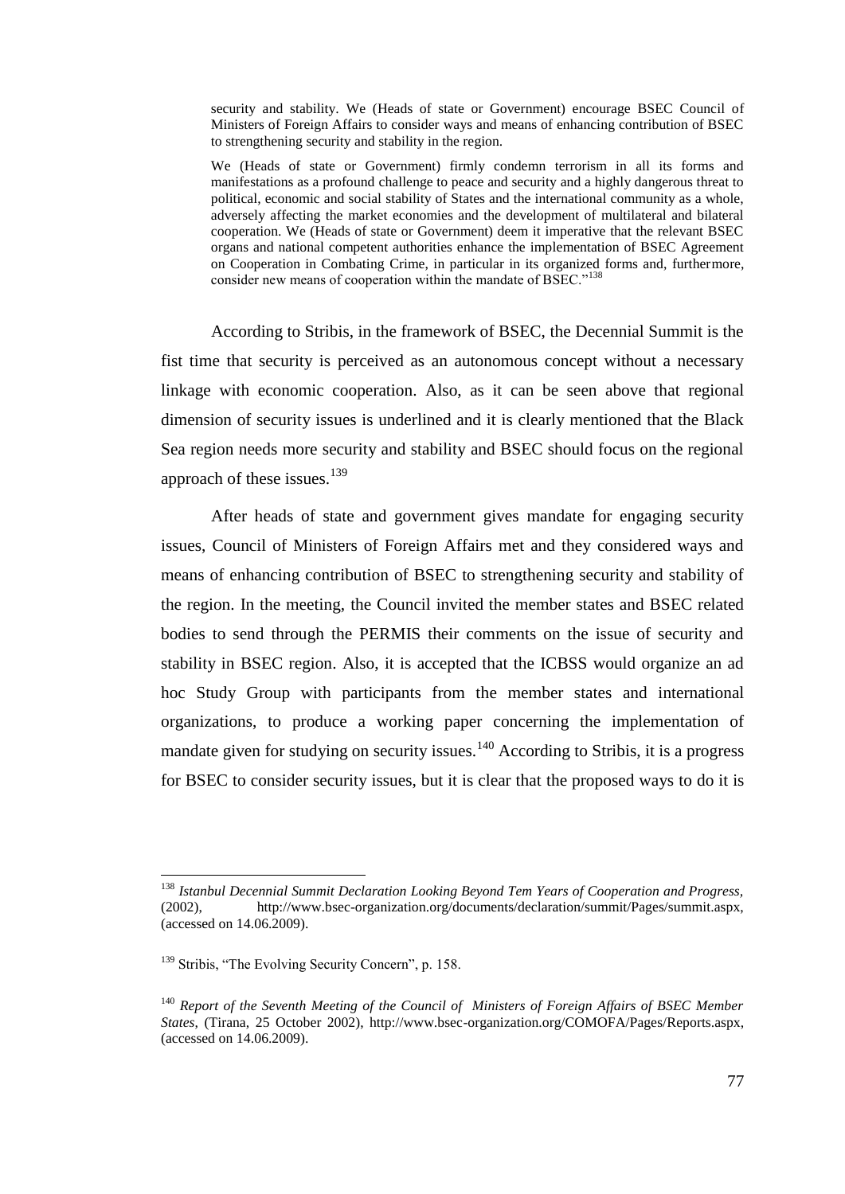security and stability. We (Heads of state or Government) encourage BSEC Council of Ministers of Foreign Affairs to consider ways and means of enhancing contribution of BSEC to strengthening security and stability in the region.

We (Heads of state or Government) firmly condemn terrorism in all its forms and manifestations as a profound challenge to peace and security and a highly dangerous threat to political, economic and social stability of States and the international community as a whole, adversely affecting the market economies and the development of multilateral and bilateral cooperation. We (Heads of state or Government) deem it imperative that the relevant BSEC organs and national competent authorities enhance the implementation of BSEC Agreement on Cooperation in Combating Crime, in particular in its organized forms and, furthermore, consider new means of cooperation within the mandate of BSEC."<sup>138</sup>

According to Stribis, in the framework of BSEC, the Decennial Summit is the fist time that security is perceived as an autonomous concept without a necessary linkage with economic cooperation. Also, as it can be seen above that regional dimension of security issues is underlined and it is clearly mentioned that the Black Sea region needs more security and stability and BSEC should focus on the regional approach of these issues.<sup>139</sup>

After heads of state and government gives mandate for engaging security issues, Council of Ministers of Foreign Affairs met and they considered ways and means of enhancing contribution of BSEC to strengthening security and stability of the region. In the meeting, the Council invited the member states and BSEC related bodies to send through the PERMIS their comments on the issue of security and stability in BSEC region. Also, it is accepted that the ICBSS would organize an ad hoc Study Group with participants from the member states and international organizations, to produce a working paper concerning the implementation of mandate given for studying on security issues.<sup>140</sup> According to Stribis, it is a progress for BSEC to consider security issues, but it is clear that the proposed ways to do it is

 $\overline{a}$ 

<sup>138</sup> *Istanbul Decennial Summit Declaration Looking Beyond Tem Years of Cooperation and Progress,* (2002), http://www.bsec-organization.org/documents/declaration/summit/Pages/summit.aspx, (accessed on 14.06.2009).

<sup>&</sup>lt;sup>139</sup> Stribis, "The Evolving Security Concern", p. 158.

<sup>140</sup> *Report of the Seventh Meeting of the Council of Ministers of Foreign Affairs of BSEC Member States*, (Tirana, 25 October 2002), http://www.bsec-organization.org/COMOFA/Pages/Reports.aspx, (accessed on 14.06.2009).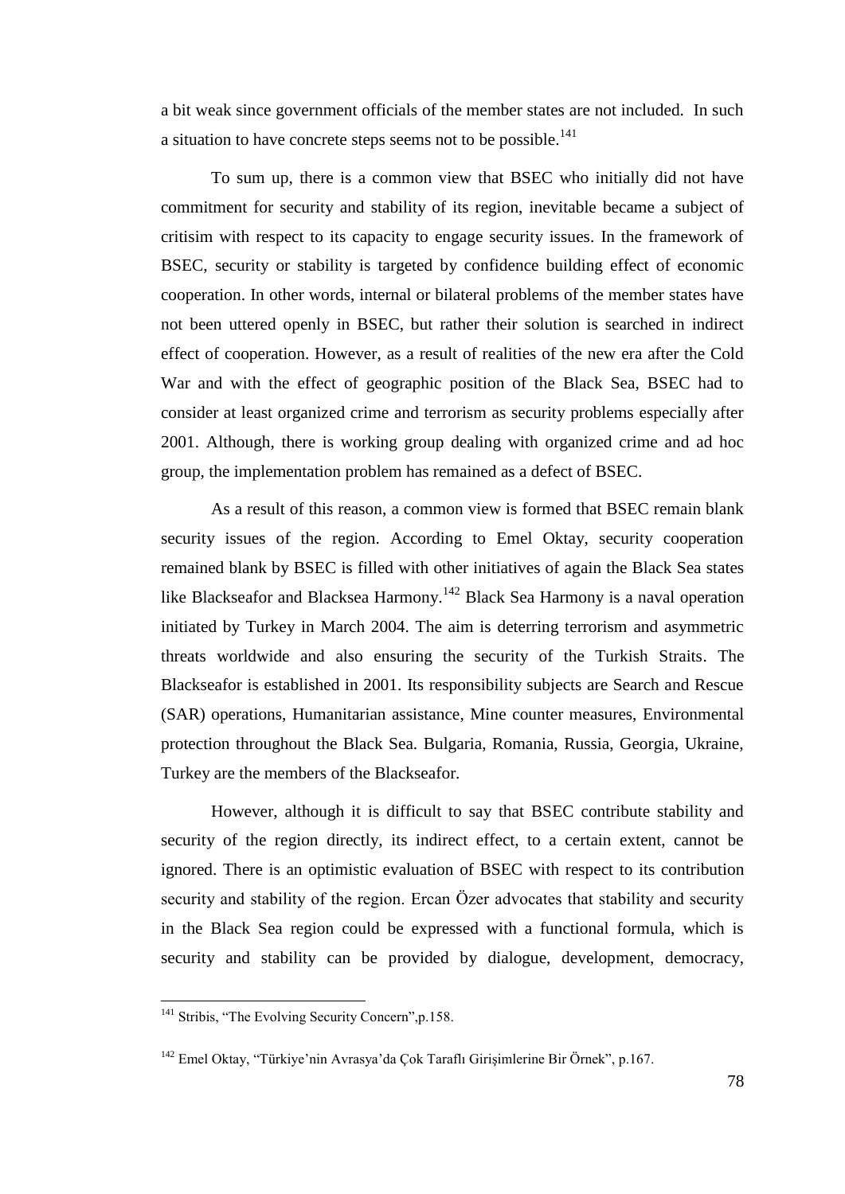a bit weak since government officials of the member states are not included. In such a situation to have concrete steps seems not to be possible.<sup>141</sup>

To sum up, there is a common view that BSEC who initially did not have commitment for security and stability of its region, inevitable became a subject of critisim with respect to its capacity to engage security issues. In the framework of BSEC, security or stability is targeted by confidence building effect of economic cooperation. In other words, internal or bilateral problems of the member states have not been uttered openly in BSEC, but rather their solution is searched in indirect effect of cooperation. However, as a result of realities of the new era after the Cold War and with the effect of geographic position of the Black Sea, BSEC had to consider at least organized crime and terrorism as security problems especially after 2001. Although, there is working group dealing with organized crime and ad hoc group, the implementation problem has remained as a defect of BSEC.

As a result of this reason, a common view is formed that BSEC remain blank security issues of the region. According to Emel Oktay, security cooperation remained blank by BSEC is filled with other initiatives of again the Black Sea states like Blackseafor and Blacksea Harmony.<sup>142</sup> Black Sea Harmony is a naval operation initiated by Turkey in March 2004. The aim is deterring terrorism and asymmetric threats worldwide and also ensuring the security of the Turkish Straits. The Blackseafor is established in 2001. Its responsibility subjects are Search and Rescue (SAR) operations, Humanitarian assistance, Mine counter measures, Environmental protection throughout the Black Sea. Bulgaria, Romania, Russia, Georgia, Ukraine, Turkey are the members of the Blackseafor.

However, although it is difficult to say that BSEC contribute stability and security of the region directly, its indirect effect, to a certain extent, cannot be ignored. There is an optimistic evaluation of BSEC with respect to its contribution security and stability of the region. Ercan Özer advocates that stability and security in the Black Sea region could be expressed with a functional formula, which is security and stability can be provided by dialogue, development, democracy,

 $\overline{a}$ 

<sup>&</sup>lt;sup>141</sup> Stribis, "The Evolving Security Concern", p.158.

<sup>&</sup>lt;sup>142</sup> Emel Oktay, "Türkiye'nin Avrasya'da Çok Taraflı Girişimlerine Bir Örnek", p.167.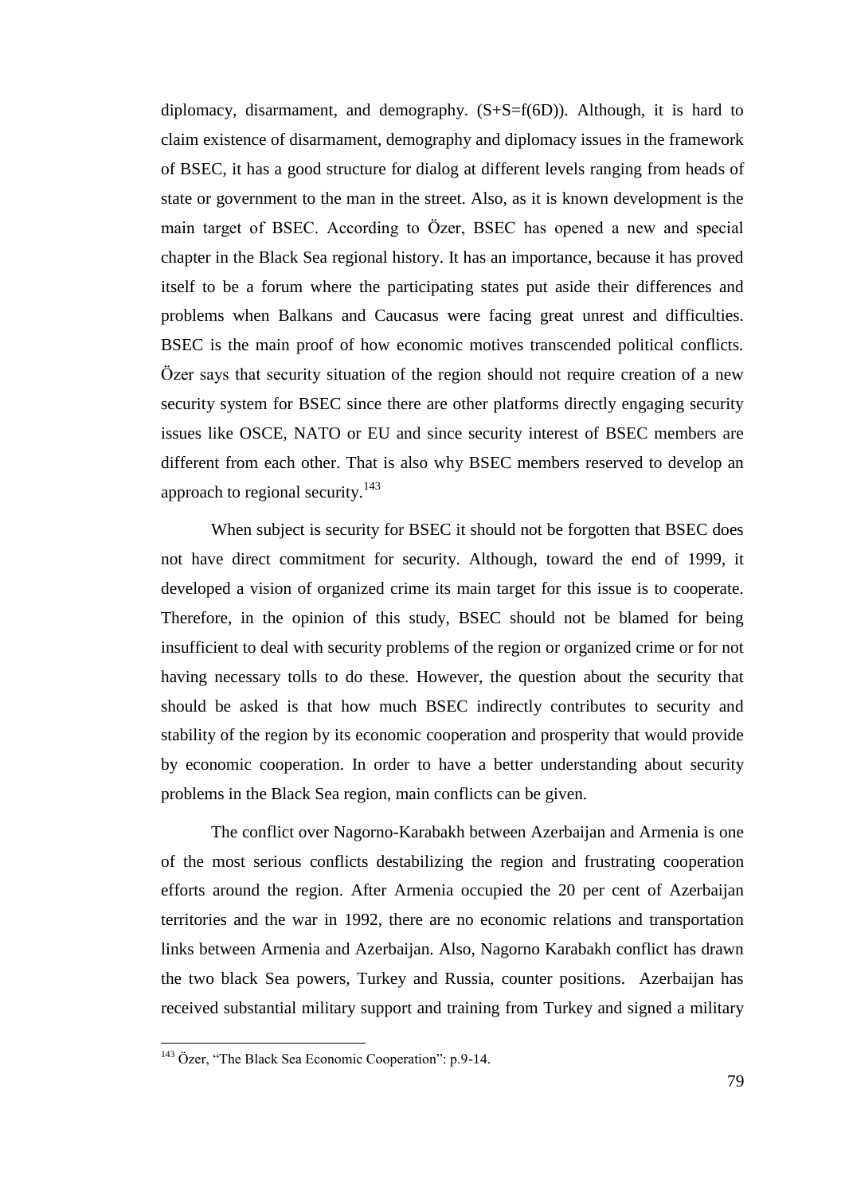diplomacy, disarmament, and demography.  $(S+S=f(6D))$ . Although, it is hard to claim existence of disarmament, demography and diplomacy issues in the framework of BSEC, it has a good structure for dialog at different levels ranging from heads of state or government to the man in the street. Also, as it is known development is the main target of BSEC. According to Özer, BSEC has opened a new and special chapter in the Black Sea regional history. It has an importance, because it has proved itself to be a forum where the participating states put aside their differences and problems when Balkans and Caucasus were facing great unrest and difficulties. BSEC is the main proof of how economic motives transcended political conflicts. Özer says that security situation of the region should not require creation of a new security system for BSEC since there are other platforms directly engaging security issues like OSCE, NATO or EU and since security interest of BSEC members are different from each other. That is also why BSEC members reserved to develop an approach to regional security.<sup>143</sup>

When subject is security for BSEC it should not be forgotten that BSEC does not have direct commitment for security. Although, toward the end of 1999, it developed a vision of organized crime its main target for this issue is to cooperate. Therefore, in the opinion of this study, BSEC should not be blamed for being insufficient to deal with security problems of the region or organized crime or for not having necessary tolls to do these. However, the question about the security that should be asked is that how much BSEC indirectly contributes to security and stability of the region by its economic cooperation and prosperity that would provide by economic cooperation. In order to have a better understanding about security problems in the Black Sea region, main conflicts can be given.

The conflict over Nagorno-Karabakh between Azerbaijan and Armenia is one of the most serious conflicts destabilizing the region and frustrating cooperation efforts around the region. After Armenia occupied the 20 per cent of Azerbaijan territories and the war in 1992, there are no economic relations and transportation links between Armenia and Azerbaijan. Also, Nagorno Karabakh conflict has drawn the two black Sea powers, Turkey and Russia, counter positions. Azerbaijan has received substantial military support and training from Turkey and signed a military

l

<sup>&</sup>lt;sup>143</sup> Özer, "The Black Sea Economic Cooperation": p.9-14.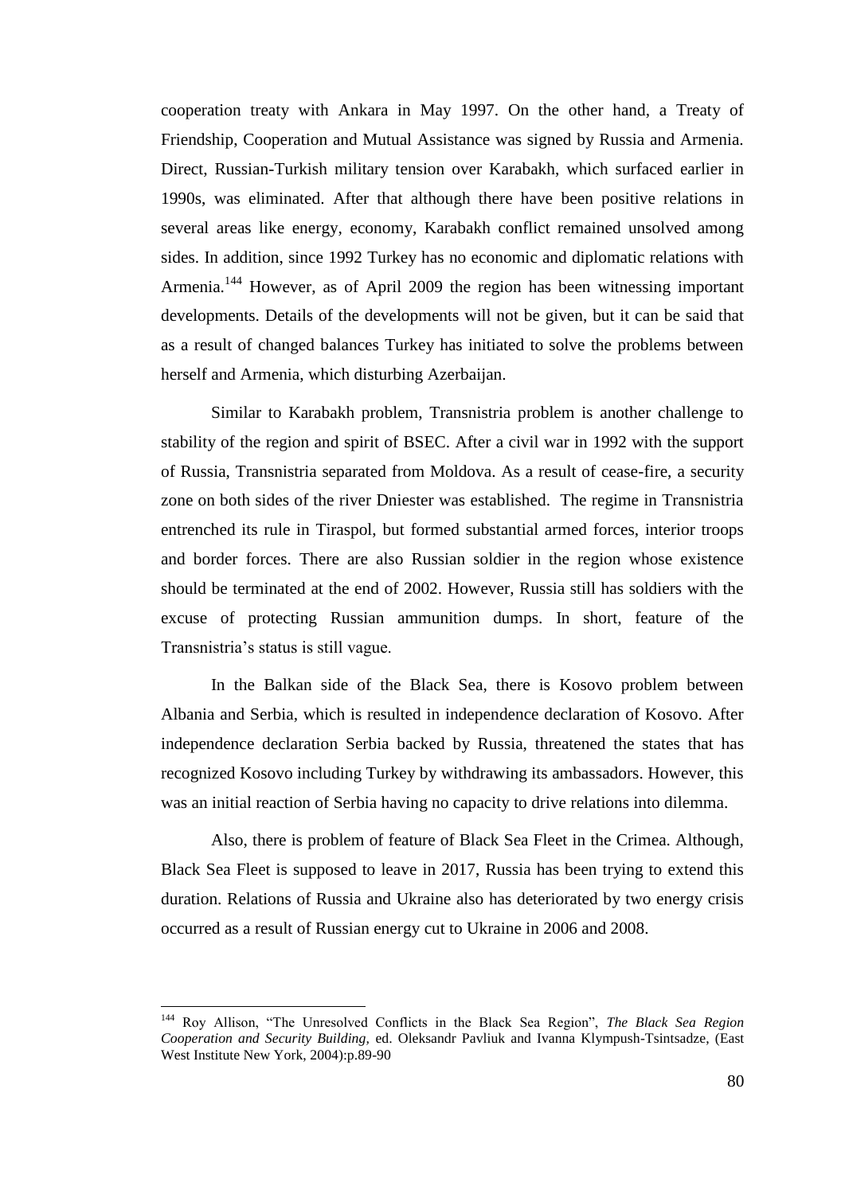cooperation treaty with Ankara in May 1997. On the other hand, a Treaty of Friendship, Cooperation and Mutual Assistance was signed by Russia and Armenia. Direct, Russian-Turkish military tension over Karabakh, which surfaced earlier in 1990s, was eliminated. After that although there have been positive relations in several areas like energy, economy, Karabakh conflict remained unsolved among sides. In addition, since 1992 Turkey has no economic and diplomatic relations with Armenia.<sup>144</sup> However, as of April 2009 the region has been witnessing important developments. Details of the developments will not be given, but it can be said that as a result of changed balances Turkey has initiated to solve the problems between herself and Armenia, which disturbing Azerbaijan.

Similar to Karabakh problem, Transnistria problem is another challenge to stability of the region and spirit of BSEC. After a civil war in 1992 with the support of Russia, Transnistria separated from Moldova. As a result of cease-fire, a security zone on both sides of the river Dniester was established. The regime in Transnistria entrenched its rule in Tiraspol, but formed substantial armed forces, interior troops and border forces. There are also Russian soldier in the region whose existence should be terminated at the end of 2002. However, Russia still has soldiers with the excuse of protecting Russian ammunition dumps. In short, feature of the Transnistria"s status is still vague.

In the Balkan side of the Black Sea, there is Kosovo problem between Albania and Serbia, which is resulted in independence declaration of Kosovo. After independence declaration Serbia backed by Russia, threatened the states that has recognized Kosovo including Turkey by withdrawing its ambassadors. However, this was an initial reaction of Serbia having no capacity to drive relations into dilemma.

Also, there is problem of feature of Black Sea Fleet in the Crimea. Although, Black Sea Fleet is supposed to leave in 2017, Russia has been trying to extend this duration. Relations of Russia and Ukraine also has deteriorated by two energy crisis occurred as a result of Russian energy cut to Ukraine in 2006 and 2008.

<sup>144</sup> Roy Allison, "The Unresolved Conflicts in the Black Sea Region", *The Black Sea Region Cooperation and Security Building,* ed. Oleksandr Pavliuk and Ivanna Klympush-Tsintsadze, (East West Institute New York, 2004):p.89-90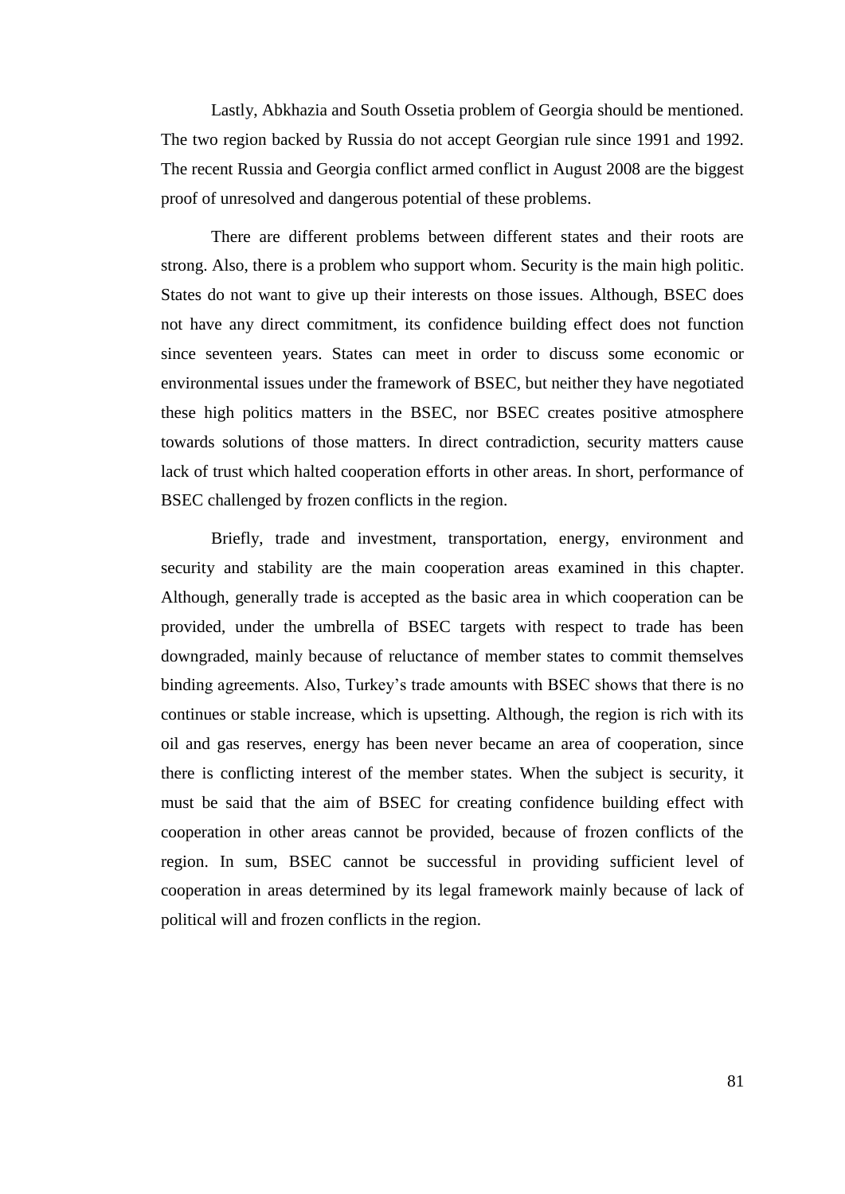Lastly, Abkhazia and South Ossetia problem of Georgia should be mentioned. The two region backed by Russia do not accept Georgian rule since 1991 and 1992. The recent Russia and Georgia conflict armed conflict in August 2008 are the biggest proof of unresolved and dangerous potential of these problems.

There are different problems between different states and their roots are strong. Also, there is a problem who support whom. Security is the main high politic. States do not want to give up their interests on those issues. Although, BSEC does not have any direct commitment, its confidence building effect does not function since seventeen years. States can meet in order to discuss some economic or environmental issues under the framework of BSEC, but neither they have negotiated these high politics matters in the BSEC, nor BSEC creates positive atmosphere towards solutions of those matters. In direct contradiction, security matters cause lack of trust which halted cooperation efforts in other areas. In short, performance of BSEC challenged by frozen conflicts in the region.

Briefly, trade and investment, transportation, energy, environment and security and stability are the main cooperation areas examined in this chapter. Although, generally trade is accepted as the basic area in which cooperation can be provided, under the umbrella of BSEC targets with respect to trade has been downgraded, mainly because of reluctance of member states to commit themselves binding agreements. Also, Turkey"s trade amounts with BSEC shows that there is no continues or stable increase, which is upsetting. Although, the region is rich with its oil and gas reserves, energy has been never became an area of cooperation, since there is conflicting interest of the member states. When the subject is security, it must be said that the aim of BSEC for creating confidence building effect with cooperation in other areas cannot be provided, because of frozen conflicts of the region. In sum, BSEC cannot be successful in providing sufficient level of cooperation in areas determined by its legal framework mainly because of lack of political will and frozen conflicts in the region.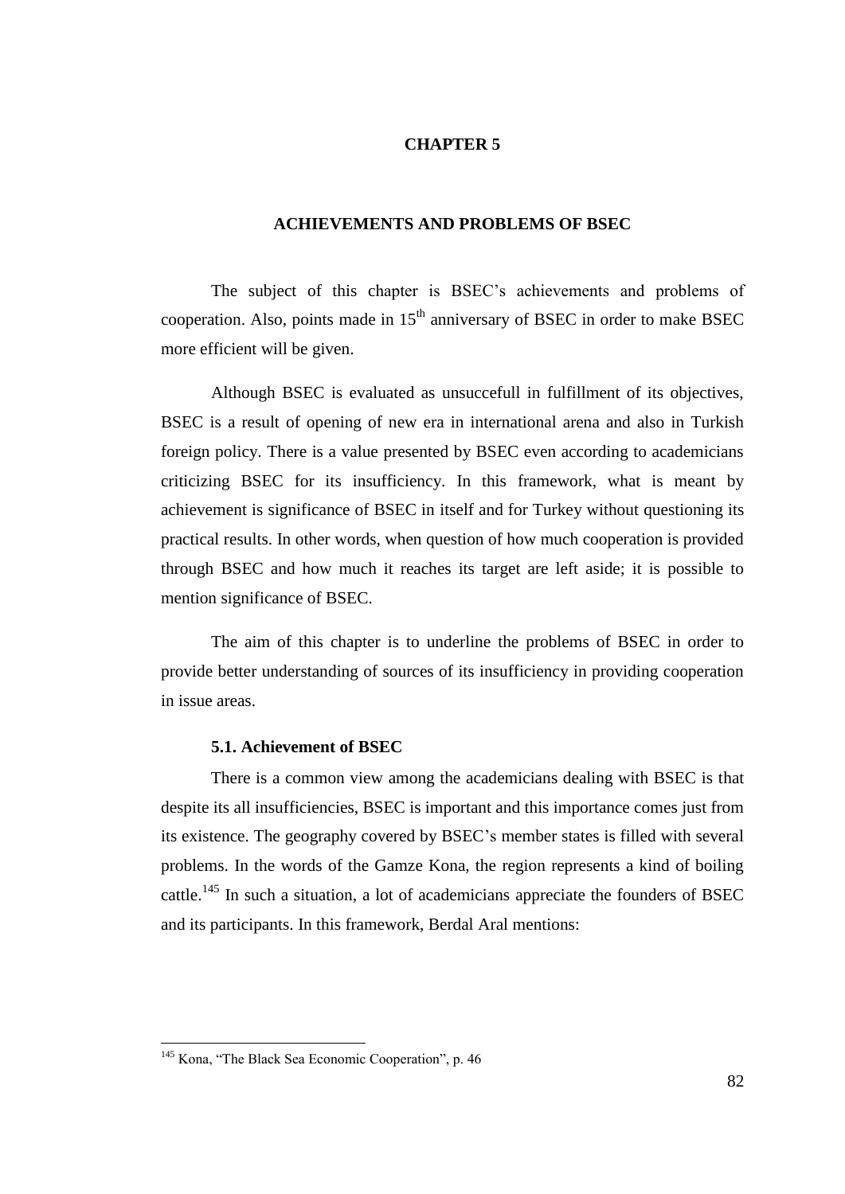## **CHAPTER 5**

## **ACHIEVEMENTS AND PROBLEMS OF BSEC**

The subject of this chapter is BSEC"s achievements and problems of cooperation. Also, points made in  $15<sup>th</sup>$  anniversary of BSEC in order to make BSEC more efficient will be given.

Although BSEC is evaluated as unsuccefull in fulfillment of its objectives, BSEC is a result of opening of new era in international arena and also in Turkish foreign policy. There is a value presented by BSEC even according to academicians criticizing BSEC for its insufficiency. In this framework, what is meant by achievement is significance of BSEC in itself and for Turkey without questioning its practical results. In other words, when question of how much cooperation is provided through BSEC and how much it reaches its target are left aside; it is possible to mention significance of BSEC.

The aim of this chapter is to underline the problems of BSEC in order to provide better understanding of sources of its insufficiency in providing cooperation in issue areas.

#### **5.1. Achievement of BSEC**

There is a common view among the academicians dealing with BSEC is that despite its all insufficiencies, BSEC is important and this importance comes just from its existence. The geography covered by BSEC"s member states is filled with several problems. In the words of the Gamze Kona, the region represents a kind of boiling cattle.<sup>145</sup> In such a situation, a lot of academicians appreciate the founders of BSEC and its participants. In this framework, Berdal Aral mentions:

l

<sup>&</sup>lt;sup>145</sup> Kona, "The Black Sea Economic Cooperation", p. 46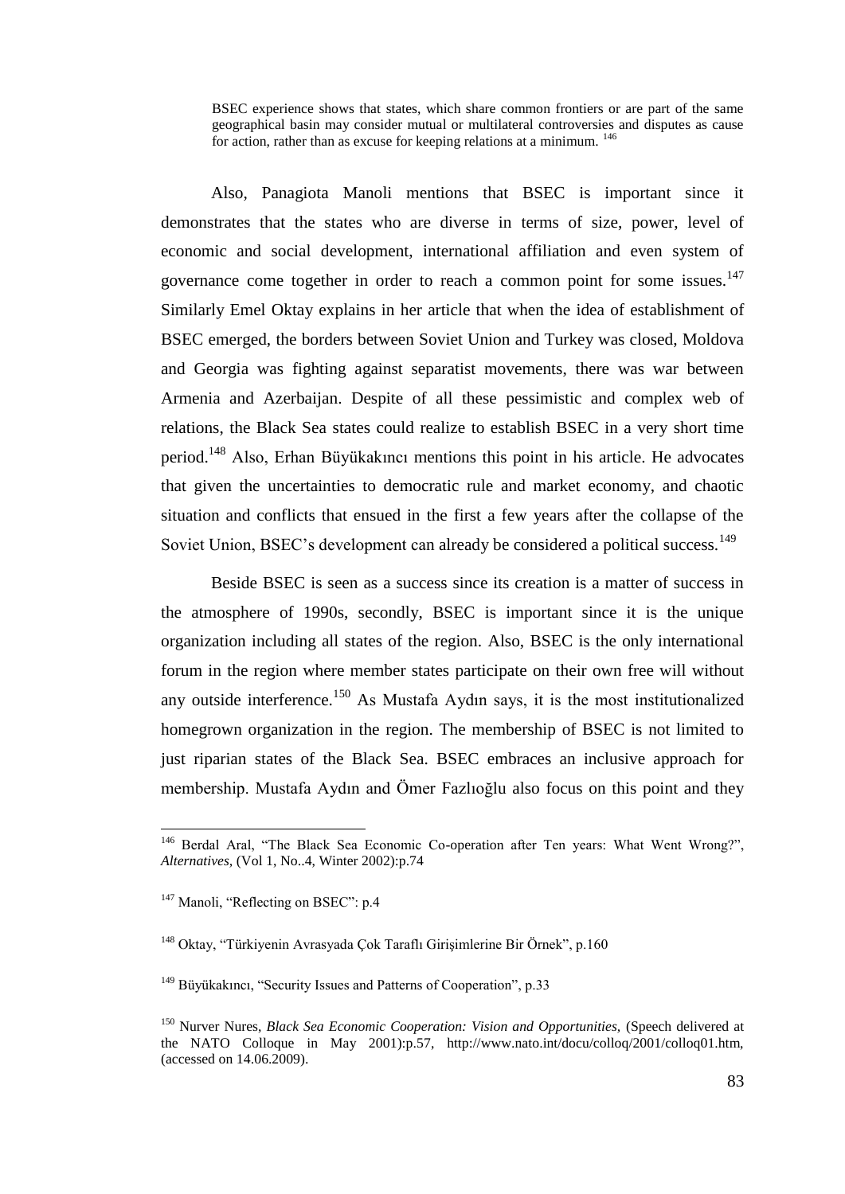BSEC experience shows that states, which share common frontiers or are part of the same geographical basin may consider mutual or multilateral controversies and disputes as cause for action, rather than as excuse for keeping relations at a minimum. <sup>146</sup>

Also, Panagiota Manoli mentions that BSEC is important since it demonstrates that the states who are diverse in terms of size, power, level of economic and social development, international affiliation and even system of governance come together in order to reach a common point for some issues. $147$ Similarly Emel Oktay explains in her article that when the idea of establishment of BSEC emerged, the borders between Soviet Union and Turkey was closed, Moldova and Georgia was fighting against separatist movements, there was war between Armenia and Azerbaijan. Despite of all these pessimistic and complex web of relations, the Black Sea states could realize to establish BSEC in a very short time period.<sup>148</sup> Also, Erhan Büyükakıncı mentions this point in his article. He advocates that given the uncertainties to democratic rule and market economy, and chaotic situation and conflicts that ensued in the first a few years after the collapse of the Soviet Union, BSEC's development can already be considered a political success.<sup>149</sup>

Beside BSEC is seen as a success since its creation is a matter of success in the atmosphere of 1990s, secondly, BSEC is important since it is the unique organization including all states of the region. Also, BSEC is the only international forum in the region where member states participate on their own free will without any outside interference.<sup>150</sup> As Mustafa Aydın says, it is the most institutionalized homegrown organization in the region. The membership of BSEC is not limited to just riparian states of the Black Sea. BSEC embraces an inclusive approach for membership. Mustafa Aydın and Ömer Fazlıoğlu also focus on this point and they

 $\overline{a}$ 

<sup>&</sup>lt;sup>146</sup> Berdal Aral, "The Black Sea Economic Co-operation after Ten years: What Went Wrong?", *Alternatives,* (Vol 1, No..4, Winter 2002):p.74

<sup>&</sup>lt;sup>147</sup> Manoli, "Reflecting on BSEC": p.4

<sup>&</sup>lt;sup>148</sup> Oktay, "Türkiyenin Avrasyada Çok Taraflı Girişimlerine Bir Örnek", p.160

<sup>&</sup>lt;sup>149</sup> Büyükakıncı, "Security Issues and Patterns of Cooperation", p.33

<sup>150</sup> Nurver Nures, *Black Sea Economic Cooperation: Vision and Opportunities,* (Speech delivered at the NATO Colloque in May 2001):p.57, http://www.nato.int/docu/colloq/2001/colloq01.htm, (accessed on 14.06.2009).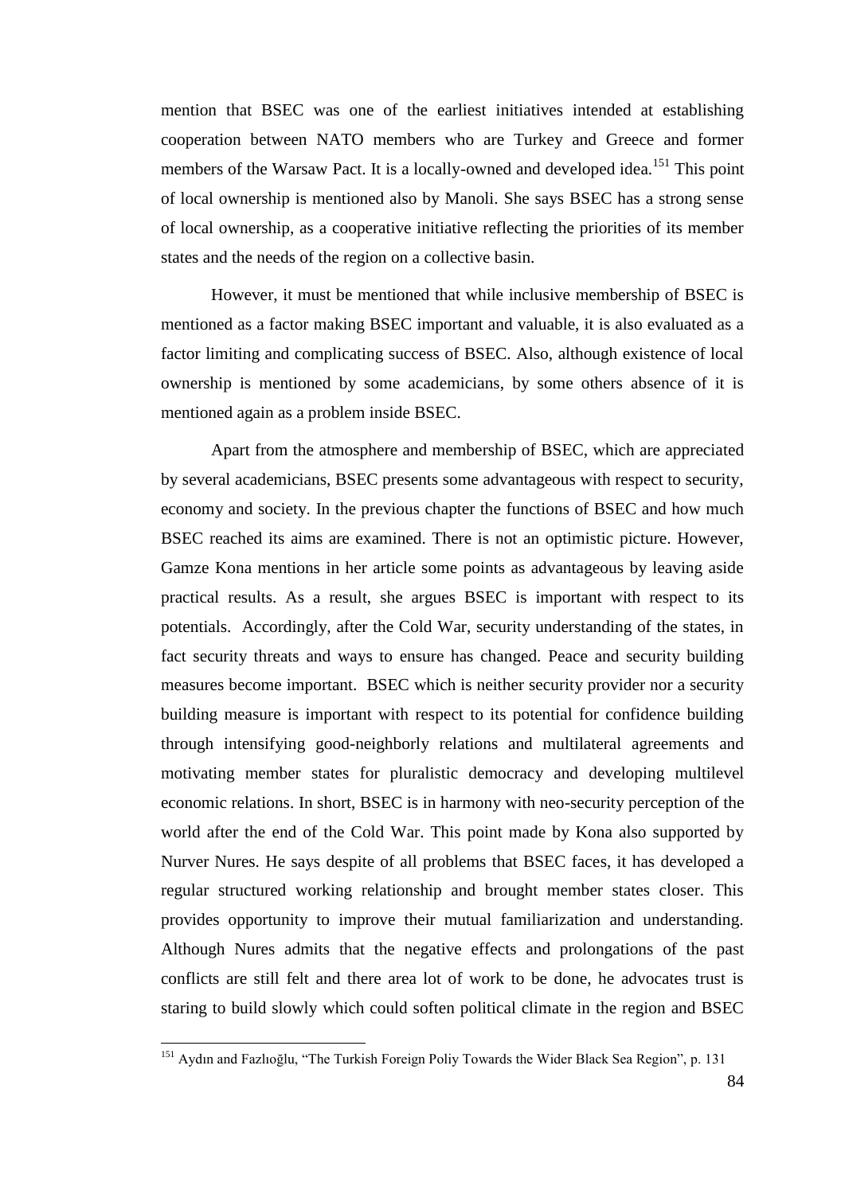mention that BSEC was one of the earliest initiatives intended at establishing cooperation between NATO members who are Turkey and Greece and former members of the Warsaw Pact. It is a locally-owned and developed idea.<sup>151</sup> This point of local ownership is mentioned also by Manoli. She says BSEC has a strong sense of local ownership, as a cooperative initiative reflecting the priorities of its member states and the needs of the region on a collective basin.

However, it must be mentioned that while inclusive membership of BSEC is mentioned as a factor making BSEC important and valuable, it is also evaluated as a factor limiting and complicating success of BSEC. Also, although existence of local ownership is mentioned by some academicians, by some others absence of it is mentioned again as a problem inside BSEC.

Apart from the atmosphere and membership of BSEC, which are appreciated by several academicians, BSEC presents some advantageous with respect to security, economy and society. In the previous chapter the functions of BSEC and how much BSEC reached its aims are examined. There is not an optimistic picture. However, Gamze Kona mentions in her article some points as advantageous by leaving aside practical results. As a result, she argues BSEC is important with respect to its potentials. Accordingly, after the Cold War, security understanding of the states, in fact security threats and ways to ensure has changed. Peace and security building measures become important. BSEC which is neither security provider nor a security building measure is important with respect to its potential for confidence building through intensifying good-neighborly relations and multilateral agreements and motivating member states for pluralistic democracy and developing multilevel economic relations. In short, BSEC is in harmony with neo-security perception of the world after the end of the Cold War. This point made by Kona also supported by Nurver Nures. He says despite of all problems that BSEC faces, it has developed a regular structured working relationship and brought member states closer. This provides opportunity to improve their mutual familiarization and understanding. Although Nures admits that the negative effects and prolongations of the past conflicts are still felt and there area lot of work to be done, he advocates trust is staring to build slowly which could soften political climate in the region and BSEC

l

<sup>&</sup>lt;sup>151</sup> Aydın and Fazlıoğlu, "The Turkish Foreign Poliy Towards the Wider Black Sea Region", p. 131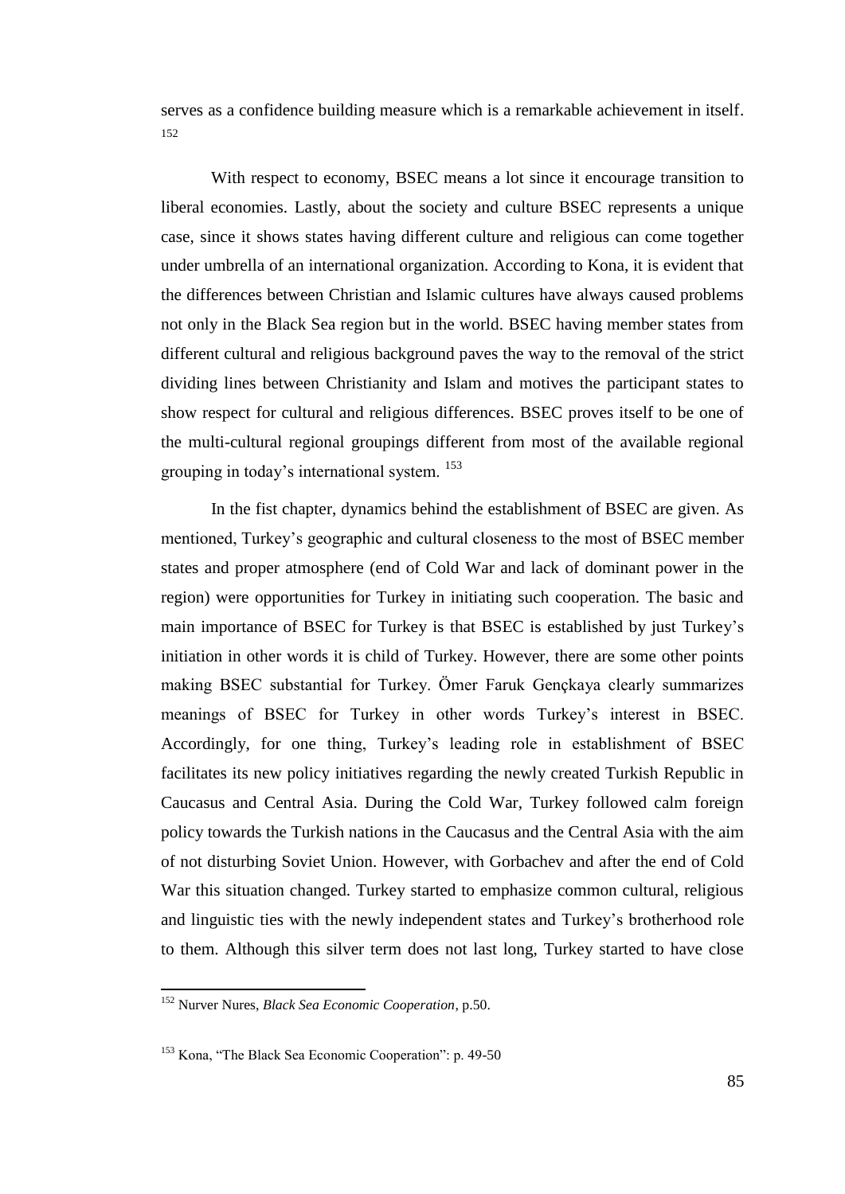serves as a confidence building measure which is a remarkable achievement in itself. 152

With respect to economy, BSEC means a lot since it encourage transition to liberal economies. Lastly, about the society and culture BSEC represents a unique case, since it shows states having different culture and religious can come together under umbrella of an international organization. According to Kona, it is evident that the differences between Christian and Islamic cultures have always caused problems not only in the Black Sea region but in the world. BSEC having member states from different cultural and religious background paves the way to the removal of the strict dividing lines between Christianity and Islam and motives the participant states to show respect for cultural and religious differences. BSEC proves itself to be one of the multi-cultural regional groupings different from most of the available regional grouping in today"s international system. <sup>153</sup>

In the fist chapter, dynamics behind the establishment of BSEC are given. As mentioned, Turkey"s geographic and cultural closeness to the most of BSEC member states and proper atmosphere (end of Cold War and lack of dominant power in the region) were opportunities for Turkey in initiating such cooperation. The basic and main importance of BSEC for Turkey is that BSEC is established by just Turkey"s initiation in other words it is child of Turkey. However, there are some other points making BSEC substantial for Turkey. Ömer Faruk Gençkaya clearly summarizes meanings of BSEC for Turkey in other words Turkey"s interest in BSEC. Accordingly, for one thing, Turkey"s leading role in establishment of BSEC facilitates its new policy initiatives regarding the newly created Turkish Republic in Caucasus and Central Asia. During the Cold War, Turkey followed calm foreign policy towards the Turkish nations in the Caucasus and the Central Asia with the aim of not disturbing Soviet Union. However, with Gorbachev and after the end of Cold War this situation changed. Turkey started to emphasize common cultural, religious and linguistic ties with the newly independent states and Turkey"s brotherhood role to them. Although this silver term does not last long, Turkey started to have close

<sup>152</sup> Nurver Nures, *Black Sea Economic Cooperation*, p.50.

<sup>153</sup> Kona, "The Black Sea Economic Cooperation": p. 49-50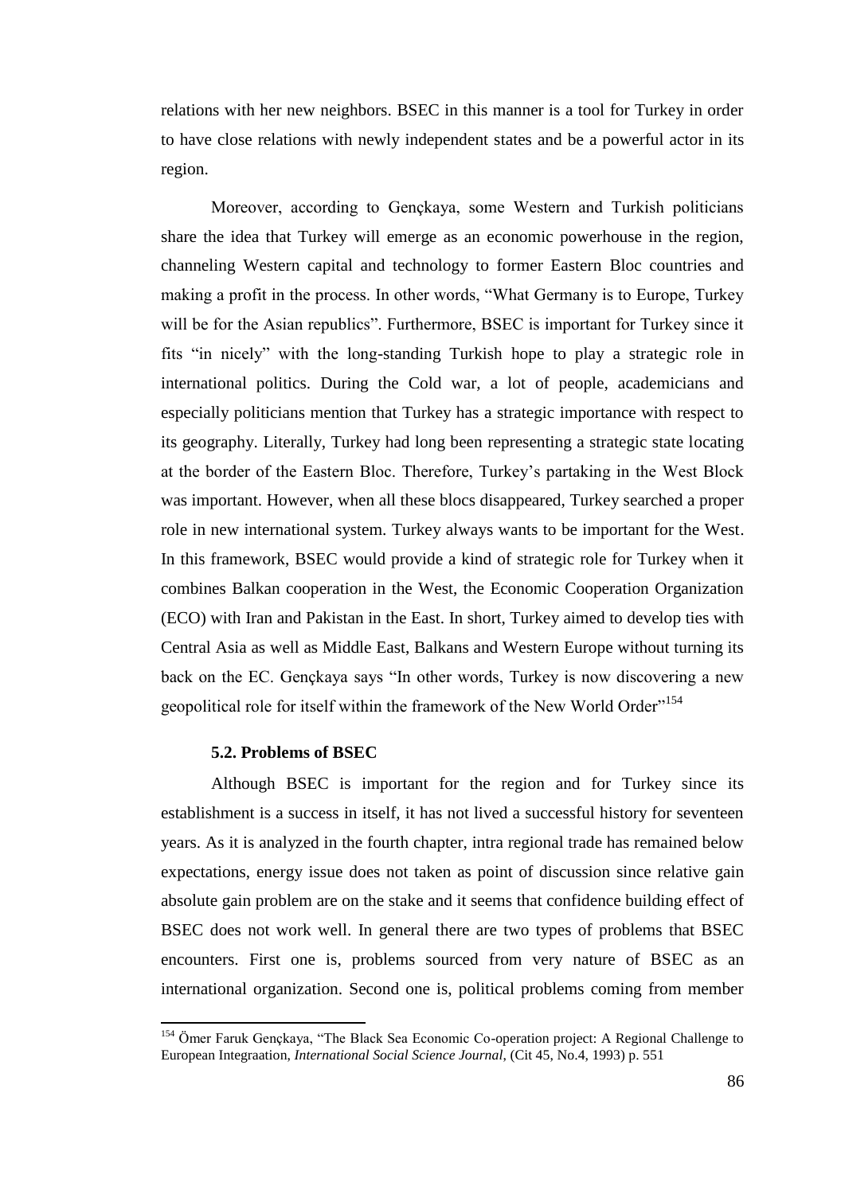relations with her new neighbors. BSEC in this manner is a tool for Turkey in order to have close relations with newly independent states and be a powerful actor in its region.

Moreover, according to Gençkaya, some Western and Turkish politicians share the idea that Turkey will emerge as an economic powerhouse in the region, channeling Western capital and technology to former Eastern Bloc countries and making a profit in the process. In other words, "What Germany is to Europe, Turkey will be for the Asian republics". Furthermore, BSEC is important for Turkey since it fits "in nicely" with the long-standing Turkish hope to play a strategic role in international politics. During the Cold war, a lot of people, academicians and especially politicians mention that Turkey has a strategic importance with respect to its geography. Literally, Turkey had long been representing a strategic state locating at the border of the Eastern Bloc. Therefore, Turkey"s partaking in the West Block was important. However, when all these blocs disappeared, Turkey searched a proper role in new international system. Turkey always wants to be important for the West. In this framework, BSEC would provide a kind of strategic role for Turkey when it combines Balkan cooperation in the West, the Economic Cooperation Organization (ECO) with Iran and Pakistan in the East. In short, Turkey aimed to develop ties with Central Asia as well as Middle East, Balkans and Western Europe without turning its back on the EC. Gençkaya says "In other words, Turkey is now discovering a new geopolitical role for itself within the framework of the New World Order"<sup>154</sup>

## **5.2. Problems of BSEC**

 $\overline{\phantom{a}}$ 

Although BSEC is important for the region and for Turkey since its establishment is a success in itself, it has not lived a successful history for seventeen years. As it is analyzed in the fourth chapter, intra regional trade has remained below expectations, energy issue does not taken as point of discussion since relative gain absolute gain problem are on the stake and it seems that confidence building effect of BSEC does not work well. In general there are two types of problems that BSEC encounters. First one is, problems sourced from very nature of BSEC as an international organization. Second one is, political problems coming from member

<sup>&</sup>lt;sup>154</sup> Ömer Faruk Gençkaya, "The Black Sea Economic Co-operation project: A Regional Challenge to European Integraation, *International Social Science Journal*, (Cit 45, No.4, 1993) p. 551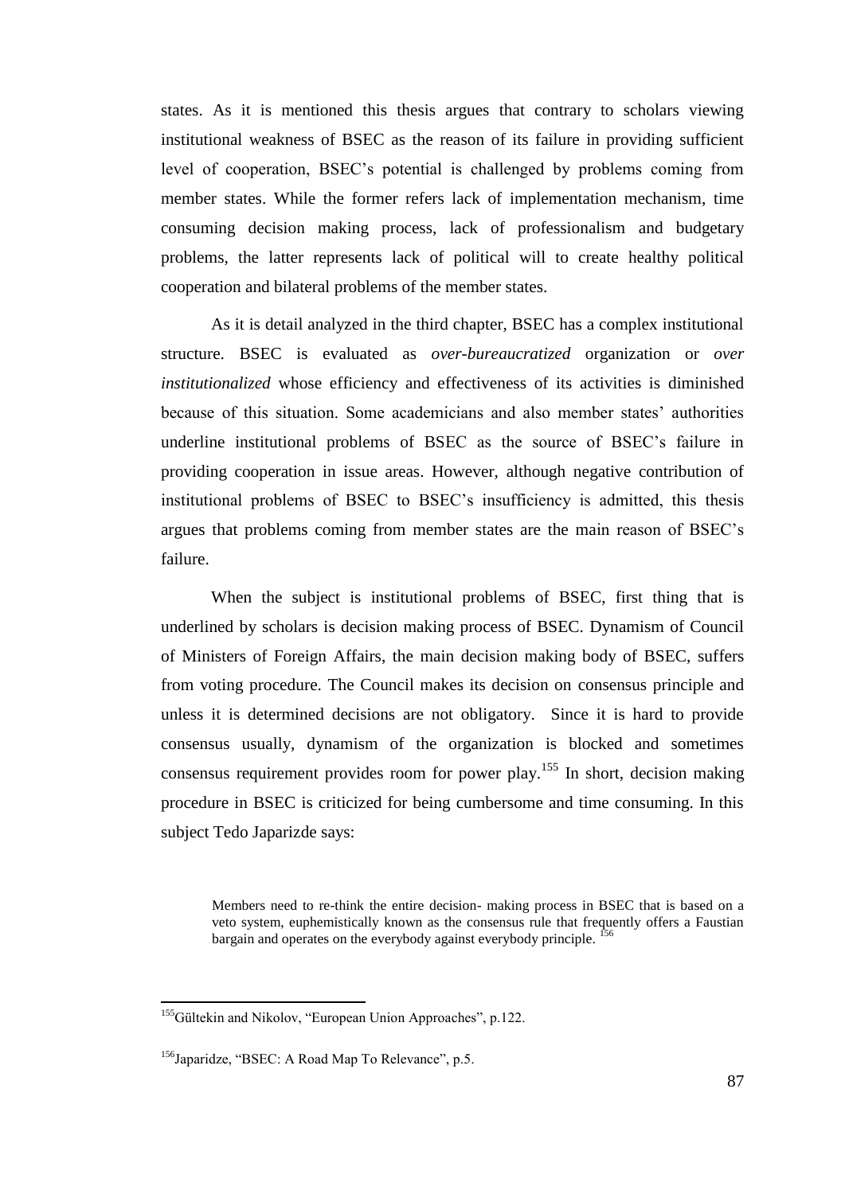states. As it is mentioned this thesis argues that contrary to scholars viewing institutional weakness of BSEC as the reason of its failure in providing sufficient level of cooperation, BSEC"s potential is challenged by problems coming from member states. While the former refers lack of implementation mechanism, time consuming decision making process, lack of professionalism and budgetary problems, the latter represents lack of political will to create healthy political cooperation and bilateral problems of the member states.

As it is detail analyzed in the third chapter, BSEC has a complex institutional structure. BSEC is evaluated as *over-bureaucratized* organization or *over institutionalized* whose efficiency and effectiveness of its activities is diminished because of this situation. Some academicians and also member states' authorities underline institutional problems of BSEC as the source of BSEC"s failure in providing cooperation in issue areas. However, although negative contribution of institutional problems of BSEC to BSEC"s insufficiency is admitted, this thesis argues that problems coming from member states are the main reason of BSEC"s failure.

When the subject is institutional problems of BSEC, first thing that is underlined by scholars is decision making process of BSEC. Dynamism of Council of Ministers of Foreign Affairs, the main decision making body of BSEC, suffers from voting procedure. The Council makes its decision on consensus principle and unless it is determined decisions are not obligatory. Since it is hard to provide consensus usually, dynamism of the organization is blocked and sometimes consensus requirement provides room for power play.<sup>155</sup> In short, decision making procedure in BSEC is criticized for being cumbersome and time consuming. In this subject Tedo Japarizde says:

Members need to re-think the entire decision- making process in BSEC that is based on a veto system, euphemistically known as the consensus rule that frequently offers a Faustian bargain and operates on the everybody against everybody principle. <sup>156</sup>

<sup>&</sup>lt;sup>155</sup>Gültekin and Nikolov, "European Union Approaches", p.122.

<sup>&</sup>lt;sup>156</sup>Japaridze, "BSEC: A Road Map To Relevance", p.5.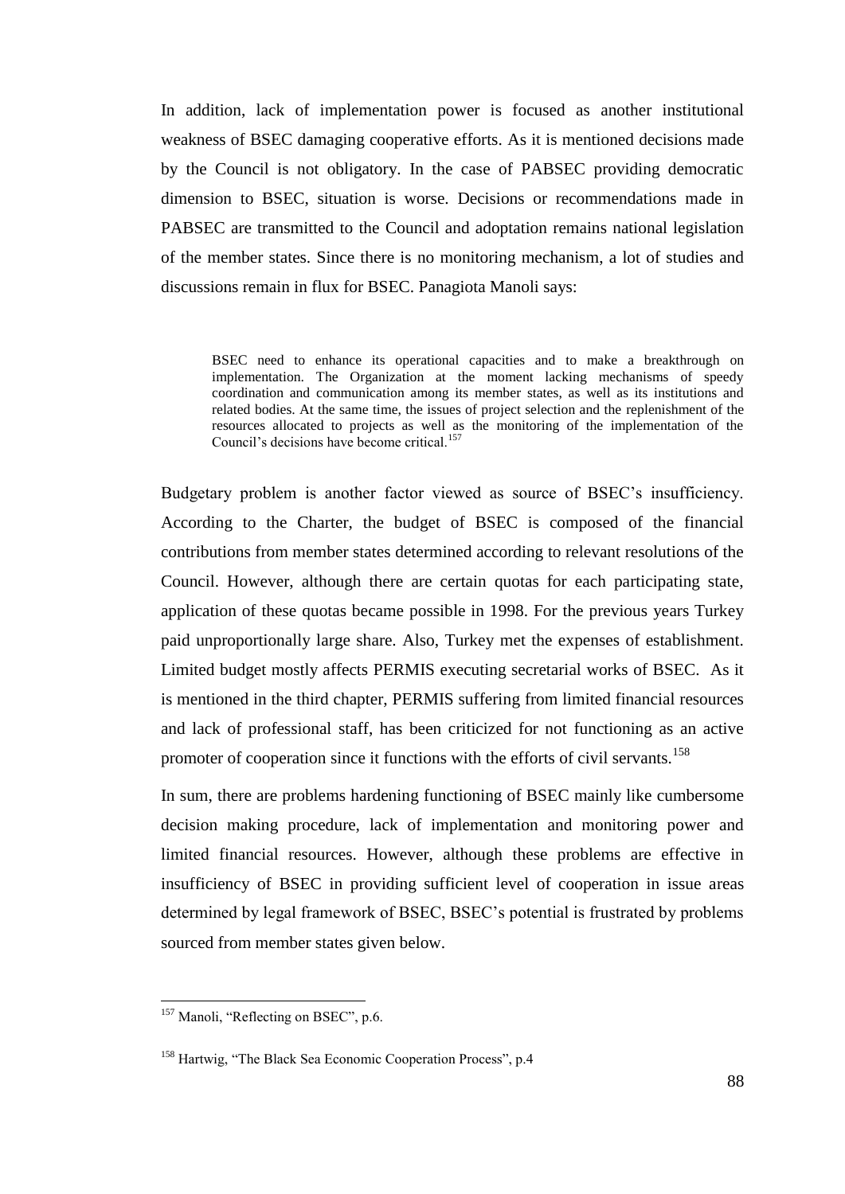In addition, lack of implementation power is focused as another institutional weakness of BSEC damaging cooperative efforts. As it is mentioned decisions made by the Council is not obligatory. In the case of PABSEC providing democratic dimension to BSEC, situation is worse. Decisions or recommendations made in PABSEC are transmitted to the Council and adoptation remains national legislation of the member states. Since there is no monitoring mechanism, a lot of studies and discussions remain in flux for BSEC. Panagiota Manoli says:

BSEC need to enhance its operational capacities and to make a breakthrough on implementation. The Organization at the moment lacking mechanisms of speedy coordination and communication among its member states, as well as its institutions and related bodies. At the same time, the issues of project selection and the replenishment of the resources allocated to projects as well as the monitoring of the implementation of the Council's decisions have become critical.<sup>157</sup>

Budgetary problem is another factor viewed as source of BSEC"s insufficiency. According to the Charter, the budget of BSEC is composed of the financial contributions from member states determined according to relevant resolutions of the Council. However, although there are certain quotas for each participating state, application of these quotas became possible in 1998. For the previous years Turkey paid unproportionally large share. Also, Turkey met the expenses of establishment. Limited budget mostly affects PERMIS executing secretarial works of BSEC. As it is mentioned in the third chapter, PERMIS suffering from limited financial resources and lack of professional staff, has been criticized for not functioning as an active promoter of cooperation since it functions with the efforts of civil servants.<sup>158</sup>

In sum, there are problems hardening functioning of BSEC mainly like cumbersome decision making procedure, lack of implementation and monitoring power and limited financial resources. However, although these problems are effective in insufficiency of BSEC in providing sufficient level of cooperation in issue areas determined by legal framework of BSEC, BSEC"s potential is frustrated by problems sourced from member states given below.

 $\overline{a}$ 

<sup>&</sup>lt;sup>157</sup> Manoli, "Reflecting on BSEC", p.6.

<sup>&</sup>lt;sup>158</sup> Hartwig, "The Black Sea Economic Cooperation Process", p.4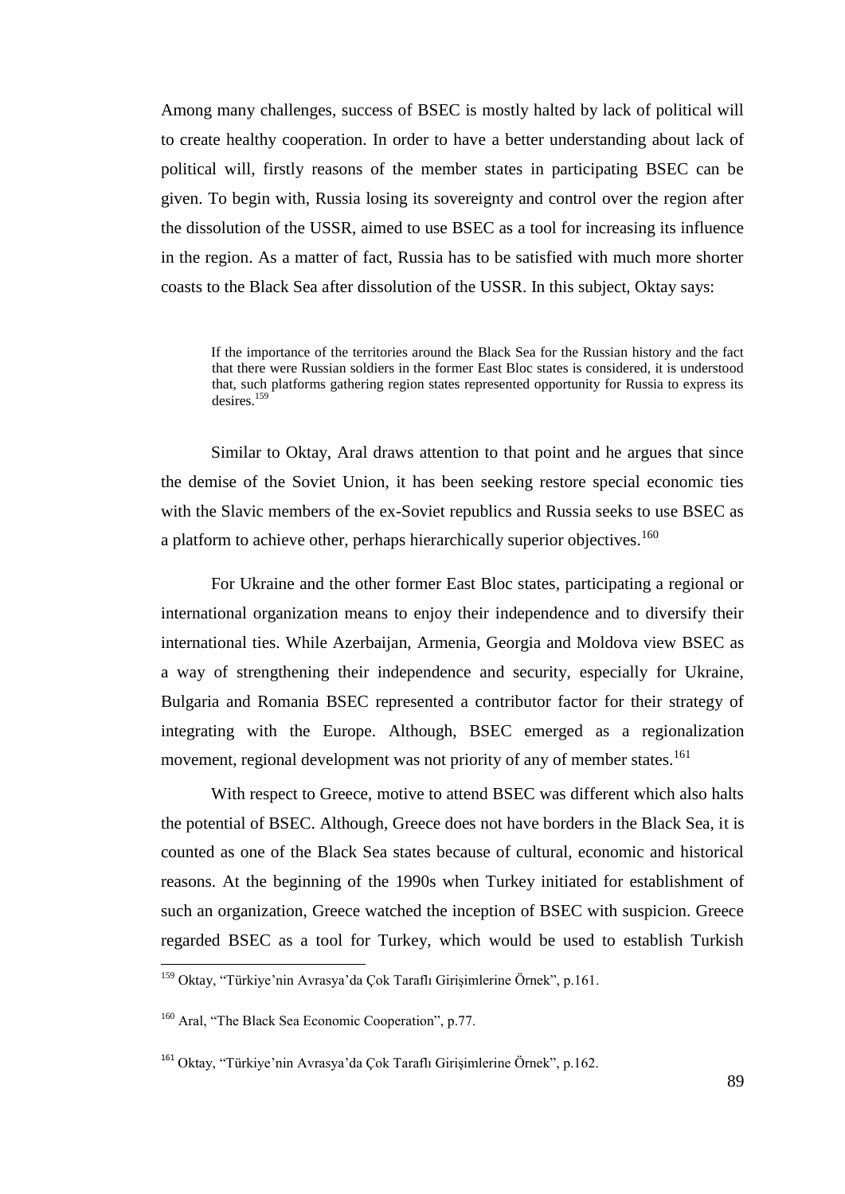Among many challenges, success of BSEC is mostly halted by lack of political will to create healthy cooperation. In order to have a better understanding about lack of political will, firstly reasons of the member states in participating BSEC can be given. To begin with, Russia losing its sovereignty and control over the region after the dissolution of the USSR, aimed to use BSEC as a tool for increasing its influence in the region. As a matter of fact, Russia has to be satisfied with much more shorter coasts to the Black Sea after dissolution of the USSR. In this subject, Oktay says:

If the importance of the territories around the Black Sea for the Russian history and the fact that there were Russian soldiers in the former East Bloc states is considered, it is understood that, such platforms gathering region states represented opportunity for Russia to express its desires<sup>159</sup>

Similar to Oktay, Aral draws attention to that point and he argues that since the demise of the Soviet Union, it has been seeking restore special economic ties with the Slavic members of the ex-Soviet republics and Russia seeks to use BSEC as a platform to achieve other, perhaps hierarchically superior objectives.<sup>160</sup>

For Ukraine and the other former East Bloc states, participating a regional or international organization means to enjoy their independence and to diversify their international ties. While Azerbaijan, Armenia, Georgia and Moldova view BSEC as a way of strengthening their independence and security, especially for Ukraine, Bulgaria and Romania BSEC represented a contributor factor for their strategy of integrating with the Europe. Although, BSEC emerged as a regionalization movement, regional development was not priority of any of member states.<sup>161</sup>

With respect to Greece, motive to attend BSEC was different which also halts the potential of BSEC. Although, Greece does not have borders in the Black Sea, it is counted as one of the Black Sea states because of cultural, economic and historical reasons. At the beginning of the 1990s when Turkey initiated for establishment of such an organization, Greece watched the inception of BSEC with suspicion. Greece regarded BSEC as a tool for Turkey, which would be used to establish Turkish

<sup>&</sup>lt;sup>159</sup> Oktay, "Türkiye'nin Avrasya'da Çok Taraflı Girişimlerine Örnek", p.161.

<sup>160</sup> Aral, "The Black Sea Economic Cooperation", p.77.

<sup>&</sup>lt;sup>161</sup> Oktay, "Türkiye'nin Avrasya'da Çok Taraflı Girişimlerine Örnek", p.162.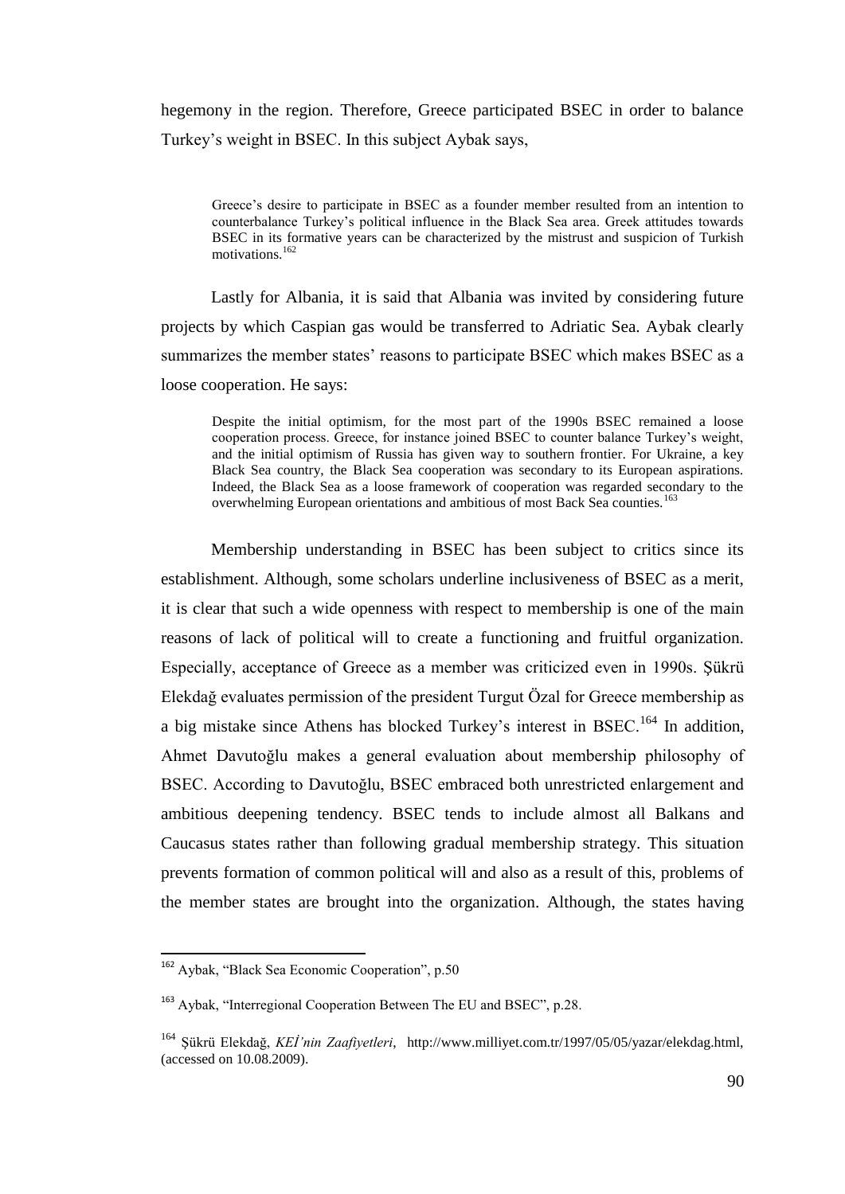hegemony in the region. Therefore, Greece participated BSEC in order to balance Turkey"s weight in BSEC. In this subject Aybak says,

Greece's desire to participate in BSEC as a founder member resulted from an intention to counterbalance Turkey"s political influence in the Black Sea area. Greek attitudes towards BSEC in its formative years can be characterized by the mistrust and suspicion of Turkish motivations.<sup>162</sup>

Lastly for Albania, it is said that Albania was invited by considering future projects by which Caspian gas would be transferred to Adriatic Sea. Aybak clearly summarizes the member states' reasons to participate BSEC which makes BSEC as a loose cooperation. He says:

Despite the initial optimism, for the most part of the 1990s BSEC remained a loose cooperation process. Greece, for instance joined BSEC to counter balance Turkey"s weight, and the initial optimism of Russia has given way to southern frontier. For Ukraine, a key Black Sea country, the Black Sea cooperation was secondary to its European aspirations. Indeed, the Black Sea as a loose framework of cooperation was regarded secondary to the overwhelming European orientations and ambitious of most Back Sea counties.<sup>163</sup>

Membership understanding in BSEC has been subject to critics since its establishment. Although, some scholars underline inclusiveness of BSEC as a merit, it is clear that such a wide openness with respect to membership is one of the main reasons of lack of political will to create a functioning and fruitful organization. Especially, acceptance of Greece as a member was criticized even in 1990s. Şükrü Elekdağ evaluates permission of the president Turgut Özal for Greece membership as a big mistake since Athens has blocked Turkey's interest in BSEC.<sup>164</sup> In addition, Ahmet Davutoğlu makes a general evaluation about membership philosophy of BSEC. According to Davutoğlu, BSEC embraced both unrestricted enlargement and ambitious deepening tendency. BSEC tends to include almost all Balkans and Caucasus states rather than following gradual membership strategy. This situation prevents formation of common political will and also as a result of this, problems of the member states are brought into the organization. Although, the states having

l

<sup>&</sup>lt;sup>162</sup> Aybak, "Black Sea Economic Cooperation", p.50

<sup>&</sup>lt;sup>163</sup> Aybak, "Interregional Cooperation Between The EU and BSEC", p.28.

<sup>&</sup>lt;sup>164</sup> Sükrü Elekdağ, *KEİ'nin Zaafiyetleri*, http://www.milliyet.com.tr/1997/05/05/yazar/elekdag.html, (accessed on 10.08.2009).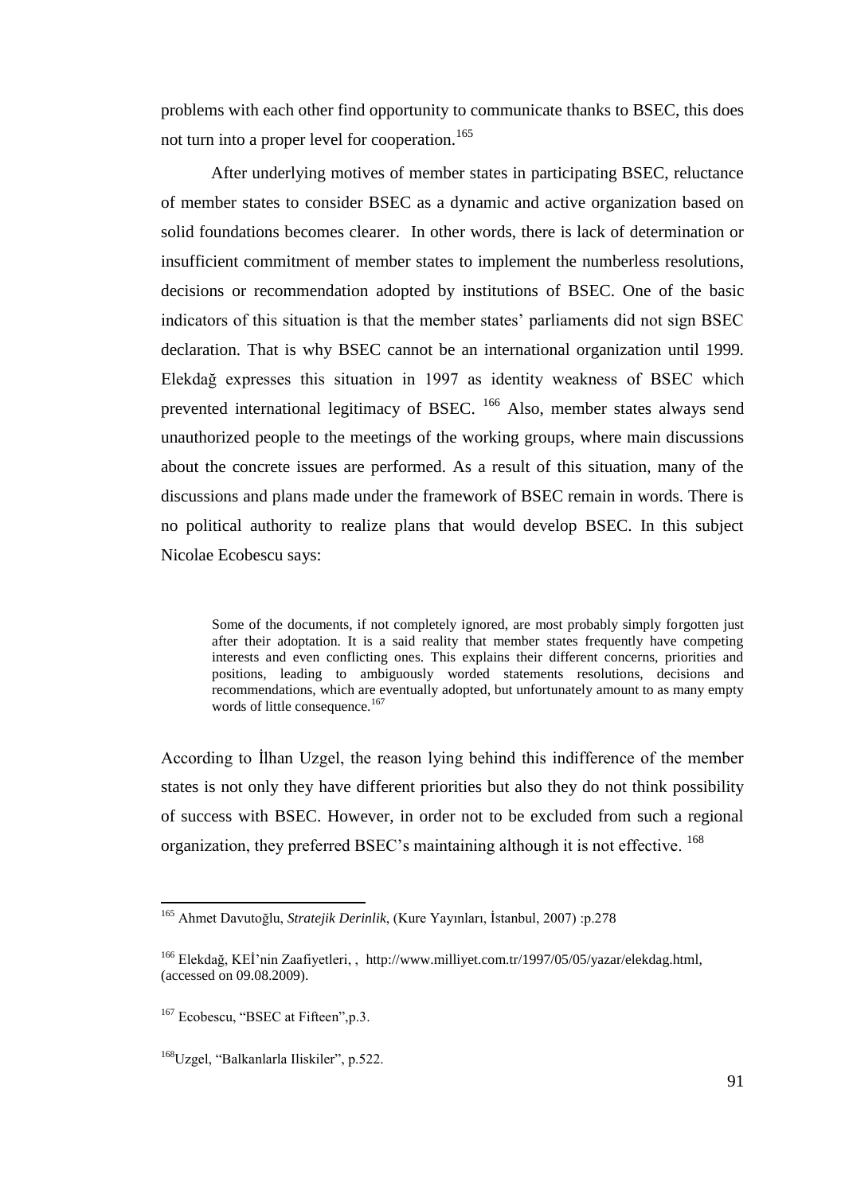problems with each other find opportunity to communicate thanks to BSEC, this does not turn into a proper level for cooperation.<sup>165</sup>

After underlying motives of member states in participating BSEC, reluctance of member states to consider BSEC as a dynamic and active organization based on solid foundations becomes clearer. In other words, there is lack of determination or insufficient commitment of member states to implement the numberless resolutions, decisions or recommendation adopted by institutions of BSEC. One of the basic indicators of this situation is that the member states' parliaments did not sign BSEC declaration. That is why BSEC cannot be an international organization until 1999. Elekdağ expresses this situation in 1997 as identity weakness of BSEC which prevented international legitimacy of BSEC. <sup>166</sup> Also, member states always send unauthorized people to the meetings of the working groups, where main discussions about the concrete issues are performed. As a result of this situation, many of the discussions and plans made under the framework of BSEC remain in words. There is no political authority to realize plans that would develop BSEC. In this subject Nicolae Ecobescu says:

Some of the documents, if not completely ignored, are most probably simply forgotten just after their adoptation. It is a said reality that member states frequently have competing interests and even conflicting ones. This explains their different concerns, priorities and positions, leading to ambiguously worded statements resolutions, decisions and recommendations, which are eventually adopted, but unfortunately amount to as many empty words of little consequence.<sup>167</sup>

According to İlhan Uzgel, the reason lying behind this indifference of the member states is not only they have different priorities but also they do not think possibility of success with BSEC. However, in order not to be excluded from such a regional organization, they preferred BSEC's maintaining although it is not effective. <sup>168</sup>

<sup>165</sup> Ahmet Davutoğlu, *Stratejik Derinlik*, (Kure Yayınları, Ġstanbul, 2007) :p.278

<sup>&</sup>lt;sup>166</sup> Elekdağ, KEİ'nin Zaafiyetleri,, http://www.milliyet.com.tr/1997/05/05/yazar/elekdag.html, (accessed on 09.08.2009).

<sup>&</sup>lt;sup>167</sup> Ecobescu, "BSEC at Fifteen", p.3.

<sup>&</sup>lt;sup>168</sup>Uzgel, "Balkanlarla Iliskiler", p.522.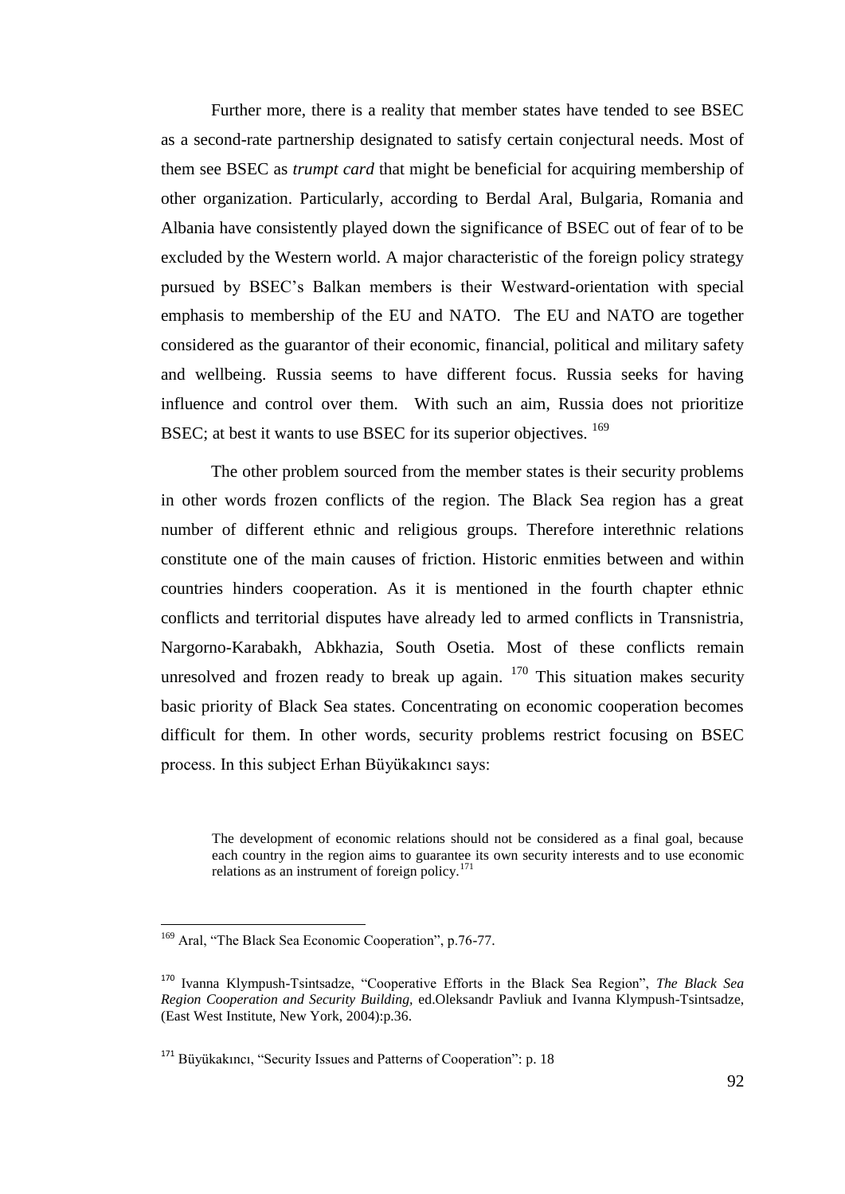Further more, there is a reality that member states have tended to see BSEC as a second-rate partnership designated to satisfy certain conjectural needs. Most of them see BSEC as *trumpt card* that might be beneficial for acquiring membership of other organization. Particularly, according to Berdal Aral, Bulgaria, Romania and Albania have consistently played down the significance of BSEC out of fear of to be excluded by the Western world. A major characteristic of the foreign policy strategy pursued by BSEC"s Balkan members is their Westward-orientation with special emphasis to membership of the EU and NATO. The EU and NATO are together considered as the guarantor of their economic, financial, political and military safety and wellbeing. Russia seems to have different focus. Russia seeks for having influence and control over them. With such an aim, Russia does not prioritize BSEC; at best it wants to use BSEC for its superior objectives. <sup>169</sup>

The other problem sourced from the member states is their security problems in other words frozen conflicts of the region. The Black Sea region has a great number of different ethnic and religious groups. Therefore interethnic relations constitute one of the main causes of friction. Historic enmities between and within countries hinders cooperation. As it is mentioned in the fourth chapter ethnic conflicts and territorial disputes have already led to armed conflicts in Transnistria, Nargorno-Karabakh, Abkhazia, South Osetia. Most of these conflicts remain unresolved and frozen ready to break up again.  $170$  This situation makes security basic priority of Black Sea states. Concentrating on economic cooperation becomes difficult for them. In other words, security problems restrict focusing on BSEC process. In this subject Erhan Büyükakıncı says:

The development of economic relations should not be considered as a final goal, because each country in the region aims to guarantee its own security interests and to use economic relations as an instrument of foreign policy.<sup>171</sup>

<sup>&</sup>lt;sup>169</sup> Aral, "The Black Sea Economic Cooperation", p.76-77.

<sup>170</sup> Ivanna Klympush-Tsintsadze, "Cooperative Efforts in the Black Sea Region", *The Black Sea Region Cooperation and Security Building,* ed.Oleksandr Pavliuk and Ivanna Klympush-Tsintsadze, (East West Institute, New York, 2004):p.36.

<sup>&</sup>lt;sup>171</sup> Büyükakıncı, "Security Issues and Patterns of Cooperation": p. 18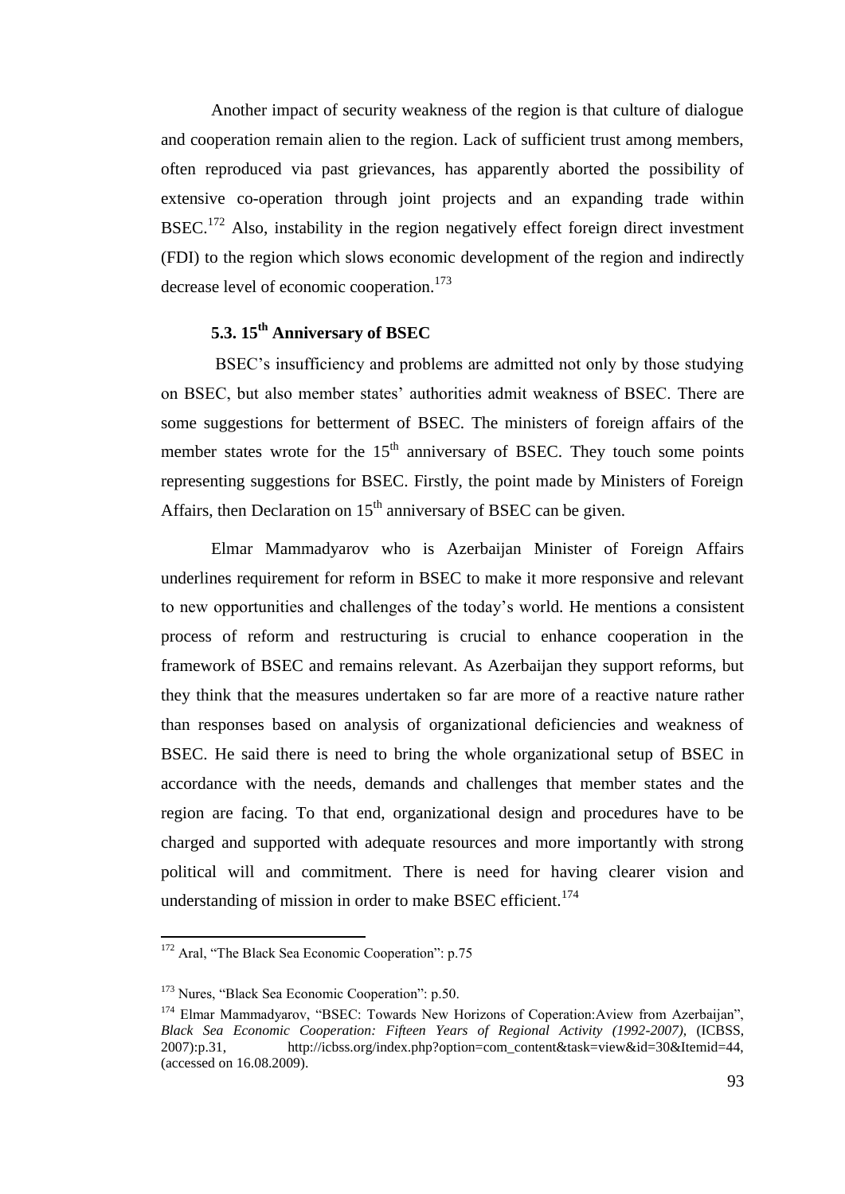Another impact of security weakness of the region is that culture of dialogue and cooperation remain alien to the region. Lack of sufficient trust among members, often reproduced via past grievances, has apparently aborted the possibility of extensive co-operation through joint projects and an expanding trade within  $BSEC.<sup>172</sup>$  Also, instability in the region negatively effect foreign direct investment (FDI) to the region which slows economic development of the region and indirectly decrease level of economic cooperation.<sup>173</sup>

# **5.3. 15th Anniversary of BSEC**

BSEC"s insufficiency and problems are admitted not only by those studying on BSEC, but also member states" authorities admit weakness of BSEC. There are some suggestions for betterment of BSEC. The ministers of foreign affairs of the member states wrote for the  $15<sup>th</sup>$  anniversary of BSEC. They touch some points representing suggestions for BSEC. Firstly, the point made by Ministers of Foreign Affairs, then Declaration on  $15<sup>th</sup>$  anniversary of BSEC can be given.

Elmar Mammadyarov who is Azerbaijan Minister of Foreign Affairs underlines requirement for reform in BSEC to make it more responsive and relevant to new opportunities and challenges of the today"s world. He mentions a consistent process of reform and restructuring is crucial to enhance cooperation in the framework of BSEC and remains relevant. As Azerbaijan they support reforms, but they think that the measures undertaken so far are more of a reactive nature rather than responses based on analysis of organizational deficiencies and weakness of BSEC. He said there is need to bring the whole organizational setup of BSEC in accordance with the needs, demands and challenges that member states and the region are facing. To that end, organizational design and procedures have to be charged and supported with adequate resources and more importantly with strong political will and commitment. There is need for having clearer vision and understanding of mission in order to make BSEC efficient.<sup>174</sup>

l

<sup>&</sup>lt;sup>172</sup> Aral, "The Black Sea Economic Cooperation": p.75

<sup>173</sup> Nures, "Black Sea Economic Cooperation": p.50.

<sup>174</sup> Elmar Mammadyarov, "BSEC: Towards New Horizons of Coperation:Aview from Azerbaijan", *Black Sea Economic Cooperation: Fifteen Years of Regional Activity (1992-2007),* (ICBSS, 2007):p.31, http://icbss.org/index.php?option=com\_content&task=view&id=30&Itemid=44, (accessed on 16.08.2009).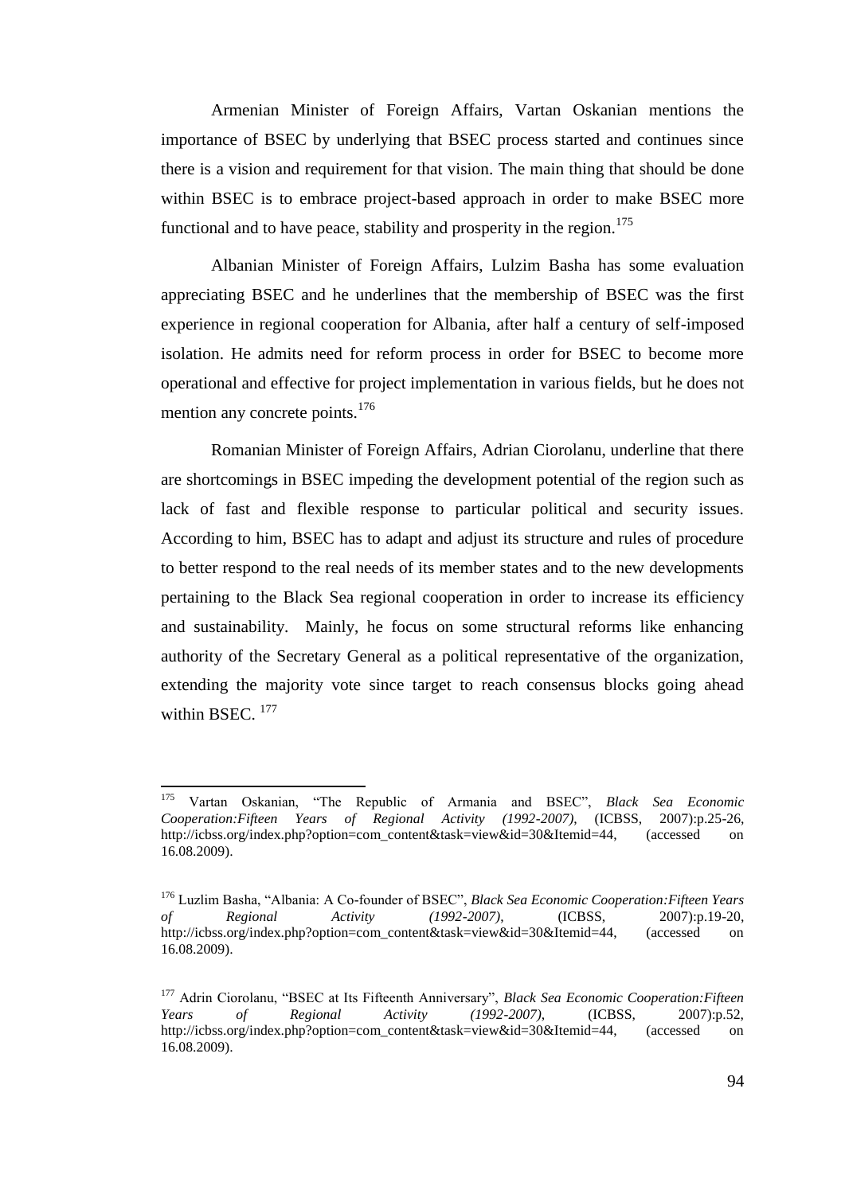Armenian Minister of Foreign Affairs, Vartan Oskanian mentions the importance of BSEC by underlying that BSEC process started and continues since there is a vision and requirement for that vision. The main thing that should be done within BSEC is to embrace project-based approach in order to make BSEC more functional and to have peace, stability and prosperity in the region. $175$ 

Albanian Minister of Foreign Affairs, Lulzim Basha has some evaluation appreciating BSEC and he underlines that the membership of BSEC was the first experience in regional cooperation for Albania, after half a century of self-imposed isolation. He admits need for reform process in order for BSEC to become more operational and effective for project implementation in various fields, but he does not mention any concrete points.<sup>176</sup>

Romanian Minister of Foreign Affairs, Adrian Ciorolanu, underline that there are shortcomings in BSEC impeding the development potential of the region such as lack of fast and flexible response to particular political and security issues. According to him, BSEC has to adapt and adjust its structure and rules of procedure to better respond to the real needs of its member states and to the new developments pertaining to the Black Sea regional cooperation in order to increase its efficiency and sustainability. Mainly, he focus on some structural reforms like enhancing authority of the Secretary General as a political representative of the organization, extending the majority vote since target to reach consensus blocks going ahead within BSE $C^{-177}$ 

<sup>175</sup> <sup>175</sup> Vartan Oskanian, "The Republic of Armania and BSEC", *Black Sea Economic Cooperation:Fifteen Years of Regional Activity (1992-2007)*, (ICBSS, 2007):p.25-26, http://icbss.org/index.php?option=com\_content&task=view&id=30&Itemid=44, (accessed on 16.08.2009).

<sup>176</sup> Luzlim Basha, "Albania: A Co-founder of BSEC", *Black Sea Economic Cooperation:Fifteen Years of Regional Activity (1992-2007)*, (ICBSS, 2007):p.19-20, http://icbss.org/index.php?option=com\_content&task=view&id=30&Itemid=44, (accessed on 16.08.2009).

<sup>177</sup> Adrin Ciorolanu, "BSEC at Its Fifteenth Anniversary", *Black Sea Economic Cooperation:Fifteen Years of Regional Activity (1992-2007)*, (ICBSS, 2007):p.52, http://icbss.org/index.php?option=com\_content&task=view&id=30&Itemid=44, (accessed on 16.08.2009).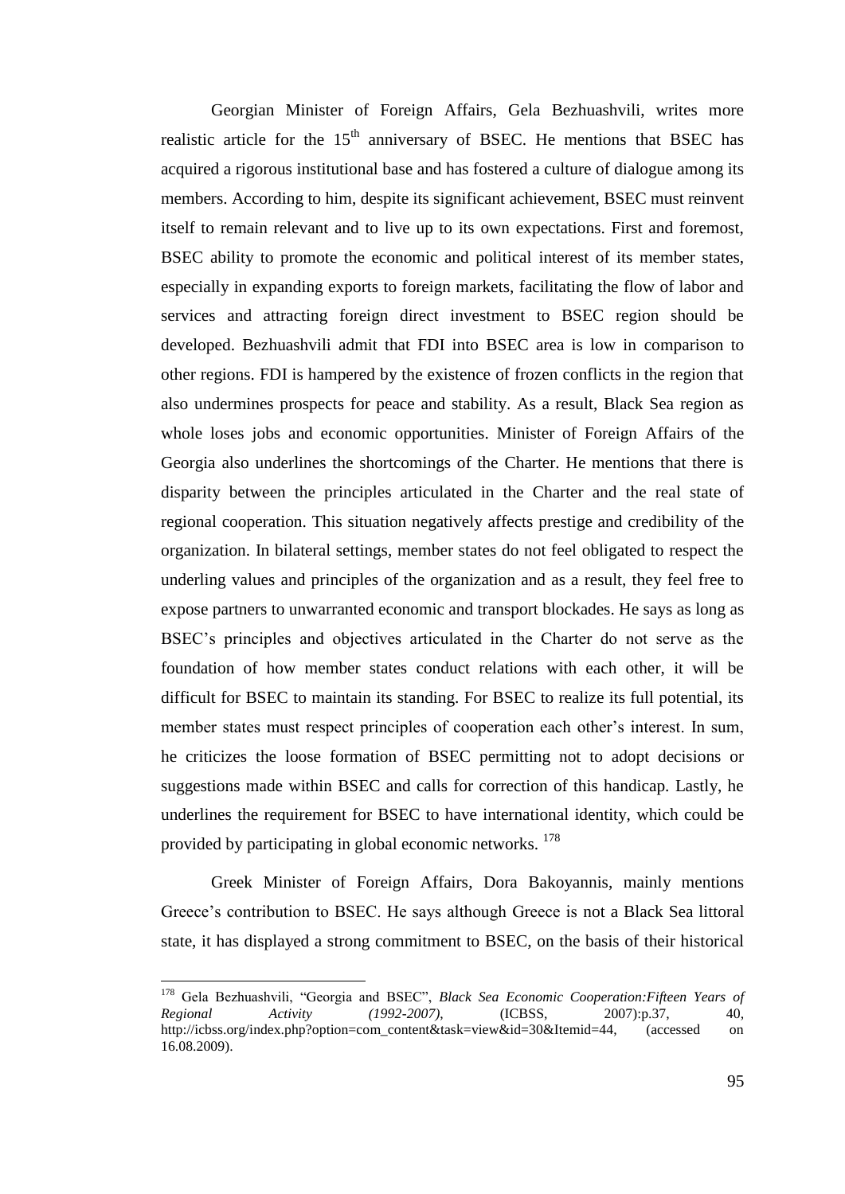Georgian Minister of Foreign Affairs, Gela Bezhuashvili, writes more realistic article for the  $15<sup>th</sup>$  anniversary of BSEC. He mentions that BSEC has acquired a rigorous institutional base and has fostered a culture of dialogue among its members. According to him, despite its significant achievement, BSEC must reinvent itself to remain relevant and to live up to its own expectations. First and foremost, BSEC ability to promote the economic and political interest of its member states, especially in expanding exports to foreign markets, facilitating the flow of labor and services and attracting foreign direct investment to BSEC region should be developed. Bezhuashvili admit that FDI into BSEC area is low in comparison to other regions. FDI is hampered by the existence of frozen conflicts in the region that also undermines prospects for peace and stability. As a result, Black Sea region as whole loses jobs and economic opportunities. Minister of Foreign Affairs of the Georgia also underlines the shortcomings of the Charter. He mentions that there is disparity between the principles articulated in the Charter and the real state of regional cooperation. This situation negatively affects prestige and credibility of the organization. In bilateral settings, member states do not feel obligated to respect the underling values and principles of the organization and as a result, they feel free to expose partners to unwarranted economic and transport blockades. He says as long as BSEC"s principles and objectives articulated in the Charter do not serve as the foundation of how member states conduct relations with each other, it will be difficult for BSEC to maintain its standing. For BSEC to realize its full potential, its member states must respect principles of cooperation each other's interest. In sum, he criticizes the loose formation of BSEC permitting not to adopt decisions or suggestions made within BSEC and calls for correction of this handicap. Lastly, he underlines the requirement for BSEC to have international identity, which could be provided by participating in global economic networks.<sup>178</sup>

Greek Minister of Foreign Affairs, Dora Bakoyannis, mainly mentions Greece"s contribution to BSEC. He says although Greece is not a Black Sea littoral state, it has displayed a strong commitment to BSEC, on the basis of their historical

<sup>178</sup> Gela Bezhuashvili, "Georgia and BSEC", *Black Sea Economic Cooperation:Fifteen Years of Regional Activity (1992-2007)*, (ICBSS, 2007):p.37, 40, http://icbss.org/index.php?option=com\_content&task=view&id=30&Itemid=44, (accessed on 16.08.2009).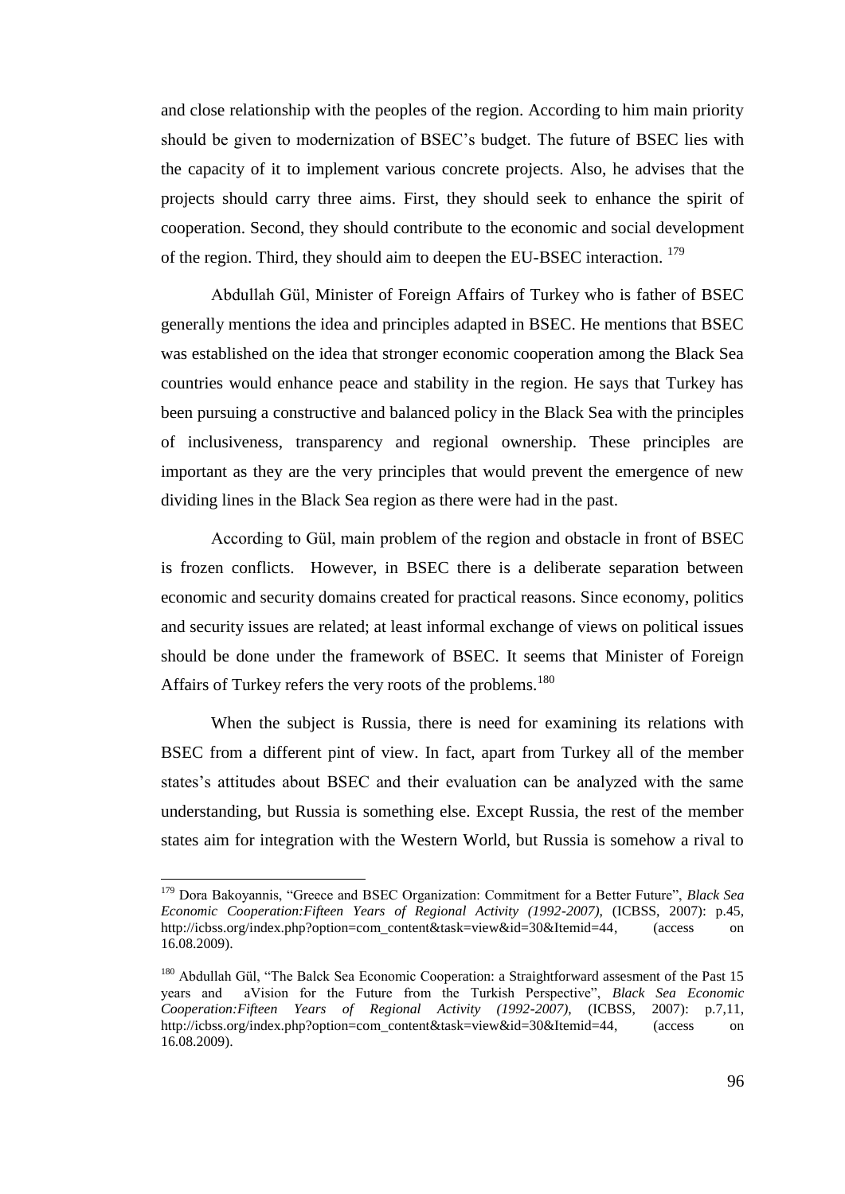and close relationship with the peoples of the region. According to him main priority should be given to modernization of BSEC"s budget. The future of BSEC lies with the capacity of it to implement various concrete projects. Also, he advises that the projects should carry three aims. First, they should seek to enhance the spirit of cooperation. Second, they should contribute to the economic and social development of the region. Third, they should aim to deepen the EU-BSEC interaction. <sup>179</sup>

Abdullah Gül, Minister of Foreign Affairs of Turkey who is father of BSEC generally mentions the idea and principles adapted in BSEC. He mentions that BSEC was established on the idea that stronger economic cooperation among the Black Sea countries would enhance peace and stability in the region. He says that Turkey has been pursuing a constructive and balanced policy in the Black Sea with the principles of inclusiveness, transparency and regional ownership. These principles are important as they are the very principles that would prevent the emergence of new dividing lines in the Black Sea region as there were had in the past.

According to Gül, main problem of the region and obstacle in front of BSEC is frozen conflicts. However, in BSEC there is a deliberate separation between economic and security domains created for practical reasons. Since economy, politics and security issues are related; at least informal exchange of views on political issues should be done under the framework of BSEC. It seems that Minister of Foreign Affairs of Turkey refers the very roots of the problems.<sup>180</sup>

When the subject is Russia, there is need for examining its relations with BSEC from a different pint of view. In fact, apart from Turkey all of the member states's attitudes about BSEC and their evaluation can be analyzed with the same understanding, but Russia is something else. Except Russia, the rest of the member states aim for integration with the Western World, but Russia is somehow a rival to

<sup>179</sup> Dora Bakoyannis, "Greece and BSEC Organization: Commitment for a Better Future", *Black Sea Economic Cooperation:Fifteen Years of Regional Activity (1992-2007)*, (ICBSS, 2007): p.45, http://icbss.org/index.php?option=com\_content&task=view&id=30&Itemid=44, (access on 16.08.2009).

<sup>&</sup>lt;sup>180</sup> Abdullah Gül, "The Balck Sea Economic Cooperation: a Straightforward assesment of the Past 15 years and aVision for the Future from the Turkish Perspective", *Black Sea Economic Cooperation:Fifteen Years of Regional Activity (1992-2007)*, (ICBSS, 2007): p.7,11, http://icbss.org/index.php?option=com\_content&task=view&id=30&Itemid=44, (access on 16.08.2009).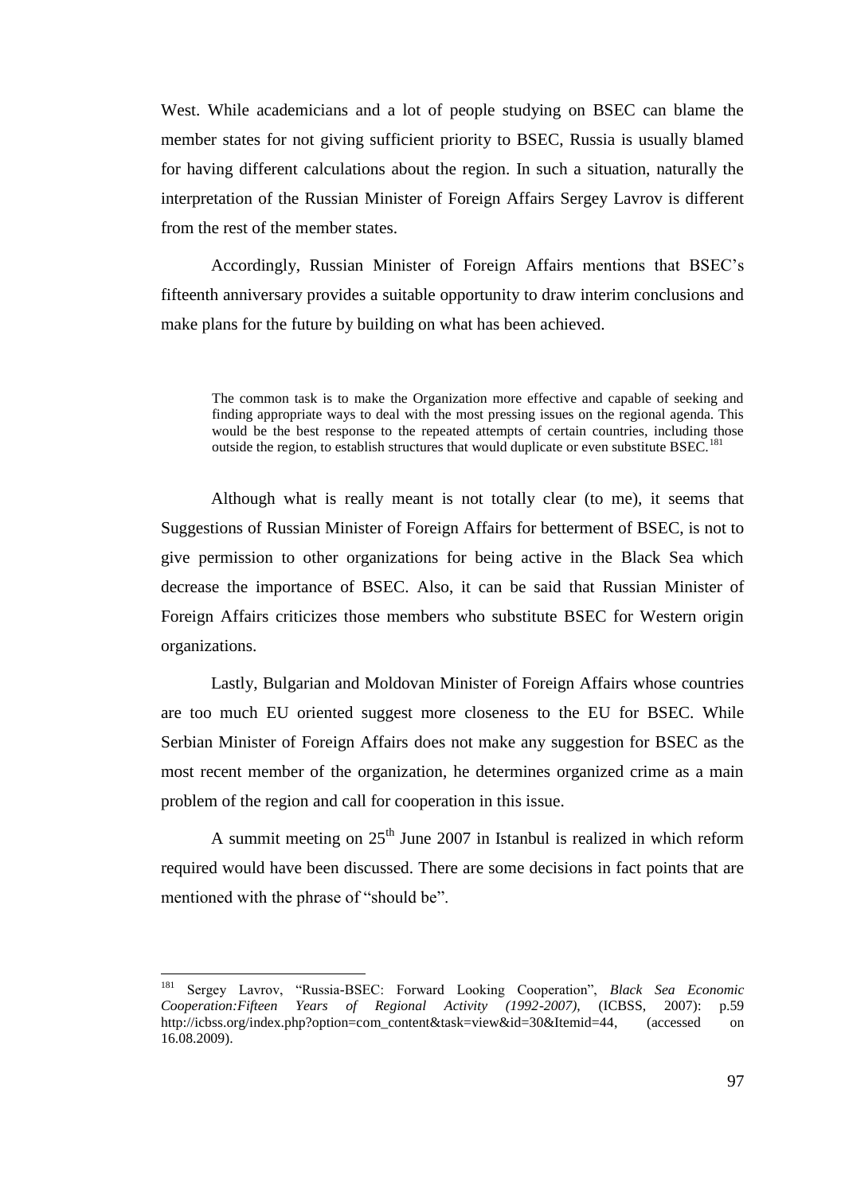West. While academicians and a lot of people studying on BSEC can blame the member states for not giving sufficient priority to BSEC, Russia is usually blamed for having different calculations about the region. In such a situation, naturally the interpretation of the Russian Minister of Foreign Affairs Sergey Lavrov is different from the rest of the member states.

Accordingly, Russian Minister of Foreign Affairs mentions that BSEC"s fifteenth anniversary provides a suitable opportunity to draw interim conclusions and make plans for the future by building on what has been achieved.

The common task is to make the Organization more effective and capable of seeking and finding appropriate ways to deal with the most pressing issues on the regional agenda. This would be the best response to the repeated attempts of certain countries, including those outside the region, to establish structures that would duplicate or even substitute BSEC.

Although what is really meant is not totally clear (to me), it seems that Suggestions of Russian Minister of Foreign Affairs for betterment of BSEC, is not to give permission to other organizations for being active in the Black Sea which decrease the importance of BSEC. Also, it can be said that Russian Minister of Foreign Affairs criticizes those members who substitute BSEC for Western origin organizations.

Lastly, Bulgarian and Moldovan Minister of Foreign Affairs whose countries are too much EU oriented suggest more closeness to the EU for BSEC. While Serbian Minister of Foreign Affairs does not make any suggestion for BSEC as the most recent member of the organization, he determines organized crime as a main problem of the region and call for cooperation in this issue.

A summit meeting on  $25<sup>th</sup>$  June 2007 in Istanbul is realized in which reform required would have been discussed. There are some decisions in fact points that are mentioned with the phrase of "should be".

<sup>181</sup> Sergey Lavrov, "Russia-BSEC: Forward Looking Cooperation", *Black Sea Economic Cooperation:Fifteen Years of Regional Activity (1992-2007)*, (ICBSS, 2007): p.59 http://icbss.org/index.php?option=com\_content&task=view&id=30&Itemid=44, (accessed on 16.08.2009).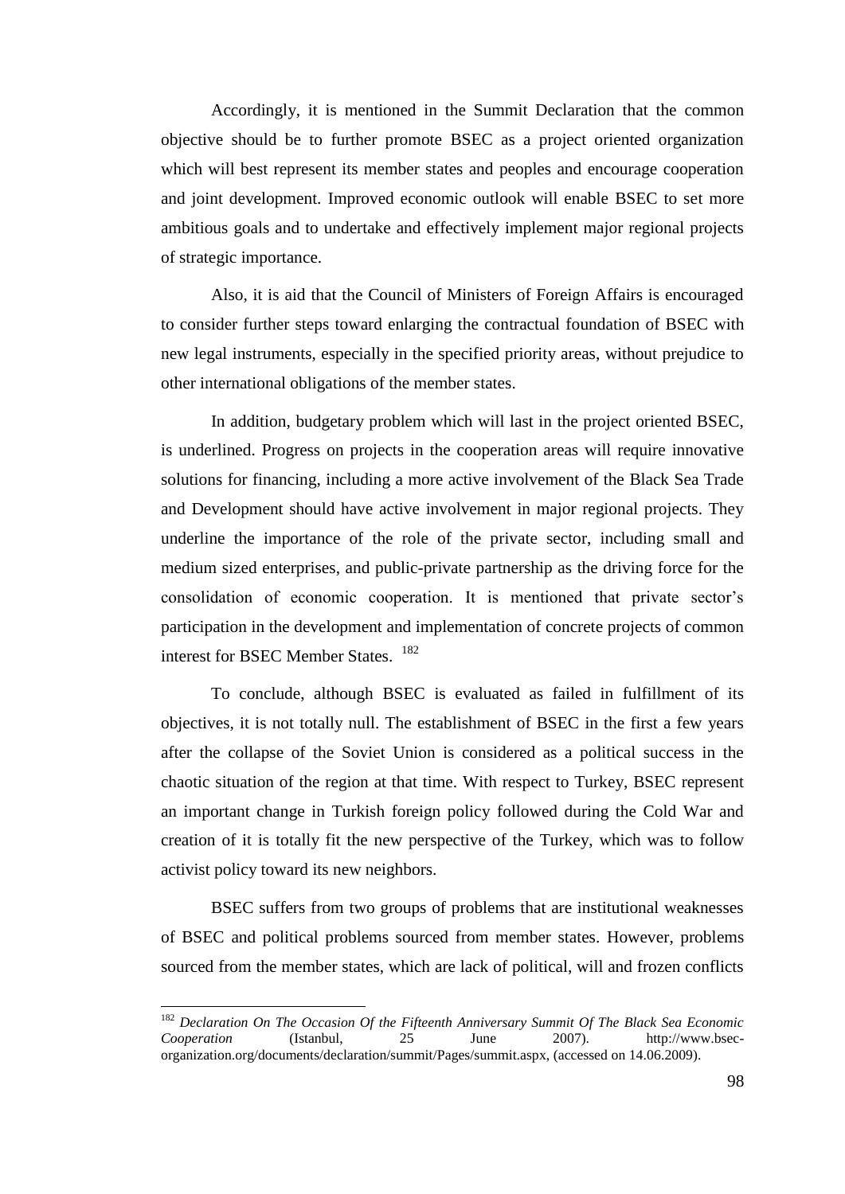Accordingly, it is mentioned in the Summit Declaration that the common objective should be to further promote BSEC as a project oriented organization which will best represent its member states and peoples and encourage cooperation and joint development. Improved economic outlook will enable BSEC to set more ambitious goals and to undertake and effectively implement major regional projects of strategic importance.

Also, it is aid that the Council of Ministers of Foreign Affairs is encouraged to consider further steps toward enlarging the contractual foundation of BSEC with new legal instruments, especially in the specified priority areas, without prejudice to other international obligations of the member states.

In addition, budgetary problem which will last in the project oriented BSEC, is underlined. Progress on projects in the cooperation areas will require innovative solutions for financing, including a more active involvement of the Black Sea Trade and Development should have active involvement in major regional projects. They underline the importance of the role of the private sector, including small and medium sized enterprises, and public-private partnership as the driving force for the consolidation of economic cooperation. It is mentioned that private sector's participation in the development and implementation of concrete projects of common interest for BSEC Member States. <sup>182</sup>

To conclude, although BSEC is evaluated as failed in fulfillment of its objectives, it is not totally null. The establishment of BSEC in the first a few years after the collapse of the Soviet Union is considered as a political success in the chaotic situation of the region at that time. With respect to Turkey, BSEC represent an important change in Turkish foreign policy followed during the Cold War and creation of it is totally fit the new perspective of the Turkey, which was to follow activist policy toward its new neighbors.

BSEC suffers from two groups of problems that are institutional weaknesses of BSEC and political problems sourced from member states. However, problems sourced from the member states, which are lack of political, will and frozen conflicts

 $\overline{\phantom{a}}$ 

<sup>182</sup> *Declaration On The Occasion Of the Fifteenth Anniversary Summit Of The Black Sea Economic Cooperation* (Istanbul, 25 June 2007). http://www.bsecorganization.org/documents/declaration/summit/Pages/summit.aspx, (accessed on 14.06.2009).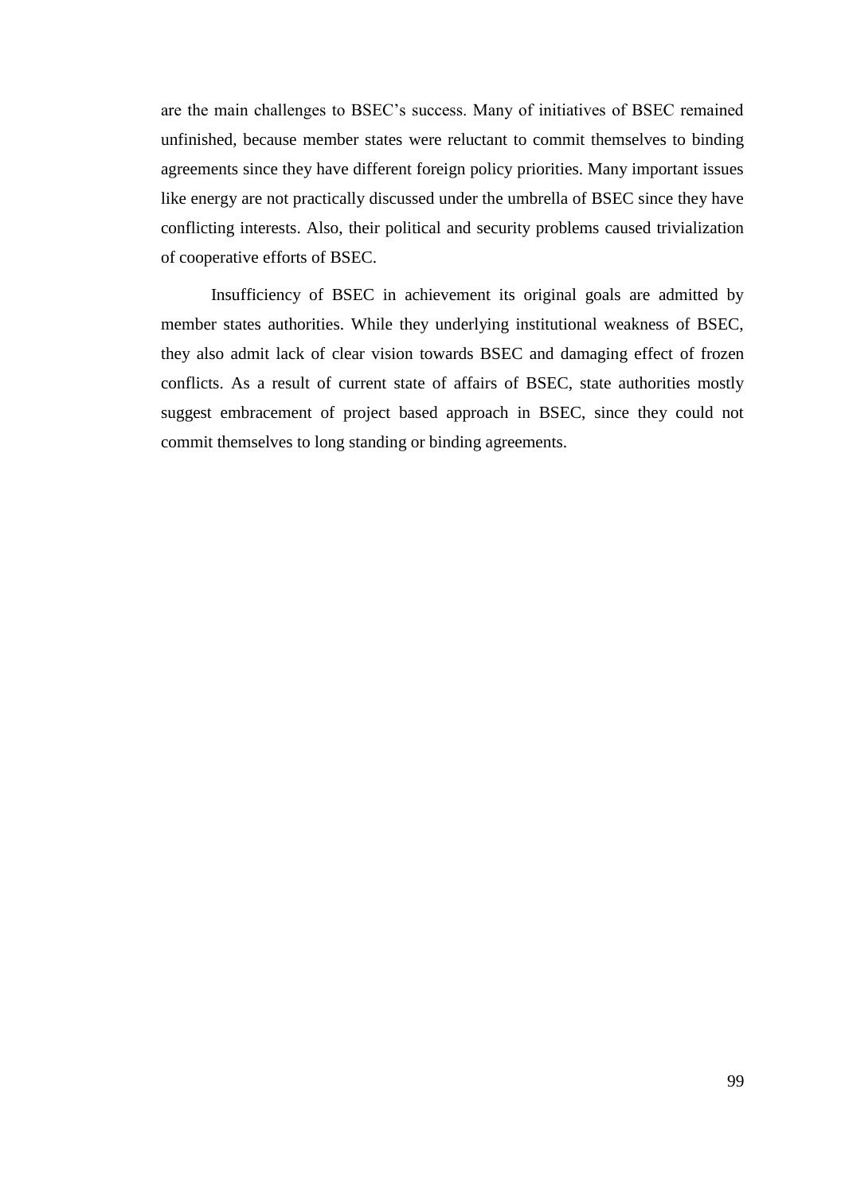are the main challenges to BSEC"s success. Many of initiatives of BSEC remained unfinished, because member states were reluctant to commit themselves to binding agreements since they have different foreign policy priorities. Many important issues like energy are not practically discussed under the umbrella of BSEC since they have conflicting interests. Also, their political and security problems caused trivialization of cooperative efforts of BSEC.

Insufficiency of BSEC in achievement its original goals are admitted by member states authorities. While they underlying institutional weakness of BSEC, they also admit lack of clear vision towards BSEC and damaging effect of frozen conflicts. As a result of current state of affairs of BSEC, state authorities mostly suggest embracement of project based approach in BSEC, since they could not commit themselves to long standing or binding agreements.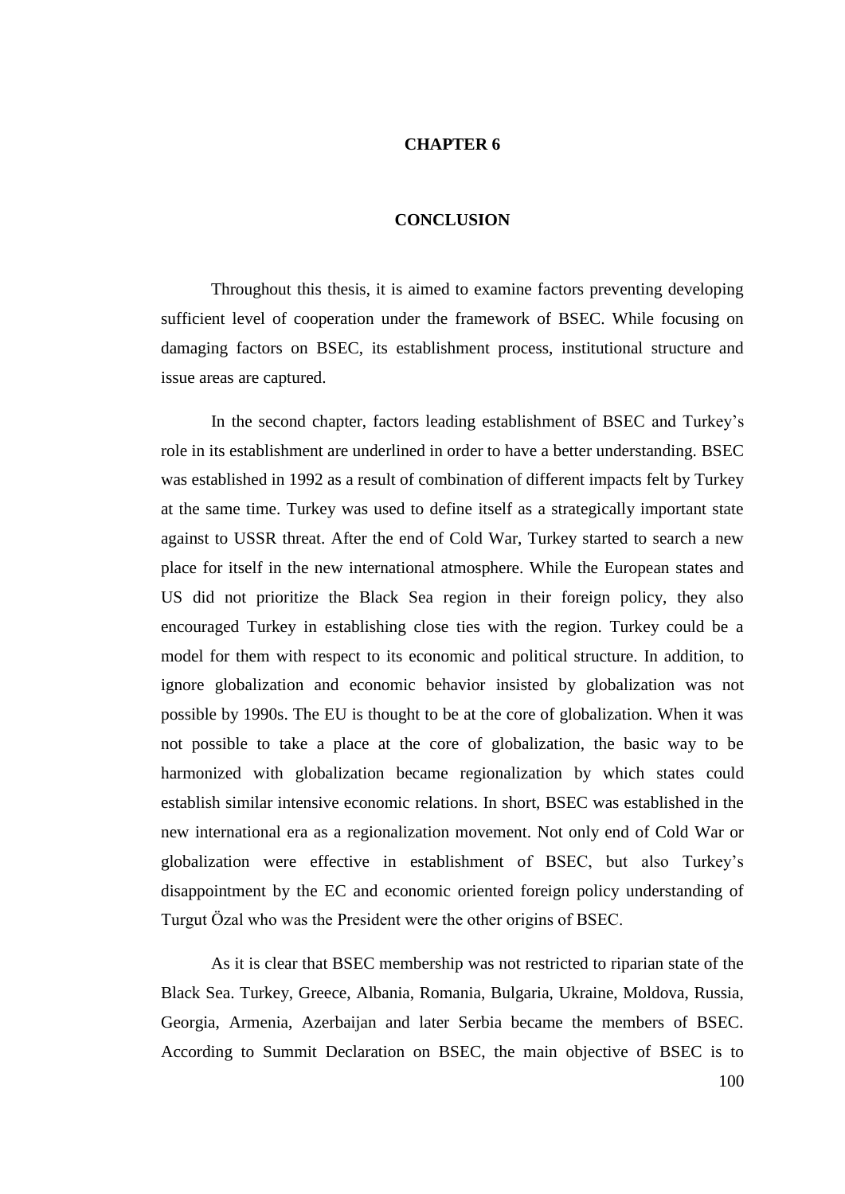## **CHAPTER 6**

## **CONCLUSION**

Throughout this thesis, it is aimed to examine factors preventing developing sufficient level of cooperation under the framework of BSEC. While focusing on damaging factors on BSEC, its establishment process, institutional structure and issue areas are captured.

In the second chapter, factors leading establishment of BSEC and Turkey"s role in its establishment are underlined in order to have a better understanding. BSEC was established in 1992 as a result of combination of different impacts felt by Turkey at the same time. Turkey was used to define itself as a strategically important state against to USSR threat. After the end of Cold War, Turkey started to search a new place for itself in the new international atmosphere. While the European states and US did not prioritize the Black Sea region in their foreign policy, they also encouraged Turkey in establishing close ties with the region. Turkey could be a model for them with respect to its economic and political structure. In addition, to ignore globalization and economic behavior insisted by globalization was not possible by 1990s. The EU is thought to be at the core of globalization. When it was not possible to take a place at the core of globalization, the basic way to be harmonized with globalization became regionalization by which states could establish similar intensive economic relations. In short, BSEC was established in the new international era as a regionalization movement. Not only end of Cold War or globalization were effective in establishment of BSEC, but also Turkey"s disappointment by the EC and economic oriented foreign policy understanding of Turgut Özal who was the President were the other origins of BSEC.

As it is clear that BSEC membership was not restricted to riparian state of the Black Sea. Turkey, Greece, Albania, Romania, Bulgaria, Ukraine, Moldova, Russia, Georgia, Armenia, Azerbaijan and later Serbia became the members of BSEC. According to Summit Declaration on BSEC, the main objective of BSEC is to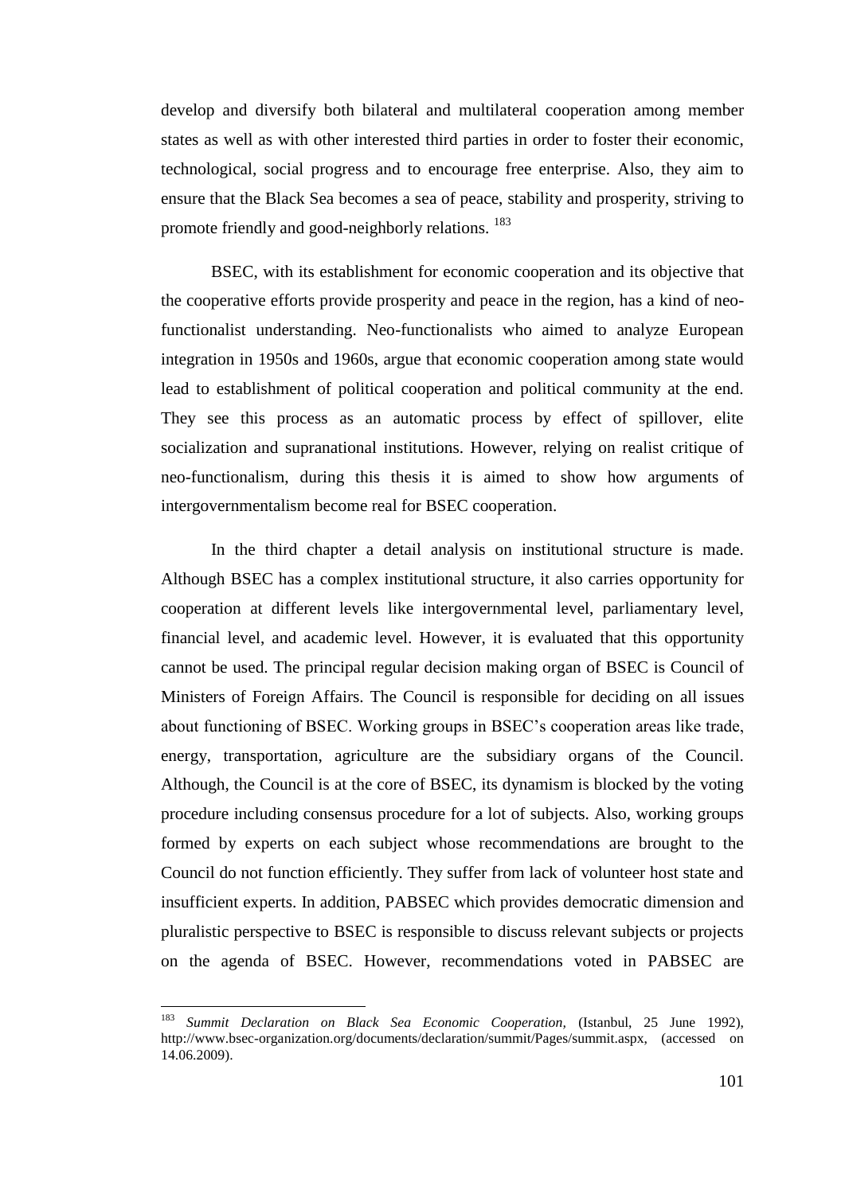develop and diversify both bilateral and multilateral cooperation among member states as well as with other interested third parties in order to foster their economic, technological, social progress and to encourage free enterprise. Also, they aim to ensure that the Black Sea becomes a sea of peace, stability and prosperity, striving to promote friendly and good-neighborly relations. <sup>183</sup>

BSEC, with its establishment for economic cooperation and its objective that the cooperative efforts provide prosperity and peace in the region, has a kind of neofunctionalist understanding. Neo-functionalists who aimed to analyze European integration in 1950s and 1960s, argue that economic cooperation among state would lead to establishment of political cooperation and political community at the end. They see this process as an automatic process by effect of spillover, elite socialization and supranational institutions. However, relying on realist critique of neo-functionalism, during this thesis it is aimed to show how arguments of intergovernmentalism become real for BSEC cooperation.

In the third chapter a detail analysis on institutional structure is made. Although BSEC has a complex institutional structure, it also carries opportunity for cooperation at different levels like intergovernmental level, parliamentary level, financial level, and academic level. However, it is evaluated that this opportunity cannot be used. The principal regular decision making organ of BSEC is Council of Ministers of Foreign Affairs. The Council is responsible for deciding on all issues about functioning of BSEC. Working groups in BSEC"s cooperation areas like trade, energy, transportation, agriculture are the subsidiary organs of the Council. Although, the Council is at the core of BSEC, its dynamism is blocked by the voting procedure including consensus procedure for a lot of subjects. Also, working groups formed by experts on each subject whose recommendations are brought to the Council do not function efficiently. They suffer from lack of volunteer host state and insufficient experts. In addition, PABSEC which provides democratic dimension and pluralistic perspective to BSEC is responsible to discuss relevant subjects or projects on the agenda of BSEC. However, recommendations voted in PABSEC are

 $\overline{\phantom{a}}$ 

<sup>183</sup> *Summit Declaration on Black Sea Economic Cooperation,* (Istanbul, 25 June 1992), http://www.bsec-organization.org/documents/declaration/summit/Pages/summit.aspx, (accessed on 14.06.2009).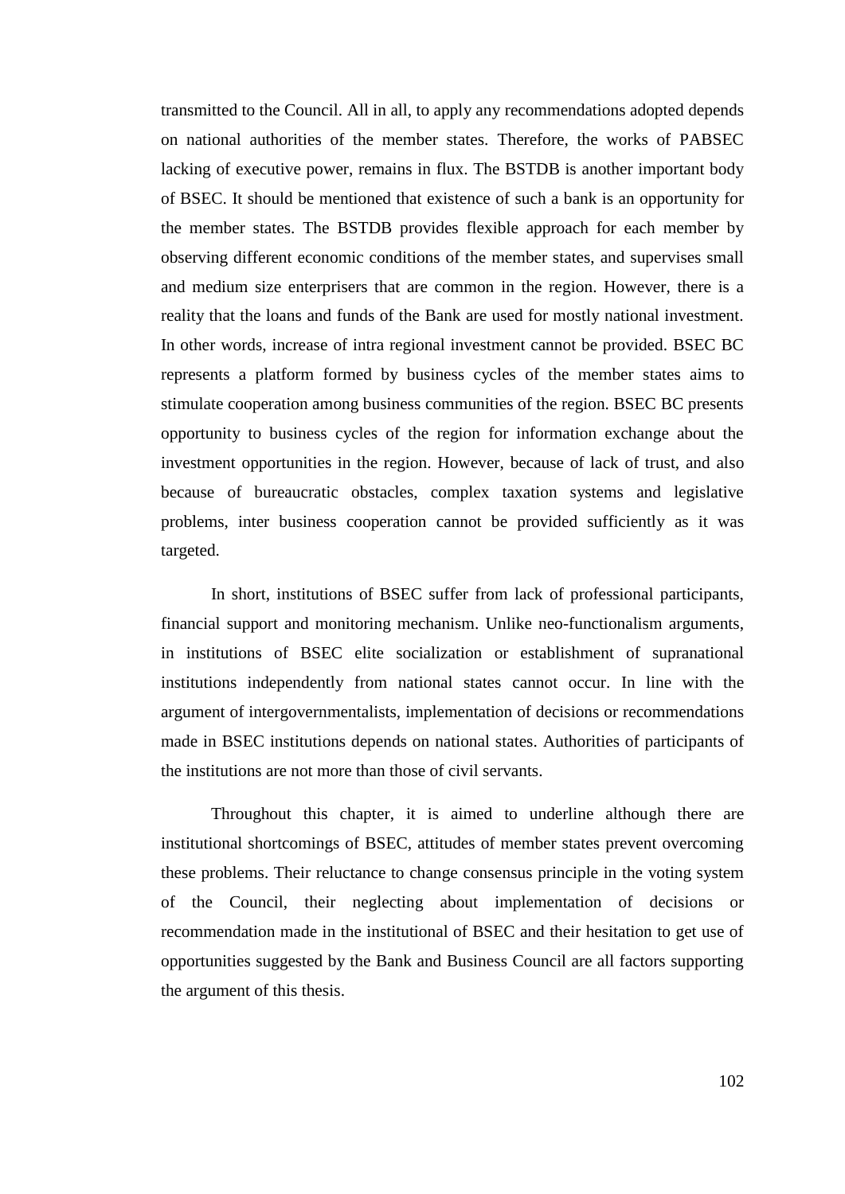transmitted to the Council. All in all, to apply any recommendations adopted depends on national authorities of the member states. Therefore, the works of PABSEC lacking of executive power, remains in flux. The BSTDB is another important body of BSEC. It should be mentioned that existence of such a bank is an opportunity for the member states. The BSTDB provides flexible approach for each member by observing different economic conditions of the member states, and supervises small and medium size enterprisers that are common in the region. However, there is a reality that the loans and funds of the Bank are used for mostly national investment. In other words, increase of intra regional investment cannot be provided. BSEC BC represents a platform formed by business cycles of the member states aims to stimulate cooperation among business communities of the region. BSEC BC presents opportunity to business cycles of the region for information exchange about the investment opportunities in the region. However, because of lack of trust, and also because of bureaucratic obstacles, complex taxation systems and legislative problems, inter business cooperation cannot be provided sufficiently as it was targeted.

In short, institutions of BSEC suffer from lack of professional participants, financial support and monitoring mechanism. Unlike neo-functionalism arguments, in institutions of BSEC elite socialization or establishment of supranational institutions independently from national states cannot occur. In line with the argument of intergovernmentalists, implementation of decisions or recommendations made in BSEC institutions depends on national states. Authorities of participants of the institutions are not more than those of civil servants.

Throughout this chapter, it is aimed to underline although there are institutional shortcomings of BSEC, attitudes of member states prevent overcoming these problems. Their reluctance to change consensus principle in the voting system of the Council, their neglecting about implementation of decisions or recommendation made in the institutional of BSEC and their hesitation to get use of opportunities suggested by the Bank and Business Council are all factors supporting the argument of this thesis.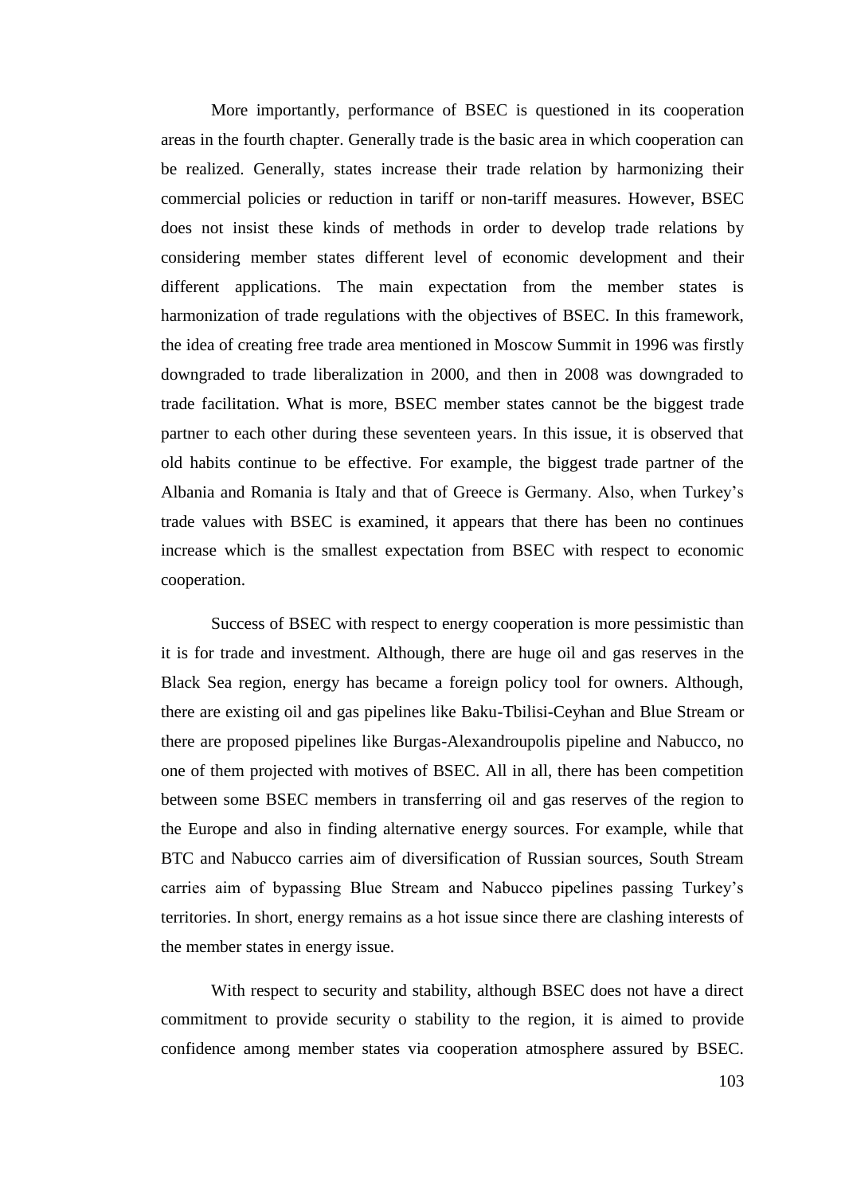More importantly, performance of BSEC is questioned in its cooperation areas in the fourth chapter. Generally trade is the basic area in which cooperation can be realized. Generally, states increase their trade relation by harmonizing their commercial policies or reduction in tariff or non-tariff measures. However, BSEC does not insist these kinds of methods in order to develop trade relations by considering member states different level of economic development and their different applications. The main expectation from the member states is harmonization of trade regulations with the objectives of BSEC. In this framework, the idea of creating free trade area mentioned in Moscow Summit in 1996 was firstly downgraded to trade liberalization in 2000, and then in 2008 was downgraded to trade facilitation. What is more, BSEC member states cannot be the biggest trade partner to each other during these seventeen years. In this issue, it is observed that old habits continue to be effective. For example, the biggest trade partner of the Albania and Romania is Italy and that of Greece is Germany. Also, when Turkey"s trade values with BSEC is examined, it appears that there has been no continues increase which is the smallest expectation from BSEC with respect to economic cooperation.

Success of BSEC with respect to energy cooperation is more pessimistic than it is for trade and investment. Although, there are huge oil and gas reserves in the Black Sea region, energy has became a foreign policy tool for owners. Although, there are existing oil and gas pipelines like Baku-Tbilisi-Ceyhan and Blue Stream or there are proposed pipelines like Burgas-Alexandroupolis pipeline and Nabucco, no one of them projected with motives of BSEC. All in all, there has been competition between some BSEC members in transferring oil and gas reserves of the region to the Europe and also in finding alternative energy sources. For example, while that BTC and Nabucco carries aim of diversification of Russian sources, South Stream carries aim of bypassing Blue Stream and Nabucco pipelines passing Turkey"s territories. In short, energy remains as a hot issue since there are clashing interests of the member states in energy issue.

With respect to security and stability, although BSEC does not have a direct commitment to provide security o stability to the region, it is aimed to provide confidence among member states via cooperation atmosphere assured by BSEC.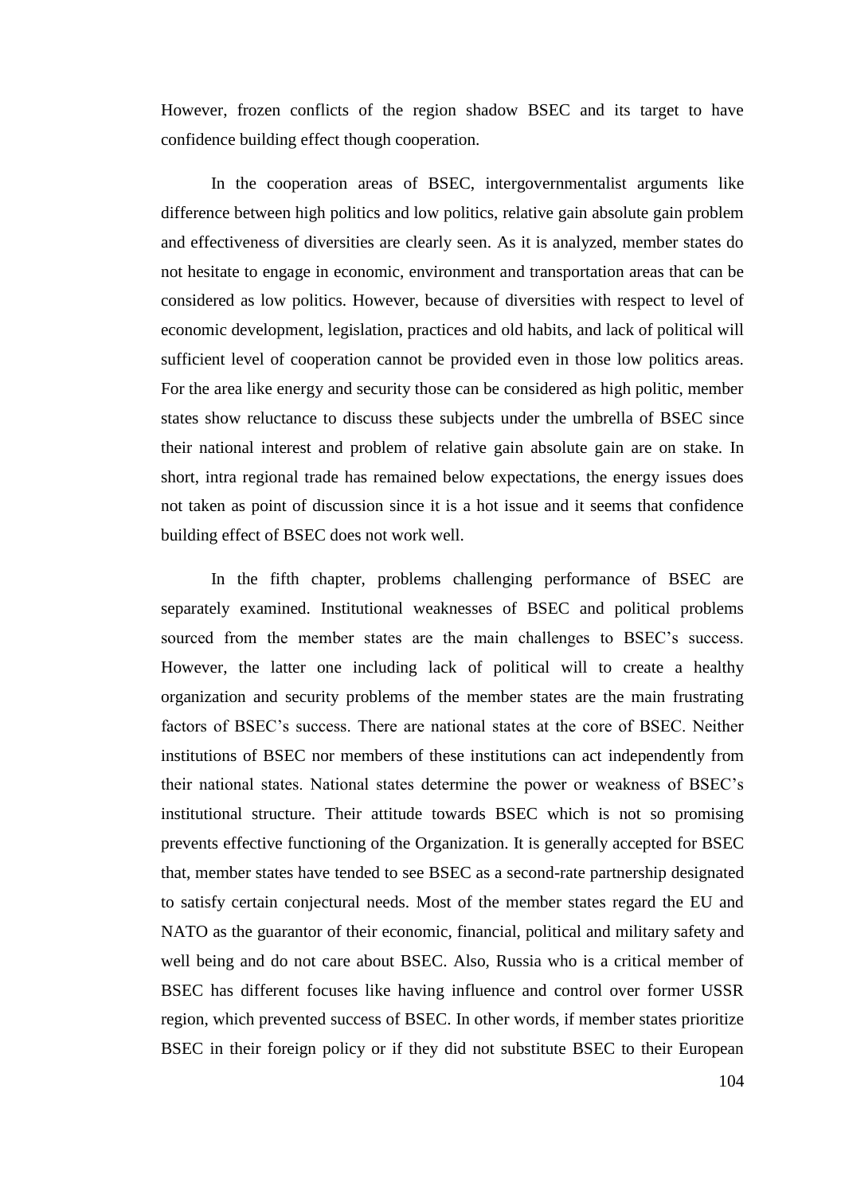However, frozen conflicts of the region shadow BSEC and its target to have confidence building effect though cooperation.

In the cooperation areas of BSEC, intergovernmentalist arguments like difference between high politics and low politics, relative gain absolute gain problem and effectiveness of diversities are clearly seen. As it is analyzed, member states do not hesitate to engage in economic, environment and transportation areas that can be considered as low politics. However, because of diversities with respect to level of economic development, legislation, practices and old habits, and lack of political will sufficient level of cooperation cannot be provided even in those low politics areas. For the area like energy and security those can be considered as high politic, member states show reluctance to discuss these subjects under the umbrella of BSEC since their national interest and problem of relative gain absolute gain are on stake. In short, intra regional trade has remained below expectations, the energy issues does not taken as point of discussion since it is a hot issue and it seems that confidence building effect of BSEC does not work well.

In the fifth chapter, problems challenging performance of BSEC are separately examined. Institutional weaknesses of BSEC and political problems sourced from the member states are the main challenges to BSEC's success. However, the latter one including lack of political will to create a healthy organization and security problems of the member states are the main frustrating factors of BSEC"s success. There are national states at the core of BSEC. Neither institutions of BSEC nor members of these institutions can act independently from their national states. National states determine the power or weakness of BSEC"s institutional structure. Their attitude towards BSEC which is not so promising prevents effective functioning of the Organization. It is generally accepted for BSEC that, member states have tended to see BSEC as a second-rate partnership designated to satisfy certain conjectural needs. Most of the member states regard the EU and NATO as the guarantor of their economic, financial, political and military safety and well being and do not care about BSEC. Also, Russia who is a critical member of BSEC has different focuses like having influence and control over former USSR region, which prevented success of BSEC. In other words, if member states prioritize BSEC in their foreign policy or if they did not substitute BSEC to their European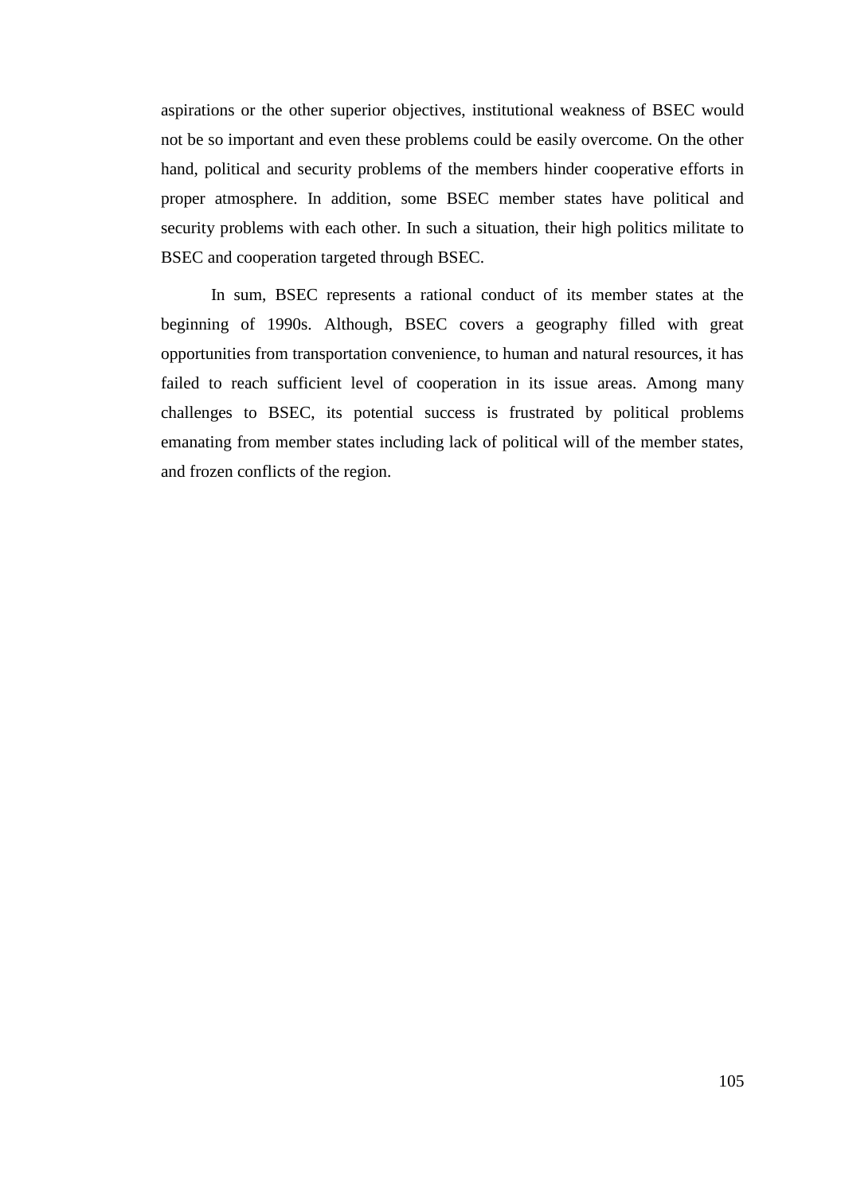aspirations or the other superior objectives, institutional weakness of BSEC would not be so important and even these problems could be easily overcome. On the other hand, political and security problems of the members hinder cooperative efforts in proper atmosphere. In addition, some BSEC member states have political and security problems with each other. In such a situation, their high politics militate to BSEC and cooperation targeted through BSEC.

In sum, BSEC represents a rational conduct of its member states at the beginning of 1990s. Although, BSEC covers a geography filled with great opportunities from transportation convenience, to human and natural resources, it has failed to reach sufficient level of cooperation in its issue areas. Among many challenges to BSEC, its potential success is frustrated by political problems emanating from member states including lack of political will of the member states, and frozen conflicts of the region.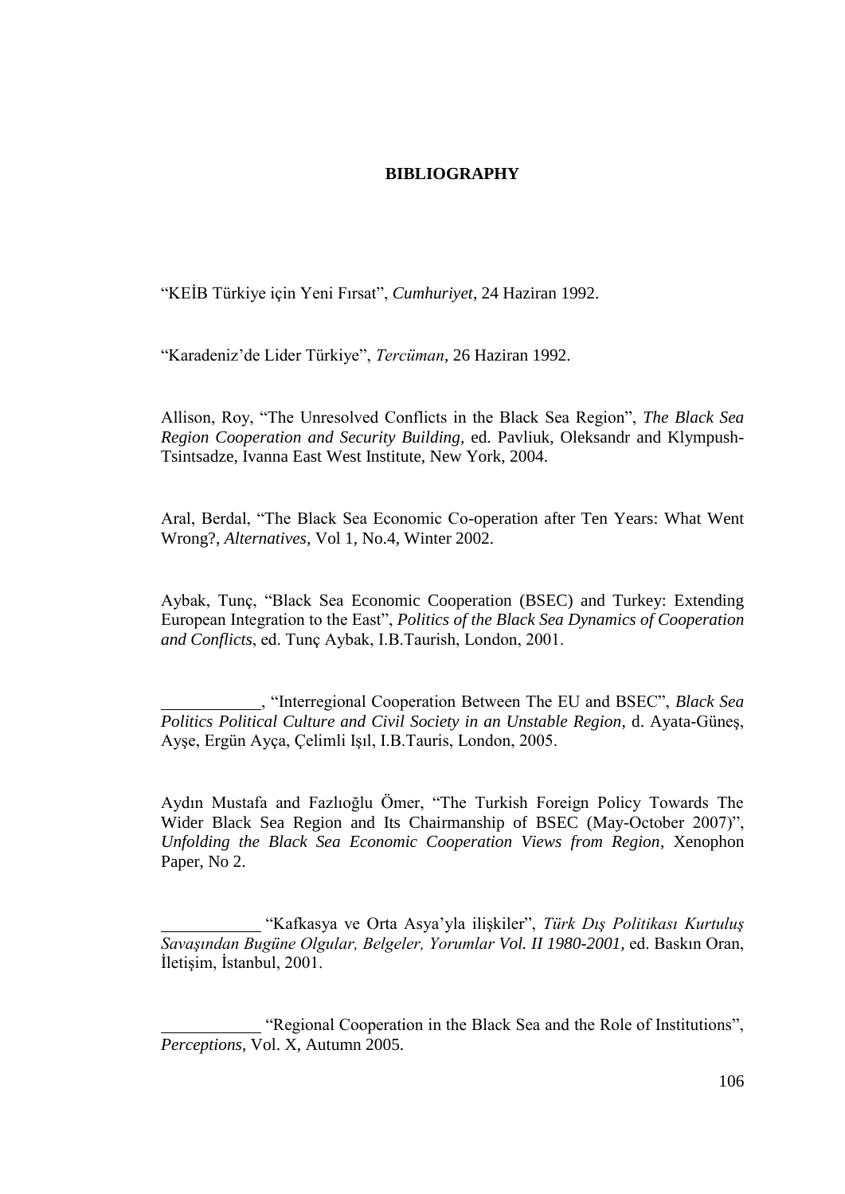## **BIBLIOGRAPHY**

"KEĠB Türkiye için Yeni Fırsat", *Cumhuriyet*, 24 Haziran 1992.

"Karadeniz"de Lider Türkiye", *Tercüman*, 26 Haziran 1992.

Allison, Roy, "The Unresolved Conflicts in the Black Sea Region", *The Black Sea Region Cooperation and Security Building,* ed. Pavliuk, Oleksandr and Klympush-Tsintsadze, Ivanna East West Institute, New York, 2004.

Aral, Berdal, "The Black Sea Economic Co-operation after Ten Years: What Went Wrong?, *Alternatives,* Vol 1, No.4, Winter 2002.

Aybak, Tunç, "Black Sea Economic Cooperation (BSEC) and Turkey: Extending European Integration to the East", *Politics of the Black Sea Dynamics of Cooperation and Conflicts*, ed. Tunç Aybak, I.B.Taurish, London, 2001.

, "Interregional Cooperation Between The EU and BSEC", *Black Sea Politics Political Culture and Civil Society in an Unstable Region*, d. Ayata-GüneĢ, AyĢe, Ergün Ayça, Çelimli IĢıl, I.B.Tauris, London, 2005.

Aydın Mustafa and Fazlıoğlu Ömer, "The Turkish Foreign Policy Towards The Wider Black Sea Region and Its Chairmanship of BSEC (May-October 2007)", *Unfolding the Black Sea Economic Cooperation Views from Region*, Xenophon Paper, No 2.

"Kafkasya ve Orta Asya"yla iliĢkiler", *Türk Dış Politikası Kurtuluş Savaşından Bugüne Olgular, Belgeler, Yorumlar Vol. II 1980-2001,* ed. Baskın Oran, İletisim, İstanbul, 2001.

"Regional Cooperation in the Black Sea and the Role of Institutions", *Perceptions*, Vol. X, Autumn 2005.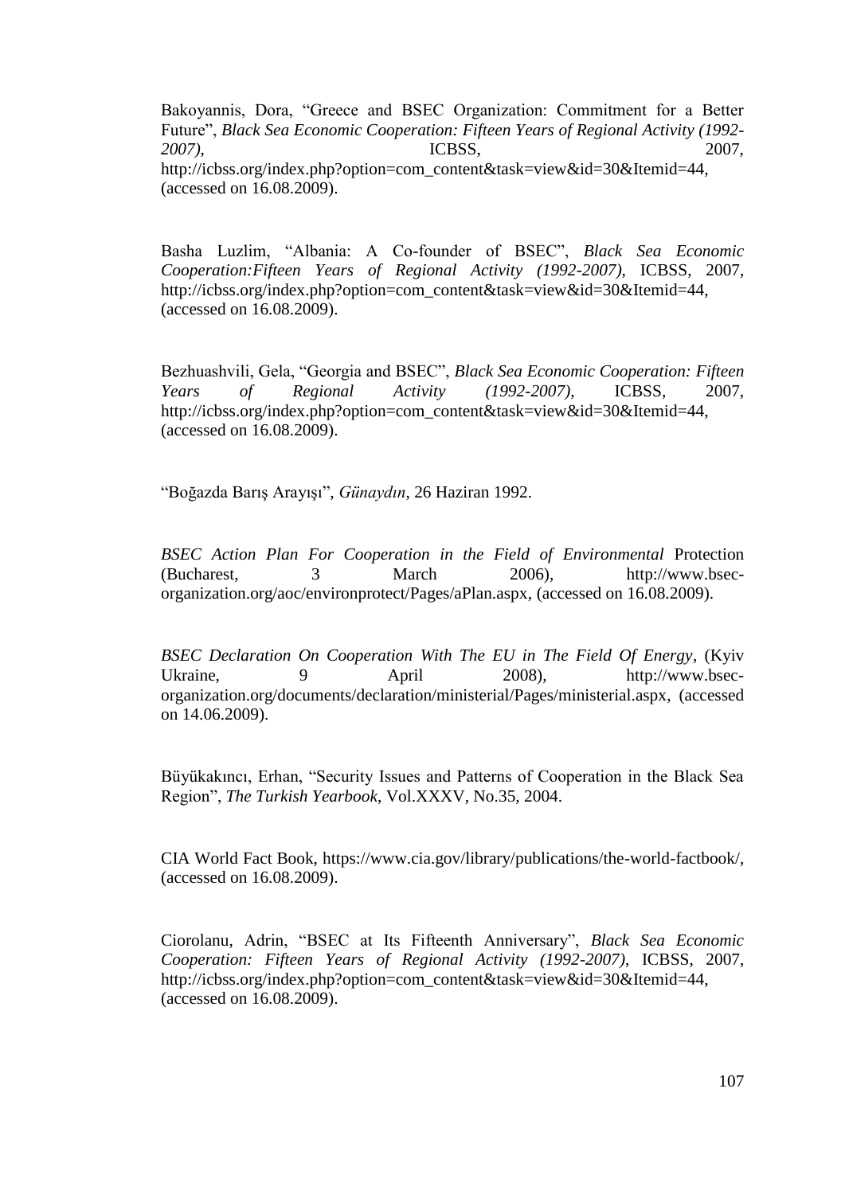Bakoyannis, Dora, "Greece and BSEC Organization: Commitment for a Better Future", *Black Sea Economic Cooperation: Fifteen Years of Regional Activity (1992- 2007)*, ICBSS, 2007, http://icbss.org/index.php?option=com\_content&task=view&id=30&Itemid=44, (accessed on 16.08.2009).

Basha Luzlim, "Albania: A Co-founder of BSEC", *Black Sea Economic Cooperation:Fifteen Years of Regional Activity (1992-2007)*, ICBSS, 2007, http://icbss.org/index.php?option=com\_content&task=view&id=30&Itemid=44, (accessed on 16.08.2009).

Bezhuashvili, Gela, "Georgia and BSEC", *Black Sea Economic Cooperation: Fifteen Years of Regional Activity (1992-2007)*, ICBSS, 2007, http://icbss.org/index.php?option=com\_content&task=view&id=30&Itemid=44, (accessed on 16.08.2009).

"Boğazda BarıĢ ArayıĢı", *Günaydın*, 26 Haziran 1992.

*BSEC Action Plan For Cooperation in the Field of Environmental* Protection (Bucharest, 3 March 2006), http://www.bsecorganization.org/aoc/environprotect/Pages/aPlan.aspx, (accessed on 16.08.2009).

*BSEC Declaration On Cooperation With The EU in The Field Of Energy*, (Kyiv Ukraine, 9 April 2008), http://www.bsecorganization.org/documents/declaration/ministerial/Pages/ministerial.aspx, (accessed on 14.06.2009).

Büyükakıncı, Erhan, "Security Issues and Patterns of Cooperation in the Black Sea Region", *The Turkish Yearbook*, Vol.XXXV, No.35, 2004.

CIA World Fact Book, https://www.cia.gov/library/publications/the-world-factbook/, (accessed on 16.08.2009).

Ciorolanu, Adrin, "BSEC at Its Fifteenth Anniversary", *Black Sea Economic Cooperation: Fifteen Years of Regional Activity (1992-2007)*, ICBSS, 2007, http://icbss.org/index.php?option=com\_content&task=view&id=30&Itemid=44, (accessed on 16.08.2009).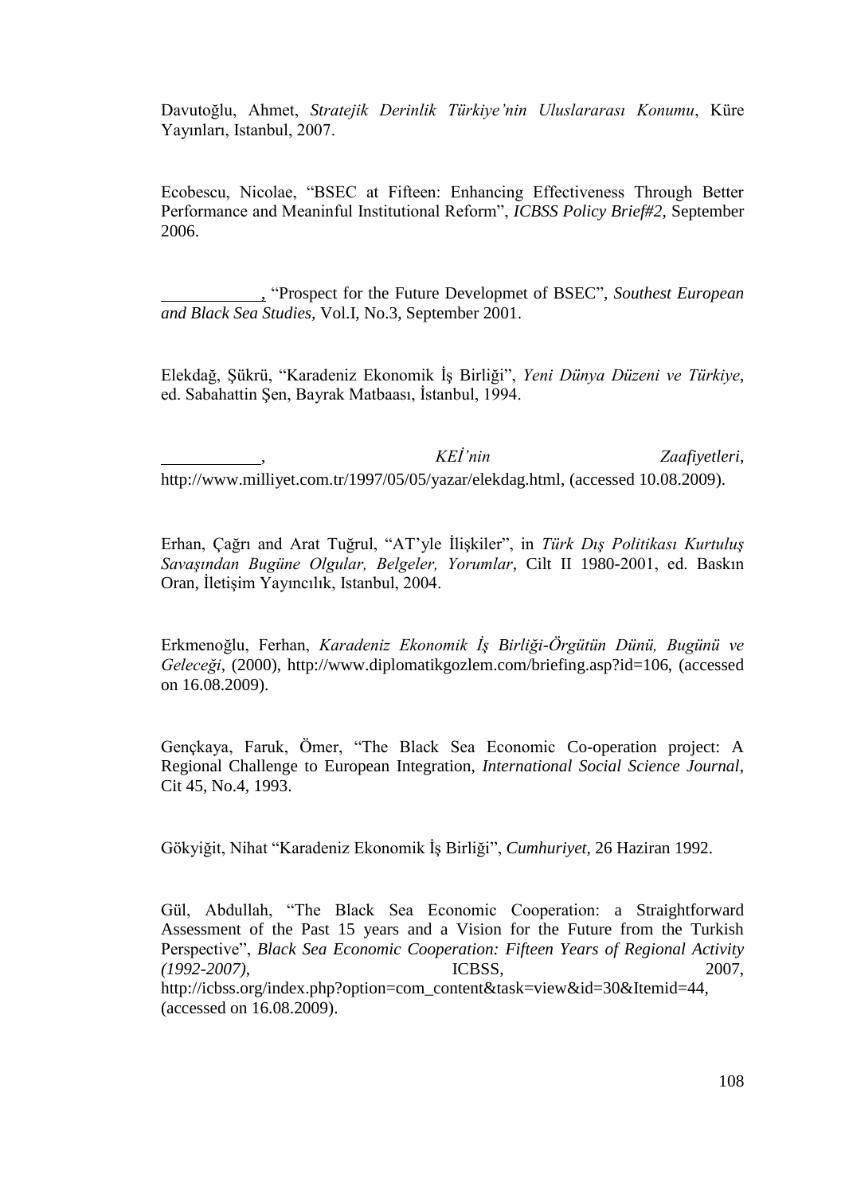Davutoğlu, Ahmet, *Stratejik Derinlik Türkiye'nin Uluslararası Konumu*, Küre Yayınları, Istanbul, 2007.

Ecobescu, Nicolae, "BSEC at Fifteen: Enhancing Effectiveness Through Better Performance and Meaninful Institutional Reform", *ICBSS Policy Brief#2*, September 2006.

, "Prospect for the Future Developmet of BSEC", *Southest European and Black Sea Studies,* Vol.I, No.3, September 2001.

Elekdağ, ġükrü, "Karadeniz Ekonomik ĠĢ Birliği", *Yeni Dünya Düzeni ve Türkiye*, ed. Sabahattin Sen, Bayrak Matbaası, İstanbul, 1994.

, *KEİ'nin Zaafiyetleri*, http://www.milliyet.com.tr/1997/05/05/yazar/elekdag.html, (accessed 10.08.2009).

Erhan, Çağrı and Arat Tuğrul, "AT"yle ĠliĢkiler", in *Türk Dış Politikası Kurtuluş Savaşından Bugüne Olgular, Belgeler, Yorumlar*, Cilt II 1980-2001, ed. Baskın Oran, İletişim Yayıncılık, Istanbul, 2004.

Erkmenoğlu, Ferhan, *Karadeniz Ekonomik İş Birliği-Örgütün Dünü, Bugünü ve Geleceği*, (2000), http://www.diplomatikgozlem.com/briefing.asp?id=106, (accessed on 16.08.2009).

Gençkaya, Faruk, Ömer, "The Black Sea Economic Co-operation project: A Regional Challenge to European Integration, *International Social Science Journal*, Cit 45, No.4, 1993.

Gökyiğit, Nihat "Karadeniz Ekonomik ĠĢ Birliği", *Cumhuriyet,* 26 Haziran 1992.

Gül, Abdullah, "The Black Sea Economic Cooperation: a Straightforward Assessment of the Past 15 years and a Vision for the Future from the Turkish Perspective", *Black Sea Economic Cooperation: Fifteen Years of Regional Activity (1992-2007)*, ICBSS, 2007,

http://icbss.org/index.php?option=com\_content&task=view&id=30&Itemid=44, (accessed on 16.08.2009).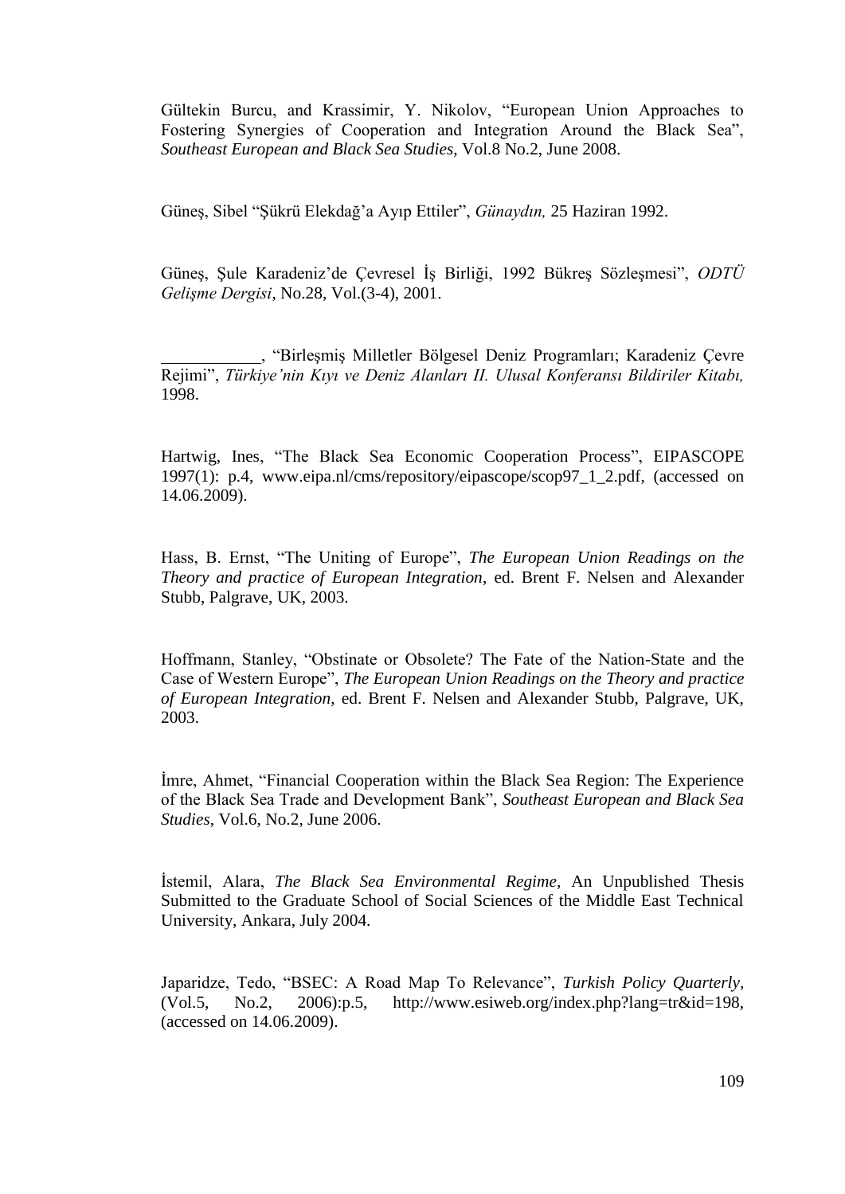Gültekin Burcu, and Krassimir, Y. Nikolov, "European Union Approaches to Fostering Synergies of Cooperation and Integration Around the Black Sea", *Southeast European and Black Sea Studies*, Vol.8 No.2, June 2008.

Günes, Sibel "Sükrü Elekdağ'a Ayıp Ettiler", *Günaydın*, 25 Haziran 1992.

Güneş, Şule Karadeniz'de Çevresel İş Birliği, 1992 Bükreş Sözleşmesi", *ODTÜ Gelişme Dergisi*, No.28, Vol.(3-4), 2001.

, "BirleĢmiĢ Milletler Bölgesel Deniz Programları; Karadeniz Çevre Rejimi", *Türkiye'nin Kıyı ve Deniz Alanları II. Ulusal Konferansı Bildiriler Kitabı,* 1998.

Hartwig, Ines, "The Black Sea Economic Cooperation Process", EIPASCOPE 1997(1): p.4, www.eipa.nl/cms/repository/eipascope/scop97\_1\_2.pdf, (accessed on 14.06.2009).

Hass, B. Ernst, "The Uniting of Europe", *The European Union Readings on the Theory and practice of European Integration*, ed. Brent F. Nelsen and Alexander Stubb, Palgrave, UK, 2003.

Hoffmann, Stanley, "Obstinate or Obsolete? The Fate of the Nation-State and the Case of Western Europe", *The European Union Readings on the Theory and practice of European Integration*, ed. Brent F. Nelsen and Alexander Stubb, Palgrave, UK, 2003.

Imre, Ahmet, "Financial Cooperation within the Black Sea Region: The Experience of the Black Sea Trade and Development Bank", *Southeast European and Black Sea Studies*, Vol.6, No.2, June 2006.

Istemil, Alara, *The Black Sea Environmental Regime*, An Unpublished Thesis Submitted to the Graduate School of Social Sciences of the Middle East Technical University, Ankara, July 2004.

Japaridze, Tedo, "BSEC: A Road Map To Relevance", *Turkish Policy Quarterly,* (Vol.5, No.2, 2006):p.5, http://www.esiweb.org/index.php?lang=tr&id=198, (accessed on 14.06.2009).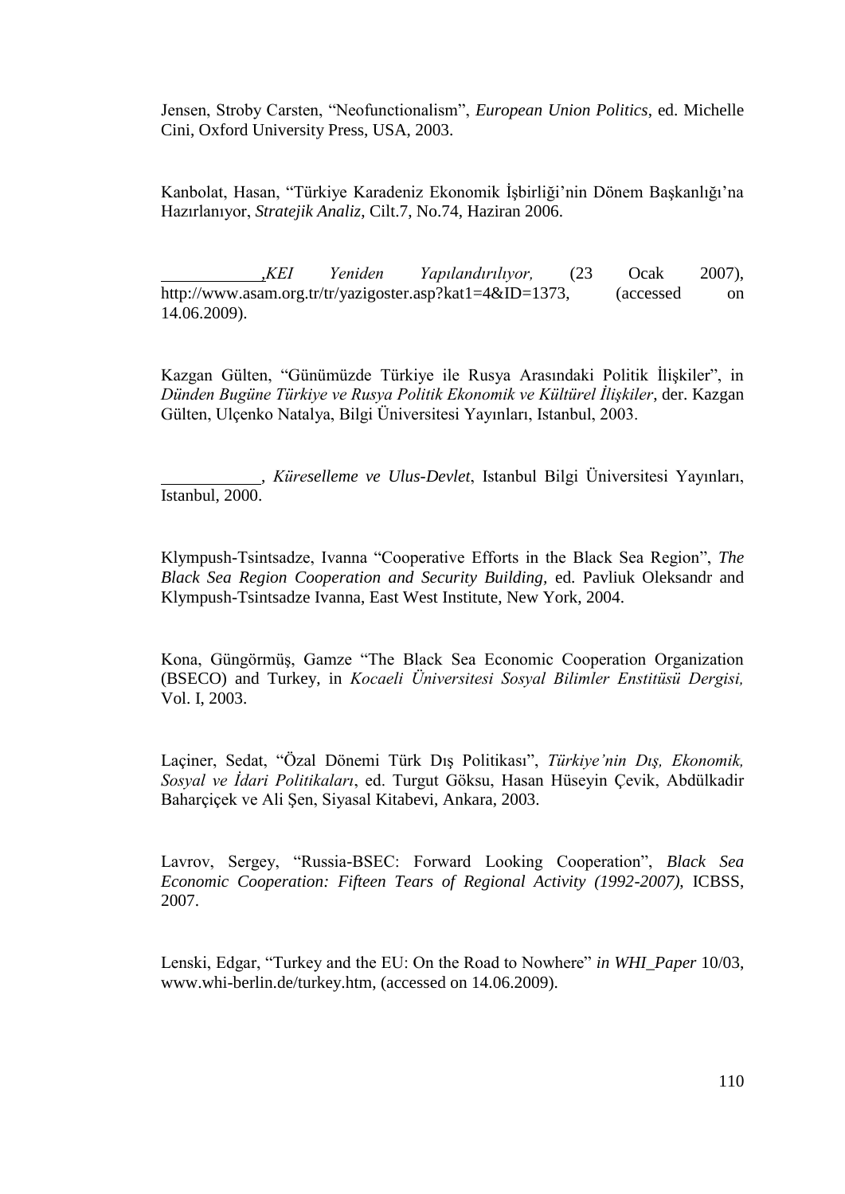Jensen, Stroby Carsten, "Neofunctionalism", *European Union Politics*, ed. Michelle Cini, Oxford University Press, USA, 2003.

Kanbolat, Hasan, "Türkiye Karadeniz Ekonomik İşbirliği'nin Dönem Başkanlığı'na Hazırlanıyor, *Stratejik Analiz*, Cilt.7, No.74, Haziran 2006.

*,KEI Yeniden Yapılandırılıyor,* (23 Ocak 2007), http://www.asam.org.tr/tr/yazigoster.asp?kat1=4&ID=1373, (accessed on 14.06.2009).

Kazgan Gülten, "Günümüzde Türkiye ile Rusya Arasındaki Politik İlişkiler", in *Dünden Bugüne Türkiye ve Rusya Politik Ekonomik ve Kültürel İlişkiler*, der. Kazgan Gülten, Ulçenko Natalya, Bilgi Üniversitesi Yayınları, Istanbul, 2003.

, *Küreselleme ve Ulus-Devlet*, Istanbul Bilgi Üniversitesi Yayınları, Istanbul, 2000.

Klympush-Tsintsadze, Ivanna "Cooperative Efforts in the Black Sea Region", *The Black Sea Region Cooperation and Security Building,* ed. Pavliuk Oleksandr and Klympush-Tsintsadze Ivanna, East West Institute, New York, 2004.

Kona, Güngörmüş, Gamze "The Black Sea Economic Cooperation Organization (BSECO) and Turkey, in *Kocaeli Üniversitesi Sosyal Bilimler Enstitüsü Dergisi,* Vol. I, 2003.

Laçiner, Sedat, "Özal Dönemi Türk DıĢ Politikası", *Türkiye'nin Dış, Ekonomik, Sosyal ve İdari Politikaları*, ed. Turgut Göksu, Hasan Hüseyin Çevik, Abdülkadir Baharcicek ve Ali Sen, Siyasal Kitabevi, Ankara, 2003.

Lavrov, Sergey, "Russia-BSEC: Forward Looking Cooperation", *Black Sea Economic Cooperation: Fifteen Tears of Regional Activity (1992-2007)*, ICBSS, 2007.

Lenski, Edgar, "Turkey and the EU: On the Road to Nowhere" *in WHI\_Paper* 10/03, www.whi-berlin.de/turkey.htm, (accessed on 14.06.2009).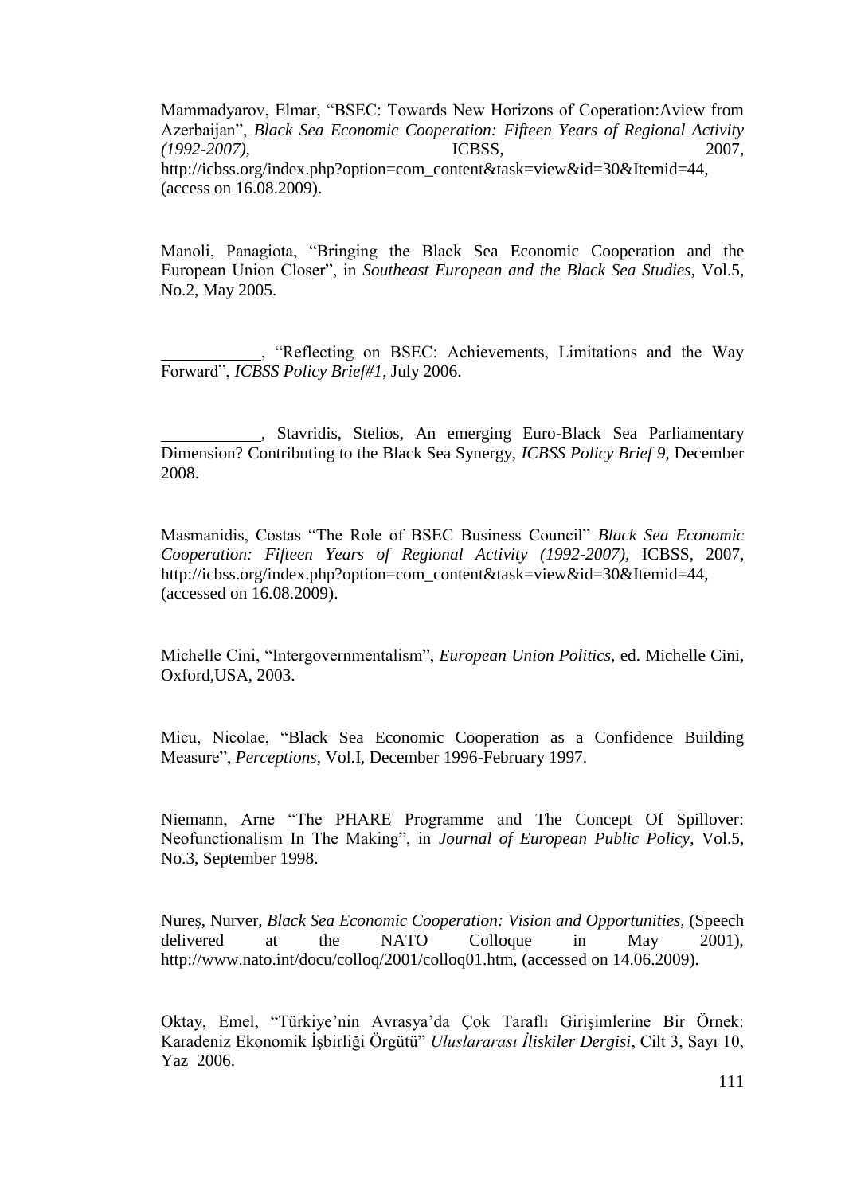Mammadyarov, Elmar, "BSEC: Towards New Horizons of Coperation:Aview from Azerbaijan", *Black Sea Economic Cooperation: Fifteen Years of Regional Activity (1992-2007),* ICBSS, 2007, http://icbss.org/index.php?option=com\_content&task=view&id=30&Itemid=44, (access on 16.08.2009).

Manoli, Panagiota, "Bringing the Black Sea Economic Cooperation and the European Union Closer", in *Southeast European and the Black Sea Studies*, Vol.5, No.2, May 2005.

, "Reflecting on BSEC: Achievements, Limitations and the Way Forward", *ICBSS Policy Brief#1*, July 2006.

, Stavridis, Stelios, An emerging Euro-Black Sea Parliamentary Dimension? Contributing to the Black Sea Synergy, *ICBSS Policy Brief 9*, December 2008.

Masmanidis, Costas "The Role of BSEC Business Council" *Black Sea Economic Cooperation: Fifteen Years of Regional Activity (1992-2007),* ICBSS, 2007, http://icbss.org/index.php?option=com\_content&task=view&id=30&Itemid=44, (accessed on 16.08.2009).

Michelle Cini, "Intergovernmentalism", *European Union Politics*, ed. Michelle Cini, Oxford,USA, 2003.

Micu, Nicolae, "Black Sea Economic Cooperation as a Confidence Building Measure", *Perceptions*, Vol.I, December 1996-February 1997.

Niemann, Arne "The PHARE Programme and The Concept Of Spillover: Neofunctionalism In The Making", in *Journal of European Public Policy*, Vol.5, No.3, September 1998.

NureĢ, Nurver, *Black Sea Economic Cooperation: Vision and Opportunities,* (Speech delivered at the NATO Colloque in May 2001), http://www.nato.int/docu/colloq/2001/colloq01.htm, (accessed on 14.06.2009).

Oktay, Emel, "Türkiye'nin Avrasya'da Çok Taraflı Girişimlerine Bir Örnek: Karadeniz Ekonomik ĠĢbirliği Örgütü" *Uluslararası İliskiler Dergisi*, Cilt 3, Sayı 10, Yaz 2006.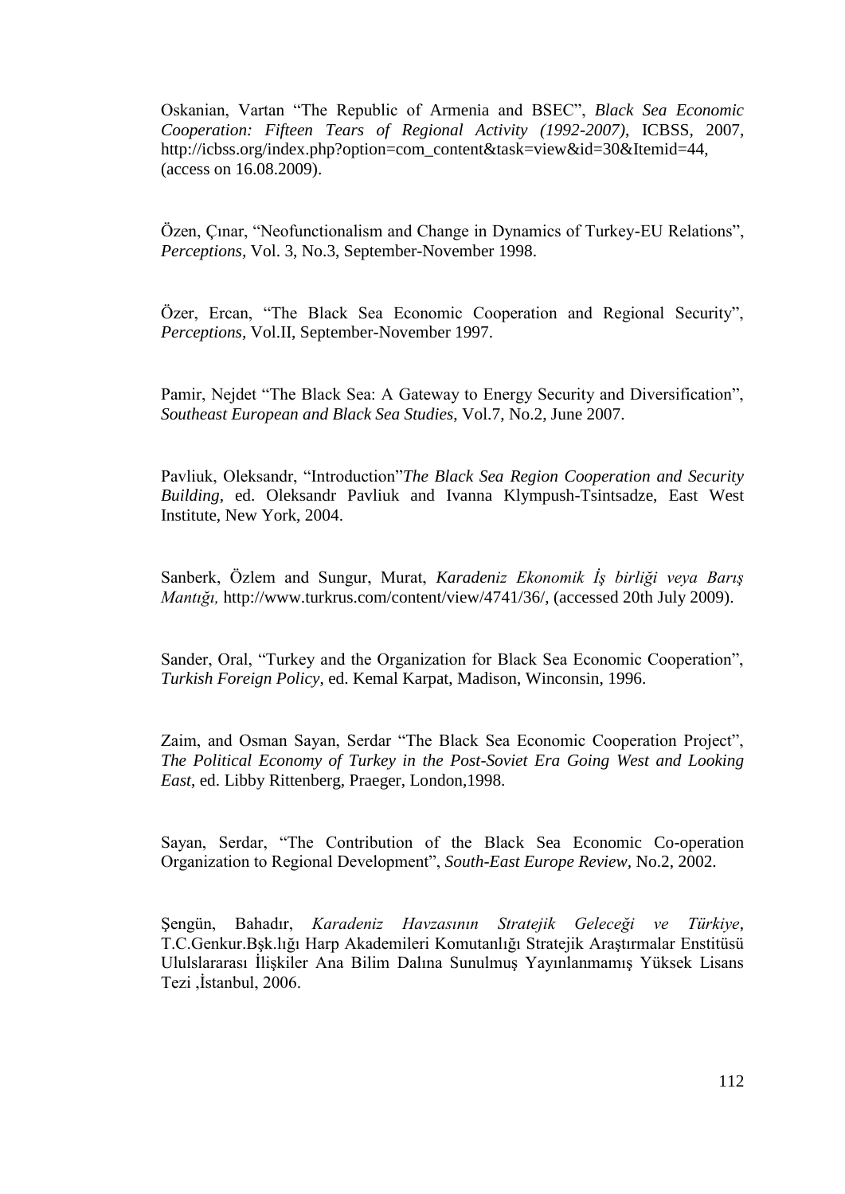Oskanian, Vartan "The Republic of Armenia and BSEC", *Black Sea Economic Cooperation: Fifteen Tears of Regional Activity (1992-2007)*, ICBSS, 2007, http://icbss.org/index.php?option=com\_content&task=view&id=30&Itemid=44, (access on 16.08.2009).

Özen, Çınar, "Neofunctionalism and Change in Dynamics of Turkey-EU Relations", *Perceptions,* Vol. 3, No.3, September-November 1998.

Özer, Ercan, "The Black Sea Economic Cooperation and Regional Security", *Perceptions,* Vol.II, September-November 1997.

Pamir, Nejdet "The Black Sea: A Gateway to Energy Security and Diversification", *Southeast European and Black Sea Studies*, Vol.7, No.2, June 2007.

Pavliuk, Oleksandr, "Introduction"*The Black Sea Region Cooperation and Security Building*, ed. Oleksandr Pavliuk and Ivanna Klympush-Tsintsadze, East West Institute, New York, 2004.

Sanberk, Özlem and Sungur, Murat, *Karadeniz Ekonomik İş birliği veya Barış Mantığı,* http://www.turkrus.com/content/view/4741/36/, (accessed 20th July 2009).

Sander, Oral, "Turkey and the Organization for Black Sea Economic Cooperation", *Turkish Foreign Policy*, ed. Kemal Karpat, Madison, Winconsin, 1996.

Zaim, and Osman Sayan, Serdar "The Black Sea Economic Cooperation Project", *The Political Economy of Turkey in the Post-Soviet Era Going West and Looking East*, ed. Libby Rittenberg, Praeger, London,1998.

Sayan, Serdar, "The Contribution of the Black Sea Economic Co-operation Organization to Regional Development", *South-East Europe Review,* No.2, 2002.

ġengün, Bahadır, *Karadeniz Havzasının Stratejik Geleceği ve Türkiye*, T.C.Genkur.Bşk.lığı Harp Akademileri Komutanlığı Stratejik Araştırmalar Enstitüsü Ululslararası İlişkiler Ana Bilim Dalına Sunulmuş Yayınlanmamış Yüksek Lisans Tezi ,İstanbul, 2006.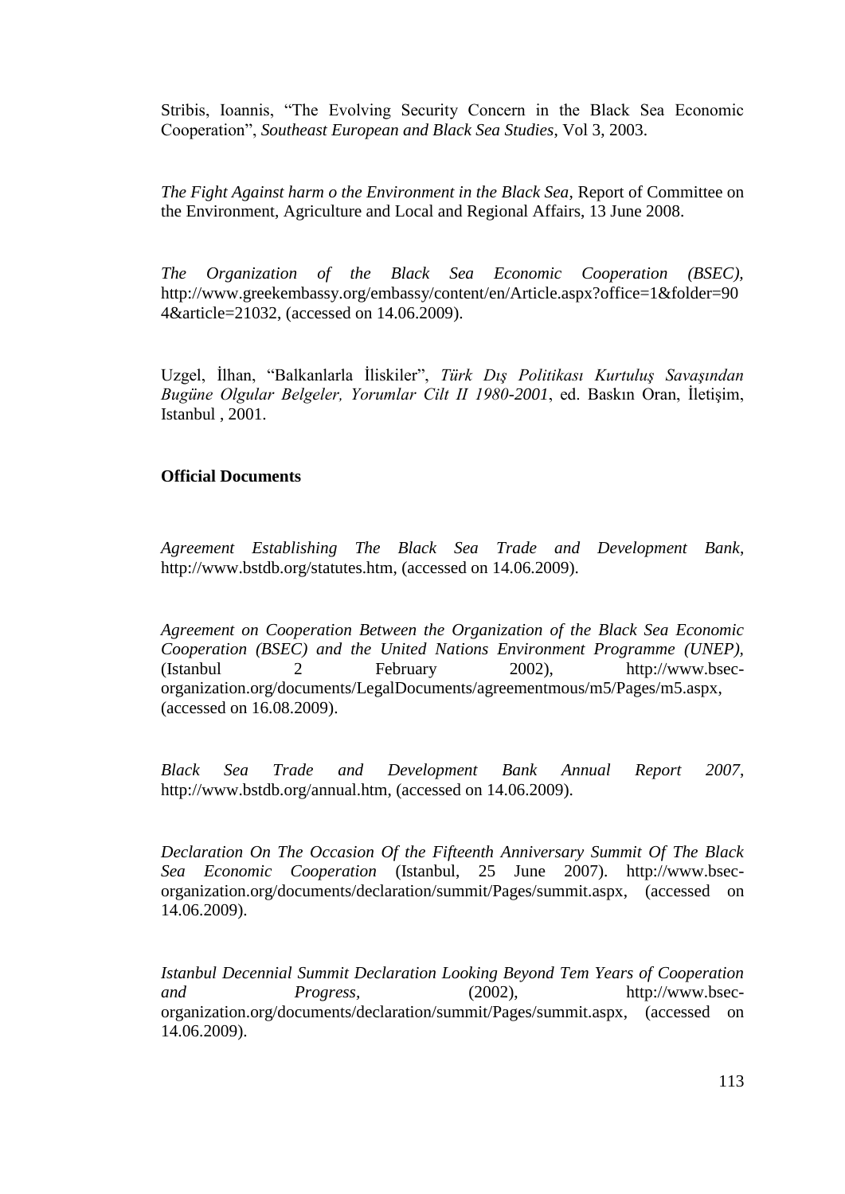Stribis, Ioannis, "The Evolving Security Concern in the Black Sea Economic Cooperation", *Southeast European and Black Sea Studies*, Vol 3, 2003.

*The Fight Against harm o the Environment in the Black Sea*, Report of Committee on the Environment, Agriculture and Local and Regional Affairs, 13 June 2008.

*The Organization of the Black Sea Economic Cooperation (BSEC),*  [http://www.greekembassy.org/embassy/content/en/Article.aspx?office=1&folder=90](http://www.greekembassy.org/embassy/content/en/Article.aspx?office=1&folder=904&article=21032) [4&article=21032,](http://www.greekembassy.org/embassy/content/en/Article.aspx?office=1&folder=904&article=21032) (accessed on 14.06.2009).

Uzgel, İlhan, "Balkanlarla İliskiler", *Türk Dış Politikası Kurtuluş Savaşından Bugüne Olgular Belgeler, Yorumlar Cilt II 1980-2001*, ed. Baskın Oran, İletişim, Istanbul , 2001.

## **Official Documents**

*Agreement Establishing The Black Sea Trade and Development Bank*, http://www.bstdb.org/statutes.htm, (accessed on 14.06.2009).

*Agreement on Cooperation Between the Organization of the Black Sea Economic Cooperation (BSEC) and the United Nations Environment Programme (UNEP),* (Istanbul 2 February 2002), http://www.bsecorganization.org/documents/LegalDocuments/agreementmous/m5/Pages/m5.aspx, (accessed on 16.08.2009).

*Black Sea Trade and Development Bank Annual Report 2007*, http://www.bstdb.org/annual.htm, (accessed on 14.06.2009).

*Declaration On The Occasion Of the Fifteenth Anniversary Summit Of The Black Sea Economic Cooperation* (Istanbul, 25 June 2007). http://www.bsecorganization.org/documents/declaration/summit/Pages/summit.aspx, (accessed on 14.06.2009).

*Istanbul Decennial Summit Declaration Looking Beyond Tem Years of Cooperation and Progress,* (2002), http://www.bsecorganization.org/documents/declaration/summit/Pages/summit.aspx, (accessed on 14.06.2009).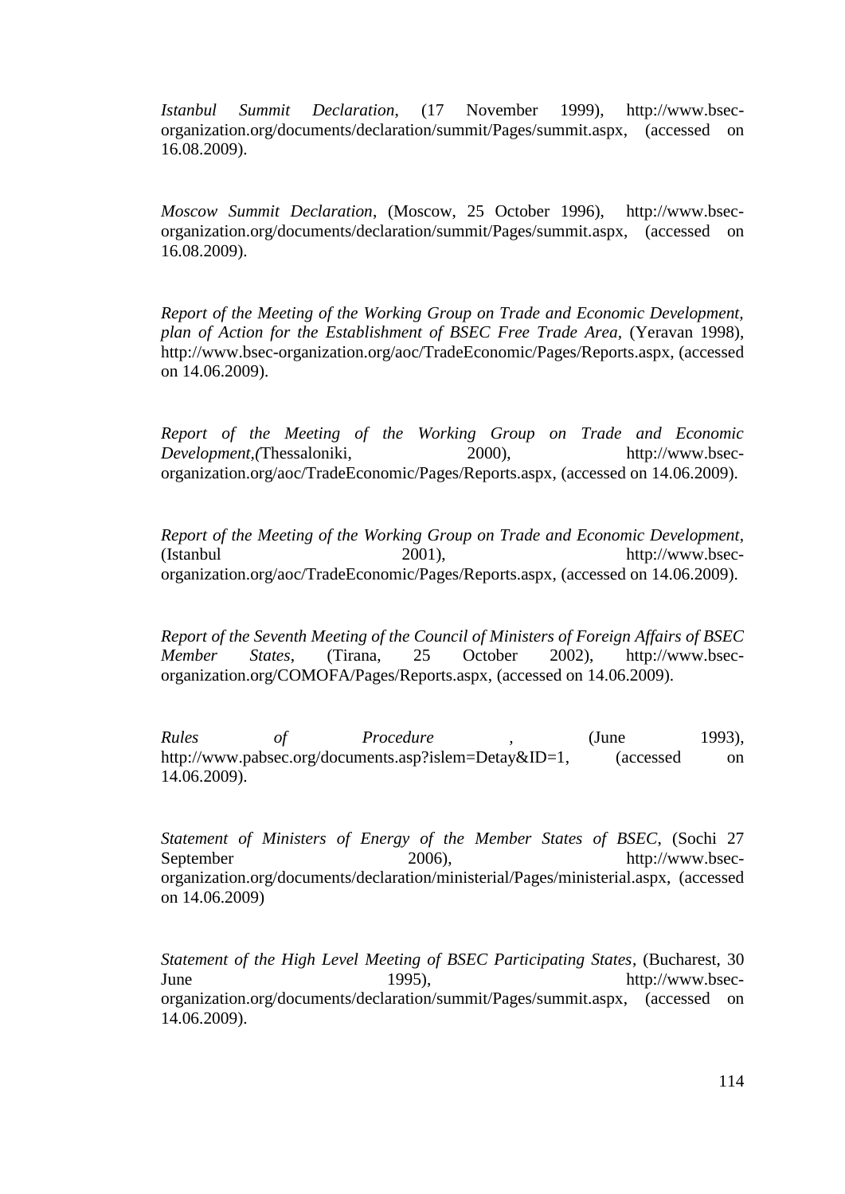*Istanbul Summit Declaration*, (17 November 1999), http://www.bsecorganization.org/documents/declaration/summit/Pages/summit.aspx, (accessed on 16.08.2009).

*Moscow Summit Declaration*, (Moscow, 25 October 1996), http://www.bsecorganization.org/documents/declaration/summit/Pages/summit.aspx, (accessed on 16.08.2009).

*Report of the Meeting of the Working Group on Trade and Economic Development, plan of Action for the Establishment of BSEC Free Trade Area,* (Yeravan 1998), http://www.bsec-organization.org/aoc/TradeEconomic/Pages/Reports.aspx, (accessed on 14.06.2009).

*Report of the Meeting of the Working Group on Trade and Economic Development,(Thessaloniki,* 2000), http://www.bsecorganization.org/aoc/TradeEconomic/Pages/Reports.aspx, (accessed on 14.06.2009).

*Report of the Meeting of the Working Group on Trade and Economic Development*,  $2001$ , http://www.bsecorganization.org/aoc/TradeEconomic/Pages/Reports.aspx, (accessed on 14.06.2009).

*Report of the Seventh Meeting of the Council of Ministers of Foreign Affairs of BSEC Member States*, (Tirana, 25 October 2002), http://www.bsecorganization.org/COMOFA/Pages/Reports.aspx, (accessed on 14.06.2009).

*Rules of Procedure* , (June 1993), http://www.pabsec.org/documents.asp?islem=Detay&ID=1, (accessed on 14.06.2009).

*Statement of Ministers of Energy of the Member States of BSEC*, (Sochi 27 September 2006), http://www.bsecorganization.org/documents/declaration/ministerial/Pages/ministerial.aspx, (accessed on 14.06.2009)

*Statement of the High Level Meeting of BSEC Participating States*, (Bucharest, 30 June 1995), http://www.bsecorganization.org/documents/declaration/summit/Pages/summit.aspx, (accessed on 14.06.2009).